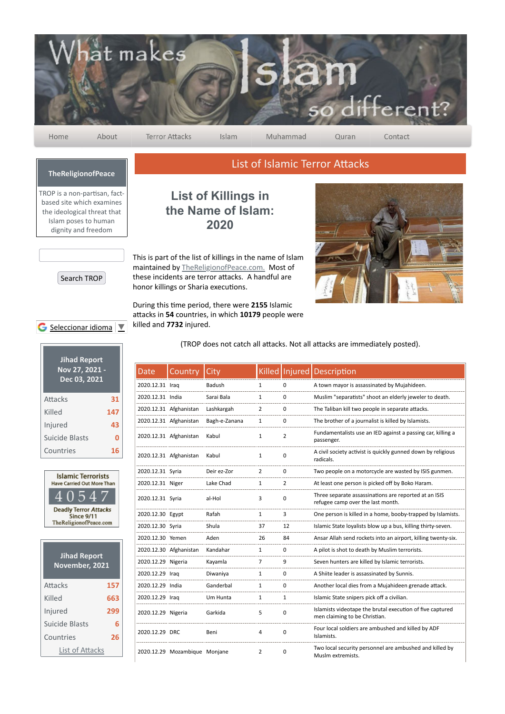

Home

About

**Terror Attacks** 

Islam

Muhammad

Contact

## **TheReligionofPeace**

TROP is a non-partisan, factbased site which examines the ideological threat that Islam poses to human dignity and freedom



## Search TROP

## G Seleccionar idioma

| <b>Jihad Report</b><br>Nov 27, 2021 -<br>Dec 03, 2021 |     |
|-------------------------------------------------------|-----|
| Attacks                                               | 31  |
| Killed                                                | 147 |
| Injured                                               | 43  |
| Suicide Blasts                                        | Ω   |
| Countries                                             | 16  |



| <b>Jihad Report</b><br>November, 2021 |     |
|---------------------------------------|-----|
| Attacks                               | 157 |
| Killed                                | 663 |
| Injured                               | 299 |
| Suicide Blasts                        | 6   |
| Countries                             | 26  |
| List of Attacks                       |     |

## **List of Killings in the Name of Islam: 2020**

This is part of the list of killings in the name of Islam maintained by TheReligionofPeace.com. Most of these incidents are terror attacks. A handful are honor killings or Sharia executions.

During this time period, there were 2155 Islamic attacks in 54 countries, in which 10179 people were killed and **7732** injured.



(TROP does not catch all attacks. Not all attacks are immediately posted).

List of Islamic Terror Attacks

| Date               | Country                       | City          |                |             | Killed   Injured   Description                                                             |
|--------------------|-------------------------------|---------------|----------------|-------------|--------------------------------------------------------------------------------------------|
| 2020.12.31 Iraq    |                               | Badush        | 1              | 0           | A town mayor is assassinated by Mujahideen.                                                |
| 2020.12.31 India   |                               | Sarai Bala    | 1              | 0           | Muslim "separatists" shoot an elderly jeweler to death.                                    |
|                    | 2020.12.31 Afghanistan        | Lashkargah    | 2              | 0           | The Taliban kill two people in separate attacks.                                           |
|                    | 2020.12.31 Afghanistan        | Bagh-e-Zanana | 1              | 0           | The brother of a journalist is killed by Islamists.                                        |
|                    | 2020.12.31 Afghanistan        | Kabul         | 1              | 2           | Fundamentalists use an IED against a passing car, killing a<br>passenger.                  |
|                    | 2020.12.31 Afghanistan        | Kabul         | 1              | 0           | A civil society activist is quickly gunned down by religious<br>radicals.                  |
| 2020.12.31 Syria   |                               | Deir ez-Zor   | $\overline{2}$ | $\mathbf 0$ | Two people on a motorcycle are wasted by ISIS gunmen.                                      |
| 2020.12.31 Niger   |                               | Lake Chad     | 1              | 2           | At least one person is picked off by Boko Haram.                                           |
| 2020.12.31 Syria   |                               | al-Hol        | 3              | 0           | Three separate assassinations are reported at an ISIS<br>refugee camp over the last month. |
| 2020.12.30 Egypt   |                               | Rafah         | 1              | 3           | One person is killed in a home, booby-trapped by Islamists.                                |
| 2020.12.30 Syria   |                               | Shula         | 37             | 12          | Islamic State loyalists blow up a bus, killing thirty-seven.                               |
| 2020.12.30 Yemen   |                               | Aden          | 26             | 84          | Ansar Allah send rockets into an airport, killing twenty-six.                              |
|                    | 2020.12.30 Afghanistan        | Kandahar      | 1              | 0           | A pilot is shot to death by Muslim terrorists.                                             |
| 2020.12.29 Nigeria |                               | Kayamla       | 7              | 9           | Seven hunters are killed by Islamic terrorists.                                            |
| 2020.12.29 Iraq    |                               | Diwaniya      | $\mathbf{1}$   | 0           | A Shiite leader is assassinated by Sunnis.                                                 |
| 2020.12.29 India   |                               | Ganderbal     | 1              | 0           | Another local dies from a Mujahideen grenade attack.                                       |
| 2020.12.29 Iraq    |                               | Um Hunta      | 1              | 1           | Islamic State snipers pick off a civilian.                                                 |
| 2020.12.29 Nigeria |                               | Garkida       | 5              | 0           | Islamists videotape the brutal execution of five captured<br>men claiming to be Christian. |
| 2020.12.29 DRC     |                               | Beni          | 4              | 0           | Four local soldiers are ambushed and killed by ADF<br>Islamists.                           |
|                    | 2020.12.29 Mozambique Monjane |               | $\overline{2}$ | 0           | Two local security personnel are ambushed and killed by<br>Muslm extremists.               |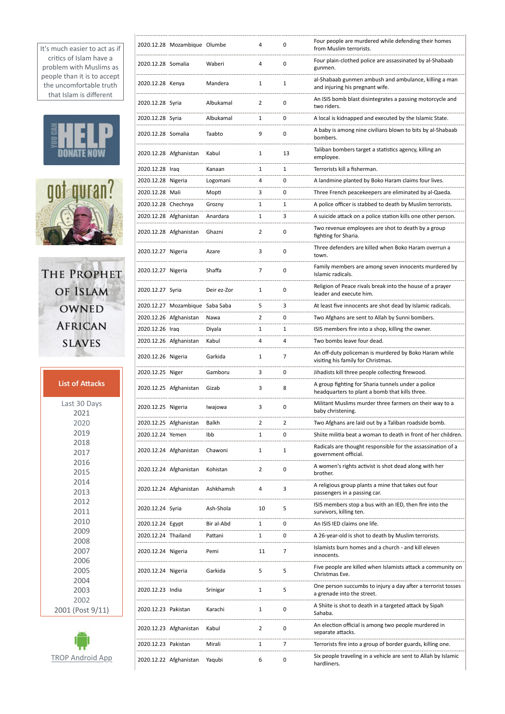It's much easier to act as if critics of Islam have a problem with Muslims as people than it is to accept the uncomfortable truth that Islam is different

 $\overline{1}$ 

$$
\mathbf{H}\mathbf{H}\mathbf{H}\mathbf{P}
$$



THE PROPHET OF ISLAM OWNED **AFRICAN SLAVES** 

| <b>List of Attacks</b> |
|------------------------|
| Last 30 Days           |
| 2021                   |
| 2020                   |
| 2019                   |
| 2018                   |
| 2017                   |
| 2016                   |
| 2015                   |
| 2014                   |
| 2013                   |
| 2012                   |
| 2011                   |
| 2010                   |
| 2009                   |
| 2008                   |
| 2007                   |
| 2006                   |
| 2005                   |
| 2004                   |
| 2003                   |
| 2002                   |
| 2001 (Post 9/11)       |



|                     | 2020.12.28 Mozambique Olumbe    |             | 4              | 0  | Four people are murdered while defending their homes<br>from Muslim terrorists.                      |
|---------------------|---------------------------------|-------------|----------------|----|------------------------------------------------------------------------------------------------------|
| 2020.12.28 Somalia  |                                 | Waberi      | 4              | 0  | Four plain-clothed police are assassinated by al-Shabaab<br>gunmen.                                  |
| 2020.12.28 Kenya    |                                 | Mandera     | 1              | 1  | al-Shabaab gunmen ambush and ambulance, killing a man<br>and injuring his pregnant wife.             |
| 2020.12.28 Syria    |                                 | Albukamal   | 2              | 0  | An ISIS bomb blast disintegrates a passing motorcycle and<br>two riders.                             |
| 2020.12.28 Syria    |                                 | Albukamal   | 1              | 0  | A local is kidnapped and executed by the Islamic State.                                              |
| 2020.12.28 Somalia  |                                 | Taabto      | 9              | 0  | A baby is among nine civilians blown to bits by al-Shabaab<br>bombers.                               |
|                     | 2020.12.28 Afghanistan          | Kabul       | $\mathbf{1}$   | 13 | Taliban bombers target a statistics agency, killing an<br>employee.                                  |
| 2020.12.28 Iraq     |                                 | Kanaan      | 1              | 1  | Terrorists kill a fisherman.                                                                         |
| 2020.12.28 Nigeria  |                                 | Logomani    | 4              | 0  | A landmine planted by Boko Haram claims four lives.                                                  |
| 2020.12.28 Mali     |                                 | Mopti       | 3              | 0  | Three French peacekeepers are eliminated by al-Qaeda.                                                |
| 2020.12.28 Chechnya |                                 | Grozny      | 1              | 1  | A police officer is stabbed to death by Muslim terrorists.                                           |
|                     | 2020.12.28 Afghanistan          | Anardara    | 1              | 3  | A suicide attack on a police station kills one other person.                                         |
|                     | 2020.12.28 Afghanistan          | Ghazni      | 2              | 0  | Two revenue employees are shot to death by a group<br>fighting for Sharia.                           |
| 2020.12.27 Nigeria  |                                 | Azare       | 3              | 0  | Three defenders are killed when Boko Haram overrun a<br>town.                                        |
| 2020.12.27 Nigeria  |                                 | Shaffa      | 7              | 0  | Family members are among seven innocents murdered by<br>Islamic radicals.                            |
| 2020.12.27 Syria    |                                 | Deir ez-Zor | 1              | 0  | Religion of Peace rivals break into the house of a prayer<br>leader and execute him.                 |
|                     | 2020.12.27 Mozambique Saba Saba |             | 5              | 3  | At least five innocents are shot dead by Islamic radicals.                                           |
|                     | 2020.12.26 Afghanistan          | Nawa        | 2              | 0  | Two Afghans are sent to Allah by Sunni bombers.                                                      |
| 2020.12.26 Iraq     |                                 | Diyala      | 1              | 1  | ISIS members fire into a shop, killing the owner.                                                    |
|                     | 2020.12.26 Afghanistan          | Kabul       | 4              | 4  | Two bombs leave four dead.                                                                           |
| 2020.12.26 Nigeria  |                                 | Garkida     | 1              | 7  | An off-duty policeman is murdered by Boko Haram while<br>visiting his family for Christmas.          |
| 2020.12.25 Niger    |                                 | Gamboru     | 3              | 0  | Jihadists kill three people collecting firewood.                                                     |
|                     | 2020.12.25 Afghanistan          | Gizab       | 3              | 8  | A group fighting for Sharia tunnels under a police<br>headquarters to plant a bomb that kills three. |
| 2020.12.25 Nigeria  |                                 | Iwajowa     | 3              | 0  | Militant Muslims murder three farmers on their way to a<br>baby christening.                         |
|                     | 2020.12.25 Afghanistan          | Balkh       | 2              | 2  | Two Afghans are laid out by a Taliban roadside bomb.                                                 |
| 2020.12.24 Yemen    |                                 | Ibb         | $\mathbf{1}$   | 0  | Shiite militia beat a woman to death in front of her children.                                       |
|                     | 2020.12.24 Afghanistan          | Chawoni     | 1              | 1  | Radicals are thought responsible for the assassination of a<br>government official.                  |
|                     | 2020.12.24 Afghanistan          | Kohistan    | 2              | 0  | A women's rights activist is shot dead along with her<br>brother.                                    |
|                     | 2020.12.24 Afghanistan          | Ashkhamsh   | 4              | 3  | A religious group plants a mine that takes out four<br>passengers in a passing car.                  |
| 2020.12.24 Syria    |                                 | Ash-Shola   | 10             | 5  | ISIS members stop a bus with an IED, then fire into the<br>survivors, killing ten.                   |
| 2020.12.24 Egypt    |                                 | Bir al-Abd  | 1              | 0  | An ISIS IED claims one life.                                                                         |
| 2020.12.24 Thailand |                                 | Pattani     | 1              | 0  | A 26-year-old is shot to death by Muslim terrorists.                                                 |
| 2020.12.24 Nigeria  |                                 | Pemi        | 11             | 7  | Islamists burn homes and a church - and kill eleven<br>innocents.                                    |
| 2020.12.24 Nigeria  |                                 | Garkida     | 5              | 5  | Five people are killed when Islamists attack a community on<br>Christmas Eve.                        |
| 2020.12.23 India    |                                 | Srinigar    | 1              | 5  | One person succumbs to injury a day after a terrorist tosses<br>a grenade into the street.           |
| 2020.12.23 Pakistan |                                 | Karachi     | 1              | 0  | A Shiite is shot to death in a targeted attack by Sipah<br>Sahaba.                                   |
|                     | 2020.12.23 Afghanistan          | Kabul       | $\overline{2}$ | 0  | An election official is among two people murdered in<br>separate attacks.                            |
| 2020.12.23 Pakistan |                                 | Mirali      | 1              | 7  | Terrorists fire into a group of border guards, killing one.                                          |
|                     | 2020.12.22 Afghanistan          | Yaqubi      | 6              | 0  | Six people traveling in a vehicle are sent to Allah by Islamic<br>hardliners.                        |
|                     |                                 |             |                |    |                                                                                                      |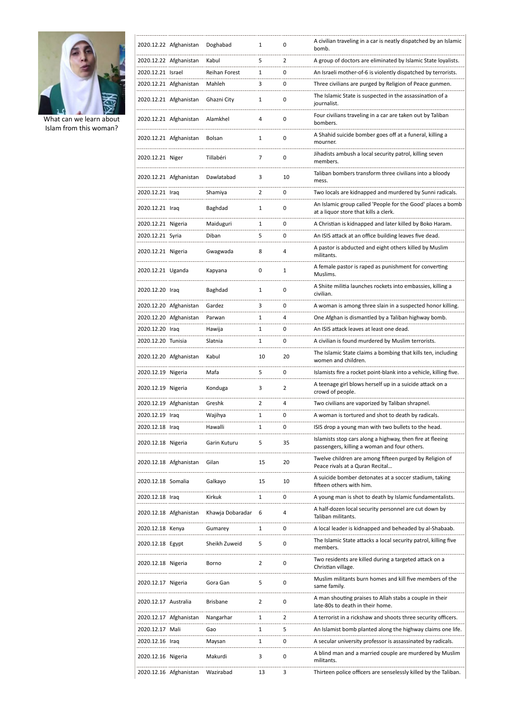

 $\overline{1}$ 

What can we learn about Islam from this woman?

|                      | 2020.12.22 Afghanistan | Doghabad             | 1  | 0              | A civilian traveling in a car is neatly dispatched by an Islamic<br>bomb.                                 |
|----------------------|------------------------|----------------------|----|----------------|-----------------------------------------------------------------------------------------------------------|
|                      | 2020.12.22 Afghanistan | Kabul                | 5  | $\overline{2}$ | A group of doctors are eliminated by Islamic State loyalists.                                             |
| 2020.12.21 Israel    |                        | <b>Reihan Forest</b> | 1  | 0              | An Israeli mother-of-6 is violently dispatched by terrorists.                                             |
|                      | 2020.12.21 Afghanistan | Mahleh               | 3  | $\mathbf 0$    | Three civilians are purged by Religion of Peace gunmen.                                                   |
|                      | 2020.12.21 Afghanistan | Ghazni City          | 1  | 0              | The Islamic State is suspected in the assassination of a<br>journalist.                                   |
|                      | 2020.12.21 Afghanistan | Alamkhel             | 4  | $\mathbf 0$    | Four civilians traveling in a car are taken out by Taliban<br>bombers.                                    |
|                      | 2020.12.21 Afghanistan | Bolsan               | 1  | $\mathbf 0$    | A Shahid suicide bomber goes off at a funeral, killing a<br>mourner.                                      |
| 2020.12.21 Niger     |                        | Tillabéri            | 7  | $\mathbf 0$    | Jihadists ambush a local security patrol, killing seven<br>members.                                       |
|                      | 2020.12.21 Afghanistan | Dawlatabad           | 3  | 10             | Taliban bombers transform three civilians into a bloody<br>mess.                                          |
| 2020.12.21 Iraq      |                        | Shamiya              | 2  | 0              | Two locals are kidnapped and murdered by Sunni radicals.                                                  |
| 2020.12.21 Iraq      |                        | Baghdad              | 1  | 0              | An Islamic group called 'People for the Good' places a bomb<br>at a liquor store that kills a clerk.      |
| 2020.12.21 Nigeria   |                        | Maiduguri            | 1  | 0              | A Christian is kidnapped and later killed by Boko Haram.                                                  |
| 2020.12.21 Syria     |                        | Diban                | 5  | 0              | An ISIS attack at an office building leaves five dead.                                                    |
| 2020.12.21 Nigeria   |                        | Gwagwada             | 8  | 4              | A pastor is abducted and eight others killed by Muslim<br>militants.                                      |
| 2020.12.21 Uganda    |                        | Kapyana              | 0  | $\mathbf{1}$   | A female pastor is raped as punishment for converting<br>Muslims.                                         |
| 2020.12.20 Iraq      |                        | Baghdad              | 1  | $\mathbf 0$    | A Shiite militia launches rockets into embassies, killing a<br>civilian.                                  |
|                      | 2020.12.20 Afghanistan | Gardez               | 3  | $\mathbf 0$    | A woman is among three slain in a suspected honor killing.                                                |
|                      | 2020.12.20 Afghanistan | Parwan               | 1  | 4              | One Afghan is dismantled by a Taliban highway bomb.                                                       |
| 2020.12.20 Iraq      |                        | Hawija               | 1  | 0              | An ISIS attack leaves at least one dead.                                                                  |
| 2020.12.20 Tunisia   |                        | Slatnia              | 1  | 0              | A civilian is found murdered by Muslim terrorists.                                                        |
|                      | 2020.12.20 Afghanistan | Kabul                | 10 | 20             | The Islamic State claims a bombing that kills ten, including<br>women and children.                       |
| 2020.12.19 Nigeria   |                        | Mafa                 | 5  | 0              | Islamists fire a rocket point-blank into a vehicle, killing five.                                         |
| 2020.12.19 Nigeria   |                        | Konduga              | 3  | 2              | A teenage girl blows herself up in a suicide attack on a<br>crowd of people.                              |
|                      | 2020.12.19 Afghanistan | Greshk               | 2  | 4              | Two civilians are vaporized by Taliban shrapnel.                                                          |
| 2020.12.19 Iraq      |                        | Wajihya              | 1  | 0              | A woman is tortured and shot to death by radicals.                                                        |
| 2020.12.18 Iraq      |                        | Hawalli              | 1  | 0              | ISIS drop a young man with two bullets to the head.                                                       |
| 2020.12.18 Nigeria   |                        | Garin Kuturu         | 5  | 35             | Islamists stop cars along a highway, then fire at fleeing<br>passengers, killing a woman and four others. |
|                      | 2020.12.18 Afghanistan | Gilan                | 15 | 20             | Twelve children are among fifteen purged by Religion of<br>Peace rivals at a Quran Recital                |
| 2020.12.18 Somalia   |                        | Galkayo              | 15 | 10             | A suicide bomber detonates at a soccer stadium, taking<br>fifteen others with him.                        |
| 2020.12.18 Iraq      |                        | Kirkuk               | 1  | 0              | A young man is shot to death by Islamic fundamentalists.                                                  |
|                      | 2020.12.18 Afghanistan | Khawja Dobaradar     | 6  | 4              | A half-dozen local security personnel are cut down by<br>Taliban militants.                               |
| 2020.12.18 Kenya     |                        | Gumarey              | 1  | 0              | A local leader is kidnapped and beheaded by al-Shabaab.                                                   |
| 2020.12.18 Egypt     |                        | Sheikh Zuweid        | 5  | 0              | The Islamic State attacks a local security patrol, killing five<br>members.                               |
| 2020.12.18 Nigeria   |                        | Borno                | 2  | 0              | Two residents are killed during a targeted attack on a<br>Christian village.                              |
| 2020.12.17 Nigeria   |                        | Gora Gan             | 5  | 0              | Muslim militants burn homes and kill five members of the<br>same family.                                  |
| 2020.12.17 Australia |                        | <b>Brisbane</b>      | 2  | 0              | A man shouting praises to Allah stabs a couple in their<br>late-80s to death in their home.               |
|                      | 2020.12.17 Afghanistan | Nangarhar            | 1  | 2              | A terrorist in a rickshaw and shoots three security officers.                                             |
| 2020.12.17 Mali      |                        | Gao                  | 1  | 5              | An Islamist bomb planted along the highway claims one life.                                               |
| 2020.12.16 Iraq      |                        | Maysan               | 1  | 0              | A secular university professor is assassinated by radicals.                                               |
| 2020.12.16 Nigeria   |                        | Makurdi              | 3  | 0              | A blind man and a married couple are murdered by Muslim<br>militants.                                     |
|                      | 2020.12.16 Afghanistan | Wazirabad            | 13 | 3              | Thirteen police officers are senselessly killed by the Taliban.                                           |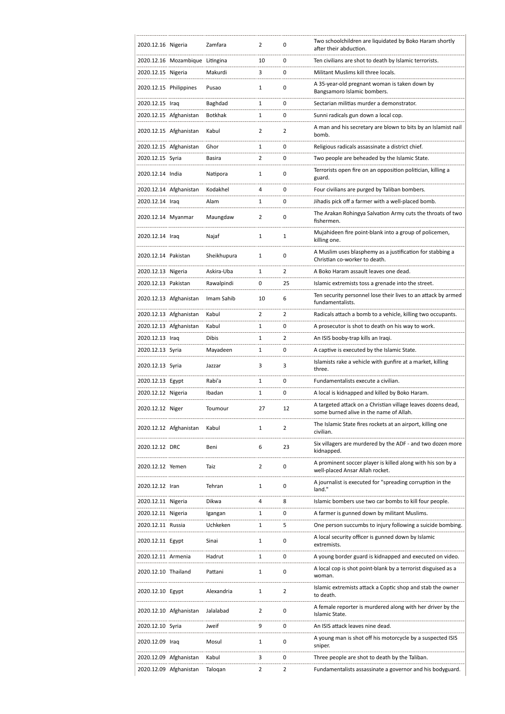| 2020.12.16 Nigeria     |                                 | Zamfara      | $\overline{2}$ | 0              | Two schoolchildren are liquidated by Boko Haram shortly<br>after their abduction.                       |
|------------------------|---------------------------------|--------------|----------------|----------------|---------------------------------------------------------------------------------------------------------|
|                        | 2020.12.16 Mozambique Litingina |              | 10             | 0              | Ten civilians are shot to death by Islamic terrorists.                                                  |
| 2020.12.15 Nigeria     |                                 | Makurdi      | 3              | 0              | Militant Muslims kill three locals.                                                                     |
| 2020.12.15 Philippines |                                 | Pusao        | $\mathbf{1}$   | 0              | A 35-year-old pregnant woman is taken down by<br>Bangsamoro Islamic bombers.                            |
| 2020.12.15 Iraq        |                                 | Baghdad      | 1              | 0              | Sectarian militias murder a demonstrator.                                                               |
|                        | 2020.12.15 Afghanistan          | Botkhak      | $\mathbf{1}$   | 0              | Sunni radicals gun down a local cop.                                                                    |
|                        | 2020.12.15 Afghanistan          | Kabul        | $\overline{2}$ | 2              | A man and his secretary are blown to bits by an Islamist nail<br>bomb.                                  |
|                        | 2020.12.15 Afghanistan          | Ghor         | $\mathbf{1}$   | 0              | Religious radicals assassinate a district chief.                                                        |
| 2020.12.15 Syria       |                                 | Basira       | 2              | 0              | Two people are beheaded by the Islamic State.                                                           |
| 2020.12.14 India       |                                 | Natipora     | 1              | 0              | Terrorists open fire on an opposition politician, killing a<br>guard.                                   |
|                        | 2020.12.14 Afghanistan          | Kodakhel     | 4              | 0              | Four civilians are purged by Taliban bombers.                                                           |
| 2020.12.14 Iraq        |                                 | Alam         | 1              | 0              | Jihadis pick off a farmer with a well-placed bomb.                                                      |
| 2020.12.14 Myanmar     |                                 | Maungdaw     | 2              | 0              | The Arakan Rohingya Salvation Army cuts the throats of two<br>fishermen.                                |
| 2020.12.14 Iraq        |                                 | Najaf        | 1              | 1              | Mujahideen fire point-blank into a group of policemen,<br>killing one.                                  |
| 2020.12.14 Pakistan    |                                 | Sheikhupura  | 1              | 0              | A Muslim uses blasphemy as a justification for stabbing a<br>Christian co-worker to death.              |
| 2020.12.13 Nigeria     |                                 | Askira-Uba   | 1              | $\overline{2}$ | A Boko Haram assault leaves one dead.                                                                   |
| 2020.12.13 Pakistan    |                                 | Rawalpindi   | 0              | 25             | Islamic extremists toss a grenade into the street.                                                      |
|                        | 2020.12.13 Afghanistan          | Imam Sahib   | 10             | 6              | Ten security personnel lose their lives to an attack by armed<br>fundamentalists.                       |
|                        | 2020.12.13 Afghanistan          | Kabul        | 2              | 2              | Radicals attach a bomb to a vehicle, killing two occupants.                                             |
|                        | 2020.12.13 Afghanistan          | Kabul        | 1              | 0              | A prosecutor is shot to death on his way to work.                                                       |
| 2020.12.13 Iraq        |                                 | <b>Dibis</b> | 1              | 2              | An ISIS booby-trap kills an Iraqi.                                                                      |
| 2020.12.13 Syria       |                                 | Mayadeen     | $\mathbf{1}$   | 0              | A captive is executed by the Islamic State.                                                             |
| 2020.12.13 Syria       |                                 | Jazzar       | 3              | 3              | Islamists rake a vehicle with gunfire at a market, killing<br>three.                                    |
| 2020.12.13 Egypt       |                                 | Rabi'a       | 1              | $\mathbf 0$    | Fundamentalists execute a civilian.                                                                     |
| 2020.12.12 Nigeria     |                                 | Ibadan       | 1              | 0              | A local is kidnapped and killed by Boko Haram.                                                          |
| 2020.12.12 Niger       |                                 | Toumour      | 27             | 12             | A targeted attack on a Christian village leaves dozens dead,<br>some burned alive in the name of Allah. |
|                        | 2020.12.12 Afghanistan          | Kabul        | 1              | $\overline{2}$ | The Islamic State fires rockets at an airport, killing one<br>civilian.                                 |
| 2020.12.12 DRC         |                                 | Beni         | 6              | 23             | Six villagers are murdered by the ADF - and two dozen more<br>kidnapped.                                |
| 2020.12.12 Yemen       |                                 | Taiz         | $\overline{2}$ | 0              | A prominent soccer player is killed along with his son by a<br>well-placed Ansar Allah rocket.          |
| 2020.12.12 Iran        |                                 | Tehran       | 1              | 0              | A journalist is executed for "spreading corruption in the<br>land."                                     |
| 2020.12.11 Nigeria     |                                 | Dikwa        | 4              | 8              | Islamic bombers use two car bombs to kill four people.                                                  |
| 2020.12.11 Nigeria     |                                 | Igangan      | 1              | 0              | A farmer is gunned down by militant Muslims.                                                            |
| 2020.12.11 Russia      |                                 | Uchkeken     | $\mathbf{1}$   | 5              | One person succumbs to injury following a suicide bombing.                                              |
| 2020.12.11 Egypt       |                                 | Sinai        | 1              | 0              | A local security officer is gunned down by Islamic<br>extremists.                                       |
| 2020.12.11 Armenia     |                                 | Hadrut       | 1              | 0              | A young border guard is kidnapped and executed on video.                                                |
| 2020.12.10 Thailand    |                                 | Pattani      | 1              | 0              | A local cop is shot point-blank by a terrorist disguised as a<br>woman.                                 |
| 2020.12.10 Egypt       |                                 | Alexandria   | 1              | 2              | Islamic extremists attack a Coptic shop and stab the owner<br>to death.                                 |
|                        | 2020.12.10 Afghanistan          | Jalalabad    | $\overline{2}$ | 0              | A female reporter is murdered along with her driver by the<br>Islamic State.                            |
| 2020.12.10 Syria       |                                 | Jweif        | 9              | 0              | An ISIS attack leaves nine dead.                                                                        |
| 2020.12.09 Iraq        |                                 | Mosul        | 1              | 0              | A young man is shot off his motorcycle by a suspected ISIS<br>sniper.                                   |
|                        | 2020.12.09 Afghanistan          | Kabul        | 3              | 0              | Three people are shot to death by the Taliban.                                                          |
|                        | 2020.12.09 Afghanistan          | Talogan      | $\overline{2}$ | 2              | Fundamentalists assassinate a governor and his bodyguard.                                               |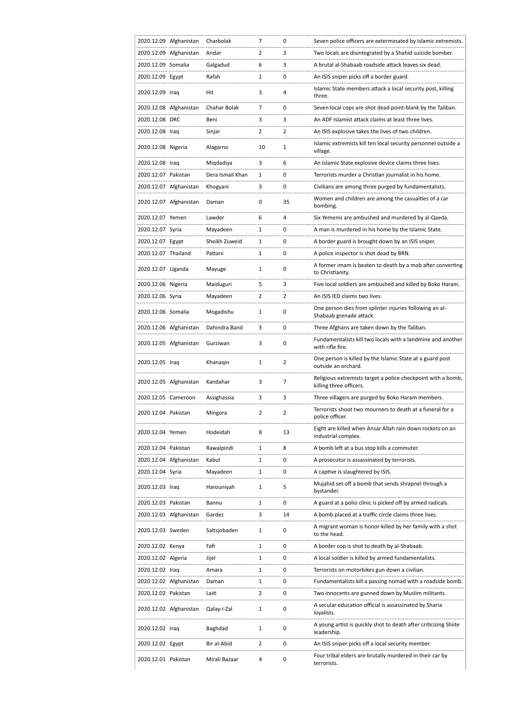|                     | 2020.12.09 Afghanistan | Charbolak        | 7              | 0              | Seven police officers are exterminated by Islamic extremists.                           |
|---------------------|------------------------|------------------|----------------|----------------|-----------------------------------------------------------------------------------------|
|                     | 2020.12.09 Afghanistan | Andar            | 2              | 3              | Two locals are disintegrated by a Shahid suicide bomber.                                |
| 2020.12.09 Somalia  |                        | Galgadud         | 6              | 3              | A brutal al-Shabaab roadside attack leaves six dead.                                    |
| 2020.12.09 Egypt    |                        | Rafah            | 1              | 0              | An ISIS sniper picks off a border guard.                                                |
| 2020.12.09 Iraq     |                        | Hit              | 3              | 4              | Islamic State members attack a local security post, killing<br>three.                   |
|                     | 2020.12.08 Afghanistan | Chahar Bolak     | 7              | 0              | Seven local cops are shot dead point-blank by the Taliban.                              |
| 2020.12.08 DRC      |                        | Beni             | 3              | 3              | An ADF Islamist attack claims at least three lives.                                     |
| 2020.12.08 Iraq     |                        | Sinjar           | $\overline{2}$ | $\overline{2}$ | An ISIS explosive takes the lives of two children.                                      |
| 2020.12.08 Nigeria  |                        | Alagarno         | 10             | 1              | Islamic extremists kill ten local security personnel outside a<br>village.              |
| 2020.12.08 Iraq     |                        | Migdadiya        | 3              | 6              | An Islamic State explosive device claims three lives.                                   |
| 2020.12.07 Pakistan |                        | Dera Ismail Khan | 1              | 0              | Terrorists murder a Christian journalist in his home.                                   |
|                     | 2020.12.07 Afghanistan | Khogyani         | 3              | 0              | Civilians are among three purged by fundamentalists.                                    |
|                     | 2020.12.07 Afghanistan | Daman            | 0              | 35             | Women and children are among the casualties of a car<br>bombing.                        |
| 2020.12.07 Yemen    |                        | Lawder           | 6              | 4              | Six Yemenis are ambushed and murdered by al-Qaeda.                                      |
| 2020.12.07 Syria    |                        | Mayadeen         | 1              | 0              | A man is murdered in his home by the Islamic State.                                     |
| 2020.12.07 Egypt    |                        | Sheikh Zuweid    | 1              | 0              | A border guard is brought down by an ISIS sniper.                                       |
| 2020.12.07 Thailand |                        | Pattani          | 1              | 0              | A police inspector is shot dead by BRN.                                                 |
|                     |                        |                  |                |                |                                                                                         |
| 2020.12.07 Uganda   |                        | Mayuge           | 1              | 0              | A former imam is beaten to death by a mob after converting<br>to Christianity.          |
| 2020.12.06 Nigeria  |                        | Maiduguri        | 5              | 3              | Five local soldiers are ambushed and killed by Boko Haram.                              |
| 2020.12.06 Syria    |                        | Mayadeen         | 2              | 2              | An ISIS IED claims two lives.                                                           |
| 2020.12.06 Somalia  |                        | Mogadishu        | 1              | 0              | One person dies from splinter injuries following an al-<br>Shabaab grenade attack.      |
|                     | 2020.12.06 Afghanistan | Dahindra Band    | 3              | 0              | Three Afghans are taken down by the Taliban.                                            |
|                     | 2020.12.05 Afghanistan | Gurziwan         | 3              | $\mathbf 0$    | Fundamentalists kill two locals with a landmine and another<br>with rifle fire.         |
| 2020.12.05 Iraq     |                        | Khanagin         | 1              | $\overline{2}$ | One person is killed by the Islamic State at a guard post<br>outside an orchard.        |
|                     | 2020.12.05 Afghanistan | Kandahar         | 3              | 7              | Religious extremists target a police checkpoint with a bomb,<br>killing three officers. |
| 2020.12.05 Cameroon |                        | Assighassia      | 3              | 3              | Three villagers are purged by Boko Haram members.                                       |
| 2020.12.04 Pakistan |                        | Mingora          | $\overline{2}$ | 2              | Terrorists shoot two mourners to death at a funeral for a<br>police officer.            |
| 2020.12.04 Yemen    |                        | Hodeidah         | 8              | 13             | Eight are killed when Ansar Allah rain down rockets on an<br>industrial complex.        |
| 2020.12.04 Pakistan |                        | Rawalpindi       | 1              | 8              | A bomb left at a bus stop kills a commuter.                                             |
|                     | 2020.12.04 Afghanistan | Kabul            | 1              | 0              | A prosecutor is assassinated by terrorists.                                             |
| 2020.12.04 Syria    |                        | Mayadeen         | 1              | 0              | A captive is slaughtered by ISIS.                                                       |
| 2020.12.03 Iraq     |                        | Harouniyah       | $\mathbf{1}$   | 5              | Mujahid set off a bomb that sends shrapnel through a<br>bystander.                      |
| 2020.12.03 Pakistan |                        | Bannu            | 1              | 0              | A guard at a polio clinic is picked off by armed radicals.                              |
|                     | 2020.12.03 Afghanistan | Gardez           | 3              | 14             | A bomb placed at a traffic circle claims three lives.                                   |
| 2020.12.03 Sweden   |                        | Saltsjobaden     | 1              | 0              | A migrant woman is honor-killed by her family with a shot<br>to the head.               |
| 2020.12.02 Kenya    |                        | Fafi             | 1              | 0              | A border cop is shot to death by al-Shabaab.                                            |
| 2020.12.02 Algeria  |                        | Jijel            | $\mathbf{1}$   | 0              | A local soldier is killed by armed fundamentalists.                                     |
| 2020.12.02 Iraq     |                        | Amara            | 1              | 0              | Terrorists on motorbikes gun down a civilian.                                           |
|                     | 2020.12.02 Afghanistan | Daman            | 1              | 0              | Fundamentalists kill a passing nomad with a roadside bomb.                              |
| 2020.12.02 Pakistan |                        | Laiti            | $\overline{2}$ | 0              | Two innocents are gunned down by Muslim militants.                                      |
|                     | 2020.12.02 Afghanistan | Qalay-i-Zal      | 1              | 0              | A secular education official is assassinated by Sharia<br>loyalists.                    |
| 2020.12.02 Iraq     |                        | Baghdad          | $\mathbf{1}$   | 0              | A young artist is quickly shot to death after criticizing Shiite<br>leadership.         |
| 2020.12.02 Egypt    |                        | Bir al-Abid      | $\overline{2}$ | 0              | An ISIS sniper picks off a local security member.                                       |
| 2020.12.01 Pakistan |                        | Mirali Bazaar    | 4              | 0              | Four tribal elders are brutally murdered in their car by<br>terrorists.                 |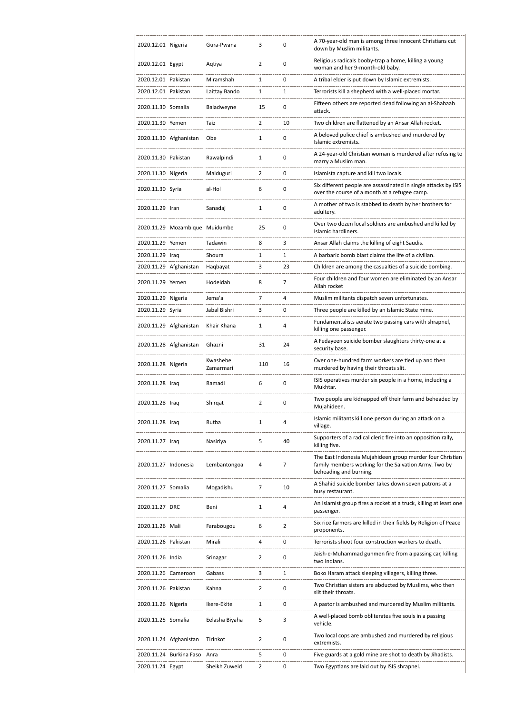| 2020.12.01 Nigeria   |                                | Gura-Pwana            | 3              | 0            | A 70-year-old man is among three innocent Christians cut<br>down by Muslim militants.                                                        |
|----------------------|--------------------------------|-----------------------|----------------|--------------|----------------------------------------------------------------------------------------------------------------------------------------------|
| 2020.12.01 Egypt     |                                | Aqtiya                | 2              | 0            | Religious radicals booby-trap a home, killing a young<br>woman and her 9-month-old baby.                                                     |
| 2020.12.01 Pakistan  |                                | Miramshah             | 1              | 0            | A tribal elder is put down by Islamic extremists.                                                                                            |
| 2020.12.01 Pakistan  |                                | Laittay Bando         | 1              | $\mathbf{1}$ | Terrorists kill a shepherd with a well-placed mortar.                                                                                        |
| 2020.11.30 Somalia   |                                | Baladweyne            | 15             | 0            | Fifteen others are reported dead following an al-Shabaab<br>attack.                                                                          |
| 2020.11.30 Yemen     |                                | Taiz                  | $\overline{2}$ | 10           | Two children are flattened by an Ansar Allah rocket.                                                                                         |
|                      | 2020.11.30 Afghanistan         | Obe                   | $\mathbf{1}$   | 0            | A beloved police chief is ambushed and murdered by<br>Islamic extremists.                                                                    |
| 2020.11.30 Pakistan  |                                | Rawalpindi            | 1              | 0            | A 24-year-old Christian woman is murdered after refusing to<br>marry a Muslim man.                                                           |
| 2020.11.30 Nigeria   |                                | Maiduguri             | 2              | 0            | Islamista capture and kill two locals.                                                                                                       |
| 2020.11.30 Syria     |                                | al-Hol                | 6              | 0            | Six different people are assassinated in single attacks by ISIS<br>over the course of a month at a refugee camp.                             |
| 2020.11.29 Iran      |                                | Sanadai               | $\mathbf{1}$   | 0            | A mother of two is stabbed to death by her brothers for<br>adultery.                                                                         |
|                      | 2020.11.29 Mozambique Muidumbe |                       | 25             | 0            | Over two dozen local soldiers are ambushed and killed by<br>Islamic hardliners.                                                              |
| 2020.11.29 Yemen     |                                | Tadawin               | 8              | 3            | Ansar Allah claims the killing of eight Saudis.                                                                                              |
| 2020.11.29 Iraq      |                                | Shoura                | 1              | 1            | A barbaric bomb blast claims the life of a civilian.                                                                                         |
|                      | 2020.11.29 Afghanistan         | Haqbayat              | 3              | 23           | Children are among the casualties of a suicide bombing.                                                                                      |
| 2020.11.29 Yemen     |                                | Hodeidah              | 8              | 7            | Four children and four women are eliminated by an Ansar<br>Allah rocket                                                                      |
| 2020.11.29 Nigeria   |                                | Jema'a                | 7              | 4            | Muslim militants dispatch seven unfortunates.                                                                                                |
| 2020.11.29 Syria     |                                | Jabal Bishri          | 3              | 0            | Three people are killed by an Islamic State mine.                                                                                            |
|                      | 2020.11.29 Afghanistan         | Khair Khana           | $\mathbf{1}$   | 4            | Fundamentalists aerate two passing cars with shrapnel,<br>killing one passenger.                                                             |
|                      | 2020.11.28 Afghanistan         | Ghazni                | 31             | 24           | A Fedayeen suicide bomber slaughters thirty-one at a<br>security base.                                                                       |
| 2020.11.28 Nigeria   |                                | Kwashebe<br>Zamarmari | 110            | 16           | Over one-hundred farm workers are tied up and then<br>murdered by having their throats slit.                                                 |
| 2020.11.28 Iraq      |                                | Ramadi                | 6              | 0            | ISIS operatives murder six people in a home, including a<br>Mukhtar.                                                                         |
|                      |                                |                       |                |              |                                                                                                                                              |
| 2020.11.28 Iraq      |                                | Shirgat               | $\overline{2}$ | 0            | Two people are kidnapped off their farm and beheaded by<br>Mujahideen.                                                                       |
| 2020.11.28 Iraq      |                                | Rutba                 | 1              | 4            | Islamic militants kill one person during an attack on a<br>village.                                                                          |
| 2020.11.27 Iraq      |                                | Nasiriya              | 5              | 40           | Supporters of a radical cleric fire into an opposition rally,<br>killing five.                                                               |
| 2020.11.27 Indonesia |                                | Lembantongoa          | 4              | 7            | The East Indonesia Mujahideen group murder four Christian<br>family members working for the Salvation Army. Two by<br>beheading and burning. |
| 2020.11.27 Somalia   |                                | Mogadishu             | 7              | 10           | A Shahid suicide bomber takes down seven patrons at a<br>busy restaurant.                                                                    |
| 2020.11.27 DRC       |                                | Beni                  | 1              | 4            | An Islamist group fires a rocket at a truck, killing at least one<br>passenger.                                                              |
| 2020.11.26 Mali      |                                | Farabougou            | 6              | 2            | Six rice farmers are killed in their fields by Religion of Peace<br>proponents.                                                              |
| 2020.11.26 Pakistan  |                                | Mirali                | 4              | 0            | Terrorists shoot four construction workers to death.                                                                                         |
| 2020.11.26 India     |                                | Srinagar              | 2              | 0            | Jaish-e-Muhammad gunmen fire from a passing car, killing<br>two Indians.                                                                     |
| 2020.11.26 Cameroon  |                                | Gabass                | 3              | 1            | Boko Haram attack sleeping villagers, killing three.                                                                                         |
| 2020.11.26 Pakistan  |                                | Kahna                 | 2              | 0            | Two Christian sisters are abducted by Muslims, who then<br>slit their throats.                                                               |
| 2020.11.26 Nigeria   |                                | Ikere-Ekite           | 1              | 0            | A pastor is ambushed and murdered by Muslim militants.                                                                                       |
| 2020.11.25 Somalia   |                                | Eelasha Biyaha        | 5              | 3            | A well-placed bomb obliterates five souls in a passing<br>vehicle.                                                                           |
|                      | 2020.11.24 Afghanistan         | Tirinkot              | 2              | 0            | Two local cops are ambushed and murdered by religious<br>extremists.                                                                         |
|                      | 2020.11.24 Burkina Faso        | Anra                  | 5              | 0            | Five guards at a gold mine are shot to death by Jihadists.                                                                                   |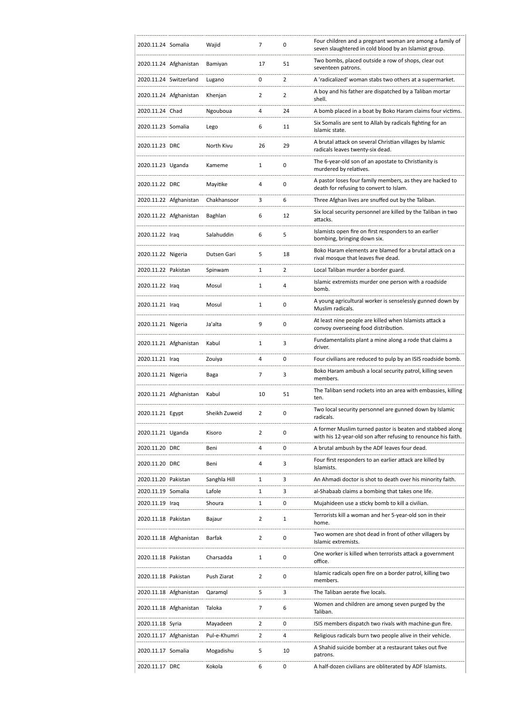| 2020.11.24 Somalia  |                        | Wajid         | 7              | 0              | Four children and a pregnant woman are among a family of<br>seven slaughtered in cold blood by an Islamist group.           |
|---------------------|------------------------|---------------|----------------|----------------|-----------------------------------------------------------------------------------------------------------------------------|
|                     | 2020.11.24 Afghanistan | Bamiyan       | 17             | 51             | Two bombs, placed outside a row of shops, clear out<br>seventeen patrons.                                                   |
|                     | 2020.11.24 Switzerland | Lugano        | 0              | $\overline{2}$ | A 'radicalized' woman stabs two others at a supermarket.                                                                    |
|                     | 2020.11.24 Afghanistan | Khenjan       | 2              | 2              | A boy and his father are dispatched by a Taliban mortar<br>shell.                                                           |
| 2020.11.24 Chad     |                        | Ngouboua      | 4              | 24             | A bomb placed in a boat by Boko Haram claims four victims.                                                                  |
| 2020.11.23 Somalia  |                        | Lego          | 6              | 11             | Six Somalis are sent to Allah by radicals fighting for an<br>Islamic state.                                                 |
| 2020.11.23 DRC      |                        | North Kivu    | 26             | 29             | A brutal attack on several Christian villages by Islamic<br>radicals leaves twenty-six dead.                                |
| 2020.11.23 Uganda   |                        | Kameme        | 1              | 0              | The 6-year-old son of an apostate to Christianity is<br>murdered by relatives.                                              |
| 2020.11.22 DRC      |                        | Mayitike      | 4              | 0              | A pastor loses four family members, as they are hacked to<br>death for refusing to convert to Islam.                        |
|                     | 2020.11.22 Afghanistan | Chakhansoor   | 3              | 6              | Three Afghan lives are snuffed out by the Taliban.                                                                          |
|                     | 2020.11.22 Afghanistan | Baghlan       | 6              | 12             | Six local security personnel are killed by the Taliban in two<br>attacks.                                                   |
| 2020.11.22 Iraq     |                        | Salahuddin    | 6              | 5              | Islamists open fire on first responders to an earlier<br>bombing, bringing down six.                                        |
| 2020.11.22 Nigeria  |                        | Dutsen Gari   | 5              | 18             | Boko Haram elements are blamed for a brutal attack on a<br>rival mosque that leaves five dead.                              |
| 2020.11.22 Pakistan |                        | Spinwam       | $\mathbf{1}$   | $\overline{2}$ | Local Taliban murder a border guard.                                                                                        |
| 2020.11.22 Iraq     |                        | Mosul         | $\mathbf{1}$   | 4              | Islamic extremists murder one person with a roadside<br>bomb.                                                               |
| 2020.11.21 Iraq     |                        | Mosul         | 1              | 0              | A young agricultural worker is senselessly gunned down by<br>Muslim radicals.                                               |
| 2020.11.21 Nigeria  |                        | Ja'alta       | 9              | 0              | At least nine people are killed when Islamists attack a<br>convoy overseeing food distribution.                             |
|                     | 2020.11.21 Afghanistan | Kabul         | 1              | 3              | Fundamentalists plant a mine along a rode that claims a<br>driver.                                                          |
|                     |                        |               |                |                |                                                                                                                             |
| 2020.11.21 Iraq     |                        | Zouiya        | 4              | 0              | Four civilians are reduced to pulp by an ISIS roadside bomb.                                                                |
| 2020.11.21 Nigeria  |                        | Baga          | 7              | 3              | Boko Haram ambush a local security patrol, killing seven<br>members.                                                        |
|                     | 2020.11.21 Afghanistan | Kabul         | 10             | 51             | The Taliban send rockets into an area with embassies, killing<br>ten.                                                       |
| 2020.11.21 Egypt    |                        | Sheikh Zuweid | 2              | 0              | Two local security personnel are gunned down by Islamic<br>radicals.                                                        |
| 2020.11.21 Uganda   |                        | Kisoro        | $\overline{2}$ | 0              | A former Muslim turned pastor is beaten and stabbed along<br>with his 12-year-old son after refusing to renounce his faith. |
| 2020.11.20 DRC      |                        | Beni          | 4              | 0              | A brutal ambush by the ADF leaves four dead.                                                                                |
| 2020.11.20 DRC      |                        | Beni          | 4              | 3              | Four first responders to an earlier attack are killed by<br>Islamists.                                                      |
| 2020.11.20 Pakistan |                        | Sanghla Hill  | 1              | 3              | An Ahmadi doctor is shot to death over his minority faith.                                                                  |
| 2020.11.19 Somalia  |                        | Lafole        | 1              | 3              | al-Shabaab claims a bombing that takes one life.                                                                            |
| 2020.11.19 Iraq     |                        | Shoura        | 1              | 0              | Mujahideen use a sticky bomb to kill a civilian.                                                                            |
| 2020.11.18 Pakistan |                        | Bajaur        | $\overline{2}$ | 1              | Terrorists kill a woman and her 5-year-old son in their<br>home.                                                            |
|                     | 2020.11.18 Afghanistan | Barfak        | $\overline{2}$ | 0              | Two women are shot dead in front of other villagers by<br>Islamic extremists.                                               |
| 2020.11.18 Pakistan |                        | Charsadda     | 1              | 0              | One worker is killed when terrorists attack a government<br>office.                                                         |
| 2020.11.18 Pakistan |                        | Push Ziarat   | 2              | 0              | Islamic radicals open fire on a border patrol, killing two<br>members.                                                      |
|                     | 2020.11.18 Afghanistan | Qaramql       | 5              | 3              | The Taliban aerate five locals.                                                                                             |
|                     | 2020.11.18 Afghanistan | Taloka        | 7              | 6              | Women and children are among seven purged by the<br>Taliban.                                                                |
| 2020.11.18 Syria    |                        | Mayadeen      | $\overline{2}$ | 0              | ISIS members dispatch two rivals with machine-gun fire.                                                                     |
|                     | 2020.11.17 Afghanistan | Pul-e-Khumri  | $\overline{2}$ | 4              | Religious radicals burn two people alive in their vehicle.                                                                  |
| 2020.11.17 Somalia  |                        | Mogadishu     | 5              | 10             | A Shahid suicide bomber at a restaurant takes out five<br>patrons.                                                          |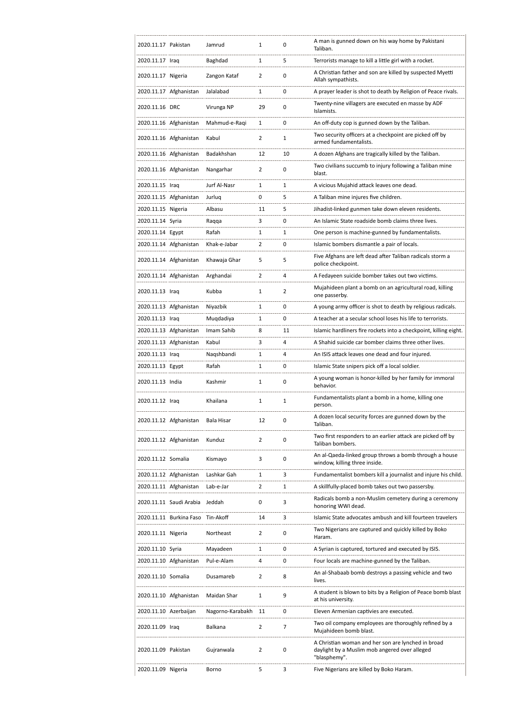| 2020.11.17 Pakistan   |                         | Jamrud           | 1              | 0  | A man is gunned down on his way home by Pakistani<br>Taliban.                                                       |
|-----------------------|-------------------------|------------------|----------------|----|---------------------------------------------------------------------------------------------------------------------|
| 2020.11.17 Iraq       |                         | Baghdad          | 1              | 5  | Terrorists manage to kill a little girl with a rocket.                                                              |
| 2020.11.17 Nigeria    |                         | Zangon Kataf     | $\overline{2}$ | 0  | A Christian father and son are killed by suspected Myetti<br>Allah sympathists.                                     |
|                       | 2020.11.17 Afghanistan  | Jalalabad        | 1              | 0  | A prayer leader is shot to death by Religion of Peace rivals.                                                       |
| 2020.11.16 DRC        |                         | Virunga NP       | 29             | 0  | Twenty-nine villagers are executed en masse by ADF<br>Islamists.                                                    |
|                       | 2020.11.16 Afghanistan  | Mahmud-e-Raqi    | 1              | 0  | An off-duty cop is gunned down by the Taliban.                                                                      |
|                       | 2020.11.16 Afghanistan  | Kabul            | $\overline{2}$ | 1  | Two security officers at a checkpoint are picked off by<br>armed fundamentalists.                                   |
|                       | 2020.11.16 Afghanistan  | Badakhshan       | 12             | 10 | A dozen Afghans are tragically killed by the Taliban.                                                               |
|                       | 2020.11.16 Afghanistan  | Nangarhar        | 2              | 0  | Two civilians succumb to injury following a Taliban mine<br>blast.                                                  |
| 2020.11.15 Iraq       |                         | Jurf Al-Nasr     | 1              | 1  | A vicious Mujahid attack leaves one dead.                                                                           |
|                       | 2020.11.15 Afghanistan  | Jurluq           | 0              | 5  | A Taliban mine injures five children.                                                                               |
| 2020.11.15 Nigeria    |                         | Albasu           | 11             | 5  | Jihadist-linked gunmen take down eleven residents.                                                                  |
| 2020.11.14 Syria      |                         | Raqqa            | 3              | 0  | An Islamic State roadside bomb claims three lives.                                                                  |
| 2020.11.14 Egypt      |                         | Rafah            | 1              | 1  | One person is machine-gunned by fundamentalists.                                                                    |
|                       | 2020.11.14 Afghanistan  | Khak-e-Jabar     | 2              | 0  | Islamic bombers dismantle a pair of locals.                                                                         |
|                       | 2020.11.14 Afghanistan  | Khawaja Ghar     | 5              | 5  | Five Afghans are left dead after Taliban radicals storm a<br>police checkpoint.                                     |
|                       | 2020.11.14 Afghanistan  | Arghandai        | $\overline{2}$ | 4  | A Fedayeen suicide bomber takes out two victims.                                                                    |
| 2020.11.13 Iraq       |                         | Kubba            | 1              | 2  | Mujahideen plant a bomb on an agricultural road, killing<br>one passerby.                                           |
|                       | 2020.11.13 Afghanistan  | Niyazbik         | 1              | 0  | A young army officer is shot to death by religious radicals.                                                        |
| 2020.11.13 Iraq       |                         | Muqdadiya        | 1              | 0  | A teacher at a secular school loses his life to terrorists.                                                         |
|                       | 2020.11.13 Afghanistan  | Imam Sahib       | 8              | 11 | Islamic hardliners fire rockets into a checkpoint, killing eight.                                                   |
|                       | 2020.11.13 Afghanistan  | Kabul            | 3              | 4  | A Shahid suicide car bomber claims three other lives.                                                               |
| 2020.11.13 Iraq       |                         | Naqshbandi       | 1              | 4  | An ISIS attack leaves one dead and four injured.                                                                    |
| 2020.11.13 Egypt      |                         | Rafah            | 1              | 0  | Islamic State snipers pick off a local soldier.                                                                     |
| 2020.11.13 India      |                         | Kashmir          | 1              | 0  | A young woman is honor-killed by her family for immoral<br>behavior.                                                |
| 2020.11.12 Iraq       |                         | Khailana         | 1              | 1  | Fundamentalists plant a bomb in a home, killing one<br>person.                                                      |
|                       | 2020.11.12 Afghanistan  | Bala Hisar       | 12             | 0  | A dozen local security forces are gunned down by the<br>Taliban.                                                    |
|                       | 2020.11.12 Afghanistan  | Kunduz           | $\overline{2}$ | 0  | Two first responders to an earlier attack are picked off by<br>Taliban bombers.                                     |
| 2020.11.12 Somalia    |                         | Kismayo          | 3              | 0  | An al-Qaeda-linked group throws a bomb through a house<br>window, killing three inside.                             |
|                       | 2020.11.12 Afghanistan  | Lashkar Gah      | 1              | 3  | Fundamentalist bombers kill a journalist and injure his child.                                                      |
|                       | 2020.11.11 Afghanistan  | Lab-e-Jar        | 2              | 1  | A skillfully-placed bomb takes out two passersby.                                                                   |
|                       | 2020.11.11 Saudi Arabia | Jeddah           | 0              | 3  | Radicals bomb a non-Muslim cemetery during a ceremony<br>honoring WWI dead.                                         |
|                       | 2020.11.11 Burkina Faso | Tin-Akoff        | 14             | 3  | Islamic State advocates ambush and kill fourteen travelers                                                          |
| 2020.11.11 Nigeria    |                         | Northeast        | 2              | 0  | Two Nigerians are captured and quickly killed by Boko<br>Haram.                                                     |
| 2020.11.10 Syria      |                         | Mayadeen         | 1              | 0  | A Syrian is captured, tortured and executed by ISIS.                                                                |
|                       | 2020.11.10 Afghanistan  | Pul-e-Alam       | 4              | 0  | Four locals are machine-gunned by the Taliban.                                                                      |
| 2020.11.10 Somalia    |                         | Dusamareb        | 2              | 8  | An al-Shabaab bomb destroys a passing vehicle and two<br>lives.                                                     |
|                       | 2020.11.10 Afghanistan  | Maidan Shar      | 1              | 9  | A student is blown to bits by a Religion of Peace bomb blast<br>at his university.                                  |
| 2020.11.10 Azerbaijan |                         | Nagorno-Karabakh | 11             | 0  | Eleven Armenian captivies are executed.                                                                             |
| 2020.11.09 Iraq       |                         | Balkana          | 2              | 7  | Two oil company employees are thoroughly refined by a<br>Mujahideen bomb blast.                                     |
| 2020.11.09 Pakistan   |                         | Gujranwala       | 2              | 0  | A Christian woman and her son are lynched in broad<br>daylight by a Muslim mob angered over alleged<br>"blasphemy". |
| 2020.11.09 Nigeria    |                         | Borno            | 5              | 3  | Five Nigerians are killed by Boko Haram.                                                                            |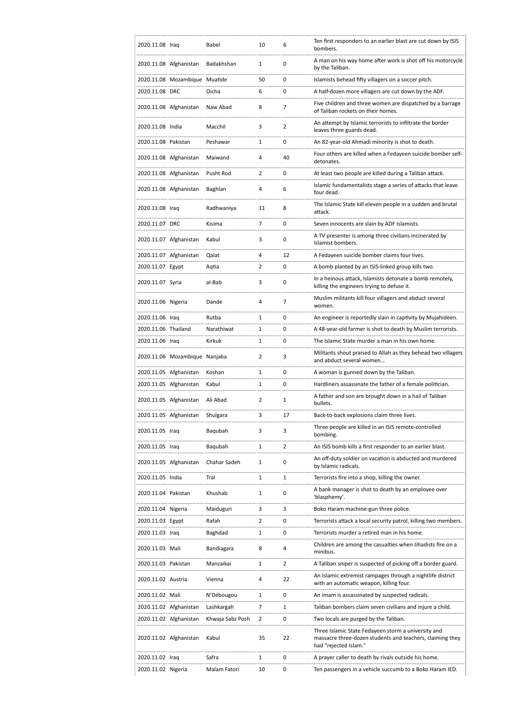| 2020.11.08 Iraq     |                               | Babel            | 10             | 6              | Ten first responders to an earlier blast are cut down by ISIS<br>bombers.                                                                 |
|---------------------|-------------------------------|------------------|----------------|----------------|-------------------------------------------------------------------------------------------------------------------------------------------|
|                     | 2020.11.08 Afghanistan        | Badakhshan       | 1              | 0              | A man on his way home after work is shot off his motorcycle<br>by the Taliban.                                                            |
|                     | 2020.11.08 Mozambique Muatide |                  | 50             | 0              | Islamists behead fifty villagers on a soccer pitch.                                                                                       |
| 2020.11.08 DRC      |                               | Oicha            | 6              | 0              | A half-dozen more villagers are cut down by the ADF.                                                                                      |
|                     | 2020.11.08 Afghanistan        | Naw Abad         | 8              | 7              | Five children and three women are dispatched by a barrage<br>of Taliban rockets on their homes.                                           |
| 2020.11.08 India    |                               | Macchil          | 3              | $\overline{2}$ | An attempt by Islamic terrorists to infiltrate the border<br>leaves three guards dead.                                                    |
| 2020.11.08 Pakistan |                               | Peshawar         | 1              | 0              | An 82-year-old Ahmadi minority is shot to death.                                                                                          |
|                     | 2020.11.08 Afghanistan        | Maiwand          | 4              | 40             | Four others are killed when a Fedayeen suicide bomber self-<br>detonates.                                                                 |
|                     | 2020.11.08 Afghanistan        | Pusht Rod        | $\overline{2}$ | 0              | At least two people are killed during a Taliban attack.                                                                                   |
|                     | 2020.11.08 Afghanistan        | Baghlan          | 4              | 6              | Islamic fundamentalists stage a series of attacks that leave<br>four dead.                                                                |
| 2020.11.08 Iraq     |                               | Radhwaniya       | 11             | 8              | The Islamic State kill eleven people in a sudden and brutal<br>attack.                                                                    |
| 2020.11.07 DRC      |                               | Kisima           | 7              | 0              | Seven innocents are slain by ADF Islamists.                                                                                               |
|                     | 2020.11.07 Afghanistan        | Kabul            | 3              | 0              | A TV presenter is among three civilians incinerated by<br>Islamist bombers.                                                               |
|                     | 2020.11.07 Afghanistan        | Qalat            | 4              | 12             | A Fedayeen suicide bomber claims four lives.                                                                                              |
| 2020.11.07 Egypt    |                               | Aqtia            | 2              | 0              | A bomb planted by an ISIS-linked group kills two.                                                                                         |
| 2020.11.07 Syria    |                               | al-Bab           | 3              | 0              | In a heinous attack, Islamists detonate a bomb remotely,<br>killing the engineers trying to defuse it.                                    |
| 2020.11.06 Nigeria  |                               | Dande            | 4              | 7              | Muslim militants kill four villagers and abduct several<br>women.                                                                         |
| 2020.11.06 Iraq     |                               | Rutba            | 1              | 0              | An engineer is reportedly slain in captivity by Mujahideen.                                                                               |
| 2020.11.06 Thailand |                               | Narathiwat       | 1              | 0              | A 48-year-old farmer is shot to death by Muslim terrorists.                                                                               |
| 2020.11.06 Iraq     |                               | Kirkuk           | 1              | 0              | The Islamic State murder a man in his own home.                                                                                           |
|                     | 2020.11.06 Mozambique Nanjaba |                  | 2              | 3              | Militants shout praised to Allah as they behead two villagers<br>and abduct several women                                                 |
|                     | 2020.11.05 Afghanistan        | Koshan           | 1              | 0              | A woman is gunned down by the Taliban.                                                                                                    |
|                     | 2020.11.05 Afghanistan        | Kabul            | 1              | 0              | Hardliners assassinate the father of a female politician.                                                                                 |
|                     | 2020.11.05 Afghanistan        | Ali Abad         | 2              | 1              | A father and son are brought down in a hail of Taliban<br>bullets.                                                                        |
|                     | 2020.11.05 Afghanistan        | Shulgara         | з              | 17             | Back-to-back explosions claim three lives.                                                                                                |
| 2020.11.05 Iraq     |                               | Baqubah          | 3              | 3              | Three people are killed in an ISIS remote-controlled<br>bombing.                                                                          |
| 2020.11.05 Iraq     |                               | Baqubah          | 1              | 2              | An ISIS bomb kills a first responder to an earlier blast.                                                                                 |
|                     | 2020.11.05 Afghanistan        | Chahar Sadeh     | 1              | 0              | An off-duty soldier on vacation is abducted and murdered<br>by Islamic radicals.                                                          |
| 2020.11.05 India    |                               | Tral             | 1              | 1              | Terrorists fire into a shop, killing the owner.                                                                                           |
| 2020.11.04 Pakistan |                               | Khushab          | 1              | 0              | A bank manager is shot to death by an employee over<br>'blasphemy'.                                                                       |
| 2020.11.04 Nigeria  |                               | Maiduguri        | 3              | 3              | Boko Haram machine-gun three police.                                                                                                      |
| 2020.11.03 Egypt    |                               | Rafah            | $\overline{2}$ | 0              | Terrorists attack a local security patrol, killing two members.                                                                           |
| 2020.11.03 Iraq     |                               | Baghdad          | 1              | 0              | Terrorists murder a retired man in his home.                                                                                              |
| 2020.11.03 Mali     |                               | Bandiagara       | 8              | 4              | Children are among the casualties when Jihadists fire on a<br>minibus.                                                                    |
| 2020.11.03 Pakistan |                               | Manzaikai        | 1              | 2              | A Taliban sniper is suspected of picking off a border guard.                                                                              |
| 2020.11.02 Austria  |                               | Vienna           | 4              | 22             | An Islamic extremist rampages through a nightlife district<br>with an automatic weapon, killing four.                                     |
| 2020.11.02 Mali     |                               | N'Débougou       | 1              | 0              | An imam is assassinated by suspected radicals.                                                                                            |
|                     | 2020.11.02 Afghanistan        | Lashkargah       | 7              | 1              | Taliban bombers claim seven civilians and injure a child.                                                                                 |
|                     | 2020.11.02 Afghanistan        | Khwaja Sabz Posh | $\overline{2}$ | 0              | Two locals are purged by the Taliban.                                                                                                     |
|                     | 2020.11.02 Afghanistan        | Kabul            | 35             | 22             | Three Islamic State Fedayeen storm a university and<br>massacre three-dozen students and teachers, claiming they<br>had "rejected Islam." |
| 2020.11.02 Iraq     |                               | Safra            | 1              | 0              | A prayer caller to death by rivals outside his home.                                                                                      |
| 2020.11.02 Nigeria  |                               | Malam Fatori     | 10             | 0              | Ten passengers in a vehicle succumb to a Boko Haram IED.                                                                                  |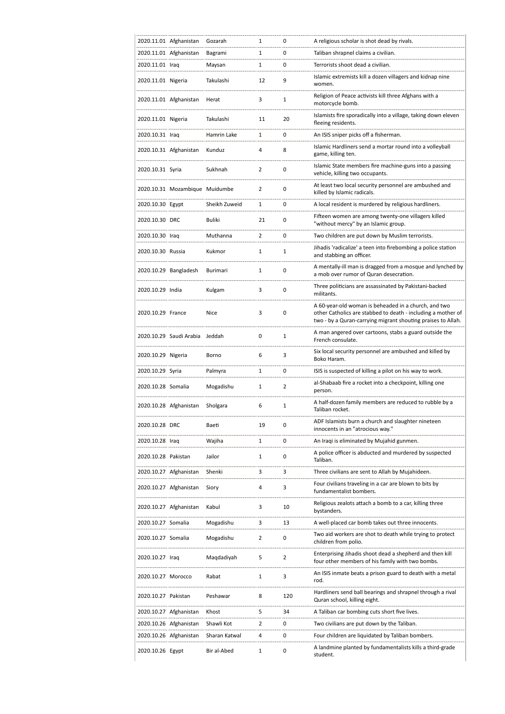|                     | 2020.11.01 Afghanistan         | Gozarah       | 1              | 0              | A religious scholar is shot dead by rivals.                                                                                                                                          |
|---------------------|--------------------------------|---------------|----------------|----------------|--------------------------------------------------------------------------------------------------------------------------------------------------------------------------------------|
|                     | 2020.11.01 Afghanistan         | Bagrami       | 1              | 0              | Taliban shrapnel claims a civilian.                                                                                                                                                  |
| 2020.11.01 Iraq     |                                | Maysan        | $\mathbf{1}$   | 0              | Terrorists shoot dead a civilian.                                                                                                                                                    |
| 2020.11.01 Nigeria  |                                | Takulashi     | 12             | 9              | Islamic extremists kill a dozen villagers and kidnap nine<br>women.                                                                                                                  |
|                     | 2020.11.01 Afghanistan         | Herat         | 3              | 1              | Religion of Peace activists kill three Afghans with a<br>motorcycle bomb.                                                                                                            |
| 2020.11.01 Nigeria  |                                | Takulashi     | 11             | 20             | Islamists fire sporadically into a village, taking down eleven<br>fleeing residents.                                                                                                 |
| 2020.10.31 Iraq     |                                | Hamrin Lake   | 1              | 0              | An ISIS sniper picks off a fisherman.                                                                                                                                                |
|                     | 2020.10.31 Afghanistan         | Kunduz        | 4              | 8              | Islamic Hardliners send a mortar round into a volleyball<br>game, killing ten.                                                                                                       |
| 2020.10.31 Syria    |                                | Sukhnah       | $\overline{2}$ | $\mathbf 0$    | Islamic State members fire machine-guns into a passing<br>vehicle, killing two occupants.                                                                                            |
|                     | 2020.10.31 Mozambique Muidumbe |               | $\overline{2}$ | $\mathbf 0$    | At least two local security personnel are ambushed and<br>killed by Islamic radicals.                                                                                                |
| 2020.10.30 Egypt    |                                | Sheikh Zuweid | $\mathbf{1}$   | $\mathbf 0$    | A local resident is murdered by religious hardliners.                                                                                                                                |
| 2020.10.30 DRC      |                                | Buliki        | 21             | $\mathbf 0$    | Fifteen women are among twenty-one villagers killed<br>"without mercy" by an Islamic group.                                                                                          |
| 2020.10.30 Iraq     |                                | Muthanna      | 2              | 0              | Two children are put down by Muslim terrorists.                                                                                                                                      |
| 2020.10.30 Russia   |                                | Kukmor        | $\mathbf{1}$   | $\mathbf{1}$   | Jihadis 'radicalize' a teen into firebombing a police station<br>and stabbing an officer.                                                                                            |
|                     | 2020.10.29 Bangladesh          | Burimari      | $\mathbf{1}$   | $\mathbf 0$    | A mentally-ill man is dragged from a mosque and lynched by<br>a mob over rumor of Quran desecration.                                                                                 |
| 2020.10.29 India    |                                | Kulgam        | 3              | $\mathbf 0$    | Three politicians are assassinated by Pakistani-backed<br>militants.                                                                                                                 |
| 2020.10.29 France   |                                | Nice          | 3              | 0              | A 60-year-old woman is beheaded in a church, and two<br>other Catholics are stabbed to death - including a mother of<br>two - by a Quran-carrying migrant shouting praises to Allah. |
|                     | 2020.10.29 Saudi Arabia Jeddah |               | 0              | $\mathbf{1}$   | A man angered over cartoons, stabs a guard outside the<br>French consulate.                                                                                                          |
| 2020.10.29 Nigeria  |                                | Borno         | 6              | 3              | Six local security personnel are ambushed and killed by<br>Boko Haram.                                                                                                               |
| 2020.10.29 Syria    |                                | Palmyra       | 1              | 0              | ISIS is suspected of killing a pilot on his way to work.                                                                                                                             |
| 2020.10.28 Somalia  |                                | Mogadishu     | 1              | $\overline{2}$ | al-Shabaab fire a rocket into a checkpoint, killing one<br>person.                                                                                                                   |
|                     | 2020.10.28 Afghanistan         | Sholgara      | 6              | 1              | A half-dozen family members are reduced to rubble by a<br>Taliban rocket.                                                                                                            |
| 2020.10.28 DRC      |                                | Baeti         | 19             | 0              | ADF Islamists burn a church and slaughter nineteen<br>innocents in an "atrocious way."                                                                                               |
| 2020.10.28 Iraq     |                                | Wajiha        | 1              | 0              | An Iraqi is eliminated by Mujahid gunmen.                                                                                                                                            |
| 2020.10.28 Pakistan |                                | Jailor        | 1              | 0              | A police officer is abducted and murdered by suspected<br>Taliban.                                                                                                                   |
|                     | 2020.10.27 Afghanistan         | Shenki        | 3              | 3              | Three civilians are sent to Allah by Mujahideen.                                                                                                                                     |
|                     | 2020.10.27 Afghanistan         | Siory         | 4              | 3              | Four civilians traveling in a car are blown to bits by<br>fundamentalist bombers.                                                                                                    |
|                     | 2020.10.27 Afghanistan         | Kabul         | 3              | 10             | Religious zealots attach a bomb to a car, killing three<br>bystanders.                                                                                                               |
| 2020.10.27 Somalia  |                                | Mogadishu     | 3              | 13             | A well-placed car bomb takes out three innocents.                                                                                                                                    |
| 2020.10.27 Somalia  |                                | Mogadishu     | 2              | 0              | Two aid workers are shot to death while trying to protect<br>children from polio.                                                                                                    |
| 2020.10.27 Iraq     |                                | Maqdadiyah    | 5              | $\overline{2}$ | Enterprising Jihadis shoot dead a shepherd and then kill<br>four other members of his family with two bombs.                                                                         |
| 2020.10.27 Morocco  |                                | Rabat         | $\mathbf{1}$   | 3              | An ISIS inmate beats a prison guard to death with a metal<br>rod.                                                                                                                    |
| 2020.10.27 Pakistan |                                | Peshawar      | 8              | 120            | Hardliners send ball bearings and shrapnel through a rival<br>Quran school, killing eight.                                                                                           |
|                     | 2020.10.27 Afghanistan         | Khost         | 5              | 34             | A Taliban car bombing cuts short five lives.                                                                                                                                         |
|                     | 2020.10.26 Afghanistan         | Shawli Kot    | $\overline{2}$ | 0              | Two civilians are put down by the Taliban.                                                                                                                                           |
|                     | 2020.10.26 Afghanistan         | Sharan Katwal | 4              | 0              | Four children are liquidated by Taliban bombers.                                                                                                                                     |
| 2020.10.26 Egypt    |                                | Bir al-Abed   | 1              | 0              | A landmine planted by fundamentalists kills a third-grade<br>student.                                                                                                                |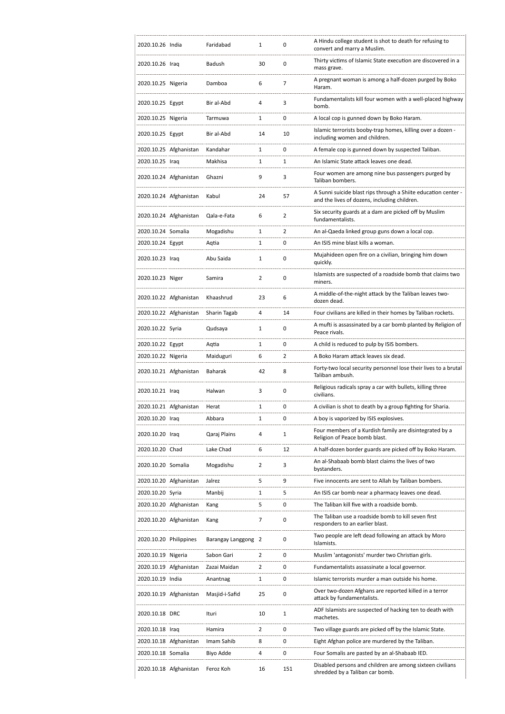| 2020.10.26 India       |                        | Faridabad           | 1              | 0              | A Hindu college student is shot to death for refusing to<br>convert and marry a Muslim.                        |
|------------------------|------------------------|---------------------|----------------|----------------|----------------------------------------------------------------------------------------------------------------|
| 2020.10.26 Iraq        |                        | Badush              | 30             | 0              | Thirty victims of Islamic State execution are discovered in a<br>mass grave.                                   |
| 2020.10.25 Nigeria     |                        | Damboa              | 6              | $\overline{7}$ | A pregnant woman is among a half-dozen purged by Boko<br>Haram.                                                |
| 2020.10.25 Egypt       |                        | Bir al-Abd          | 4              | 3              | Fundamentalists kill four women with a well-placed highway<br>bomb.                                            |
| 2020.10.25 Nigeria     |                        | Tarmuwa             | 1              | 0              | A local cop is gunned down by Boko Haram.                                                                      |
| 2020.10.25 Egypt       |                        | Bir al-Abd          | 14             | 10             | Islamic terrorists booby-trap homes, killing over a dozen -<br>including women and children.                   |
|                        | 2020.10.25 Afghanistan | Kandahar            | 1              | 0              | A female cop is gunned down by suspected Taliban.                                                              |
| 2020.10.25 Iraq        |                        | Makhisa             | 1              | $\mathbf{1}$   | An Islamic State attack leaves one dead.                                                                       |
|                        | 2020.10.24 Afghanistan | Ghazni              | 9              | 3              | Four women are among nine bus passengers purged by<br>Taliban bombers.                                         |
|                        | 2020.10.24 Afghanistan | Kabul               | 24             | 57             | A Sunni suicide blast rips through a Shiite education center -<br>and the lives of dozens, including children. |
|                        | 2020.10.24 Afghanistan | Qala-e-Fata         | 6              | 2              | Six security guards at a dam are picked off by Muslim<br>fundamentalists.                                      |
| 2020.10.24 Somalia     |                        | Mogadishu           | 1              | $\overline{2}$ | An al-Qaeda linked group guns down a local cop.                                                                |
| 2020.10.24 Egypt       |                        | Aqtia               | 1              | 0              | An ISIS mine blast kills a woman.                                                                              |
| 2020.10.23 Iraq        |                        | Abu Saida           | 1              | $\mathbf 0$    | Mujahideen open fire on a civilian, bringing him down<br>quickly.                                              |
| 2020.10.23 Niger       |                        | Samira              | 2              | $\mathbf 0$    | Islamists are suspected of a roadside bomb that claims two<br>miners.                                          |
|                        | 2020.10.22 Afghanistan | Khaashrud           | 23             | 6              | A middle-of-the-night attack by the Taliban leaves two-<br>dozen dead.                                         |
|                        | 2020.10.22 Afghanistan | Sharin Tagab        | 4              | 14             | Four civilians are killed in their homes by Taliban rockets.                                                   |
| 2020.10.22 Syria       |                        | Qudsaya             | 1              | 0              | A mufti is assassinated by a car bomb planted by Religion of<br>Peace rivals.                                  |
| 2020.10.22 Egypt       |                        | Aqtia               | 1              | 0              | A child is reduced to pulp by ISIS bombers.                                                                    |
| 2020.10.22 Nigeria     |                        | Maiduguri           | 6              | $\overline{2}$ | A Boko Haram attack leaves six dead.                                                                           |
|                        | 2020.10.21 Afghanistan | Baharak             | 42             | 8              | Forty-two local security personnel lose their lives to a brutal<br>Taliban ambush.                             |
| 2020.10.21 Iraq        |                        | Halwan              | 3              | 0              | Religious radicals spray a car with bullets, killing three<br>civilians.                                       |
|                        | 2020.10.21 Afghanistan | Herat               | 1              | $\mathbf 0$    | A civilian is shot to death by a group fighting for Sharia.                                                    |
| 2020.10.20 Iraq        |                        | Abbara              | 1              | 0              | A boy is vaporized by ISIS explosives.                                                                         |
| 2020.10.20 Iraq        |                        | Qaraj Plains        | 4              | 1              | Four members of a Kurdish family are disintegrated by a<br>Religion of Peace bomb blast.                       |
| 2020.10.20 Chad        |                        | Lake Chad           | 6              | 12             | A half-dozen border guards are picked off by Boko Haram.                                                       |
| 2020.10.20 Somalia     |                        | Mogadishu           | 2              | 3              | An al-Shabaab bomb blast claims the lives of two<br>bystanders.                                                |
|                        | 2020.10.20 Afghanistan | Jalrez              | 5              | 9              | Five innocents are sent to Allah by Taliban bombers.                                                           |
| 2020.10.20 Syria       |                        | Manbij              | 1              | 5              | An ISIS car bomb near a pharmacy leaves one dead.                                                              |
|                        | 2020.10.20 Afghanistan | Kang                | 5              | 0              | The Taliban kill five with a roadside bomb.                                                                    |
|                        | 2020.10.20 Afghanistan | Kang                | 7              | 0              | The Taliban use a roadside bomb to kill seven first<br>responders to an earlier blast.                         |
| 2020.10.20 Philippines |                        | Barangay Langgong 2 |                | 0              | Two people are left dead following an attack by Moro<br>Islamists.                                             |
| 2020.10.19 Nigeria     |                        | Sabon Gari          | $\overline{2}$ | 0              | Muslim 'antagonists' murder two Christian girls.                                                               |
|                        | 2020.10.19 Afghanistan | Zazai Maidan        | $\overline{2}$ | 0              | Fundamentalists assassinate a local governor.                                                                  |
| 2020.10.19 India       |                        | Anantnag            | 1              | 0              | Islamic terrorists murder a man outside his home.                                                              |
|                        | 2020.10.19 Afghanistan | Masjid-i-Safid      | 25             | 0              | Over two-dozen Afghans are reported killed in a terror<br>attack by fundamentalists.                           |
| 2020.10.18 DRC         |                        | Ituri               | 10             | $\mathbf{1}$   | ADF Islamists are suspected of hacking ten to death with<br>machetes.                                          |
| 2020.10.18 Iraq        |                        | Hamira              | $\overline{2}$ | 0              | Two village guards are picked off by the Islamic State.                                                        |
|                        | 2020.10.18 Afghanistan | Imam Sahib          | 8              | 0              | Eight Afghan police are murdered by the Taliban.                                                               |
| 2020.10.18 Somalia     |                        | Biyo Adde           | 4              | 0              | Four Somalis are pasted by an al-Shabaab IED.                                                                  |
|                        | 2020.10.18 Afghanistan | Feroz Koh           | 16             | 151            | Disabled persons and children are among sixteen civilians<br>shredded by a Taliban car bomb.                   |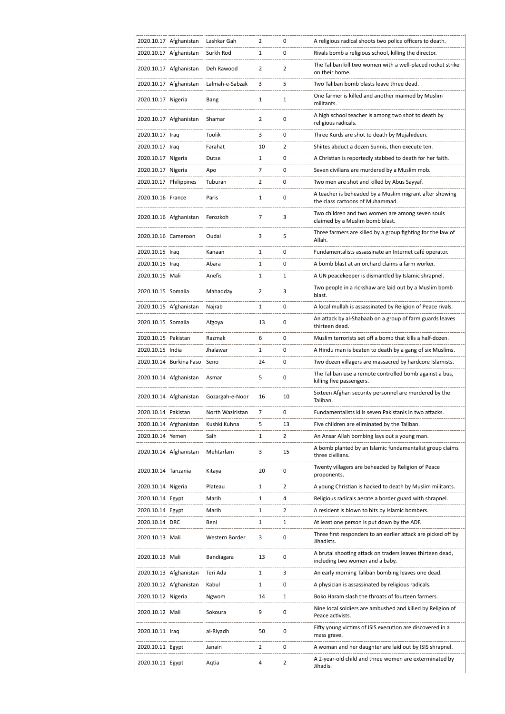|                        | 2020.10.17 Afghanistan  | Lashkar Gah      | 2              | 0              | A religious radical shoots two police officers to death.                                     |
|------------------------|-------------------------|------------------|----------------|----------------|----------------------------------------------------------------------------------------------|
|                        | 2020.10.17 Afghanistan  | Surkh Rod        | 1              | 0              | Rivals bomb a religious school, killing the director.                                        |
|                        | 2020.10.17 Afghanistan  | Deh Rawood       | $\overline{2}$ | $\overline{2}$ | The Taliban kill two women with a well-placed rocket strike<br>on their home.                |
|                        | 2020.10.17 Afghanistan  | Lalmah-e-Sabzak  | 3              | 5              | Two Taliban bomb blasts leave three dead.                                                    |
| 2020.10.17 Nigeria     |                         | Bang             | 1              | 1              | One farmer is killed and another maimed by Muslim<br>militants.                              |
|                        | 2020.10.17 Afghanistan  | Shamar           | $\overline{2}$ | 0              | A high school teacher is among two shot to death by<br>religious radicals.                   |
| 2020.10.17 Iraq        |                         | <b>Toolik</b>    | 3              | 0              | Three Kurds are shot to death by Mujahideen.                                                 |
| 2020.10.17 Iraq        |                         | Farahat          | 10             | 2              | Shiites abduct a dozen Sunnis, then execute ten.                                             |
| 2020.10.17 Nigeria     |                         | Dutse            | 1              | 0              | A Christian is reportedly stabbed to death for her faith.                                    |
| 2020.10.17 Nigeria     |                         | Apo              | 7              | 0              | Seven civilians are murdered by a Muslim mob.                                                |
| 2020.10.17 Philippines |                         | Tuburan          | $\overline{2}$ | 0              | Two men are shot and killed by Abus Sayyaf.                                                  |
| 2020.10.16 France      |                         | Paris            | 1              | 0              | A teacher is beheaded by a Muslim migrant after showing<br>the class cartoons of Muhammad.   |
|                        | 2020.10.16 Afghanistan  | Ferozkoh         | 7              | 3              | Two children and two women are among seven souls<br>claimed by a Muslim bomb blast.          |
| 2020.10.16 Cameroon    |                         | Oudal            | 3              | 5              | Three farmers are killed by a group fighting for the law of<br>Allah.                        |
| 2020.10.15 Iraq        |                         | Kanaan           | 1              | 0              | Fundamentalists assassinate an Internet café operator.                                       |
| 2020.10.15 Iraq        |                         | Abara            | 1              | 0              | A bomb blast at an orchard claims a farm worker.                                             |
| 2020.10.15 Mali        |                         | Anefis           | 1              | 1              | A UN peacekeeper is dismantled by Islamic shrapnel.                                          |
| 2020.10.15 Somalia     |                         | Mahadday         | $\overline{2}$ | 3              | Two people in a rickshaw are laid out by a Muslim bomb<br>blast.                             |
|                        | 2020.10.15 Afghanistan  | Najrab           | 1              | 0              | A local mullah is assassinated by Religion of Peace rivals.                                  |
| 2020.10.15 Somalia     |                         | Afgoya           | 13             | 0              | An attack by al-Shabaab on a group of farm guards leaves<br>thirteen dead.                   |
| 2020.10.15 Pakistan    |                         | Razmak           | 6              | 0              | Muslim terrorists set off a bomb that kills a half-dozen.                                    |
| 2020.10.15 India       |                         | Jhalawar         | 1              | 0              | A Hindu man is beaten to death by a gang of six Muslims.                                     |
|                        | 2020.10.14 Burkina Faso | Seno             | 24             | 0              | Two dozen villagers are massacred by hardcore Islamists.                                     |
|                        | 2020.10.14 Afghanistan  | Asmar            | 5              | 0              | The Taliban use a remote controlled bomb against a bus,<br>killing five passengers.          |
|                        | 2020.10.14 Afghanistan  | Gozargah-e-Noor  | 16             | 10             | Sixteen Afghan security personnel are murdered by the<br>Taliban.                            |
| 2020.10.14 Pakistan    |                         | North Waziristan | 7              | 0              | Fundamentalists kills seven Pakistanis in two attacks.                                       |
|                        | 2020.10.14 Afghanistan  | Kushki Kuhna     | 5              | 13             | Five children are eliminated by the Taliban.                                                 |
| 2020.10.14 Yemen       |                         | Salh             | 1              | $\overline{2}$ | An Ansar Allah bombing lays out a young man.                                                 |
|                        | 2020.10.14 Afghanistan  | Mehtarlam        | 3              | 15             | A bomb planted by an Islamic fundamentalist group claims<br>three civilians.                 |
| 2020.10.14 Tanzania    |                         | Kitaya           | 20             | 0              | Twenty villagers are beheaded by Religion of Peace<br>proponents.                            |
| 2020.10.14 Nigeria     |                         | Plateau          | 1              | 2              | A young Christian is hacked to death by Muslim militants.                                    |
| 2020.10.14 Egypt       |                         | Marih            | 1              | 4              | Religious radicals aerate a border guard with shrapnel.                                      |
| 2020.10.14 Egypt       |                         | Marih            | 1              | 2              | A resident is blown to bits by Islamic bombers.                                              |
| 2020.10.14 DRC         |                         | Beni             | 1              | 1              | At least one person is put down by the ADF.                                                  |
| 2020.10.13 Mali        |                         | Western Border   | 3              | 0              | Three first responders to an earlier attack are picked off by<br>Jihadists.                  |
| 2020.10.13 Mali        |                         | Bandiagara       | 13             | 0              | A brutal shooting attack on traders leaves thirteen dead,<br>including two women and a baby. |
|                        | 2020.10.13 Afghanistan  | Teri Ada         | 1              | 3              | An early morning Taliban bombing leaves one dead.                                            |
|                        | 2020.10.12 Afghanistan  | Kabul            | 1              | 0              | A physician is assassinated by religious radicals.                                           |
| 2020.10.12 Nigeria     |                         | Ngwom            | 14             | 1              | Boko Haram slash the throats of fourteen farmers.                                            |
| 2020.10.12 Mali        |                         | Sokoura          | 9              | 0              | Nine local soldiers are ambushed and killed by Religion of<br>Peace activists.               |
| 2020.10.11 Iraq        |                         | al-Riyadh        | 50             | 0              | Fifty young victims of ISIS execution are discovered in a<br>mass grave.                     |
| 2020.10.11 Egypt       |                         | Janain           | $\overline{2}$ | 0              | A woman and her daughter are laid out by ISIS shrapnel.                                      |
| 2020.10.11 Egypt       |                         | Aqtia            | 4              | 2              | A 2-year-old child and three women are exterminated by<br>Jihadis.                           |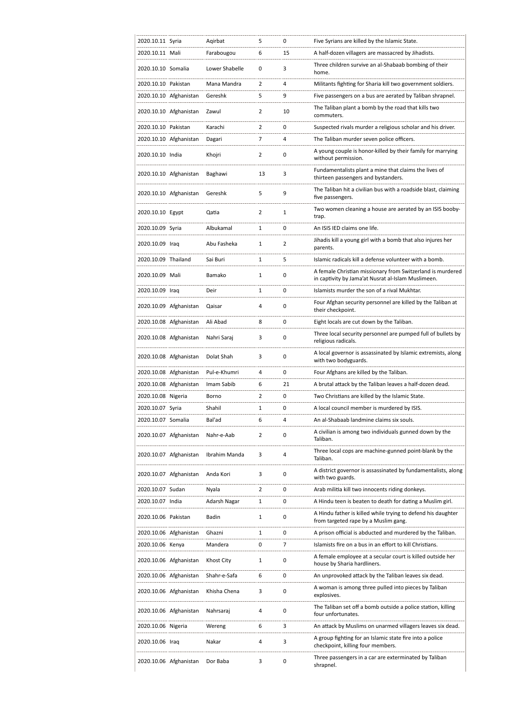| 2020.10.11 Syria    |                        | Agirbat        | 5              | 0              | Five Syrians are killed by the Islamic State.                                                                    |
|---------------------|------------------------|----------------|----------------|----------------|------------------------------------------------------------------------------------------------------------------|
| 2020.10.11 Mali     |                        | Farabougou     | 6              | 15             | A half-dozen villagers are massacred by Jihadists.                                                               |
| 2020.10.10 Somalia  |                        | Lower Shabelle | 0              | 3              | Three children survive an al-Shabaab bombing of their<br>home.                                                   |
| 2020.10.10 Pakistan |                        | Mana Mandra    | 2              | 4              | Militants fighting for Sharia kill two government soldiers.                                                      |
|                     | 2020.10.10 Afghanistan | Gereshk        | 5              | 9              | Five passengers on a bus are aerated by Taliban shrapnel.                                                        |
|                     | 2020.10.10 Afghanistan | Zawul          | 2              | 10             | The Taliban plant a bomb by the road that kills two<br>commuters.                                                |
| 2020.10.10 Pakistan |                        | Karachi        | $\overline{2}$ | 0              | Suspected rivals murder a religious scholar and his driver.                                                      |
|                     | 2020.10.10 Afghanistan | Dagari         | 7              | 4              | The Taliban murder seven police officers.                                                                        |
| 2020.10.10 India    |                        | Khojri         | $\overline{2}$ | 0              | A young couple is honor-killed by their family for marrying<br>without permission.                               |
|                     | 2020.10.10 Afghanistan | Baghawi        | 13             | 3              | Fundamentalists plant a mine that claims the lives of<br>thirteen passengers and bystanders.                     |
|                     | 2020.10.10 Afghanistan | Gereshk        | 5              | 9              | The Taliban hit a civilian bus with a roadside blast, claiming<br>five passengers.                               |
| 2020.10.10 Egypt    |                        | Qatia          | $\overline{2}$ | 1              | Two women cleaning a house are aerated by an ISIS booby-<br>trap.                                                |
| 2020.10.09 Syria    |                        | Albukamal      | 1              | 0              | An ISIS IED claims one life.                                                                                     |
| 2020.10.09 Iraq     |                        | Abu Fasheka    | $\mathbf{1}$   | $\overline{2}$ | Jihadis kill a young girl with a bomb that also injures her<br>parents.                                          |
| 2020.10.09 Thailand |                        | Sai Buri       | 1              | 5              | Islamic radicals kill a defense volunteer with a bomb.                                                           |
| 2020.10.09 Mali     |                        | Bamako         | 1              | 0              | A female Christian missionary from Switzerland is murdered<br>in captivity by Jama'at Nusrat al-Islam Muslimeen. |
| 2020.10.09 Iraq     |                        | Deir           | 1              | 0              | Islamists murder the son of a rival Mukhtar.                                                                     |
|                     | 2020.10.09 Afghanistan | Qaisar         | 4              | 0              | Four Afghan security personnel are killed by the Taliban at<br>their checkpoint.                                 |
|                     | 2020.10.08 Afghanistan | Ali Abad       | 8              | $\mathbf 0$    | Eight locals are cut down by the Taliban.                                                                        |
|                     | 2020.10.08 Afghanistan | Nahri Saraj    | 3              | 0              | Three local security personnel are pumped full of bullets by<br>religious radicals.                              |
|                     | 2020.10.08 Afghanistan | Dolat Shah     | 3              | 0              | A local governor is assassinated by Islamic extremists, along<br>with two bodyguards.                            |
|                     | 2020.10.08 Afghanistan | Pul-e-Khumri   | 4              | 0              | Four Afghans are killed by the Taliban.                                                                          |
|                     | 2020.10.08 Afghanistan | Imam Sabib     | 6              | 21             | A brutal attack by the Taliban leaves a half-dozen dead.                                                         |
| 2020.10.08 Nigeria  |                        | Borno          | 2              | 0              | Two Christians are killed by the Islamic State.                                                                  |
| 2020.10.07 Syria    |                        | Shahil         | $\mathbf{1}$   | $\mathbf 0$    | A local council member is murdered by ISIS.                                                                      |
| 2020.10.07 Somalia  |                        | Bal'ad         | 6              | 4              | An al-Shabaab landmine claims six souls.                                                                         |
|                     | 2020.10.07 Afghanistan | Nahr-e-Aab     | $\overline{2}$ | 0              | A civilian is among two individuals gunned down by the<br>Taliban.                                               |
|                     | 2020.10.07 Afghanistan | Ibrahim Manda  | 3              | 4              | Three local cops are machine-gunned point-blank by the<br>Taliban.                                               |
|                     | 2020.10.07 Afghanistan | Anda Kori      | 3              | 0              | A district governor is assassinated by fundamentalists, along<br>with two guards.                                |
| 2020.10.07 Sudan    |                        | Nyala          | $\overline{2}$ | 0              | Arab militia kill two innocents riding donkeys.                                                                  |
| 2020.10.07 India    |                        | Adarsh Nagar   | 1              | 0              | A Hindu teen is beaten to death for dating a Muslim girl.                                                        |
| 2020.10.06 Pakistan |                        | Badin          | 1              | 0              | A Hindu father is killed while trying to defend his daughter<br>from targeted rape by a Muslim gang.             |
|                     | 2020.10.06 Afghanistan | Ghazni         | 1              | 0              | A prison official is abducted and murdered by the Taliban.                                                       |
| 2020.10.06 Kenya    |                        | Mandera        | 0              | 7              | Islamists fire on a bus in an effort to kill Christians.                                                         |
|                     | 2020.10.06 Afghanistan | Khost City     | $\mathbf{1}$   | 0              | A female employee at a secular court is killed outside her<br>house by Sharia hardliners.                        |
|                     | 2020.10.06 Afghanistan | Shahr-e-Safa   | 6              | 0              | An unprovoked attack by the Taliban leaves six dead.                                                             |
|                     | 2020.10.06 Afghanistan | Khisha Chena   | 3              | 0              | A woman is among three pulled into pieces by Taliban<br>explosives.                                              |
|                     | 2020.10.06 Afghanistan | Nahrsaraj      | 4              | 0              | The Taliban set off a bomb outside a police station, killing<br>four unfortunates.                               |
| 2020.10.06 Nigeria  |                        | Wereng         | 6              | 3              | An attack by Muslims on unarmed villagers leaves six dead.                                                       |
| 2020.10.06 Iraq     |                        | Nakar          | 4              | 3              | A group fighting for an Islamic state fire into a police<br>checkpoint, killing four members.                    |
|                     | 2020.10.06 Afghanistan | Dor Baba       | 3              | 0              | Three passengers in a car are exterminated by Taliban<br>shrapnel.                                               |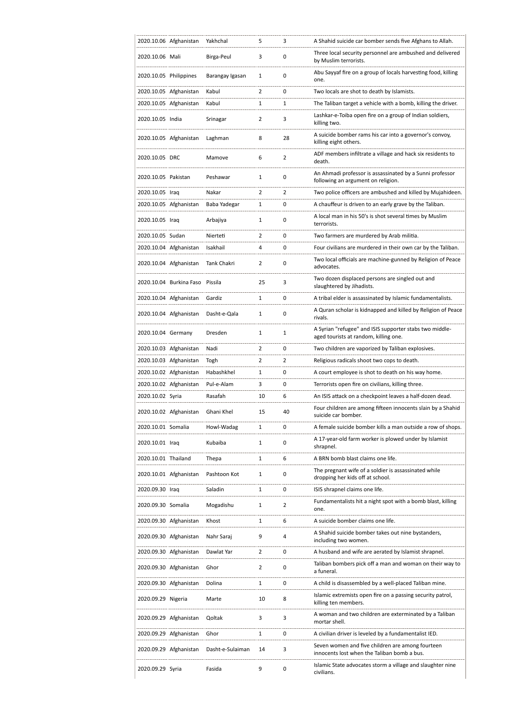| 2020.10.06 Afghanistan<br>Yakhchal<br>5<br>3<br>A Shahid suicide car bomber sends five Afghans to Allah.<br>Three local security personnel are ambushed and delivered<br>3<br>0<br>2020.10.06 Mali<br>Birga-Peul<br>by Muslim terrorists.<br>Abu Sayyaf fire on a group of locals harvesting food, killing<br>0<br>2020.10.05 Philippines<br>1<br>Barangay Igasan<br>one.<br>$\overline{2}$<br>2020.10.05 Afghanistan<br>Kabul<br>0<br>Two locals are shot to death by Islamists.<br>2020.10.05 Afghanistan<br>Kabul<br>1<br>1<br>The Taliban target a vehicle with a bomb, killing the driver.<br>Lashkar-e-Toiba open fire on a group of Indian soldiers,<br>2020.10.05 India<br>2<br>3<br>Srinagar<br>killing two.<br>A suicide bomber rams his car into a governor's convoy,<br>2020.10.05 Afghanistan<br>8<br>28<br>Laghman<br>killing eight others.<br>ADF members infiltrate a village and hack six residents to<br>6<br>$\overline{2}$<br>2020.10.05 DRC<br>Mamove<br>death.<br>An Ahmadi professor is assassinated by a Sunni professor<br>2020.10.05 Pakistan<br>1<br>0<br>Peshawar<br>following an argument on religion.<br>$\overline{2}$<br>2020.10.05 Iraq<br>Nakar<br>2<br>Two police officers are ambushed and killed by Mujahideen.<br>2020.10.05 Afghanistan<br>A chauffeur is driven to an early grave by the Taliban.<br>Baba Yadegar<br>1<br>0<br>A local man in his 50's is shot several times by Muslim<br>0<br>2020.10.05 Iraq<br>Arbajiya<br>1<br>terrorists.<br>2020.10.05 Sudan<br>2<br>0<br>Two farmers are murdered by Arab militia.<br>Nierteti<br>2020.10.04 Afghanistan<br>Isakhail<br>4<br>0<br>Four civilians are murdered in their own car by the Taliban.<br>Two local officials are machine-gunned by Religion of Peace<br>2020.10.04 Afghanistan<br>2<br>0<br>Tank Chakri<br>advocates.<br>Two dozen displaced persons are singled out and<br>2020.10.04 Burkina Faso Pissila<br>25<br>3<br>slaughtered by Jihadists.<br>2020.10.04 Afghanistan<br>Gardiz<br>1<br>0<br>A tribal elder is assassinated by Islamic fundamentalists.<br>A Quran scholar is kidnapped and killed by Religion of Peace<br>2020.10.04 Afghanistan<br>Dasht-e-Qala<br>0<br>1<br>rivals.<br>A Syrian "refugee" and ISIS supporter stabs two middle-<br>2020.10.04 Germany<br>Dresden<br>1<br>1<br>aged tourists at random, killing one.<br>2020.10.03 Afghanistan<br>Nadi<br>2<br>0<br>Two children are vaporized by Taliban explosives.<br>$\overline{2}$<br>2020.10.03 Afghanistan<br>2<br>Togh<br>Religious radicals shoot two cops to death.<br>2020.10.02 Afghanistan<br>0<br>Habashkhel<br>1<br>A court employee is shot to death on his way home.<br>2020.10.02 Afghanistan<br>Pul-e-Alam<br>3<br>0<br>Terrorists open fire on civilians, killing three.<br>2020.10.02 Syria<br>Rasafah<br>10<br>6<br>An ISIS attack on a checkpoint leaves a half-dozen dead.<br>Four children are among fifteen innocents slain by a Shahid<br>2020.10.02 Afghanistan Ghani Khel<br>15<br>40<br>suicide car bomber.<br>0<br>2020.10.01 Somalia<br>$\mathbf{1}$<br>A female suicide bomber kills a man outside a row of shops.<br>Howl-Wadag<br>A 17-year-old farm worker is plowed under by Islamist<br>0<br>2020.10.01 Iraq<br>Kubaiba<br>$\mathbf{1}$<br>shrapnel.<br>A BRN bomb blast claims one life.<br>2020.10.01 Thailand<br>1<br>6<br>Thepa<br>The pregnant wife of a soldier is assassinated while<br>2020.10.01 Afghanistan<br>Pashtoon Kot<br>1<br>0<br>dropping her kids off at school.<br>2020.09.30 Iraq<br>Saladin<br>1<br>0<br>ISIS shrapnel claims one life.<br>Fundamentalists hit a night spot with a bomb blast, killing<br>2020.09.30 Somalia<br>Mogadishu<br>1<br>2<br>one.<br>6<br>2020.09.30 Afghanistan<br>Khost<br>1<br>A suicide bomber claims one life.<br>A Shahid suicide bomber takes out nine bystanders,<br>9<br>2020.09.30 Afghanistan<br>Nahr Saraj<br>4<br>including two women.<br>2020.09.30 Afghanistan<br>Dawlat Yar<br>2<br>0<br>A husband and wife are aerated by Islamist shrapnel.<br>Taliban bombers pick off a man and woman on their way to<br>2020.09.30 Afghanistan<br>Ghor<br>2<br>0<br>a funeral.<br>2020.09.30 Afghanistan<br>Dolina<br>1<br>0<br>A child is disassembled by a well-placed Taliban mine.<br>Islamic extremists open fire on a passing security patrol,<br>2020.09.29 Nigeria<br>10<br>8<br>Marte<br>killing ten members.<br>A woman and two children are exterminated by a Taliban<br>2020.09.29 Afghanistan<br>Qoltak<br>3<br>3<br>mortar shell.<br>2020.09.29 Afghanistan<br>Ghor<br>1<br>0<br>A civilian driver is leveled by a fundamentalist IED.<br>Seven women and five children are among fourteen<br>Dasht-e-Sulaiman<br>2020.09.29 Afghanistan<br>3<br>14<br>innocents lost when the Taliban bomb a bus.<br>Islamic State advocates storm a village and slaughter nine<br>9<br>2020.09.29 Syria<br>Fasida<br>0<br>civilians. |  |  |  |
|------------------------------------------------------------------------------------------------------------------------------------------------------------------------------------------------------------------------------------------------------------------------------------------------------------------------------------------------------------------------------------------------------------------------------------------------------------------------------------------------------------------------------------------------------------------------------------------------------------------------------------------------------------------------------------------------------------------------------------------------------------------------------------------------------------------------------------------------------------------------------------------------------------------------------------------------------------------------------------------------------------------------------------------------------------------------------------------------------------------------------------------------------------------------------------------------------------------------------------------------------------------------------------------------------------------------------------------------------------------------------------------------------------------------------------------------------------------------------------------------------------------------------------------------------------------------------------------------------------------------------------------------------------------------------------------------------------------------------------------------------------------------------------------------------------------------------------------------------------------------------------------------------------------------------------------------------------------------------------------------------------------------------------------------------------------------------------------------------------------------------------------------------------------------------------------------------------------------------------------------------------------------------------------------------------------------------------------------------------------------------------------------------------------------------------------------------------------------------------------------------------------------------------------------------------------------------------------------------------------------------------------------------------------------------------------------------------------------------------------------------------------------------------------------------------------------------------------------------------------------------------------------------------------------------------------------------------------------------------------------------------------------------------------------------------------------------------------------------------------------------------------------------------------------------------------------------------------------------------------------------------------------------------------------------------------------------------------------------------------------------------------------------------------------------------------------------------------------------------------------------------------------------------------------------------------------------------------------------------------------------------------------------------------------------------------------------------------------------------------------------------------------------------------------------------------------------------------------------------------------------------------------------------------------------------------------------------------------------------------------------------------------------------------------------------------------------------------------------------------------------------------------------------------------------------------------------------------------------------------------------------------------------------------------------------------------------------------------------------------------------------------------------------------------------------------------------------------------------------------------------------------------------------------------------------------------------------------------------------------------------------------------------------------------------------------------------------------------------------------------------------------------------------------------------------------------------------------------------------------------------------------------------------------|--|--|--|
|                                                                                                                                                                                                                                                                                                                                                                                                                                                                                                                                                                                                                                                                                                                                                                                                                                                                                                                                                                                                                                                                                                                                                                                                                                                                                                                                                                                                                                                                                                                                                                                                                                                                                                                                                                                                                                                                                                                                                                                                                                                                                                                                                                                                                                                                                                                                                                                                                                                                                                                                                                                                                                                                                                                                                                                                                                                                                                                                                                                                                                                                                                                                                                                                                                                                                                                                                                                                                                                                                                                                                                                                                                                                                                                                                                                                                                                                                                                                                                                                                                                                                                                                                                                                                                                                                                                                                                                                                                                                                                                                                                                                                                                                                                                                                                                                                                                                                                                  |  |  |  |
|                                                                                                                                                                                                                                                                                                                                                                                                                                                                                                                                                                                                                                                                                                                                                                                                                                                                                                                                                                                                                                                                                                                                                                                                                                                                                                                                                                                                                                                                                                                                                                                                                                                                                                                                                                                                                                                                                                                                                                                                                                                                                                                                                                                                                                                                                                                                                                                                                                                                                                                                                                                                                                                                                                                                                                                                                                                                                                                                                                                                                                                                                                                                                                                                                                                                                                                                                                                                                                                                                                                                                                                                                                                                                                                                                                                                                                                                                                                                                                                                                                                                                                                                                                                                                                                                                                                                                                                                                                                                                                                                                                                                                                                                                                                                                                                                                                                                                                                  |  |  |  |
|                                                                                                                                                                                                                                                                                                                                                                                                                                                                                                                                                                                                                                                                                                                                                                                                                                                                                                                                                                                                                                                                                                                                                                                                                                                                                                                                                                                                                                                                                                                                                                                                                                                                                                                                                                                                                                                                                                                                                                                                                                                                                                                                                                                                                                                                                                                                                                                                                                                                                                                                                                                                                                                                                                                                                                                                                                                                                                                                                                                                                                                                                                                                                                                                                                                                                                                                                                                                                                                                                                                                                                                                                                                                                                                                                                                                                                                                                                                                                                                                                                                                                                                                                                                                                                                                                                                                                                                                                                                                                                                                                                                                                                                                                                                                                                                                                                                                                                                  |  |  |  |
|                                                                                                                                                                                                                                                                                                                                                                                                                                                                                                                                                                                                                                                                                                                                                                                                                                                                                                                                                                                                                                                                                                                                                                                                                                                                                                                                                                                                                                                                                                                                                                                                                                                                                                                                                                                                                                                                                                                                                                                                                                                                                                                                                                                                                                                                                                                                                                                                                                                                                                                                                                                                                                                                                                                                                                                                                                                                                                                                                                                                                                                                                                                                                                                                                                                                                                                                                                                                                                                                                                                                                                                                                                                                                                                                                                                                                                                                                                                                                                                                                                                                                                                                                                                                                                                                                                                                                                                                                                                                                                                                                                                                                                                                                                                                                                                                                                                                                                                  |  |  |  |
|                                                                                                                                                                                                                                                                                                                                                                                                                                                                                                                                                                                                                                                                                                                                                                                                                                                                                                                                                                                                                                                                                                                                                                                                                                                                                                                                                                                                                                                                                                                                                                                                                                                                                                                                                                                                                                                                                                                                                                                                                                                                                                                                                                                                                                                                                                                                                                                                                                                                                                                                                                                                                                                                                                                                                                                                                                                                                                                                                                                                                                                                                                                                                                                                                                                                                                                                                                                                                                                                                                                                                                                                                                                                                                                                                                                                                                                                                                                                                                                                                                                                                                                                                                                                                                                                                                                                                                                                                                                                                                                                                                                                                                                                                                                                                                                                                                                                                                                  |  |  |  |
|                                                                                                                                                                                                                                                                                                                                                                                                                                                                                                                                                                                                                                                                                                                                                                                                                                                                                                                                                                                                                                                                                                                                                                                                                                                                                                                                                                                                                                                                                                                                                                                                                                                                                                                                                                                                                                                                                                                                                                                                                                                                                                                                                                                                                                                                                                                                                                                                                                                                                                                                                                                                                                                                                                                                                                                                                                                                                                                                                                                                                                                                                                                                                                                                                                                                                                                                                                                                                                                                                                                                                                                                                                                                                                                                                                                                                                                                                                                                                                                                                                                                                                                                                                                                                                                                                                                                                                                                                                                                                                                                                                                                                                                                                                                                                                                                                                                                                                                  |  |  |  |
|                                                                                                                                                                                                                                                                                                                                                                                                                                                                                                                                                                                                                                                                                                                                                                                                                                                                                                                                                                                                                                                                                                                                                                                                                                                                                                                                                                                                                                                                                                                                                                                                                                                                                                                                                                                                                                                                                                                                                                                                                                                                                                                                                                                                                                                                                                                                                                                                                                                                                                                                                                                                                                                                                                                                                                                                                                                                                                                                                                                                                                                                                                                                                                                                                                                                                                                                                                                                                                                                                                                                                                                                                                                                                                                                                                                                                                                                                                                                                                                                                                                                                                                                                                                                                                                                                                                                                                                                                                                                                                                                                                                                                                                                                                                                                                                                                                                                                                                  |  |  |  |
|                                                                                                                                                                                                                                                                                                                                                                                                                                                                                                                                                                                                                                                                                                                                                                                                                                                                                                                                                                                                                                                                                                                                                                                                                                                                                                                                                                                                                                                                                                                                                                                                                                                                                                                                                                                                                                                                                                                                                                                                                                                                                                                                                                                                                                                                                                                                                                                                                                                                                                                                                                                                                                                                                                                                                                                                                                                                                                                                                                                                                                                                                                                                                                                                                                                                                                                                                                                                                                                                                                                                                                                                                                                                                                                                                                                                                                                                                                                                                                                                                                                                                                                                                                                                                                                                                                                                                                                                                                                                                                                                                                                                                                                                                                                                                                                                                                                                                                                  |  |  |  |
|                                                                                                                                                                                                                                                                                                                                                                                                                                                                                                                                                                                                                                                                                                                                                                                                                                                                                                                                                                                                                                                                                                                                                                                                                                                                                                                                                                                                                                                                                                                                                                                                                                                                                                                                                                                                                                                                                                                                                                                                                                                                                                                                                                                                                                                                                                                                                                                                                                                                                                                                                                                                                                                                                                                                                                                                                                                                                                                                                                                                                                                                                                                                                                                                                                                                                                                                                                                                                                                                                                                                                                                                                                                                                                                                                                                                                                                                                                                                                                                                                                                                                                                                                                                                                                                                                                                                                                                                                                                                                                                                                                                                                                                                                                                                                                                                                                                                                                                  |  |  |  |
|                                                                                                                                                                                                                                                                                                                                                                                                                                                                                                                                                                                                                                                                                                                                                                                                                                                                                                                                                                                                                                                                                                                                                                                                                                                                                                                                                                                                                                                                                                                                                                                                                                                                                                                                                                                                                                                                                                                                                                                                                                                                                                                                                                                                                                                                                                                                                                                                                                                                                                                                                                                                                                                                                                                                                                                                                                                                                                                                                                                                                                                                                                                                                                                                                                                                                                                                                                                                                                                                                                                                                                                                                                                                                                                                                                                                                                                                                                                                                                                                                                                                                                                                                                                                                                                                                                                                                                                                                                                                                                                                                                                                                                                                                                                                                                                                                                                                                                                  |  |  |  |
|                                                                                                                                                                                                                                                                                                                                                                                                                                                                                                                                                                                                                                                                                                                                                                                                                                                                                                                                                                                                                                                                                                                                                                                                                                                                                                                                                                                                                                                                                                                                                                                                                                                                                                                                                                                                                                                                                                                                                                                                                                                                                                                                                                                                                                                                                                                                                                                                                                                                                                                                                                                                                                                                                                                                                                                                                                                                                                                                                                                                                                                                                                                                                                                                                                                                                                                                                                                                                                                                                                                                                                                                                                                                                                                                                                                                                                                                                                                                                                                                                                                                                                                                                                                                                                                                                                                                                                                                                                                                                                                                                                                                                                                                                                                                                                                                                                                                                                                  |  |  |  |
|                                                                                                                                                                                                                                                                                                                                                                                                                                                                                                                                                                                                                                                                                                                                                                                                                                                                                                                                                                                                                                                                                                                                                                                                                                                                                                                                                                                                                                                                                                                                                                                                                                                                                                                                                                                                                                                                                                                                                                                                                                                                                                                                                                                                                                                                                                                                                                                                                                                                                                                                                                                                                                                                                                                                                                                                                                                                                                                                                                                                                                                                                                                                                                                                                                                                                                                                                                                                                                                                                                                                                                                                                                                                                                                                                                                                                                                                                                                                                                                                                                                                                                                                                                                                                                                                                                                                                                                                                                                                                                                                                                                                                                                                                                                                                                                                                                                                                                                  |  |  |  |
|                                                                                                                                                                                                                                                                                                                                                                                                                                                                                                                                                                                                                                                                                                                                                                                                                                                                                                                                                                                                                                                                                                                                                                                                                                                                                                                                                                                                                                                                                                                                                                                                                                                                                                                                                                                                                                                                                                                                                                                                                                                                                                                                                                                                                                                                                                                                                                                                                                                                                                                                                                                                                                                                                                                                                                                                                                                                                                                                                                                                                                                                                                                                                                                                                                                                                                                                                                                                                                                                                                                                                                                                                                                                                                                                                                                                                                                                                                                                                                                                                                                                                                                                                                                                                                                                                                                                                                                                                                                                                                                                                                                                                                                                                                                                                                                                                                                                                                                  |  |  |  |
|                                                                                                                                                                                                                                                                                                                                                                                                                                                                                                                                                                                                                                                                                                                                                                                                                                                                                                                                                                                                                                                                                                                                                                                                                                                                                                                                                                                                                                                                                                                                                                                                                                                                                                                                                                                                                                                                                                                                                                                                                                                                                                                                                                                                                                                                                                                                                                                                                                                                                                                                                                                                                                                                                                                                                                                                                                                                                                                                                                                                                                                                                                                                                                                                                                                                                                                                                                                                                                                                                                                                                                                                                                                                                                                                                                                                                                                                                                                                                                                                                                                                                                                                                                                                                                                                                                                                                                                                                                                                                                                                                                                                                                                                                                                                                                                                                                                                                                                  |  |  |  |
|                                                                                                                                                                                                                                                                                                                                                                                                                                                                                                                                                                                                                                                                                                                                                                                                                                                                                                                                                                                                                                                                                                                                                                                                                                                                                                                                                                                                                                                                                                                                                                                                                                                                                                                                                                                                                                                                                                                                                                                                                                                                                                                                                                                                                                                                                                                                                                                                                                                                                                                                                                                                                                                                                                                                                                                                                                                                                                                                                                                                                                                                                                                                                                                                                                                                                                                                                                                                                                                                                                                                                                                                                                                                                                                                                                                                                                                                                                                                                                                                                                                                                                                                                                                                                                                                                                                                                                                                                                                                                                                                                                                                                                                                                                                                                                                                                                                                                                                  |  |  |  |
|                                                                                                                                                                                                                                                                                                                                                                                                                                                                                                                                                                                                                                                                                                                                                                                                                                                                                                                                                                                                                                                                                                                                                                                                                                                                                                                                                                                                                                                                                                                                                                                                                                                                                                                                                                                                                                                                                                                                                                                                                                                                                                                                                                                                                                                                                                                                                                                                                                                                                                                                                                                                                                                                                                                                                                                                                                                                                                                                                                                                                                                                                                                                                                                                                                                                                                                                                                                                                                                                                                                                                                                                                                                                                                                                                                                                                                                                                                                                                                                                                                                                                                                                                                                                                                                                                                                                                                                                                                                                                                                                                                                                                                                                                                                                                                                                                                                                                                                  |  |  |  |
|                                                                                                                                                                                                                                                                                                                                                                                                                                                                                                                                                                                                                                                                                                                                                                                                                                                                                                                                                                                                                                                                                                                                                                                                                                                                                                                                                                                                                                                                                                                                                                                                                                                                                                                                                                                                                                                                                                                                                                                                                                                                                                                                                                                                                                                                                                                                                                                                                                                                                                                                                                                                                                                                                                                                                                                                                                                                                                                                                                                                                                                                                                                                                                                                                                                                                                                                                                                                                                                                                                                                                                                                                                                                                                                                                                                                                                                                                                                                                                                                                                                                                                                                                                                                                                                                                                                                                                                                                                                                                                                                                                                                                                                                                                                                                                                                                                                                                                                  |  |  |  |
|                                                                                                                                                                                                                                                                                                                                                                                                                                                                                                                                                                                                                                                                                                                                                                                                                                                                                                                                                                                                                                                                                                                                                                                                                                                                                                                                                                                                                                                                                                                                                                                                                                                                                                                                                                                                                                                                                                                                                                                                                                                                                                                                                                                                                                                                                                                                                                                                                                                                                                                                                                                                                                                                                                                                                                                                                                                                                                                                                                                                                                                                                                                                                                                                                                                                                                                                                                                                                                                                                                                                                                                                                                                                                                                                                                                                                                                                                                                                                                                                                                                                                                                                                                                                                                                                                                                                                                                                                                                                                                                                                                                                                                                                                                                                                                                                                                                                                                                  |  |  |  |
|                                                                                                                                                                                                                                                                                                                                                                                                                                                                                                                                                                                                                                                                                                                                                                                                                                                                                                                                                                                                                                                                                                                                                                                                                                                                                                                                                                                                                                                                                                                                                                                                                                                                                                                                                                                                                                                                                                                                                                                                                                                                                                                                                                                                                                                                                                                                                                                                                                                                                                                                                                                                                                                                                                                                                                                                                                                                                                                                                                                                                                                                                                                                                                                                                                                                                                                                                                                                                                                                                                                                                                                                                                                                                                                                                                                                                                                                                                                                                                                                                                                                                                                                                                                                                                                                                                                                                                                                                                                                                                                                                                                                                                                                                                                                                                                                                                                                                                                  |  |  |  |
|                                                                                                                                                                                                                                                                                                                                                                                                                                                                                                                                                                                                                                                                                                                                                                                                                                                                                                                                                                                                                                                                                                                                                                                                                                                                                                                                                                                                                                                                                                                                                                                                                                                                                                                                                                                                                                                                                                                                                                                                                                                                                                                                                                                                                                                                                                                                                                                                                                                                                                                                                                                                                                                                                                                                                                                                                                                                                                                                                                                                                                                                                                                                                                                                                                                                                                                                                                                                                                                                                                                                                                                                                                                                                                                                                                                                                                                                                                                                                                                                                                                                                                                                                                                                                                                                                                                                                                                                                                                                                                                                                                                                                                                                                                                                                                                                                                                                                                                  |  |  |  |
|                                                                                                                                                                                                                                                                                                                                                                                                                                                                                                                                                                                                                                                                                                                                                                                                                                                                                                                                                                                                                                                                                                                                                                                                                                                                                                                                                                                                                                                                                                                                                                                                                                                                                                                                                                                                                                                                                                                                                                                                                                                                                                                                                                                                                                                                                                                                                                                                                                                                                                                                                                                                                                                                                                                                                                                                                                                                                                                                                                                                                                                                                                                                                                                                                                                                                                                                                                                                                                                                                                                                                                                                                                                                                                                                                                                                                                                                                                                                                                                                                                                                                                                                                                                                                                                                                                                                                                                                                                                                                                                                                                                                                                                                                                                                                                                                                                                                                                                  |  |  |  |
|                                                                                                                                                                                                                                                                                                                                                                                                                                                                                                                                                                                                                                                                                                                                                                                                                                                                                                                                                                                                                                                                                                                                                                                                                                                                                                                                                                                                                                                                                                                                                                                                                                                                                                                                                                                                                                                                                                                                                                                                                                                                                                                                                                                                                                                                                                                                                                                                                                                                                                                                                                                                                                                                                                                                                                                                                                                                                                                                                                                                                                                                                                                                                                                                                                                                                                                                                                                                                                                                                                                                                                                                                                                                                                                                                                                                                                                                                                                                                                                                                                                                                                                                                                                                                                                                                                                                                                                                                                                                                                                                                                                                                                                                                                                                                                                                                                                                                                                  |  |  |  |
|                                                                                                                                                                                                                                                                                                                                                                                                                                                                                                                                                                                                                                                                                                                                                                                                                                                                                                                                                                                                                                                                                                                                                                                                                                                                                                                                                                                                                                                                                                                                                                                                                                                                                                                                                                                                                                                                                                                                                                                                                                                                                                                                                                                                                                                                                                                                                                                                                                                                                                                                                                                                                                                                                                                                                                                                                                                                                                                                                                                                                                                                                                                                                                                                                                                                                                                                                                                                                                                                                                                                                                                                                                                                                                                                                                                                                                                                                                                                                                                                                                                                                                                                                                                                                                                                                                                                                                                                                                                                                                                                                                                                                                                                                                                                                                                                                                                                                                                  |  |  |  |
|                                                                                                                                                                                                                                                                                                                                                                                                                                                                                                                                                                                                                                                                                                                                                                                                                                                                                                                                                                                                                                                                                                                                                                                                                                                                                                                                                                                                                                                                                                                                                                                                                                                                                                                                                                                                                                                                                                                                                                                                                                                                                                                                                                                                                                                                                                                                                                                                                                                                                                                                                                                                                                                                                                                                                                                                                                                                                                                                                                                                                                                                                                                                                                                                                                                                                                                                                                                                                                                                                                                                                                                                                                                                                                                                                                                                                                                                                                                                                                                                                                                                                                                                                                                                                                                                                                                                                                                                                                                                                                                                                                                                                                                                                                                                                                                                                                                                                                                  |  |  |  |
|                                                                                                                                                                                                                                                                                                                                                                                                                                                                                                                                                                                                                                                                                                                                                                                                                                                                                                                                                                                                                                                                                                                                                                                                                                                                                                                                                                                                                                                                                                                                                                                                                                                                                                                                                                                                                                                                                                                                                                                                                                                                                                                                                                                                                                                                                                                                                                                                                                                                                                                                                                                                                                                                                                                                                                                                                                                                                                                                                                                                                                                                                                                                                                                                                                                                                                                                                                                                                                                                                                                                                                                                                                                                                                                                                                                                                                                                                                                                                                                                                                                                                                                                                                                                                                                                                                                                                                                                                                                                                                                                                                                                                                                                                                                                                                                                                                                                                                                  |  |  |  |
|                                                                                                                                                                                                                                                                                                                                                                                                                                                                                                                                                                                                                                                                                                                                                                                                                                                                                                                                                                                                                                                                                                                                                                                                                                                                                                                                                                                                                                                                                                                                                                                                                                                                                                                                                                                                                                                                                                                                                                                                                                                                                                                                                                                                                                                                                                                                                                                                                                                                                                                                                                                                                                                                                                                                                                                                                                                                                                                                                                                                                                                                                                                                                                                                                                                                                                                                                                                                                                                                                                                                                                                                                                                                                                                                                                                                                                                                                                                                                                                                                                                                                                                                                                                                                                                                                                                                                                                                                                                                                                                                                                                                                                                                                                                                                                                                                                                                                                                  |  |  |  |
|                                                                                                                                                                                                                                                                                                                                                                                                                                                                                                                                                                                                                                                                                                                                                                                                                                                                                                                                                                                                                                                                                                                                                                                                                                                                                                                                                                                                                                                                                                                                                                                                                                                                                                                                                                                                                                                                                                                                                                                                                                                                                                                                                                                                                                                                                                                                                                                                                                                                                                                                                                                                                                                                                                                                                                                                                                                                                                                                                                                                                                                                                                                                                                                                                                                                                                                                                                                                                                                                                                                                                                                                                                                                                                                                                                                                                                                                                                                                                                                                                                                                                                                                                                                                                                                                                                                                                                                                                                                                                                                                                                                                                                                                                                                                                                                                                                                                                                                  |  |  |  |
|                                                                                                                                                                                                                                                                                                                                                                                                                                                                                                                                                                                                                                                                                                                                                                                                                                                                                                                                                                                                                                                                                                                                                                                                                                                                                                                                                                                                                                                                                                                                                                                                                                                                                                                                                                                                                                                                                                                                                                                                                                                                                                                                                                                                                                                                                                                                                                                                                                                                                                                                                                                                                                                                                                                                                                                                                                                                                                                                                                                                                                                                                                                                                                                                                                                                                                                                                                                                                                                                                                                                                                                                                                                                                                                                                                                                                                                                                                                                                                                                                                                                                                                                                                                                                                                                                                                                                                                                                                                                                                                                                                                                                                                                                                                                                                                                                                                                                                                  |  |  |  |
|                                                                                                                                                                                                                                                                                                                                                                                                                                                                                                                                                                                                                                                                                                                                                                                                                                                                                                                                                                                                                                                                                                                                                                                                                                                                                                                                                                                                                                                                                                                                                                                                                                                                                                                                                                                                                                                                                                                                                                                                                                                                                                                                                                                                                                                                                                                                                                                                                                                                                                                                                                                                                                                                                                                                                                                                                                                                                                                                                                                                                                                                                                                                                                                                                                                                                                                                                                                                                                                                                                                                                                                                                                                                                                                                                                                                                                                                                                                                                                                                                                                                                                                                                                                                                                                                                                                                                                                                                                                                                                                                                                                                                                                                                                                                                                                                                                                                                                                  |  |  |  |
|                                                                                                                                                                                                                                                                                                                                                                                                                                                                                                                                                                                                                                                                                                                                                                                                                                                                                                                                                                                                                                                                                                                                                                                                                                                                                                                                                                                                                                                                                                                                                                                                                                                                                                                                                                                                                                                                                                                                                                                                                                                                                                                                                                                                                                                                                                                                                                                                                                                                                                                                                                                                                                                                                                                                                                                                                                                                                                                                                                                                                                                                                                                                                                                                                                                                                                                                                                                                                                                                                                                                                                                                                                                                                                                                                                                                                                                                                                                                                                                                                                                                                                                                                                                                                                                                                                                                                                                                                                                                                                                                                                                                                                                                                                                                                                                                                                                                                                                  |  |  |  |
|                                                                                                                                                                                                                                                                                                                                                                                                                                                                                                                                                                                                                                                                                                                                                                                                                                                                                                                                                                                                                                                                                                                                                                                                                                                                                                                                                                                                                                                                                                                                                                                                                                                                                                                                                                                                                                                                                                                                                                                                                                                                                                                                                                                                                                                                                                                                                                                                                                                                                                                                                                                                                                                                                                                                                                                                                                                                                                                                                                                                                                                                                                                                                                                                                                                                                                                                                                                                                                                                                                                                                                                                                                                                                                                                                                                                                                                                                                                                                                                                                                                                                                                                                                                                                                                                                                                                                                                                                                                                                                                                                                                                                                                                                                                                                                                                                                                                                                                  |  |  |  |
|                                                                                                                                                                                                                                                                                                                                                                                                                                                                                                                                                                                                                                                                                                                                                                                                                                                                                                                                                                                                                                                                                                                                                                                                                                                                                                                                                                                                                                                                                                                                                                                                                                                                                                                                                                                                                                                                                                                                                                                                                                                                                                                                                                                                                                                                                                                                                                                                                                                                                                                                                                                                                                                                                                                                                                                                                                                                                                                                                                                                                                                                                                                                                                                                                                                                                                                                                                                                                                                                                                                                                                                                                                                                                                                                                                                                                                                                                                                                                                                                                                                                                                                                                                                                                                                                                                                                                                                                                                                                                                                                                                                                                                                                                                                                                                                                                                                                                                                  |  |  |  |
|                                                                                                                                                                                                                                                                                                                                                                                                                                                                                                                                                                                                                                                                                                                                                                                                                                                                                                                                                                                                                                                                                                                                                                                                                                                                                                                                                                                                                                                                                                                                                                                                                                                                                                                                                                                                                                                                                                                                                                                                                                                                                                                                                                                                                                                                                                                                                                                                                                                                                                                                                                                                                                                                                                                                                                                                                                                                                                                                                                                                                                                                                                                                                                                                                                                                                                                                                                                                                                                                                                                                                                                                                                                                                                                                                                                                                                                                                                                                                                                                                                                                                                                                                                                                                                                                                                                                                                                                                                                                                                                                                                                                                                                                                                                                                                                                                                                                                                                  |  |  |  |
|                                                                                                                                                                                                                                                                                                                                                                                                                                                                                                                                                                                                                                                                                                                                                                                                                                                                                                                                                                                                                                                                                                                                                                                                                                                                                                                                                                                                                                                                                                                                                                                                                                                                                                                                                                                                                                                                                                                                                                                                                                                                                                                                                                                                                                                                                                                                                                                                                                                                                                                                                                                                                                                                                                                                                                                                                                                                                                                                                                                                                                                                                                                                                                                                                                                                                                                                                                                                                                                                                                                                                                                                                                                                                                                                                                                                                                                                                                                                                                                                                                                                                                                                                                                                                                                                                                                                                                                                                                                                                                                                                                                                                                                                                                                                                                                                                                                                                                                  |  |  |  |
|                                                                                                                                                                                                                                                                                                                                                                                                                                                                                                                                                                                                                                                                                                                                                                                                                                                                                                                                                                                                                                                                                                                                                                                                                                                                                                                                                                                                                                                                                                                                                                                                                                                                                                                                                                                                                                                                                                                                                                                                                                                                                                                                                                                                                                                                                                                                                                                                                                                                                                                                                                                                                                                                                                                                                                                                                                                                                                                                                                                                                                                                                                                                                                                                                                                                                                                                                                                                                                                                                                                                                                                                                                                                                                                                                                                                                                                                                                                                                                                                                                                                                                                                                                                                                                                                                                                                                                                                                                                                                                                                                                                                                                                                                                                                                                                                                                                                                                                  |  |  |  |
|                                                                                                                                                                                                                                                                                                                                                                                                                                                                                                                                                                                                                                                                                                                                                                                                                                                                                                                                                                                                                                                                                                                                                                                                                                                                                                                                                                                                                                                                                                                                                                                                                                                                                                                                                                                                                                                                                                                                                                                                                                                                                                                                                                                                                                                                                                                                                                                                                                                                                                                                                                                                                                                                                                                                                                                                                                                                                                                                                                                                                                                                                                                                                                                                                                                                                                                                                                                                                                                                                                                                                                                                                                                                                                                                                                                                                                                                                                                                                                                                                                                                                                                                                                                                                                                                                                                                                                                                                                                                                                                                                                                                                                                                                                                                                                                                                                                                                                                  |  |  |  |
|                                                                                                                                                                                                                                                                                                                                                                                                                                                                                                                                                                                                                                                                                                                                                                                                                                                                                                                                                                                                                                                                                                                                                                                                                                                                                                                                                                                                                                                                                                                                                                                                                                                                                                                                                                                                                                                                                                                                                                                                                                                                                                                                                                                                                                                                                                                                                                                                                                                                                                                                                                                                                                                                                                                                                                                                                                                                                                                                                                                                                                                                                                                                                                                                                                                                                                                                                                                                                                                                                                                                                                                                                                                                                                                                                                                                                                                                                                                                                                                                                                                                                                                                                                                                                                                                                                                                                                                                                                                                                                                                                                                                                                                                                                                                                                                                                                                                                                                  |  |  |  |
|                                                                                                                                                                                                                                                                                                                                                                                                                                                                                                                                                                                                                                                                                                                                                                                                                                                                                                                                                                                                                                                                                                                                                                                                                                                                                                                                                                                                                                                                                                                                                                                                                                                                                                                                                                                                                                                                                                                                                                                                                                                                                                                                                                                                                                                                                                                                                                                                                                                                                                                                                                                                                                                                                                                                                                                                                                                                                                                                                                                                                                                                                                                                                                                                                                                                                                                                                                                                                                                                                                                                                                                                                                                                                                                                                                                                                                                                                                                                                                                                                                                                                                                                                                                                                                                                                                                                                                                                                                                                                                                                                                                                                                                                                                                                                                                                                                                                                                                  |  |  |  |
|                                                                                                                                                                                                                                                                                                                                                                                                                                                                                                                                                                                                                                                                                                                                                                                                                                                                                                                                                                                                                                                                                                                                                                                                                                                                                                                                                                                                                                                                                                                                                                                                                                                                                                                                                                                                                                                                                                                                                                                                                                                                                                                                                                                                                                                                                                                                                                                                                                                                                                                                                                                                                                                                                                                                                                                                                                                                                                                                                                                                                                                                                                                                                                                                                                                                                                                                                                                                                                                                                                                                                                                                                                                                                                                                                                                                                                                                                                                                                                                                                                                                                                                                                                                                                                                                                                                                                                                                                                                                                                                                                                                                                                                                                                                                                                                                                                                                                                                  |  |  |  |
|                                                                                                                                                                                                                                                                                                                                                                                                                                                                                                                                                                                                                                                                                                                                                                                                                                                                                                                                                                                                                                                                                                                                                                                                                                                                                                                                                                                                                                                                                                                                                                                                                                                                                                                                                                                                                                                                                                                                                                                                                                                                                                                                                                                                                                                                                                                                                                                                                                                                                                                                                                                                                                                                                                                                                                                                                                                                                                                                                                                                                                                                                                                                                                                                                                                                                                                                                                                                                                                                                                                                                                                                                                                                                                                                                                                                                                                                                                                                                                                                                                                                                                                                                                                                                                                                                                                                                                                                                                                                                                                                                                                                                                                                                                                                                                                                                                                                                                                  |  |  |  |
|                                                                                                                                                                                                                                                                                                                                                                                                                                                                                                                                                                                                                                                                                                                                                                                                                                                                                                                                                                                                                                                                                                                                                                                                                                                                                                                                                                                                                                                                                                                                                                                                                                                                                                                                                                                                                                                                                                                                                                                                                                                                                                                                                                                                                                                                                                                                                                                                                                                                                                                                                                                                                                                                                                                                                                                                                                                                                                                                                                                                                                                                                                                                                                                                                                                                                                                                                                                                                                                                                                                                                                                                                                                                                                                                                                                                                                                                                                                                                                                                                                                                                                                                                                                                                                                                                                                                                                                                                                                                                                                                                                                                                                                                                                                                                                                                                                                                                                                  |  |  |  |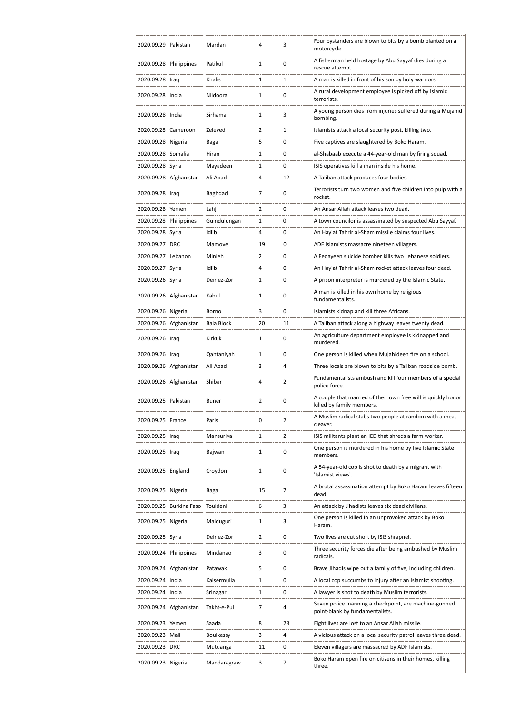| 2020.09.29 Pakistan    |                         | Mardan                | 4              | 3              | Four bystanders are blown to bits by a bomb planted on a<br>motorcycle.                                   |
|------------------------|-------------------------|-----------------------|----------------|----------------|-----------------------------------------------------------------------------------------------------------|
| 2020.09.28 Philippines |                         | Patikul               | 1              | 0              | A fisherman held hostage by Abu Sayyaf dies during a<br>rescue attempt.                                   |
| 2020.09.28 Iraq        |                         | Khalis                | 1              | 1              | A man is killed in front of his son by holy warriors.                                                     |
| 2020.09.28 India       |                         | Nildoora              | 1              | 0              | A rural development employee is picked off by Islamic<br>terrorists.                                      |
| 2020.09.28 India       |                         | Sirhama               | 1              | 3              | A young person dies from injuries suffered during a Mujahid<br>bombing.                                   |
| 2020.09.28 Cameroon    |                         | Zeleved               | 2              | 1              | Islamists attack a local security post, killing two.                                                      |
| 2020.09.28 Nigeria     |                         | Baga                  | 5              | 0              | Five captives are slaughtered by Boko Haram.                                                              |
| 2020.09.28 Somalia     |                         | Hiran                 | 1              | 0              | al-Shabaab execute a 44-year-old man by firing squad.                                                     |
| 2020.09.28 Syria       |                         | Mayadeen              | 1              | 0              | ISIS operatives kill a man inside his home.                                                               |
|                        | 2020.09.28 Afghanistan  | Ali Abad              | 4              | 12             | A Taliban attack produces four bodies.                                                                    |
| 2020.09.28 Iraq        |                         | Baghdad               | 7              | 0              | Terrorists turn two women and five children into pulp with a                                              |
|                        |                         |                       |                |                | rocket.                                                                                                   |
| 2020.09.28 Yemen       |                         | Lahj                  | $\overline{2}$ | 0              | An Ansar Allah attack leaves two dead.                                                                    |
| 2020.09.28 Philippines |                         | Guindulungan          | 1              | 0              | A town councilor is assassinated by suspected Abu Sayyaf.                                                 |
| 2020.09.28 Syria       |                         | Idlib                 | 4              | 0              | An Hay'at Tahrir al-Sham missile claims four lives.                                                       |
| 2020.09.27 DRC         |                         | Mamove                | 19             | 0              | ADF Islamists massacre nineteen villagers.                                                                |
| 2020.09.27 Lebanon     |                         | Minieh                | 2              | 0              | A Fedayeen suicide bomber kills two Lebanese soldiers.                                                    |
| 2020.09.27 Syria       |                         | Idlib                 | 4              | 0              | An Hay'at Tahrir al-Sham rocket attack leaves four dead.                                                  |
| 2020.09.26 Syria       |                         | Deir ez-Zor           | 1              | 0              | A prison interpreter is murdered by the Islamic State.                                                    |
|                        | 2020.09.26 Afghanistan  | Kabul                 | 1              | 0              | A man is killed in his own home by religious<br>fundamentalists.                                          |
| 2020.09.26 Nigeria     |                         | Borno                 | 3              | 0              | Islamists kidnap and kill three Africans.                                                                 |
|                        | 2020.09.26 Afghanistan  | <b>Bala Block</b>     | 20             | 11             | A Taliban attack along a highway leaves twenty dead.                                                      |
| 2020.09.26 Iraq        |                         | Kirkuk                | 1              | 0              | An agriculture department employee is kidnapped and<br>murdered.                                          |
| 2020.09.26 Iraq        |                         | Qahtaniyah            | 1              | 0              | One person is killed when Mujahideen fire on a school.                                                    |
|                        | 2020.09.26 Afghanistan  | Ali Abad              | 3              | 4              | Three locals are blown to bits by a Taliban roadside bomb.                                                |
|                        | 2020.09.26 Afghanistan  | Shibar                | 4              | $\overline{2}$ | Fundamentalists ambush and kill four members of a special<br>police force.                                |
| 2020.09.25 Pakistan    |                         | <b>Buner</b>          | 2              | 0              | A couple that married of their own free will is quickly honor<br>killed by family members.                |
| 2020.09.25 France      |                         | Paris                 | 0              | 2              | A Muslim radical stabs two people at random with a meat<br>cleaver.                                       |
| 2020.09.25 Iraq        |                         | Mansuriya             | 1              | 2              | ISIS militants plant an IED that shreds a farm worker.                                                    |
| 2020.09.25 Iraq        |                         | Bajwan                | 1              | 0              | One person is murdered in his home by five Islamic State<br>members.                                      |
| 2020.09.25 England     |                         | Croydon               | 1              | 0              | A 54-year-old cop is shot to death by a migrant with<br>'Islamist views'.                                 |
| 2020.09.25 Nigeria     |                         | Baga                  | 15             | 7              | A brutal assassination attempt by Boko Haram leaves fifteen                                               |
|                        |                         |                       |                |                | dead.                                                                                                     |
| 2020.09.25 Nigeria     | 2020.09.25 Burkina Faso | Touldeni<br>Maiduguri | 6<br>1         | 3<br>3         | An attack by Jihadists leaves six dead civilians.<br>One person is killed in an unprovoked attack by Boko |
|                        |                         |                       |                |                | Haram.                                                                                                    |
| 2020.09.25 Syria       |                         | Deir ez-Zor           | 2              | 0              | Two lives are cut short by ISIS shrapnel.                                                                 |
| 2020.09.24 Philippines |                         | Mindanao              | 3              | 0              | Three security forces die after being ambushed by Muslim<br>radicals.                                     |
|                        | 2020.09.24 Afghanistan  | Patawak               | 5              | 0              | Brave Jihadis wipe out a family of five, including children.                                              |
| 2020.09.24 India       |                         | Kaisermulla           | 1              | 0              | A local cop succumbs to injury after an Islamist shooting.                                                |
| 2020.09.24 India       |                         | Srinagar              | 1              | 0              | A lawyer is shot to death by Muslim terrorists.                                                           |
|                        | 2020.09.24 Afghanistan  | Takht-e-Pul           | 7              | 4              | Seven police manning a checkpoint, are machine-gunned<br>point-blank by fundamentalists.                  |
| 2020.09.23 Yemen       |                         | Saada                 | 8              | 28             | Eight lives are lost to an Ansar Allah missile.                                                           |
| 2020.09.23 Mali        |                         | <b>Boulkessy</b>      | 3              | 4              | A vicious attack on a local security patrol leaves three dead.                                            |
| 2020.09.23 DRC         |                         | Mutuanga              | 11             | 0              | Eleven villagers are massacred by ADF Islamists.                                                          |
| 2020.09.23 Nigeria     |                         | Mandaragraw           | 3              | 7              | Boko Haram open fire on citizens in their homes, killing<br>three.                                        |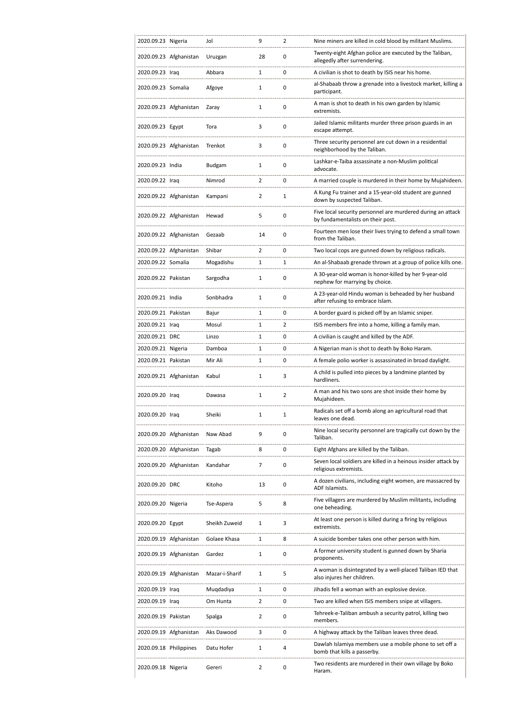| 2020.09.23 Nigeria     |                        | Jol            | 9              | 2 | Nine miners are killed in cold blood by militant Muslims.                                        |
|------------------------|------------------------|----------------|----------------|---|--------------------------------------------------------------------------------------------------|
|                        | 2020.09.23 Afghanistan | Uruzgan        | 28             | 0 | Twenty-eight Afghan police are executed by the Taliban,<br>allegedly after surrendering.         |
| 2020.09.23 Iraq        |                        | Abbara         | $\mathbf{1}$   | 0 | A civilian is shot to death by ISIS near his home.                                               |
| 2020.09.23 Somalia     |                        | Afgoye         | 1              | 0 | al-Shabaab throw a grenade into a livestock market, killing a<br>participant.                    |
|                        | 2020.09.23 Afghanistan | Zaray          | 1              | 0 | A man is shot to death in his own garden by Islamic<br>extremists.                               |
| 2020.09.23 Egypt       |                        | Tora           | 3              | 0 | Jailed Islamic militants murder three prison guards in an<br>escape attempt.                     |
|                        | 2020.09.23 Afghanistan | Trenkot        | 3              | 0 | Three security personnel are cut down in a residential<br>neighborhood by the Taliban.           |
| 2020.09.23 India       |                        | Budgam         | 1              | 0 | Lashkar-e-Taiba assassinate a non-Muslim political<br>advocate.                                  |
| 2020.09.22 Iraq        |                        | Nimrod         | $\overline{2}$ | 0 | A married couple is murdered in their home by Mujahideen.                                        |
|                        | 2020.09.22 Afghanistan | Kampani        | 2              | 1 | A Kung Fu trainer and a 15-year-old student are gunned<br>down by suspected Taliban.             |
|                        | 2020.09.22 Afghanistan | Hewad          | 5              | 0 | Five local security personnel are murdered during an attack<br>by fundamentalists on their post. |
|                        | 2020.09.22 Afghanistan | Gezaab         | 14             | 0 | Fourteen men lose their lives trying to defend a small town<br>from the Taliban.                 |
|                        | 2020.09.22 Afghanistan | Shibar         | $\overline{2}$ | 0 | Two local cops are gunned down by religious radicals.                                            |
| 2020.09.22 Somalia     |                        | Mogadishu      | 1              | 1 | An al-Shabaab grenade thrown at a group of police kills one.                                     |
| 2020.09.22 Pakistan    |                        | Sargodha       | 1              | 0 | A 30-year-old woman is honor-killed by her 9-year-old<br>nephew for marrying by choice.          |
| 2020.09.21 India       |                        | Sonbhadra      | 1              | 0 | A 23-year-old Hindu woman is beheaded by her husband<br>after refusing to embrace Islam.         |
| 2020.09.21 Pakistan    |                        | Bajur          | $\mathbf{1}$   | 0 | A border guard is picked off by an Islamic sniper.                                               |
| 2020.09.21 Iraq        |                        | Mosul          | 1              | 2 | ISIS members fire into a home, killing a family man.                                             |
| 2020.09.21 DRC         |                        | Linzo          | 1              | 0 | A civilian is caught and killed by the ADF.                                                      |
| 2020.09.21 Nigeria     |                        | Damboa         | 1              | 0 | A Nigerian man is shot to death by Boko Haram.                                                   |
| 2020.09.21 Pakistan    |                        | Mir Ali        | 1              | 0 | A female polio worker is assassinated in broad daylight.                                         |
|                        | 2020.09.21 Afghanistan | Kabul          | 1              | 3 | A child is pulled into pieces by a landmine planted by<br>hardliners.                            |
| 2020.09.20 Iraq        |                        | Dawasa         | 1              | 2 | A man and his two sons are shot inside their home by<br>Mujahideen.                              |
| 2020.09.20 Iraa        |                        | Sheiki         | 1              | 1 | Radicals set off a bomb along an agricultural road that<br>leaves one dead.                      |
|                        | 2020.09.20 Afghanistan | Naw Abad       | 9              | 0 | Nine local security personnel are tragically cut down by the<br>Taliban.                         |
|                        | 2020.09.20 Afghanistan | Tagab          | 8              | 0 | Eight Afghans are killed by the Taliban.                                                         |
|                        | 2020.09.20 Afghanistan | Kandahar       | 7              | 0 | Seven local soldiers are killed in a heinous insider attack by<br>religious extremists.          |
| 2020.09.20 DRC         |                        | Kitoho         | 13             | 0 | A dozen civilians, including eight women, are massacred by<br>ADF Islamists.                     |
| 2020.09.20 Nigeria     |                        | Tse-Aspera     | 5              | 8 | Five villagers are murdered by Muslim militants, including<br>one beheading.                     |
| 2020.09.20 Egypt       |                        | Sheikh Zuweid  | 1              | 3 | At least one person is killed during a firing by religious<br>extremists.                        |
|                        | 2020.09.19 Afghanistan | Golaee Khasa   | 1              | 8 | A suicide bomber takes one other person with him.                                                |
|                        | 2020.09.19 Afghanistan | Gardez         | $\mathbf{1}$   | 0 | A former university student is gunned down by Sharia<br>proponents.                              |
|                        | 2020.09.19 Afghanistan | Mazar-i-Sharif | 1              | 5 | A woman is disintegrated by a well-placed Taliban IED that<br>also injures her children.         |
| 2020.09.19 Iraq        |                        | Muqdadiya      | 1              | 0 | Jihadis fell a woman with an explosive device.                                                   |
| 2020.09.19 Iraq        |                        | Om Hunta       | $\overline{2}$ | 0 | Two are killed when ISIS members snipe at villagers.                                             |
| 2020.09.19 Pakistan    |                        | Spalga         | $\overline{2}$ | 0 | Tehreek-e-Taliban ambush a security patrol, killing two<br>members.                              |
|                        | 2020.09.19 Afghanistan | Aks Dawood     | 3              | 0 | A highway attack by the Taliban leaves three dead.                                               |
| 2020.09.18 Philippines |                        | Datu Hofer     | 1              | 4 | Dawlah Islamiya members use a mobile phone to set off a<br>bomb that kills a passerby.           |
| 2020.09.18 Nigeria     |                        | Gereri         | $\overline{2}$ | 0 | Two residents are murdered in their own village by Boko<br>Haram.                                |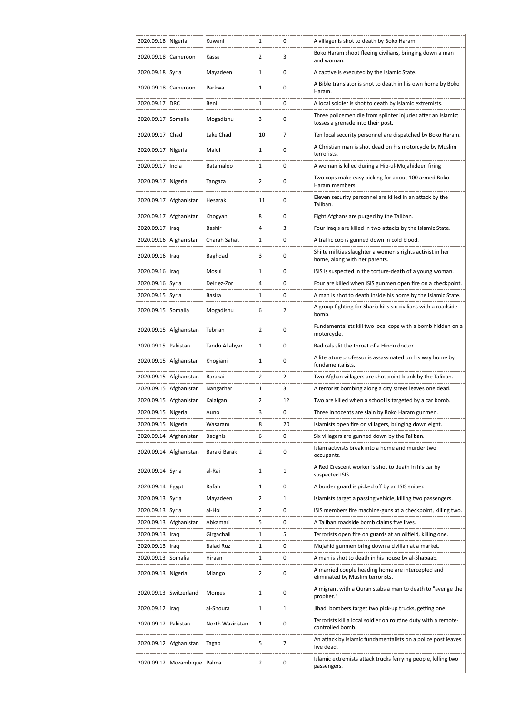| 2020.09.18 Nigeria  |                             | Kuwani           | 1              | 0              | A villager is shot to death by Boko Haram.                                                        |
|---------------------|-----------------------------|------------------|----------------|----------------|---------------------------------------------------------------------------------------------------|
| 2020.09.18 Cameroon |                             | Kassa            | 2              | 3              | Boko Haram shoot fleeing civilians, bringing down a man<br>and woman.                             |
| 2020.09.18 Syria    |                             | Mayadeen         | 1              | 0              | A captive is executed by the Islamic State.                                                       |
| 2020.09.18 Cameroon |                             | Parkwa           | 1              | 0              | A Bible translator is shot to death in his own home by Boko<br>Haram.                             |
| 2020.09.17 DRC      |                             | Beni             | 1              | 0              | A local soldier is shot to death by Islamic extremists.                                           |
| 2020.09.17 Somalia  |                             | Mogadishu        | 3              | 0              | Three policemen die from splinter injuries after an Islamist<br>tosses a grenade into their post. |
| 2020.09.17 Chad     |                             | Lake Chad        | 10             | 7              | Ten local security personnel are dispatched by Boko Haram.                                        |
| 2020.09.17 Nigeria  |                             | Malul            | $\mathbf{1}$   | 0              | A Christian man is shot dead on his motorcycle by Muslim<br>terrorists.                           |
| 2020.09.17 India    |                             | Batamaloo        | 1              | 0              | A woman is killed during a Hib-ul-Mujahideen firing                                               |
| 2020.09.17 Nigeria  |                             | Tangaza          | 2              | 0              | Two cops make easy picking for about 100 armed Boko<br>Haram members.                             |
|                     | 2020.09.17 Afghanistan      | Hesarak          | 11             | 0              | Eleven security personnel are killed in an attack by the<br>Taliban.                              |
|                     | 2020.09.17 Afghanistan      | Khogyani         | 8              | 0              | Eight Afghans are purged by the Taliban.                                                          |
| 2020.09.17 Iraq     |                             | Bashir           | 4              | 3              | Four Iraqis are killed in two attacks by the Islamic State.                                       |
|                     | 2020.09.16 Afghanistan      | Charah Sahat     | 1              | 0              | A traffic cop is gunned down in cold blood.                                                       |
| 2020.09.16 Iraq     |                             | Baghdad          | 3              | 0              | Shiite militias slaughter a women's rights activist in her<br>home, along with her parents.       |
| 2020.09.16 Iraq     |                             | Mosul            | 1              | 0              | ISIS is suspected in the torture-death of a young woman.                                          |
| 2020.09.16 Syria    |                             | Deir ez-Zor      | 4              | 0              | Four are killed when ISIS gunmen open fire on a checkpoint.                                       |
| 2020.09.15 Syria    |                             | Basira           | 1              | 0              | A man is shot to death inside his home by the Islamic State.                                      |
| 2020.09.15 Somalia  |                             | Mogadishu        | 6              | $\overline{2}$ | A group fighting for Sharia kills six civilians with a roadside<br>bomb.                          |
|                     | 2020.09.15 Afghanistan      | Tebrian          | $\overline{2}$ | 0              | Fundamentalists kill two local cops with a bomb hidden on a<br>motorcycle.                        |
| 2020.09.15 Pakistan |                             | Tando Allahyar   | 1              | 0              | Radicals slit the throat of a Hindu doctor.                                                       |
|                     | 2020.09.15 Afghanistan      | Khogiani         | 1              | 0              | A literature professor is assassinated on his way home by<br>fundamentalists.                     |
|                     | 2020.09.15 Afghanistan      | Barakai          | $\overline{2}$ | 2              | Two Afghan villagers are shot point-blank by the Taliban.                                         |
|                     | 2020.09.15 Afghanistan      | Nangarhar        | 1              | 3              | A terrorist bombing along a city street leaves one dead.                                          |
|                     | 2020.09.15 Afghanistan      | Kalafgan         | 2              | 12             | Two are killed when a school is targeted by a car bomb.                                           |
| 2020.09.15 Nigeria  |                             | Auno             | 3              | 0              | Three innocents are slain by Boko Haram gunmen.                                                   |
| 2020.09.15 Nigeria  |                             | Wasaram          | 8              | 20             | Islamists open fire on villagers, bringing down eight.                                            |
|                     | 2020.09.14 Afghanistan      | <b>Badghis</b>   | 6              | 0              | Six villagers are gunned down by the Taliban.                                                     |
|                     | 2020.09.14 Afghanistan      | Baraki Barak     | $\overline{2}$ | 0              | Islam activists break into a home and murder two<br>occupants.                                    |
| 2020.09.14 Syria    |                             | al-Rai           | 1              | 1              | A Red Crescent worker is shot to death in his car by<br>suspected ISIS.                           |
| 2020.09.14 Egypt    |                             | Rafah            | 1              | 0              | A border guard is picked off by an ISIS sniper.                                                   |
| 2020.09.13 Syria    |                             | Mayadeen         | $\mathbf{2}$   | 1              | Islamists target a passing vehicle, killing two passengers.                                       |
| 2020.09.13 Syria    |                             | al-Hol           | $\mathbf{2}$   | 0              | ISIS members fire machine-guns at a checkpoint, killing two.                                      |
|                     | 2020.09.13 Afghanistan      | Abkamari         | 5              | 0              | A Taliban roadside bomb claims five lives.                                                        |
| 2020.09.13 Iraq     |                             | Girgachali       | 1              | 5              | Terrorists open fire on guards at an oilfield, killing one.                                       |
| 2020.09.13 Iraq     |                             | <b>Balad Ruz</b> | 1              | 0              | Mujahid gunmen bring down a civilian at a market.                                                 |
| 2020.09.13 Somalia  |                             | Hiraan           | 1              | 0              | A man is shot to death in his house by al-Shabaab.                                                |
| 2020.09.13 Nigeria  |                             | Miango           | $\overline{2}$ | 0              | A married couple heading home are intercepted and<br>eliminated by Muslim terrorists.             |
|                     | 2020.09.13 Switzerland      | Morges           | 1              | 0              | A migrant with a Quran stabs a man to death to "avenge the<br>prophet."                           |
| 2020.09.12 Iraq     |                             | al-Shoura        | 1              | 1              | Jihadi bombers target two pick-up trucks, getting one.                                            |
| 2020.09.12 Pakistan |                             | North Waziristan | 1              | 0              | Terrorists kill a local soldier on routine duty with a remote-<br>controlled bomb.                |
|                     | 2020.09.12 Afghanistan      | Tagab            | 5              | 7              | An attack by Islamic fundamentalists on a police post leaves<br>five dead.                        |
|                     | 2020.09.12 Mozambique Palma |                  | 2              | 0              | Islamic extremists attack trucks ferrying people, killing two<br>passengers.                      |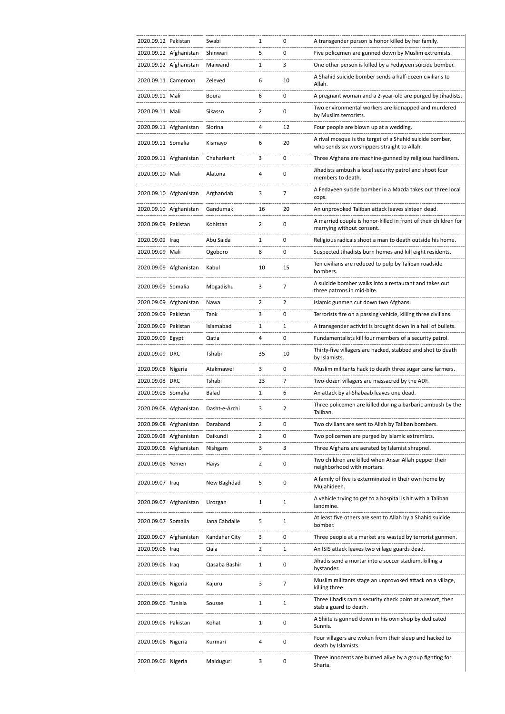| 2020.09.12 Pakistan |                        | Swabi         | 1  | 0              | A transgender person is honor killed by her family.                                                      |
|---------------------|------------------------|---------------|----|----------------|----------------------------------------------------------------------------------------------------------|
|                     | 2020.09.12 Afghanistan | Shinwari      | 5  | 0              | Five policemen are gunned down by Muslim extremists.                                                     |
|                     | 2020.09.12 Afghanistan | Maiwand       | 1  | 3              | One other person is killed by a Fedayeen suicide bomber.                                                 |
| 2020.09.11 Cameroon |                        | Zeleved       | 6  | 10             | A Shahid suicide bomber sends a half-dozen civilians to<br>Allah.                                        |
| 2020.09.11 Mali     |                        | Boura         | 6  | 0              | A pregnant woman and a 2-year-old are purged by Jihadists.                                               |
| 2020.09.11 Mali     |                        | Sikasso       | 2  | 0              | Two environmental workers are kidnapped and murdered<br>by Muslim terrorists.                            |
|                     | 2020.09.11 Afghanistan | Slorina       | 4  | 12             | Four people are blown up at a wedding.                                                                   |
| 2020.09.11 Somalia  |                        | Kismayo       | 6  | 20             | A rival mosque is the target of a Shahid suicide bomber,<br>who sends six worshippers straight to Allah. |
|                     | 2020.09.11 Afghanistan | Chaharkent    | 3  | 0              | Three Afghans are machine-gunned by religious hardliners.                                                |
| 2020.09.10 Mali     |                        | Alatona       | 4  | 0              | Jihadists ambush a local security patrol and shoot four<br>members to death.                             |
|                     | 2020.09.10 Afghanistan | Arghandab     | 3  | 7              | A Fedayeen sucide bomber in a Mazda takes out three local<br>cops.                                       |
|                     | 2020.09.10 Afghanistan | Gandumak      | 16 | 20             | An unprovoked Taliban attack leaves sixteen dead.                                                        |
| 2020.09.09 Pakistan |                        | Kohistan      | 2  | 0              | A married couple is honor-killed in front of their children for<br>marrying without consent.             |
| 2020.09.09 Iraq     |                        | Abu Saida     | 1  | 0              | Religious radicals shoot a man to death outside his home.                                                |
| 2020.09.09 Mali     |                        | Ogoboro       | 8  | 0              | Suspected Jihadists burn homes and kill eight residents.                                                 |
|                     | 2020.09.09 Afghanistan | Kabul         | 10 | 15             | Ten civilians are reduced to pulp by Taliban roadside<br>bombers.                                        |
| 2020.09.09 Somalia  |                        | Mogadishu     | 3  | 7              | A suicide bomber walks into a restaurant and takes out<br>three patrons in mid-bite.                     |
|                     | 2020.09.09 Afghanistan | Nawa          | 2  | $\overline{2}$ | Islamic gunmen cut down two Afghans.                                                                     |
| 2020.09.09 Pakistan |                        | Tank          | 3  | 0              | Terrorists fire on a passing vehicle, killing three civilians.                                           |
| 2020.09.09 Pakistan |                        | Islamabad     | 1  | 1              | A transgender activist is brought down in a hail of bullets.                                             |
| 2020.09.09 Egypt    |                        | Qatia         | 4  | 0              | Fundamentalists kill four members of a security patrol.                                                  |
| 2020.09.09 DRC      |                        | Tshabi        | 35 | 10             | Thirty-five villagers are hacked, stabbed and shot to death<br>by Islamists.                             |
| 2020.09.08 Nigeria  |                        | Atakmawei     | 3  | 0              | Muslim militants hack to death three sugar cane farmers.                                                 |
| 2020.09.08 DRC      |                        | Tshabi        | 23 | 7              | Two-dozen villagers are massacred by the ADF.                                                            |
| 2020.09.08 Somalia  |                        | Balad         | 1  | 6              | An attack by al-Shabaab leaves one dead.                                                                 |
|                     | 2020.09.08 Afghanistan | Dasht-e-Archi | 3  | $\overline{2}$ | Three policemen are killed during a barbaric ambush by the<br>Taliban.                                   |
|                     | 2020.09.08 Afghanistan | Daraband      | 2  | 0              | Two civilians are sent to Allah by Taliban bombers.                                                      |
|                     | 2020.09.08 Afghanistan | Daikundi      | 2  | 0              | Two policemen are purged by Islamic extremists.                                                          |
|                     | 2020.09.08 Afghanistan | Nishgam       | 3  | 3              | Three Afghans are aerated by Islamist shrapnel.                                                          |
| 2020.09.08 Yemen    |                        | Haiys         | 2  | 0              | Two children are killed when Ansar Allah pepper their<br>neighborhood with mortars.                      |
| 2020.09.07 Iraq     |                        | New Baghdad   | 5  | 0              | A family of five is exterminated in their own home by<br>Mujahideen.                                     |
|                     | 2020.09.07 Afghanistan | Urozgan       | 1  | $\mathbf{1}$   | A vehicle trying to get to a hospital is hit with a Taliban<br>landmine.                                 |
| 2020.09.07 Somalia  |                        | Jana Cabdalle | 5  | 1              | At least five others are sent to Allah by a Shahid suicide<br>bomber.                                    |
|                     | 2020.09.07 Afghanistan | Kandahar City | 3  | 0              | Three people at a market are wasted by terrorist gunmen.                                                 |
| 2020.09.06 Iraq     |                        | Qala          | 2  | 1              | An ISIS attack leaves two village guards dead.                                                           |
| 2020.09.06 Iraq     |                        | Qasaba Bashir | 1  | 0              | Jihadis send a mortar into a soccer stadium, killing a<br>bystander.                                     |
| 2020.09.06 Nigeria  |                        | Kajuru        | 3  | 7              | Muslim militants stage an unprovoked attack on a village,<br>killing three.                              |
| 2020.09.06 Tunisia  |                        | Sousse        | 1  | 1              | Three Jihadis ram a security check point at a resort, then<br>stab a guard to death.                     |
| 2020.09.06 Pakistan |                        | Kohat         | 1  | 0              | A Shiite is gunned down in his own shop by dedicated<br>Sunnis.                                          |
| 2020.09.06 Nigeria  |                        | Kurmari       | 4  | 0              | Four villagers are woken from their sleep and hacked to<br>death by Islamists.                           |
| 2020.09.06 Nigeria  |                        | Maiduguri     | 3  | 0              | Three innocents are burned alive by a group fighting for<br>Sharia.                                      |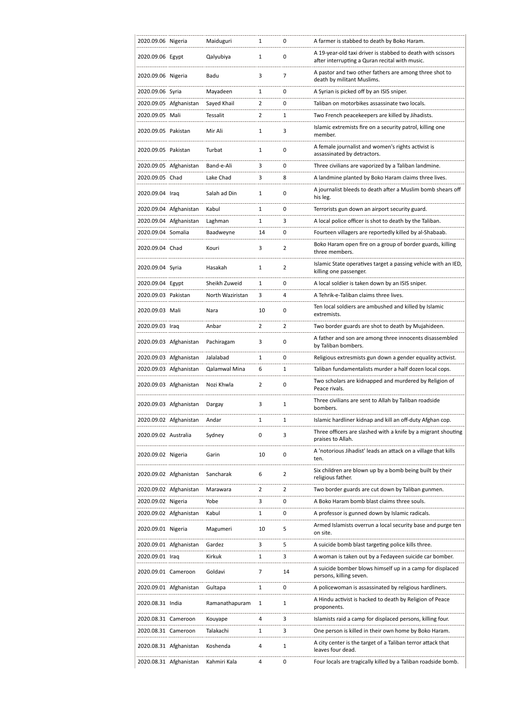| 2020.09.06 Nigeria   |                        | Maiduguri        | 1              | 0              | A farmer is stabbed to death by Boko Haram.                                                                   |
|----------------------|------------------------|------------------|----------------|----------------|---------------------------------------------------------------------------------------------------------------|
| 2020.09.06 Egypt     |                        | Qalyubiya        | 1              | 0              | A 19-year-old taxi driver is stabbed to death with scissors<br>after interrupting a Quran recital with music. |
| 2020.09.06 Nigeria   |                        | Badu             | 3              | 7              | A pastor and two other fathers are among three shot to<br>death by militant Muslims.                          |
| 2020.09.06 Syria     |                        | Mayadeen         | 1              | 0              | A Syrian is picked off by an ISIS sniper.                                                                     |
|                      | 2020.09.05 Afghanistan | Sayed Khail      | $\overline{2}$ | 0              | Taliban on motorbikes assassinate two locals.                                                                 |
| 2020.09.05 Mali      |                        | Tessalit         | $\overline{2}$ | 1              | Two French peacekeepers are killed by Jihadists.                                                              |
| 2020.09.05 Pakistan  |                        | Mir Ali          | $\mathbf{1}$   | 3              | Islamic extremists fire on a security patrol, killing one<br>member.                                          |
| 2020.09.05 Pakistan  |                        | Turbat           | 1              | 0              | A female journalist and women's rights activist is<br>assassinated by detractors.                             |
|                      | 2020.09.05 Afghanistan | Band-e-Ali       | 3              | 0              | Three civilians are vaporized by a Taliban landmine.                                                          |
| 2020.09.05 Chad      |                        | Lake Chad        | 3              | 8              | A landmine planted by Boko Haram claims three lives.                                                          |
| 2020.09.04 Iraq      |                        | Salah ad Din     | $\mathbf{1}$   | 0              | A journalist bleeds to death after a Muslim bomb shears off<br>his leg.                                       |
|                      | 2020.09.04 Afghanistan | Kabul            | 1              | 0              | Terrorists gun down an airport security guard.                                                                |
|                      | 2020.09.04 Afghanistan | Laghman          | 1              | 3              | A local police officer is shot to death by the Taliban.                                                       |
| 2020.09.04 Somalia   |                        | Baadweyne        | 14             | 0              | Fourteen villagers are reportedly killed by al-Shabaab.                                                       |
| 2020.09.04 Chad      |                        | Kouri            | 3              | $\overline{2}$ | Boko Haram open fire on a group of border guards, killing<br>three members.                                   |
| 2020.09.04 Syria     |                        | Hasakah          | 1              | 2              | Islamic State operatives target a passing vehicle with an IED,<br>killing one passenger.                      |
| 2020.09.04 Egypt     |                        | Sheikh Zuweid    | $\mathbf{1}$   | 0              | A local soldier is taken down by an ISIS sniper.                                                              |
| 2020.09.03 Pakistan  |                        | North Waziristan | 3              | 4              | A Tehrik-e-Taliban claims three lives.                                                                        |
| 2020.09.03 Mali      |                        | Nara             | 10             | 0              | Ten local soldiers are ambushed and killed by Islamic<br>extremists.                                          |
| 2020.09.03 Iraq      |                        | Anbar            | $\overline{2}$ | 2              | Two border guards are shot to death by Mujahideen.                                                            |
|                      | 2020.09.03 Afghanistan | Pachiragam       | 3              | 0              | A father and son are among three innocents disassembled<br>by Taliban bombers.                                |
|                      |                        |                  |                |                |                                                                                                               |
|                      | 2020.09.03 Afghanistan | Jalalabad        | $\mathbf{1}$   | 0              | Religious extresmists gun down a gender equality activist.                                                    |
|                      | 2020.09.03 Afghanistan | Qalamwal Mina    | 6              | 1              | Taliban fundamentalists murder a half dozen local cops.                                                       |
|                      | 2020.09.03 Afghanistan | Nozi Khwla       | $\overline{2}$ | 0              | Two scholars are kidnapped and murdered by Religion of<br>Peace rivals.                                       |
|                      | 2020.09.03 Afghanistan | Dargay           | 3              | 1              | Three civilians are sent to Allah by Taliban roadside<br>bombers.                                             |
|                      | 2020.09.02 Afghanistan | Andar            | 1              | 1              | Islamic hardliner kidnap and kill an off-duty Afghan cop.                                                     |
| 2020.09.02 Australia |                        | Sydney           | 0              | 3              | Three officers are slashed with a knife by a migrant shouting<br>praises to Allah.                            |
| 2020.09.02 Nigeria   |                        | Garin            | 10             | 0              | A 'notorious Jihadist' leads an attack on a village that kills<br>ten.                                        |
|                      | 2020.09.02 Afghanistan | Sancharak        | 6              | $\overline{2}$ | Six children are blown up by a bomb being built by their<br>religious father.                                 |
|                      | 2020.09.02 Afghanistan | Marawara         | 2              | $\overline{2}$ | Two border guards are cut down by Taliban gunmen.                                                             |
| 2020.09.02 Nigeria   |                        | Yobe             | 3              | 0              | A Boko Haram bomb blast claims three souls.                                                                   |
|                      | 2020.09.02 Afghanistan | Kabul            | 1              | 0              | A professor is gunned down by Islamic radicals.                                                               |
| 2020.09.01 Nigeria   |                        | Magumeri         | 10             | 5              | Armed Islamists overrun a local security base and purge ten<br>on site.                                       |
|                      | 2020.09.01 Afghanistan | Gardez           | 3              | 5              | A suicide bomb blast targeting police kills three.                                                            |
| 2020.09.01 Iraq      |                        | Kirkuk           | 1              | 3              | A woman is taken out by a Fedayeen suicide car bomber.                                                        |
| 2020.09.01 Cameroon  |                        | Goldavi          | 7              | 14             | A suicide bomber blows himself up in a camp for displaced<br>persons, killing seven.                          |
|                      | 2020.09.01 Afghanistan | Gultapa          | 1              | 0              | A policewoman is assassinated by religious hardliners.                                                        |
| 2020.08.31 India     |                        | Ramanathapuram   | 1              | 1              | A Hindu activist is hacked to death by Religion of Peace<br>proponents.                                       |
| 2020.08.31 Cameroon  |                        | Kouyape          | 4              | 3              | Islamists raid a camp for displaced persons, killing four.                                                    |
| 2020.08.31 Cameroon  |                        | Talakachi        | 1              | 3              | One person is killed in their own home by Boko Haram.                                                         |
|                      | 2020.08.31 Afghanistan | Koshenda         | 4              | 1              | A city center is the target of a Taliban terror attack that<br>leaves four dead.                              |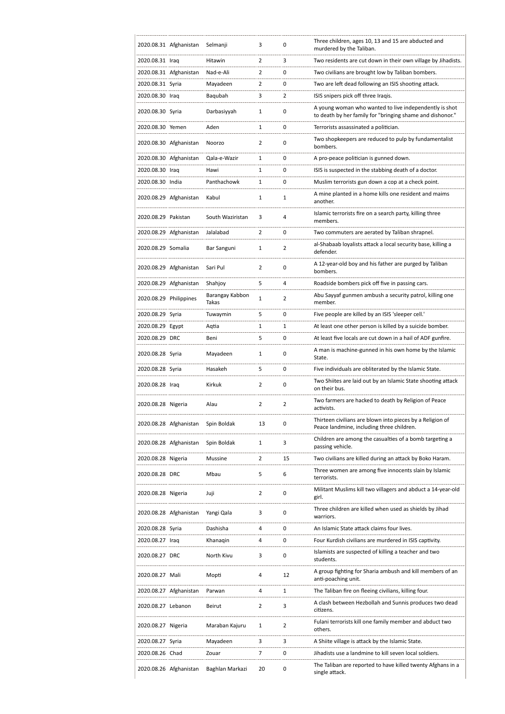|                        | 2020.08.31 Afghanistan | Selmanji                 | 3              | 0              | Three children, ages 10, 13 and 15 are abducted and<br>murdered by the Taliban.                                     |
|------------------------|------------------------|--------------------------|----------------|----------------|---------------------------------------------------------------------------------------------------------------------|
| 2020.08.31 Iraq        |                        | Hitawin                  | 2              | 3              | Two residents are cut down in their own village by Jihadists.                                                       |
|                        | 2020.08.31 Afghanistan | Nad-e-Ali                | $\overline{2}$ | 0              | Two civilians are brought low by Taliban bombers.                                                                   |
| 2020.08.31 Syria       |                        | Mayadeen                 | 2              | 0              | Two are left dead following an ISIS shooting attack.                                                                |
| 2020.08.30 Iraq        |                        | Baqubah                  | 3              | 2              | ISIS snipers pick off three Iragis.                                                                                 |
| 2020.08.30 Syria       |                        | Darbasiyyah              | 1              | 0              | A young woman who wanted to live independently is shot<br>to death by her family for "bringing shame and dishonor." |
| 2020.08.30 Yemen       |                        | Aden                     | 1              | 0              | Terrorists assassinated a politician.                                                                               |
|                        | 2020.08.30 Afghanistan | Noorzo                   | 2              | 0              | Two shopkeepers are reduced to pulp by fundamentalist<br>bombers.                                                   |
|                        | 2020.08.30 Afghanistan | Qala-e-Wazir             | 1              | 0              | A pro-peace politician is gunned down.                                                                              |
| 2020.08.30 Iraq        |                        | Hawi                     | 1              | 0              | ISIS is suspected in the stabbing death of a doctor.                                                                |
| 2020.08.30 India       |                        | Panthachowk              | 1              | 0              | Muslim terrorists gun down a cop at a check point.                                                                  |
|                        | 2020.08.29 Afghanistan | Kabul                    | 1              | 1              | A mine planted in a home kills one resident and maims<br>another.                                                   |
| 2020.08.29 Pakistan    |                        | South Waziristan         | 3              | 4              | Islamic terrorists fire on a search party, killing three<br>members.                                                |
|                        | 2020.08.29 Afghanistan | Jalalabad                | 2              | 0              | Two commuters are aerated by Taliban shrapnel.                                                                      |
| 2020.08.29 Somalia     |                        | Bar Sanguni              | 1              | 2              | al-Shabaab loyalists attack a local security base, killing a<br>defender.                                           |
|                        | 2020.08.29 Afghanistan | Sari Pul                 | 2              | 0              | A 12-year-old boy and his father are purged by Taliban<br>bombers.                                                  |
|                        | 2020.08.29 Afghanistan | Shahjoy                  | 5              | 4              | Roadside bombers pick off five in passing cars.                                                                     |
| 2020.08.29 Philippines |                        | Barangay Kabbon<br>Takas | 1              | 2              | Abu Sayyaf gunmen ambush a security patrol, killing one<br>member.                                                  |
| 2020.08.29 Syria       |                        | Tuwaymin                 | 5              | 0              | Five people are killed by an ISIS 'sleeper cell.'                                                                   |
| 2020.08.29 Egypt       |                        | Aqtia                    | 1              | 1              | At least one other person is killed by a suicide bomber.                                                            |
| 2020.08.29 DRC         |                        | Beni                     | 5              | 0              | At least five locals are cut down in a hail of ADF gunfire.                                                         |
| 2020.08.28 Syria       |                        | Mayadeen                 | 1              | 0              | A man is machine-gunned in his own home by the Islamic<br>State.                                                    |
| 2020.08.28 Syria       |                        | Hasakeh                  | 5              | 0              | Five individuals are obliterated by the Islamic State.                                                              |
| 2020.08.28 Iraq        |                        | Kirkuk                   | 2              | 0              | Two Shiites are laid out by an Islamic State shooting attack<br>on their bus.                                       |
| 2020.08.28 Nigeria     |                        | Alau                     | $\overline{2}$ | $\overline{2}$ | Two farmers are hacked to death by Religion of Peace<br>activists.                                                  |
|                        | 2020.08.28 Afghanistan | Spin Boldak              | 13             | 0              | Thirteen civilians are blown into pieces by a Religion of<br>Peace landmine, including three children.              |
|                        | 2020.08.28 Afghanistan | Spin Boldak              | 1              | 3              | Children are among the casualties of a bomb targeting a<br>passing vehicle.                                         |
| 2020.08.28 Nigeria     |                        | Mussine                  | 2              | 15             | Two civilians are killed during an attack by Boko Haram.                                                            |
| 2020.08.28 DRC         |                        | Mbau                     | 5              | 6              | Three women are among five innocents slain by Islamic<br>terrorists.                                                |
| 2020.08.28 Nigeria     |                        | Juji                     | 2              | 0              | Militant Muslims kill two villagers and abduct a 14-year-old<br>girl.                                               |
|                        | 2020.08.28 Afghanistan | Yangi Qala               | 3              | 0              | Three children are killed when used as shields by Jihad<br>warriors.                                                |
| 2020.08.28 Syria       |                        | Dashisha                 | 4              | 0              | An Islamic State attack claims four lives.                                                                          |
| 2020.08.27 Iraq        |                        | Khanagin                 | 4              | 0              | Four Kurdish civilians are murdered in ISIS captivity.                                                              |
| 2020.08.27 DRC         |                        | North Kivu               | 3              | 0              | Islamists are suspected of killing a teacher and two<br>students.                                                   |
| 2020.08.27 Mali        |                        | Mopti                    | 4              | 12             | A group fighting for Sharia ambush and kill members of an<br>anti-poaching unit.                                    |
|                        | 2020.08.27 Afghanistan | Parwan                   | 4              | 1              | The Taliban fire on fleeing civilians, killing four.                                                                |
| 2020.08.27 Lebanon     |                        | Beirut                   | 2              | 3              | A clash between Hezbollah and Sunnis produces two dead<br>citizens.                                                 |
| 2020.08.27 Nigeria     |                        | Maraban Kajuru           | 1              | 2              | Fulani terrorists kill one family member and abduct two<br>others.                                                  |
| 2020.08.27 Syria       |                        | Mayadeen                 | 3              | 3              | A Shiite village is attack by the Islamic State.                                                                    |
| 2020.08.26 Chad        |                        | Zouar                    | 7              | 0              | Jihadists use a landmine to kill seven local soldiers.                                                              |
|                        | 2020.08.26 Afghanistan | Baghlan Markazi          | 20             | 0              | The Taliban are reported to have killed twenty Afghans in a<br>single attack.                                       |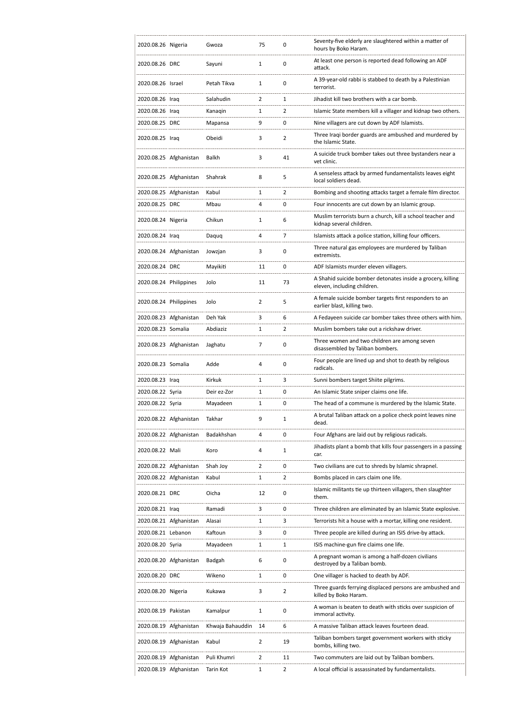| 2020.08.26 Nigeria     |                        | Gwoza            | 75             | 0              | Seventy-five elderly are slaughtered within a matter of<br>hours by Boko Haram.            |
|------------------------|------------------------|------------------|----------------|----------------|--------------------------------------------------------------------------------------------|
| 2020.08.26 DRC         |                        | Sayuni           | 1              | 0              | At least one person is reported dead following an ADF<br>attack.                           |
| 2020.08.26 Israel      |                        | Petah Tikva      | $\mathbf{1}$   | 0              | A 39-year-old rabbi is stabbed to death by a Palestinian<br>terrorist.                     |
| 2020.08.26 Iraq        |                        | Salahudin        | $\overline{2}$ | 1              | Jihadist kill two brothers with a car bomb.                                                |
| 2020.08.26 Iraq        |                        | Kanagin          | 1              | 2              | Islamic State members kill a villager and kidnap two others.                               |
| 2020.08.25 DRC         |                        | Mapansa          | 9              | 0              | Nine villagers are cut down by ADF Islamists.                                              |
| 2020.08.25 Iraq        |                        | Obeidi           | 3              | $\overline{2}$ | Three Iraqi border guards are ambushed and murdered by<br>the Islamic State.               |
|                        | 2020.08.25 Afghanistan | Balkh            | 3              | 41             | A suicide truck bomber takes out three bystanders near a<br>vet clinic.                    |
|                        | 2020.08.25 Afghanistan | Shahrak          | 8              | 5              | A senseless attack by armed fundamentalists leaves eight<br>local soldiers dead.           |
|                        | 2020.08.25 Afghanistan | Kabul            | 1              | 2              | Bombing and shooting attacks target a female film director.                                |
| 2020.08.25 DRC         |                        | Mbau             | 4              | 0              | Four innocents are cut down by an Islamic group.                                           |
| 2020.08.24 Nigeria     |                        | Chikun           | 1              | 6              | Muslim terrorists burn a church, kill a school teacher and<br>kidnap several children.     |
| 2020.08.24 Iraq        |                        | Daquq            | 4              | 7              | Islamists attack a police station, killing four officers.                                  |
|                        | 2020.08.24 Afghanistan | Jowzjan          | 3              | 0              | Three natural gas employees are murdered by Taliban<br>extremists.                         |
| 2020.08.24 DRC         |                        | Mayikiti         | 11             | 0              | ADF Islamists murder eleven villagers.                                                     |
| 2020.08.24 Philippines |                        | Jolo             | 11             | 73             | A Shahid suicide bomber detonates inside a grocery, killing<br>eleven, including children. |
| 2020.08.24 Philippines |                        | Jolo             | 2              | 5              | A female suicide bomber targets first responders to an<br>earlier blast, killing two.      |
|                        | 2020.08.23 Afghanistan | Deh Yak          | 3              | 6              | A Fedayeen suicide car bomber takes three others with him.                                 |
| 2020.08.23 Somalia     |                        | Abdiaziz         | 1              | $\overline{2}$ | Muslim bombers take out a rickshaw driver.                                                 |
|                        | 2020.08.23 Afghanistan | Jaghatu          | 7              | 0              | Three women and two children are among seven<br>disassembled by Taliban bombers.           |
| 2020.08.23 Somalia     |                        | Adde             | 4              | 0              | Four people are lined up and shot to death by religious<br>radicals.                       |
| 2020.08.23 Iraq        |                        | Kirkuk           | 1              | 3              | Sunni bombers target Shiite pilgrims.                                                      |
| 2020.08.22 Syria       |                        | Deir ez-Zor      | $\mathbf{1}$   | 0              | An Islamic State sniper claims one life.                                                   |
| 2020.08.22 Syria       |                        | Mayadeen         | 1              | 0              | The head of a commune is murdered by the Islamic State.                                    |
|                        | 2020.08.22 Afghanistan | Takhar           | 9              | 1              | A brutal Taliban attack on a police check point leaves nine<br>dead.                       |
|                        | 2020.08.22 Afghanistan | Badakhshan       | 4              | 0              | Four Afghans are laid out by religious radicals.                                           |
| 2020.08.22 Mali        |                        | Koro             | 4              | 1              | Jihadists plant a bomb that kills four passengers in a passing<br>car.                     |
|                        | 2020.08.22 Afghanistan | Shah Joy         | 2              | 0              | Two civilians are cut to shreds by Islamic shrapnel.                                       |
|                        | 2020.08.22 Afghanistan | Kabul            | 1              | 2              | Bombs placed in cars claim one life.                                                       |
| 2020.08.21 DRC         |                        | Oicha            | 12             | 0              | Islamic militants tie up thirteen villagers, then slaughter<br>them.                       |
| 2020.08.21 Iraq        |                        | Ramadi           | 3              | 0              | Three children are eliminated by an Islamic State explosive.                               |
|                        | 2020.08.21 Afghanistan | Alasai           | 1              | 3              | Terrorists hit a house with a mortar, killing one resident.                                |
| 2020.08.21 Lebanon     |                        | Kaftoun          | 3              | 0              | Three people are killed during an ISIS drive-by attack.                                    |
| 2020.08.20 Syria       |                        | Mayadeen         | 1              | 1              | ISIS machine-gun fire claims one life.                                                     |
|                        | 2020.08.20 Afghanistan | Badgah           | 6              | 0              | A pregnant woman is among a half-dozen civilians<br>destroyed by a Taliban bomb.           |
| 2020.08.20 DRC         |                        | Wikeno           | 1              | 0              | One villager is hacked to death by ADF.                                                    |
| 2020.08.20 Nigeria     |                        | Kukawa           | 3              | 2              | Three guards ferrying displaced persons are ambushed and<br>killed by Boko Haram.          |
| 2020.08.19 Pakistan    |                        | Kamalpur         | 1              | 0              | A woman is beaten to death with sticks over suspicion of<br>immoral activity.              |
|                        | 2020.08.19 Afghanistan | Khwaja Bahauddin | 14             | 6              | A massive Taliban attack leaves fourteen dead.                                             |
|                        | 2020.08.19 Afghanistan | Kabul            | $\overline{2}$ | 19             | Taliban bombers target government workers with sticky<br>bombs, killing two.               |
|                        | 2020.08.19 Afghanistan | Puli Khumri      | 2              | 11             | Two commuters are laid out by Taliban bombers.                                             |
|                        | 2020.08.19 Afghanistan | Tarin Kot        | 1              | 2              | A local official is assassinated by fundamentalists.                                       |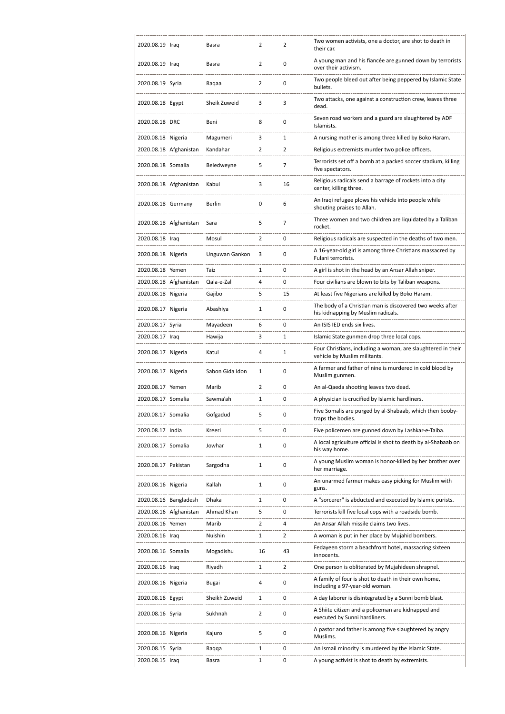| 2020.08.19 Iraq     |                        | Basra           | 2              | 2              | Two women activists, one a doctor, are shot to death in<br>their car.                           |
|---------------------|------------------------|-----------------|----------------|----------------|-------------------------------------------------------------------------------------------------|
| 2020.08.19 Iraq     |                        | Basra           | $\overline{2}$ | 0              | A young man and his fiancée are gunned down by terrorists<br>over their activism.               |
| 2020.08.19 Syria    |                        | Ragaa           | 2              | 0              | Two people bleed out after being peppered by Islamic State<br>bullets.                          |
| 2020.08.18 Egypt    |                        | Sheik Zuweid    | 3              | 3              | Two attacks, one against a construction crew, leaves three<br>dead.                             |
| 2020.08.18 DRC      |                        | Beni            | 8              | 0              | Seven road workers and a guard are slaughtered by ADF<br>Islamists.                             |
| 2020.08.18 Nigeria  |                        | Magumeri        | 3              | 1              | A nursing mother is among three killed by Boko Haram.                                           |
|                     | 2020.08.18 Afghanistan | Kandahar        | $\overline{2}$ | $\overline{2}$ | Religious extremists murder two police officers.                                                |
| 2020.08.18 Somalia  |                        | Beledweyne      | 5              | 7              | Terrorists set off a bomb at a packed soccer stadium, killing<br>five spectators.               |
|                     | 2020.08.18 Afghanistan | Kabul           | 3              | 16             | Religious radicals send a barrage of rockets into a city<br>center, killing three.              |
| 2020.08.18 Germany  |                        | Berlin          | 0              | 6              | An Iraqi refugee plows his vehicle into people while<br>shouting praises to Allah.              |
|                     | 2020.08.18 Afghanistan | Sara            | 5              | 7              | Three women and two children are liquidated by a Taliban<br>rocket.                             |
| 2020.08.18 Iraq     |                        | Mosul           | 2              | $\mathbf 0$    | Religious radicals are suspected in the deaths of two men.                                      |
| 2020.08.18 Nigeria  |                        | Unguwan Gankon  | 3              | 0              | A 16-year-old girl is among three Christians massacred by<br>Fulani terrorists.                 |
| 2020.08.18 Yemen    |                        | Taiz            | $\mathbf{1}$   | 0              | A girl is shot in the head by an Ansar Allah sniper.                                            |
|                     | 2020.08.18 Afghanistan | Qala-e-Zal      | 4              | 0              | Four civilians are blown to bits by Taliban weapons.                                            |
| 2020.08.18 Nigeria  |                        | Gajibo          | 5              | 15             | At least five Nigerians are killed by Boko Haram.                                               |
| 2020.08.17 Nigeria  |                        | Abashiya        | 1              | 0              | The body of a Christian man is discovered two weeks after<br>his kidnapping by Muslim radicals. |
| 2020.08.17 Syria    |                        | Mayadeen        | 6              | 0              | An ISIS IED ends six lives.                                                                     |
| 2020.08.17 Iraq     |                        | Hawija          | 3              | 1              | Islamic State gunmen drop three local cops.                                                     |
| 2020.08.17 Nigeria  |                        | Katul           | 4              | 1              | Four Christians, including a woman, are slaughtered in their<br>vehicle by Muslim militants.    |
| 2020.08.17 Nigeria  |                        | Sabon Gida Idon | $\mathbf{1}$   | 0              | A farmer and father of nine is murdered in cold blood by<br>Muslim gunmen.                      |
| 2020.08.17 Yemen    |                        | Marib           | $\overline{2}$ | 0              | An al-Qaeda shooting leaves two dead.                                                           |
| 2020.08.17 Somalia  |                        | Sawma'ah        | 1              | 0              | A physician is crucified by Islamic hardliners.                                                 |
| 2020.08.17 Somalia  |                        | Gofgadud        | 5              | 0              | Five Somalis are purged by al-Shabaab, which then booby-<br>traps the bodies.                   |
| 2020.08.17 India    |                        | Kreeri          | 5              | 0              | Five policemen are gunned down by Lashkar-e-Taiba.                                              |
| 2020.08.17 Somalia  |                        | Jowhar          | 1              | 0              | A local agriculture official is shot to death by al-Shabaab on<br>his way home.                 |
| 2020.08.17 Pakistan |                        | Sargodha        | 1              | 0              | A young Muslim woman is honor-killed by her brother over<br>her marriage.                       |
| 2020.08.16 Nigeria  |                        | Kallah          | 1              | $\mathbf 0$    | An unarmed farmer makes easy picking for Muslim with<br>guns.                                   |
|                     | 2020.08.16 Bangladesh  | Dhaka           | 1              | 0              | A "sorcerer" is abducted and executed by Islamic purists.                                       |
|                     | 2020.08.16 Afghanistan | Ahmad Khan      | 5              | 0              | Terrorists kill five local cops with a roadside bomb.                                           |
| 2020.08.16 Yemen    |                        | Marib           | $\overline{2}$ | 4              | An Ansar Allah missile claims two lives.                                                        |
| 2020.08.16 Iraq     |                        | Nuishin         | 1              | 2              | A woman is put in her place by Mujahid bombers.                                                 |
| 2020.08.16 Somalia  |                        | Mogadishu       | 16             | 43             | Fedayeen storm a beachfront hotel, massacring sixteen<br>innocents.                             |
| 2020.08.16 Iraq     |                        | Riyadh          | 1              | $\overline{2}$ | One person is obliterated by Mujahideen shrapnel.                                               |
| 2020.08.16 Nigeria  |                        | Bugai           | 4              | 0              | A family of four is shot to death in their own home,<br>including a 97-year-old woman.          |
| 2020.08.16 Egypt    |                        | Sheikh Zuweid   | 1              | 0              | A day laborer is disintegrated by a Sunni bomb blast.                                           |
| 2020.08.16 Syria    |                        | Sukhnah         | 2              | 0              | A Shiite citizen and a policeman are kidnapped and<br>executed by Sunni hardliners.             |
| 2020.08.16 Nigeria  |                        | Kajuro          | 5              | 0              | A pastor and father is among five slaughtered by angry<br>Muslims.                              |
| 2020.08.15 Syria    |                        | Raqqa           | 1              | 0              | An Ismail minority is murdered by the Islamic State.                                            |
| 2020.08.15 Iraq     |                        | Basra           | 1              | 0              | A young activist is shot to death by extremists.                                                |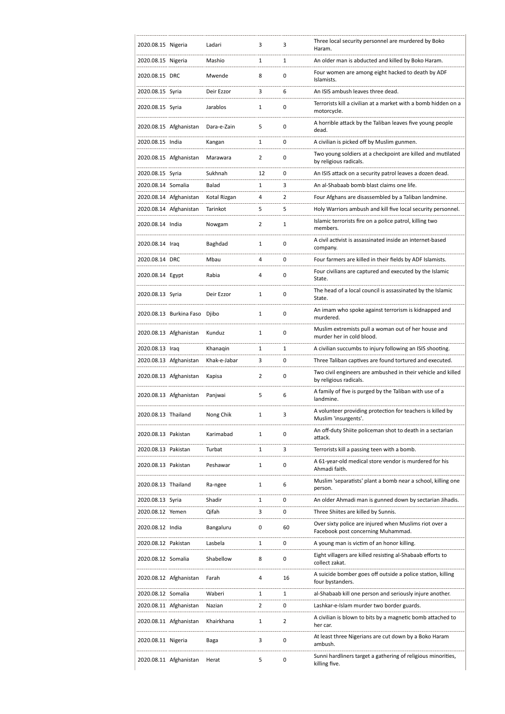| 2020.08.15 Nigeria  |                         | Ladari       | 3              | 3              | Three local security personnel are murdered by Boko<br>Haram.                                |
|---------------------|-------------------------|--------------|----------------|----------------|----------------------------------------------------------------------------------------------|
| 2020.08.15 Nigeria  |                         | Mashio       | 1              | 1              | An older man is abducted and killed by Boko Haram.                                           |
| 2020.08.15 DRC      |                         | Mwende       | 8              | 0              | Four women are among eight hacked to death by ADF<br>Islamists.                              |
| 2020.08.15 Syria    |                         | Deir Ezzor   | 3              | 6              | An ISIS ambush leaves three dead.                                                            |
| 2020.08.15 Syria    |                         | Jarablos     | 1              | $\mathbf 0$    | Terrorists kill a civilian at a market with a bomb hidden on a<br>motorcycle.                |
|                     | 2020.08.15 Afghanistan  | Dara-e-Zain  | 5              | $\mathbf 0$    | A horrible attack by the Taliban leaves five young people<br>dead.                           |
| 2020.08.15 India    |                         | Kangan       | 1              | 0              | A civilian is picked off by Muslim gunmen.                                                   |
|                     | 2020.08.15 Afghanistan  | Marawara     | $\overline{2}$ | $\mathbf 0$    | Two young soldiers at a checkpoint are killed and mutilated<br>by religious radicals.        |
| 2020.08.15 Syria    |                         | Sukhnah      | 12             | 0              | An ISIS attack on a security patrol leaves a dozen dead.                                     |
| 2020.08.14 Somalia  |                         | Balad        | $\mathbf{1}$   | 3              | An al-Shabaab bomb blast claims one life.                                                    |
|                     | 2020.08.14 Afghanistan  | Kotal Rizgan | 4              | 2              | Four Afghans are disassembled by a Taliban landmine.                                         |
|                     | 2020.08.14 Afghanistan  | Tarinkot     | 5              | 5              | Holy Warriors ambush and kill five local security personnel.                                 |
| 2020.08.14 India    |                         | Nowgam       | $\overline{2}$ | 1              | Islamic terrorists fire on a police patrol, killing two<br>members.                          |
| 2020.08.14 Iraq     |                         | Baghdad      | $\mathbf{1}$   | 0              | A civil activist is assassinated inside an internet-based<br>company.                        |
| 2020.08.14 DRC      |                         | Mbau         | 4              | $\mathbf 0$    | Four farmers are killed in their fields by ADF Islamists.                                    |
| 2020.08.14 Egypt    |                         | Rabia        | 4              | $\mathbf 0$    | Four civilians are captured and executed by the Islamic<br>State.                            |
| 2020.08.13 Syria    |                         | Deir Ezzor   | 1              | 0              | The head of a local council is assassinated by the Islamic<br>State.                         |
|                     | 2020.08.13 Burkina Faso | Djibo        | 1              | 0              | An imam who spoke against terrorism is kidnapped and<br>murdered.                            |
|                     | 2020.08.13 Afghanistan  | Kunduz       | $\mathbf{1}$   | 0              | Muslim extremists pull a woman out of her house and<br>murder her in cold blood.             |
| 2020.08.13 Iraq     |                         | Khanaqin     | $\mathbf{1}$   | 1              | A civilian succumbs to injury following an ISIS shooting.                                    |
|                     | 2020.08.13 Afghanistan  | Khak-e-Jabar | 3              | 0              | Three Taliban captives are found tortured and executed.                                      |
|                     | 2020.08.13 Afghanistan  | Kapisa       | $\overline{2}$ | 0              | Two civil engineers are ambushed in their vehicle and killed<br>by religious radicals.       |
|                     | 2020.08.13 Afghanistan  | Panjwai      | 5              | 6              | A family of five is purged by the Taliban with use of a<br>landmine.                         |
| 2020.08.13 Thailand |                         | Nong Chik    | 1              | 3              | A volunteer providing protection for teachers is killed by<br>Muslim 'insurgents'.           |
| 2020.08.13 Pakistan |                         | Karimabad    | 1              | 0              | An off-duty Shiite policeman shot to death in a sectarian<br>attack.                         |
| 2020.08.13 Pakistan |                         | Turbat       | 1              | 3              | Terrorists kill a passing teen with a bomb.                                                  |
| 2020.08.13 Pakistan |                         | Peshawar     | 1              | 0              | A 61-year-old medical store vendor is murdered for his<br>Ahmadi faith.                      |
| 2020.08.13 Thailand |                         | Ra-ngee      | 1              | 6              | Muslim 'separatists' plant a bomb near a school, killing one<br>person.                      |
| 2020.08.13 Syria    |                         | Shadir       | 1              | 0              | An older Ahmadi man is gunned down by sectarian Jihadis.                                     |
| 2020.08.12 Yemen    |                         | Qifah        | 3              | 0              | Three Shiites are killed by Sunnis.                                                          |
| 2020.08.12 India    |                         | Bangaluru    | 0              | 60             | Over sixty police are injured when Muslims riot over a<br>Facebook post concerning Muhammad. |
| 2020.08.12 Pakistan |                         | Lasbela      | 1              | 0              | A young man is victim of an honor killing.                                                   |
| 2020.08.12 Somalia  |                         | Shabellow    | 8              | 0              | Eight villagers are killed resisting al-Shabaab efforts to<br>collect zakat.                 |
|                     | 2020.08.12 Afghanistan  | Farah        | 4              | 16             | A suicide bomber goes off outside a police station, killing<br>four bystanders.              |
| 2020.08.12 Somalia  |                         | Waberi       | 1              | 1              | al-Shabaab kill one person and seriously injure another.                                     |
|                     | 2020.08.11 Afghanistan  | Nazian       | $\overline{2}$ | 0              | Lashkar-e-Islam murder two border guards.                                                    |
|                     | 2020.08.11 Afghanistan  | Khairkhana   | 1              | $\overline{2}$ | A civilian is blown to bits by a magnetic bomb attached to<br>her car.                       |
| 2020.08.11 Nigeria  |                         | Baga         | 3              | 0              | At least three Nigerians are cut down by a Boko Haram<br>ambush.                             |
|                     | 2020.08.11 Afghanistan  | Herat        | 5              | 0              | Sunni hardliners target a gathering of religious minorities,<br>killing five.                |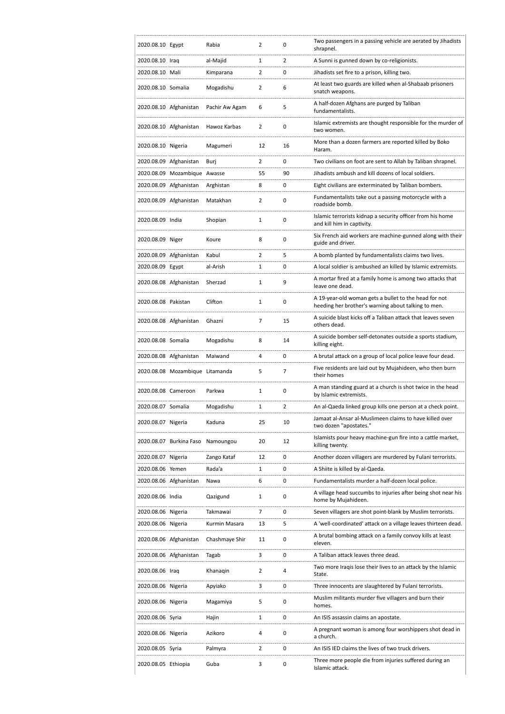| 2020.08.10 Egypt    |                                 | Rabia          | 2              | 0              | Two passengers in a passing vehicle are aerated by Jihadists<br>shrapnel.                                    |
|---------------------|---------------------------------|----------------|----------------|----------------|--------------------------------------------------------------------------------------------------------------|
| 2020.08.10 Iraq     |                                 | al-Majid       | 1              | $\overline{2}$ | A Sunni is gunned down by co-religionists.                                                                   |
| 2020.08.10 Mali     |                                 | Kimparana      | 2              | 0              | Jihadists set fire to a prison, killing two.                                                                 |
| 2020.08.10 Somalia  |                                 | Mogadishu      | 2              | 6              | At least two guards are killed when al-Shabaab prisoners<br>snatch weapons.                                  |
|                     | 2020.08.10 Afghanistan          | Pachir Aw Agam | 6              | 5              | A half-dozen Afghans are purged by Taliban<br>fundamentalists.                                               |
|                     | 2020.08.10 Afghanistan          | Hawoz Karbas   | 2              | $\mathbf 0$    | Islamic extremists are thought responsible for the murder of<br>two women.                                   |
| 2020.08.10 Nigeria  |                                 | Magumeri       | 12             | 16             | More than a dozen farmers are reported killed by Boko<br>Haram.                                              |
|                     | 2020.08.09 Afghanistan          | Burj           | 2              | 0              | Two civilians on foot are sent to Allah by Taliban shrapnel.                                                 |
|                     | 2020.08.09 Mozambique Awasse    |                | 55             | 90             | Jihadists ambush and kill dozens of local soldiers.                                                          |
|                     | 2020.08.09 Afghanistan          | Arghistan      | 8              | 0              | Eight civilians are exterminated by Taliban bombers.                                                         |
|                     | 2020.08.09 Afghanistan          | Matakhan       | 2              | $\mathbf 0$    | Fundamentalists take out a passing motorcycle with a<br>roadside bomb.                                       |
| 2020.08.09 India    |                                 | Shopian        | 1              | 0              | Islamic terrorists kidnap a security officer from his home<br>and kill him in captivity.                     |
| 2020.08.09 Niger    |                                 | Koure          | 8              | $\mathbf 0$    | Six French aid workers are machine-gunned along with their<br>guide and driver.                              |
|                     | 2020.08.09 Afghanistan          | Kabul          | $\overline{2}$ | 5              | A bomb planted by fundamentalists claims two lives.                                                          |
| 2020.08.09 Egypt    |                                 | al-Arish       | 1              | 0              | A local soldier is ambushed an killed by Islamic extremists.                                                 |
|                     | 2020.08.08 Afghanistan          | Sherzad        | $\mathbf{1}$   | 9              | A mortar fired at a family home is among two attacks that<br>leave one dead.                                 |
| 2020.08.08 Pakistan |                                 | Clifton        | $\mathbf{1}$   | $\mathbf 0$    | A 19-year-old woman gets a bullet to the head for not<br>heeding her brother's warning about talking to men. |
|                     | 2020.08.08 Afghanistan          | Ghazni         | $\overline{7}$ | 15             | A suicide blast kicks off a Taliban attack that leaves seven<br>others dead.                                 |
| 2020.08.08 Somalia  |                                 | Mogadishu      | 8              | 14             | A suicide bomber self-detonates outside a sports stadium,<br>killing eight.                                  |
|                     | 2020.08.08 Afghanistan          | Maiwand        | 4              | 0              | A brutal attack on a group of local police leave four dead.                                                  |
|                     | 2020.08.08 Mozambique Litamanda |                | 5              | $\overline{7}$ | Five residents are laid out by Mujahideen, who then burn<br>their homes                                      |
| 2020.08.08 Cameroon |                                 | Parkwa         | $\mathbf{1}$   | $\mathbf 0$    | A man standing guard at a church is shot twice in the head<br>by Islamic extremists.                         |
| 2020.08.07 Somalia  |                                 | Mogadishu      | 1              | 2              | An al-Qaeda linked group kills one person at a check point.                                                  |
| 2020.08.07 Nigeria  |                                 | Kaduna         | 25             | 10             | Jamaat al-Ansar al-Muslimeen claims to have killed over<br>two dozen "apostates."                            |
|                     | 2020.08.07 Burkina Faso         | Namoungou      | 20             | 12             | Islamists pour heavy machine-gun fire into a cattle market,<br>killing twenty.                               |
| 2020.08.07 Nigeria  |                                 | Zango Kataf    | 12             | 0              | Another dozen villagers are murdered by Fulani terrorists.                                                   |
| 2020.08.06 Yemen    |                                 | Rada'a         | 1              | 0              | A Shiite is killed by al-Qaeda.                                                                              |
|                     | 2020.08.06 Afghanistan          | Nawa           | 6              | 0              | Fundamentalists murder a half-dozen local police.                                                            |
| 2020.08.06 India    |                                 | Qazigund       | 1              | 0              | A village head succumbs to injuries after being shot near his<br>home by Mujahideen.                         |
| 2020.08.06 Nigeria  |                                 | Takmawai       | 7              | 0              | Seven villagers are shot point-blank by Muslim terrorists.                                                   |
| 2020.08.06 Nigeria  |                                 | Kurmin Masara  | 13             | 5              | A 'well-coordinated' attack on a village leaves thirteen dead.                                               |
|                     | 2020.08.06 Afghanistan          | Chashmaye Shir | 11             | 0              | A brutal bombing attack on a family convoy kills at least<br>eleven.                                         |
|                     | 2020.08.06 Afghanistan          | Tagab          | 3              | 0              | A Taliban attack leaves three dead.                                                                          |
| 2020.08.06 Iraq     |                                 | Khanaqin       | 2              | 4              | Two more Iraqis lose their lives to an attack by the Islamic<br>State.                                       |
| 2020.08.06 Nigeria  |                                 | Apyiako        | 3              | 0              | Three innocents are slaughtered by Fulani terrorists.                                                        |
| 2020.08.06 Nigeria  |                                 | Magamiya       | 5              | 0              | Muslim militants murder five villagers and burn their<br>homes.                                              |
| 2020.08.06 Syria    |                                 | Hajin          | 1              | 0              | An ISIS assassin claims an apostate.                                                                         |
| 2020.08.06 Nigeria  |                                 | Azikoro        | 4              | 0              | A pregnant woman is among four worshippers shot dead in<br>a church.                                         |
| 2020.08.05 Syria    |                                 | Palmyra        | $\overline{2}$ | 0              | An ISIS IED claims the lives of two truck drivers.                                                           |
| 2020.08.05 Ethiopia |                                 | Guba           | 3              | 0              | Three more people die from injuries suffered during an<br>Islamic attack.                                    |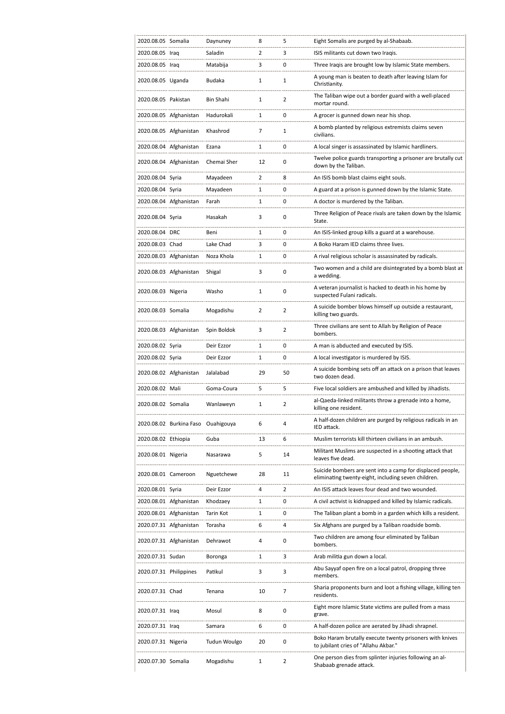|                     | 2020.08.05 Somalia                 | Daynuney     | 8            | 5              | Eight Somalis are purged by al-Shabaab.                                                                           |
|---------------------|------------------------------------|--------------|--------------|----------------|-------------------------------------------------------------------------------------------------------------------|
| 2020.08.05 Iraq     |                                    | Saladin      | 2            | 3              | ISIS militants cut down two Iragis.                                                                               |
| 2020.08.05 Iraq     |                                    | Matabija     | 3            | 0              | Three Iraqis are brought low by Islamic State members.                                                            |
| 2020.08.05 Uganda   |                                    | Budaka       | 1            | 1              | A young man is beaten to death after leaving Islam for<br>Christianity.                                           |
| 2020.08.05 Pakistan |                                    | Bin Shahi    | $\mathbf{1}$ | $\overline{2}$ | The Taliban wipe out a border guard with a well-placed<br>mortar round.                                           |
|                     | 2020.08.05 Afghanistan             | Hadurokali   | 1            | 0              | A grocer is gunned down near his shop.                                                                            |
|                     | 2020.08.05 Afghanistan             | Khashrod     | 7            | $\mathbf{1}$   | A bomb planted by religious extremists claims seven<br>civilians.                                                 |
|                     | 2020.08.04 Afghanistan             | Ezana        | 1            | 0              | A local singer is assassinated by Islamic hardliners.                                                             |
|                     | 2020.08.04 Afghanistan             | Chemai Sher  | 12           | 0              | Twelve police guards transporting a prisoner are brutally cut<br>down by the Taliban.                             |
| 2020.08.04 Syria    |                                    | Mayadeen     | 2            | 8              | An ISIS bomb blast claims eight souls.                                                                            |
| 2020.08.04 Syria    |                                    | Mayadeen     | 1            | 0              | A guard at a prison is gunned down by the Islamic State.                                                          |
|                     | 2020.08.04 Afghanistan             | Farah        | 1            | 0              | A doctor is murdered by the Taliban.                                                                              |
| 2020.08.04 Syria    |                                    | Hasakah      | 3            | $\mathbf 0$    | Three Religion of Peace rivals are taken down by the Islamic<br>State.                                            |
| 2020.08.04 DRC      |                                    | Beni         | 1            | 0              | An ISIS-linked group kills a guard at a warehouse.                                                                |
| 2020.08.03 Chad     |                                    | Lake Chad    | 3            | 0              | A Boko Haram IED claims three lives.                                                                              |
|                     | 2020.08.03 Afghanistan             | Noza Khola   | 1            | 0              | A rival religious scholar is assassinated by radicals.                                                            |
|                     | 2020.08.03 Afghanistan             | Shigal       | 3            | $\mathbf 0$    | Two women and a child are disintegrated by a bomb blast at<br>a wedding.                                          |
| 2020.08.03 Nigeria  |                                    | Washo        | 1            | $\mathbf 0$    | A veteran journalist is hacked to death in his home by<br>suspected Fulani radicals.                              |
| 2020.08.03 Somalia  |                                    | Mogadishu    | 2            | 2              | A suicide bomber blows himself up outside a restaurant,<br>killing two guards.                                    |
|                     | 2020.08.03 Afghanistan             | Spin Boldok  | 3            | $\overline{2}$ | Three civilians are sent to Allah by Religion of Peace<br>bombers.                                                |
| 2020.08.02 Syria    |                                    | Deir Ezzor   | 1            | 0              | A man is abducted and executed by ISIS.                                                                           |
| 2020.08.02 Syria    |                                    | Deir Ezzor   | 1            | 0              | A local investigator is murdered by ISIS.                                                                         |
|                     |                                    |              |              |                |                                                                                                                   |
|                     | 2020.08.02 Afghanistan             | Jalalabad    | 29           | 50             | A suicide bombing sets off an attack on a prison that leaves<br>two dozen dead.                                   |
| 2020.08.02 Mali     |                                    | Goma-Coura   | 5            | 5              | Five local soldiers are ambushed and killed by Jihadists.                                                         |
| 2020.08.02 Somalia  |                                    | Wanlaweyn    | 1            | $\overline{2}$ | al-Qaeda-linked militants throw a grenade into a home,                                                            |
|                     | 2020.08.02 Burkina Faso Ouahigouya |              | 6            | 4              | killing one resident.<br>A half-dozen children are purged by religious radicals in an                             |
|                     |                                    |              |              |                | IED attack.                                                                                                       |
| 2020.08.02 Ethiopia |                                    | Guba         | 13           | 6              | Muslim terrorists kill thirteen civilians in an ambush.                                                           |
| 2020.08.01 Nigeria  |                                    | Nasarawa     | 5            | 14             | Militant Muslims are suspected in a shooting attack that<br>leaves five dead.                                     |
| 2020.08.01 Cameroon |                                    | Nguetchewe   | 28           | 11             | Suicide bombers are sent into a camp for displaced people,<br>eliminating twenty-eight, including seven children. |
| 2020.08.01 Syria    |                                    | Deir Ezzor   | 4            | $\overline{2}$ | An ISIS attack leaves four dead and two wounded.                                                                  |
|                     | 2020.08.01 Afghanistan             | Khodzaey     | 1            | 0              | A civil activist is kidnapped and killed by Islamic radicals.                                                     |
|                     | 2020.08.01 Afghanistan             | Tarin Kot    | 1            | 0              | The Taliban plant a bomb in a garden which kills a resident.                                                      |
|                     | 2020.07.31 Afghanistan             | Torasha      | 6            | 4              | Six Afghans are purged by a Taliban roadside bomb.                                                                |
|                     | 2020.07.31 Afghanistan             | Dehrawot     | 4            | 0              | Two children are among four eliminated by Taliban<br>bombers.                                                     |
| 2020.07.31 Sudan    |                                    | Boronga      | 1            | 3              | Arab militia gun down a local.                                                                                    |
|                     | 2020.07.31 Philippines             | Patikul      | 3            | 3              | Abu Sayyaf open fire on a local patrol, dropping three<br>members.                                                |
| 2020.07.31 Chad     |                                    | Tenana       | 10           | 7              | Sharia proponents burn and loot a fishing village, killing ten<br>residents.                                      |
| 2020.07.31 Iraq     |                                    | Mosul        | 8            | 0              | Eight more Islamic State victims are pulled from a mass<br>grave.                                                 |
| 2020.07.31 Iraq     |                                    | Samara       | 6            | 0              | A half-dozen police are aerated by Jihadi shrapnel.                                                               |
| 2020.07.31 Nigeria  |                                    | Tudun Woulgo | 20           | 0              | Boko Haram brutally execute twenty prisoners with knives<br>to jubilant cries of "Allahu Akbar."                  |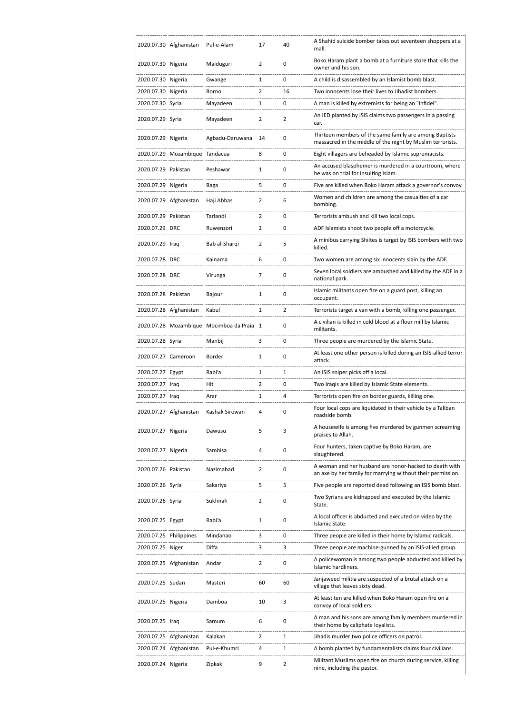|                        | 2020.07.30 Afghanistan         | Pul-e-Alam                                | 17             | 40             | A Shahid suicide bomber takes out seventeen shoppers at a<br>mall.                                                    |
|------------------------|--------------------------------|-------------------------------------------|----------------|----------------|-----------------------------------------------------------------------------------------------------------------------|
| 2020.07.30 Nigeria     |                                | Maiduguri                                 | $\overline{2}$ | 0              | Boko Haram plant a bomb at a furniture store that kills the<br>owner and his son.                                     |
| 2020.07.30 Nigeria     |                                | Gwange                                    | 1              | 0              | A child is disassembled by an Islamist bomb blast.                                                                    |
| 2020.07.30 Nigeria     |                                | Borno                                     | $\overline{2}$ | 16             | Two innocents lose their lives to Jihadist bombers.                                                                   |
| 2020.07.30 Syria       |                                | Mayadeen                                  | 1              | 0              | A man is killed by extremists for being an "infidel".                                                                 |
| 2020.07.29 Syria       |                                | Mayadeen                                  | 2              | $\overline{2}$ | An IED planted by ISIS claims two passengers in a passing<br>car.                                                     |
| 2020.07.29 Nigeria     |                                | Agbadu-Daruwana                           | 14             | 0              | Thirteen members of the same family are among Baptists<br>massacred in the middle of the night by Muslim terrorists.  |
|                        | 2020.07.29 Mozambique Tandacua |                                           | 8              | 0              | Eight villagers are beheaded by Islamic supremacists.                                                                 |
| 2020.07.29 Pakistan    |                                | Peshawar                                  | $\mathbf{1}$   | 0              | An accused blasphemer is murdered in a courtroom, where<br>he was on trial for insulting Islam.                       |
| 2020.07.29 Nigeria     |                                | Baga                                      | 5              | 0              | Five are killed when Boko Haram attack a governor's convoy.                                                           |
|                        | 2020.07.29 Afghanistan         | Haji Abbas                                | 2              | 6              | Women and children are among the casualties of a car<br>bombing.                                                      |
| 2020.07.29 Pakistan    |                                | Tarlandi                                  | $\overline{2}$ | 0              | Terrorists ambush and kill two local cops.                                                                            |
| 2020.07.29 DRC         |                                | Ruwenzori                                 | $\overline{2}$ | 0              | ADF Islamists shoot two people off a motorcycle.                                                                      |
| 2020.07.29 Iraq        |                                | Bab al-Shargi                             | 2              | 5              | A minibus carrying Shiites is target by ISIS bombers with two<br>killed.                                              |
| 2020.07.28 DRC         |                                | Kainama                                   | 6              | 0              | Two women are among six innocents slain by the ADF.                                                                   |
| 2020.07.28 DRC         |                                | Virunga                                   | $\overline{7}$ | 0              | Seven local soldiers are ambushed and killed by the ADF in a<br>national park.                                        |
| 2020.07.28 Pakistan    |                                | Bajour                                    | 1              | 0              | Islamic militants open fire on a guard post, killing an<br>occupant.                                                  |
|                        | 2020.07.28 Afghanistan         | Kabul                                     | 1              | $\overline{2}$ | Terrorists target a van with a bomb, killing one passenger.                                                           |
|                        |                                | 2020.07.28 Mozambique Mocimboa da Praia 1 |                | 0              | A civilian is killed in cold blood at a flour mill by Islamic<br>militants.                                           |
| 2020.07.28 Syria       |                                | Manbij                                    | 3              | 0              | Three people are murdered by the Islamic State.                                                                       |
| 2020.07.27 Cameroon    |                                | Border                                    | $\mathbf{1}$   | 0              | At least one other person is killed during an ISIS-allied terror<br>attack.                                           |
| 2020.07.27 Egypt       |                                | Rabi'a                                    | 1              | 1              | An ISIS sniper picks off a local.                                                                                     |
| 2020.07.27 Iraq        |                                | Hit                                       | 2              | 0              | Two Iraqis are killed by Islamic State elements.                                                                      |
| 2020.07.27 Iraq        |                                | Arar                                      | 1              | 4              | Terrorists open fire on border guards, killing one.                                                                   |
|                        | 2020.07.27 Afghanistan         | Kashak Sirowan                            | 4              | 0              | Four local cops are liquidated in their vehicle by a Taliban<br>roadside bomb.                                        |
| 2020.07.27 Nigeria     |                                | Dawusu                                    | 5              | 3              | A housewife is among five murdered by gunmen screaming<br>praises to Allah.                                           |
| 2020.07.27 Nigeria     |                                | Sambisa                                   | 4              | 0              | Four hunters, taken captive by Boko Haram, are<br>slaughtered.                                                        |
| 2020.07.26 Pakistan    |                                | Nazimabad                                 | 2              | 0              | A woman and her husband are honor-hacked to death with<br>an axe by her family for marrying without their permission. |
| 2020.07.26 Syria       |                                | Sakariya                                  | 5              | 5              | Five people are reported dead following an ISIS bomb blast.                                                           |
| 2020.07.26 Syria       |                                | Sukhnah                                   | $\overline{2}$ | 0              | Two Syrians are kidnapped and executed by the Islamic<br>State.                                                       |
| 2020.07.25 Egypt       |                                | Rabi'a                                    | 1              | 0              | A local officer is abducted and executed on video by the<br>Islamic State.                                            |
| 2020.07.25 Philippines |                                | Mindanao                                  | 3              | 0              | Three people are killed in their home by Islamic radicals.                                                            |
| 2020.07.25 Niger       |                                | Diffa                                     | 3              | 3              | Three people are machine-gunned by an ISIS-allied group.                                                              |
|                        | 2020.07.25 Afghanistan         | Andar                                     | $\overline{2}$ | 0              | A policewoman is among two people abducted and killed by<br>Islamic hardliners.                                       |
| 2020.07.25 Sudan       |                                | Masteri                                   | 60             | 60             | Janjaweed militia are suspected of a brutal attack on a<br>village that leaves sixty dead.                            |
| 2020.07.25 Nigeria     |                                | Damboa                                    | 10             | 3              | At least ten are killed when Boko Haram open fire on a<br>convoy of local soldiers.                                   |
| 2020.07.25 Iraq        |                                | Samum                                     | 6              | 0              | A man and his sons are among family members murdered in<br>their home by caliphate loyalists.                         |
|                        | 2020.07.25 Afghanistan         | Kalakan                                   | 2              | 1              | Jihadis murder two police officers on patrol.                                                                         |
|                        | 2020.07.24 Afghanistan         | Pul-e-Khumri                              | 4              | 1              | A bomb planted by fundamentalists claims four civilians.                                                              |
| 2020.07.24 Nigeria     |                                | Zipkak                                    | 9              | $\overline{2}$ | Militant Muslims open fire on church during service, killing<br>nine, including the pastor.                           |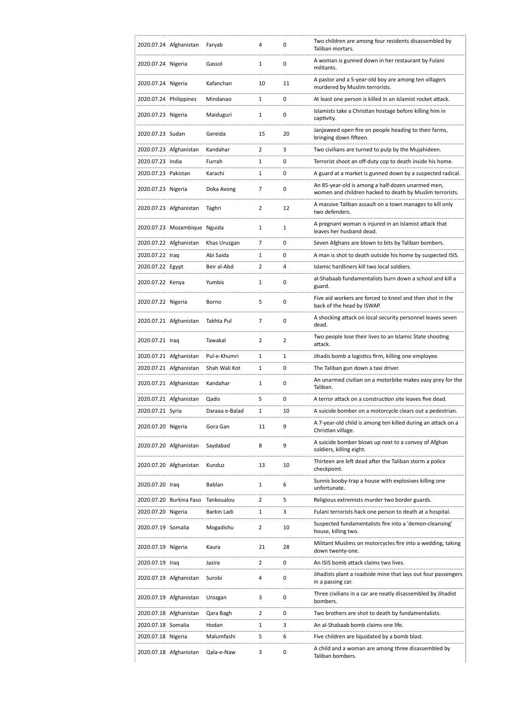|                     | 2020.07.24 Afghanistan       | Faryab         | 4              | 0  | Two children are among four residents disassembled by<br>Taliban mortars.                                     |
|---------------------|------------------------------|----------------|----------------|----|---------------------------------------------------------------------------------------------------------------|
| 2020.07.24 Nigeria  |                              | Gassol         | 1              | 0  | A woman is gunned down in her restaurant by Fulani<br>militants.                                              |
| 2020.07.24 Nigeria  |                              | Kafanchan      | 10             | 11 | A pastor and a 5-year-old boy are among ten villagers<br>murdered by Muslim terrorists.                       |
|                     | 2020.07.24 Philippines       | Mindanao       | 1              | 0  | At least one person is killed in an Islamist rocket attack.                                                   |
| 2020.07.23 Nigeria  |                              | Maiduguri      | $\mathbf{1}$   | 0  | Islamists take a Christian hostage before killing him in<br>captivity.                                        |
| 2020.07.23 Sudan    |                              | Gereida        | 15             | 20 | Janjaweed open fire on people heading to their farms,<br>bringing down fifteen.                               |
|                     | 2020.07.23 Afghanistan       | Kandahar       | $\overline{2}$ | 3  | Two civilians are turned to pulp by the Mujahideen.                                                           |
| 2020.07.23 India    |                              | Furrah         | 1              | 0  | Terrorist shoot an off-duty cop to death inside his home.                                                     |
| 2020.07.23 Pakistan |                              | Karachi        | 1              | 0  | A guard at a market is gunned down by a suspected radical.                                                    |
| 2020.07.23 Nigeria  |                              | Doka Avong     | 7              | 0  | An 85-year-old is among a half-dozen unarmed men,<br>women and children hacked to death by Muslim terrorists. |
|                     | 2020.07.23 Afghanistan       | Taghri         | $\overline{2}$ | 12 | A massive Taliban assault on a town manages to kill only<br>two defenders.                                    |
|                     | 2020.07.23 Mozambique Nguida |                | 1              | 1  | A pregnant woman is injured in an Islamist attack that<br>leaves her husband dead.                            |
|                     | 2020.07.22 Afghanistan       | Khas Uruzgan   | 7              | 0  | Seven Afghans are blown to bits by Taliban bombers.                                                           |
| 2020.07.22 Iraq     |                              | Abi Saida      | 1              | 0  | A man is shot to death outside his home by suspected ISIS.                                                    |
| 2020.07.22 Egypt    |                              | Beir al-Abd    | 2              | 4  | Islamic hardliners kill two local soldiers.                                                                   |
| 2020.07.22 Kenya    |                              | Yumbis         | 1              | 0  | al-Shabaab fundamentalists burn down a school and kill a<br>guard.                                            |
| 2020.07.22 Nigeria  |                              | Borno          | 5              | 0  | Five aid workers are forced to kneel and then shot in the<br>back of the head by ISWAP.                       |
|                     | 2020.07.21 Afghanistan       | Takhta Pul     | $\overline{7}$ | 0  | A shocking attack on local security personnel leaves seven<br>dead.                                           |
| 2020.07.21 Iraq     |                              | Tawakal        | 2              | 2  | Two people lose their lives to an Islamic State shooting<br>attack.                                           |
|                     | 2020.07.21 Afghanistan       | Pul-e-Khumri   | 1              | 1  | Jihadis bomb a logistics firm, killing one employee.                                                          |
|                     | 2020.07.21 Afghanistan       | Shah Wali Kot  | 1              | 0  | The Taliban gun down a taxi driver.                                                                           |
|                     | 2020.07.21 Afghanistan       | Kandahar       | $\mathbf{1}$   | 0  | An unarmed civilian on a motorbike makes easy prey for the<br>Taliban.                                        |
|                     | 2020.07.21 Afghanistan       | Qadis          | 5              | 0  | A terror attack on a construction site leaves five dead.                                                      |
| 2020.07.21 Syria    |                              | Daraaa e-Balad | 1              | 10 | A suicide bomber on a motorcycle clears out a pedestrian.                                                     |
| 2020.07.20 Nigeria  |                              | Gora Gan       | 11             | 9  | A 7-year-old child is among ten killed during an attack on a<br>Christian village.                            |
|                     | 2020.07.20 Afghanistan       | Saydabad       | 8              | 9  | A suicide bomber blows up next to a convoy of Afghan<br>soldiers, killing eight.                              |
|                     | 2020.07.20 Afghanistan       | Kunduz         | 13             | 10 | Thirteen are left dead after the Taliban storm a police<br>checkpoint.                                        |
| 2020.07.20 Iraq     |                              | Bablan         | 1              | 6  | Sunnis booby-trap a house with explosives killing one<br>unfortunate.                                         |
|                     | 2020.07.20 Burkina Faso      | Tankoualou     | 2              | 5  | Religious extremists murder two border guards.                                                                |
| 2020.07.20 Nigeria  |                              | Barkin Ladi    | 1              | 3  | Fulani terrorists hack one person to death at a hospital.                                                     |
| 2020.07.19 Somalia  |                              | Mogadishu      | 2              | 10 | Suspected fundamentalists fire into a 'demon-cleansing'<br>house, killing two.                                |
| 2020.07.19 Nigeria  |                              | Kaura          | 21             | 28 | Militant Muslims on motorcycles fire into a wedding, taking<br>down twenty-one.                               |
| 2020.07.19 Iraq     |                              | Jazira         | 2              | 0  | An ISIS bomb attack claims two lives.                                                                         |
|                     | 2020.07.19 Afghanistan       | Surobi         | 4              | 0  | Jihadists plant a roadside mine that lays out four passengers<br>in a passing car.                            |
|                     | 2020.07.19 Afghanistan       | Urozgan        | 3              | 0  | Three civilians in a car are neatly disassembled by Jihadist<br>bombers.                                      |
|                     | 2020.07.18 Afghanistan       | Qara Bagh      | 2              | 0  | Two brothers are shot to death by fundamentalists.                                                            |
| 2020.07.18 Somalia  |                              | Hodan          | 1              | 3  | An al-Shabaab bomb claims one life.                                                                           |
| 2020.07.18 Nigeria  |                              | Malumfashi     | 5              | 6  | Five children are liquidated by a bomb blast.                                                                 |
|                     |                              |                |                |    |                                                                                                               |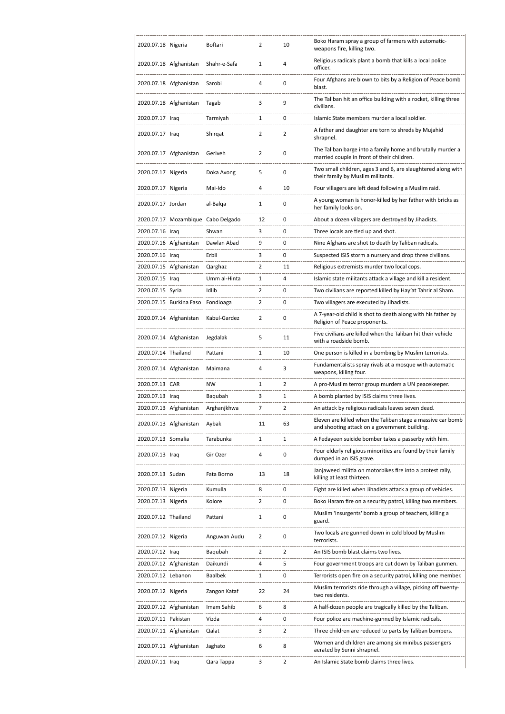| 2020.07.18 Nigeria     |                         | Boftari                            | 2              | 10             | Boko Haram spray a group of farmers with automatic-<br>weapons fire, killing two.                            |
|------------------------|-------------------------|------------------------------------|----------------|----------------|--------------------------------------------------------------------------------------------------------------|
|                        | 2020.07.18 Afghanistan  | Shahr-e-Safa                       | 1              | 4              | Religious radicals plant a bomb that kills a local police<br>officer.                                        |
|                        | 2020.07.18 Afghanistan  | Sarobi                             | 4              | $\mathbf 0$    | Four Afghans are blown to bits by a Religion of Peace bomb<br>blast.                                         |
|                        | 2020.07.18 Afghanistan  | Tagab                              | 3              | 9              | The Taliban hit an office building with a rocket, killing three<br>civilians.                                |
| 2020.07.17 Iraq        |                         | Tarmiyah                           | 1              | 0              | Islamic State members murder a local soldier.                                                                |
| 2020.07.17 Iraq        |                         | Shirgat                            | 2              | $\overline{2}$ | A father and daughter are torn to shreds by Mujahid<br>shrapnel.                                             |
|                        | 2020.07.17 Afghanistan  | Geriveh                            | $\overline{2}$ | 0              | The Taliban barge into a family home and brutally murder a<br>married couple in front of their children.     |
| 2020.07.17 Nigeria     |                         | Doka Avong                         | 5              | 0              | Two small children, ages 3 and 6, are slaughtered along with<br>their family by Muslim militants.            |
| 2020.07.17 Nigeria     |                         | Mai-Ido                            | 4              | 10             | Four villagers are left dead following a Muslim raid.                                                        |
| 2020.07.17 Jordan      |                         | al-Balga                           | 1              | 0              | A young woman is honor-killed by her father with bricks as<br>her family looks on.                           |
|                        |                         | 2020.07.17 Mozambique Cabo Delgado | 12             | $\mathbf 0$    | About a dozen villagers are destroyed by Jihadists.                                                          |
| 2020.07.16 Iraq        |                         | Shwan                              | 3              | 0              | Three locals are tied up and shot.                                                                           |
|                        | 2020.07.16 Afghanistan  | Dawlan Abad                        | 9              | 0              | Nine Afghans are shot to death by Taliban radicals.                                                          |
| 2020.07.16 Iraq        |                         | Erbil                              | 3              | $\mathbf 0$    | Suspected ISIS storm a nursery and drop three civilians.                                                     |
|                        | 2020.07.15 Afghanistan  | Qarghaz                            | $\overline{2}$ | 11             | Religious extremists murder two local cops.                                                                  |
| 2020.07.15 Iraq        |                         | Umm al-Hinta                       | 1              | 4              | Islamic state militants attack a village and kill a resident.                                                |
| 2020.07.15 Syria       |                         | Idlib                              | $\overline{2}$ | $\mathbf 0$    | Two civilians are reported killed by Hay'at Tahrir al Sham.                                                  |
|                        | 2020.07.15 Burkina Faso | Fondioaga                          | 2              | 0              | Two villagers are executed by Jihadists.                                                                     |
|                        | 2020.07.14 Afghanistan  | Kabul-Gardez                       | 2              | 0              | A 7-year-old child is shot to death along with his father by<br>Religion of Peace proponents.                |
|                        | 2020.07.14 Afghanistan  | Jegdalak                           | 5              | 11             | Five civilians are killed when the Taliban hit their vehicle<br>with a roadside bomb.                        |
| 2020.07.14 Thailand    |                         | Pattani                            | 1              | 10             | One person is killed in a bombing by Muslim terrorists.                                                      |
|                        | 2020.07.14 Afghanistan  | Maimana                            | 4              | 3              | Fundamentalists spray rivals at a mosque with automatic<br>weapons, killing four.                            |
| 2020.07.13 CAR         |                         | <b>NW</b>                          | 1              | 2              | A pro-Muslim terror group murders a UN peacekeeper.                                                          |
| 2020.07.13 Iraq        |                         | Baqubah                            | 3              | 1              | A bomb planted by ISIS claims three lives.                                                                   |
| 2020.07.13 Afghanistan |                         | Arghanjkhwa                        | 7              | $\overline{2}$ | An attack by religious radicals leaves seven dead.                                                           |
|                        |                         |                                    |                |                |                                                                                                              |
|                        | 2020.07.13 Afghanistan  | Aybak                              | 11             | 63             | Eleven are killed when the Taliban stage a massive car bomb<br>and shooting attack on a government building. |
| 2020.07.13 Somalia     |                         | Tarabunka                          | 1              | 1              | A Fedayeen suicide bomber takes a passerby with him.                                                         |
| 2020.07.13 Iraq        |                         | Gir Ozer                           | 4              | 0              | Four elderly religious minorities are found by their family<br>dumped in an ISIS grave.                      |
| 2020.07.13 Sudan       |                         | Fata Borno                         | 13             | 18             | Janjaweed militia on motorbikes fire into a protest rally,<br>killing at least thirteen.                     |
| 2020.07.13 Nigeria     |                         | Kumulla                            | 8              | 0              | Eight are killed when Jihadists attack a group of vehicles.                                                  |
| 2020.07.13 Nigeria     |                         | Kolore                             | $\overline{2}$ | 0              | Boko Haram fire on a security patrol, killing two members.                                                   |
| 2020.07.12 Thailand    |                         | Pattani                            | 1              | 0              | Muslim 'insurgents' bomb a group of teachers, killing a<br>guard.                                            |
| 2020.07.12 Nigeria     |                         | Anguwan Audu                       | 2              | 0              | Two locals are gunned down in cold blood by Muslim<br>terrorists.                                            |
| 2020.07.12 Iraq        |                         | Baqubah                            | $\overline{2}$ | $\overline{2}$ | An ISIS bomb blast claims two lives.                                                                         |
|                        | 2020.07.12 Afghanistan  | Daikundi                           | 4              | 5              | Four government troops are cut down by Taliban gunmen.                                                       |
| 2020.07.12 Lebanon     |                         | <b>Baalbek</b>                     | 1              | 0              | Terrorists open fire on a security patrol, killing one member.                                               |
| 2020.07.12 Nigeria     |                         | Zangon Kataf                       | 22             | 24             | Muslim terrorists ride through a village, picking off twenty-<br>two residents.                              |
|                        | 2020.07.12 Afghanistan  | Imam Sahib                         | 6              | 8              | A half-dozen people are tragically killed by the Taliban.                                                    |
| 2020.07.11 Pakistan    |                         | Vizda                              | 4              | 0              | Four police are machine-gunned by Islamic radicals.                                                          |
|                        | 2020.07.11 Afghanistan  | Qalat                              | 3              | 2              | Three children are reduced to parts by Taliban bombers.                                                      |
|                        | 2020.07.11 Afghanistan  | Jaghato                            | 6              | 8              | Women and children are among six minibus passengers<br>aerated by Sunni shrapnel.                            |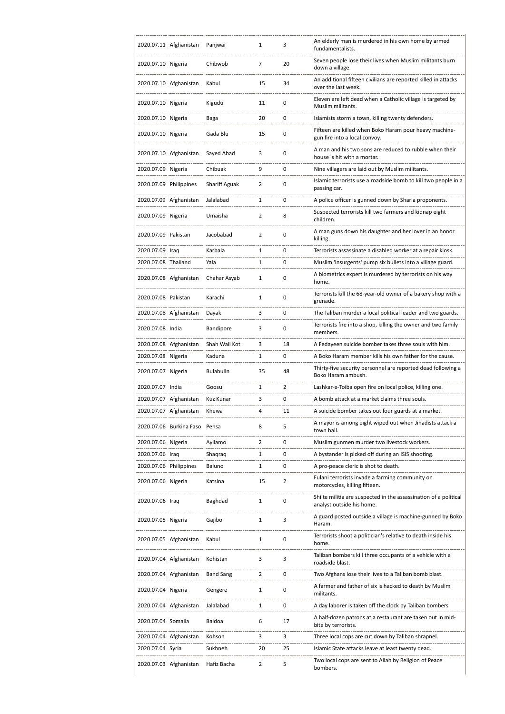|                        | 2020.07.11 Afghanistan        | Panjwai              | 1              | 3              | An elderly man is murdered in his own home by armed<br>fundamentalists.                       |
|------------------------|-------------------------------|----------------------|----------------|----------------|-----------------------------------------------------------------------------------------------|
| 2020.07.10 Nigeria     |                               | Chibwob              | 7              | 20             | Seven people lose their lives when Muslim militants burn<br>down a village.                   |
|                        | 2020.07.10 Afghanistan        | Kabul                | 15             | 34             | An additional fifteen civilians are reported killed in attacks<br>over the last week.         |
| 2020.07.10 Nigeria     |                               | Kigudu               | 11             | 0              | Eleven are left dead when a Catholic village is targeted by<br>Muslim militants.              |
| 2020.07.10 Nigeria     |                               | Baga                 | 20             | 0              | Islamists storm a town, killing twenty defenders.                                             |
| 2020.07.10 Nigeria     |                               | Gada Blu             | 15             | 0              | Fifteen are killed when Boko Haram pour heavy machine-<br>gun fire into a local convoy.       |
|                        | 2020.07.10 Afghanistan        | Sayed Abad           | 3              | 0              | A man and his two sons are reduced to rubble when their<br>house is hit with a mortar.        |
| 2020.07.09 Nigeria     |                               | Chibuak              | 9              | 0              | Nine villagers are laid out by Muslim militants.                                              |
| 2020.07.09 Philippines |                               | <b>Shariff Aguak</b> | 2              | 0              | Islamic terrorists use a roadside bomb to kill two people in a<br>passing car.                |
|                        | 2020.07.09 Afghanistan        | Jalalabad            | $\mathbf{1}$   | 0              | A police officer is gunned down by Sharia proponents.                                         |
| 2020.07.09 Nigeria     |                               | Umaisha              | 2              | 8              | Suspected terrorists kill two farmers and kidnap eight<br>children.                           |
| 2020.07.09 Pakistan    |                               | Jacobabad            | 2              | 0              | A man guns down his daughter and her lover in an honor<br>killing.                            |
| 2020.07.09 Iraq        |                               | Karbala              | $\mathbf{1}$   | 0              | Terrorists assassinate a disabled worker at a repair kiosk.                                   |
| 2020.07.08 Thailand    |                               | Yala                 | $\mathbf{1}$   | 0              | Muslim 'insurgents' pump six bullets into a village guard.                                    |
|                        | 2020.07.08 Afghanistan        | Chahar Asyab         | $\mathbf{1}$   | 0              | A biometrics expert is murdered by terrorists on his way<br>home.                             |
| 2020.07.08 Pakistan    |                               | Karachi              | $\mathbf{1}$   | 0              | Terrorists kill the 68-year-old owner of a bakery shop with a<br>grenade.                     |
|                        | 2020.07.08 Afghanistan        | Dayak                | 3              | 0              | The Taliban murder a local political leader and two guards.                                   |
| 2020.07.08 India       |                               | Bandipore            | 3              | 0              | Terrorists fire into a shop, killing the owner and two family<br>members.                     |
|                        | 2020.07.08 Afghanistan        | Shah Wali Kot        | 3              | 18             | A Fedayeen suicide bomber takes three souls with him.                                         |
| 2020.07.08 Nigeria     |                               | Kaduna               | 1              | 0              | A Boko Haram member kills his own father for the cause.                                       |
| 2020.07.07 Nigeria     |                               | <b>Bulabulin</b>     | 35             | 48             | Thirty-five security personnel are reported dead following a<br>Boko Haram ambush.            |
| 2020.07.07 India       |                               | Goosu                | 1              | 2              | Lashkar-e-Toiba open fire on local police, killing one.                                       |
|                        | 2020.07.07 Afghanistan        | Kuz Kunar            | 3              | 0              | A bomb attack at a market claims three souls.                                                 |
|                        | 2020.07.07 Afghanistan        | Khewa                | 4              | 11             | A suicide bomber takes out four guards at a market.                                           |
|                        |                               |                      |                |                |                                                                                               |
|                        | 2020.07.06 Burkina Faso Pensa |                      | 8              | 5              | A mayor is among eight wiped out when Jihadists attack a<br>town hall.                        |
| 2020.07.06 Nigeria     |                               | Avilamo              | $\overline{2}$ | 0              | Muslim gunmen murder two livestock workers.                                                   |
| 2020.07.06 Iraq        |                               | Shaqraq              | 1              | 0              | A bystander is picked off during an ISIS shooting.                                            |
| 2020.07.06 Philippines |                               | Baluno               | 1              | 0              | A pro-peace cleric is shot to death.                                                          |
| 2020.07.06 Nigeria     |                               | Katsina              | 15             | $\overline{2}$ | Fulani terrorists invade a farming community on<br>motorcycles, killing fifteen.              |
| 2020.07.06 Iraq        |                               | Baghdad              | $\mathbf{1}$   | 0              | Shiite militia are suspected in the assassination of a political<br>analyst outside his home. |
| 2020.07.05 Nigeria     |                               | Gajibo               | 1              | 3              | A guard posted outside a village is machine-gunned by Boko<br>Haram.                          |
|                        | 2020.07.05 Afghanistan        | Kabul                | $\mathbf{1}$   | 0              | Terrorists shoot a politician's relative to death inside his<br>home.                         |
|                        | 2020.07.04 Afghanistan        | Kohistan             | 3              | 3              | Taliban bombers kill three occupants of a vehicle with a<br>roadside blast.                   |
|                        | 2020.07.04 Afghanistan        | <b>Band Sang</b>     | $\overline{2}$ | 0              | Two Afghans lose their lives to a Taliban bomb blast.                                         |
| 2020.07.04 Nigeria     |                               | Gengere              | $\mathbf{1}$   | 0              | A farmer and father of six is hacked to death by Muslim<br>militants.                         |
|                        | 2020.07.04 Afghanistan        | Jalalabad            | $\mathbf{1}$   | 0              | A day laborer is taken off the clock by Taliban bombers                                       |
| 2020.07.04 Somalia     |                               | Baidoa               | 6              | 17             | A half-dozen patrons at a restaurant are taken out in mid-<br>bite by terrorists.             |
|                        | 2020.07.04 Afghanistan        | Kohson               | 3              | 3              | Three local cops are cut down by Taliban shrapnel.                                            |
| 2020.07.04 Syria       |                               | Sukhneh              | 20             | 25             | Islamic State attacks leave at least twenty dead.                                             |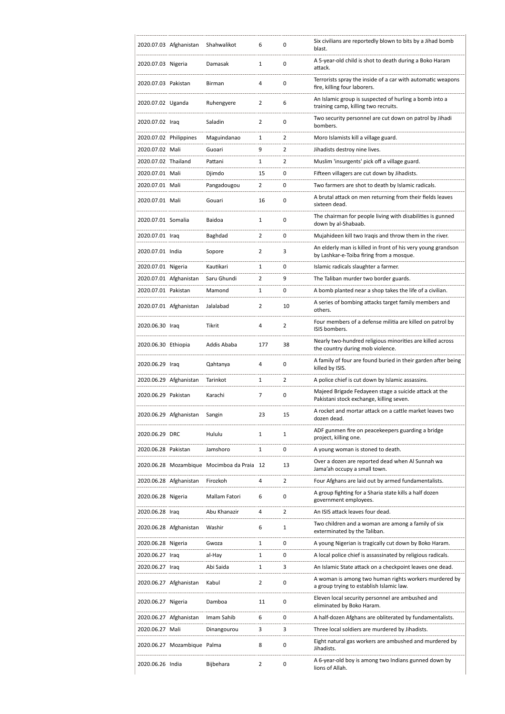|                        | 2020.07.03 Afghanistan      | Shahwalikot                                | 6              | 0              | Six civilians are reportedly blown to bits by a Jihad bomb<br>blast.                                     |
|------------------------|-----------------------------|--------------------------------------------|----------------|----------------|----------------------------------------------------------------------------------------------------------|
| 2020.07.03 Nigeria     |                             | Damasak                                    | 1              | $\mathbf 0$    | A 5-year-old child is shot to death during a Boko Haram<br>attack.                                       |
| 2020.07.03 Pakistan    |                             | Birman                                     | 4              | $\mathbf 0$    | Terrorists spray the inside of a car with automatic weapons<br>fire, killing four laborers.              |
| 2020.07.02 Uganda      |                             | Ruhengyere                                 | 2              | 6              | An Islamic group is suspected of hurling a bomb into a<br>training camp, killing two recruits.           |
| 2020.07.02 Iraq        |                             | Saladin                                    | 2              | 0              | Two security personnel are cut down on patrol by Jihadi<br>bombers.                                      |
| 2020.07.02 Philippines |                             | Maguindanao                                | 1              | $\overline{2}$ | Moro Islamists kill a village guard.                                                                     |
| 2020.07.02 Mali        |                             | Guoari                                     | 9              | 2              | Jihadists destroy nine lives.                                                                            |
| 2020.07.02 Thailand    |                             | Pattani                                    | 1              | $\overline{2}$ | Muslim 'insurgents' pick off a village guard.                                                            |
| 2020.07.01 Mali        |                             | Djimdo                                     | 15             | $\mathbf 0$    | Fifteen villagers are cut down by Jihadists.                                                             |
| 2020.07.01 Mali        |                             | Pangadougou                                | 2              | 0              | Two farmers are shot to death by Islamic radicals.                                                       |
| 2020.07.01 Mali        |                             | Gouari                                     | 16             | 0              | A brutal attack on men returning from their fields leaves<br>sixteen dead.                               |
| 2020.07.01 Somalia     |                             | Baidoa                                     | 1              | 0              | The chairman for people living with disabilities is gunned<br>down by al-Shabaab.                        |
| 2020.07.01 Iraq        |                             | Baghdad                                    | 2              | 0              | Mujahideen kill two Iragis and throw them in the river.                                                  |
| 2020.07.01 India       |                             | Sopore                                     | 2              | 3              | An elderly man is killed in front of his very young grandson<br>by Lashkar-e-Toiba firing from a mosque. |
| 2020.07.01 Nigeria     |                             | Kautikari                                  | 1              | 0              | Islamic radicals slaughter a farmer.                                                                     |
|                        | 2020.07.01 Afghanistan      | Saru Ghundi                                | 2              | 9              | The Taliban murder two border guards.                                                                    |
| 2020.07.01 Pakistan    |                             | Mamond                                     | 1              | $\mathbf 0$    | A bomb planted near a shop takes the life of a civilian.                                                 |
|                        | 2020.07.01 Afghanistan      | Jalalabad                                  | 2              | 10             | A series of bombing attacks target family members and<br>others.                                         |
| 2020.06.30 Iraq        |                             | Tikrit                                     | 4              | 2              | Four members of a defense militia are killed on patrol by<br>ISIS bombers.                               |
| 2020.06.30 Ethiopia    |                             | Addis Ababa                                | 177            | 38             | Nearly two-hundred religious minorities are killed across<br>the country during mob violence.            |
|                        |                             |                                            |                |                |                                                                                                          |
| 2020.06.29 Iraq        |                             | Qahtanya                                   | 4              | 0              | A family of four are found buried in their garden after being<br>killed by ISIS.                         |
|                        | 2020.06.29 Afghanistan      | Tarinkot                                   | 1              | $\overline{2}$ | A police chief is cut down by Islamic assassins.                                                         |
| 2020.06.29 Pakistan    |                             | Karachi                                    | 7              | 0              | Majeed Brigade Fedayeen stage a suicide attack at the<br>Pakistani stock exchange, killing seven.        |
|                        | 2020.06.29 Afghanistan      | Sangin                                     | 23             | 15             | A rocket and mortar attack on a cattle market leaves two<br>dozen dead.                                  |
| 2020.06.29 DRC         |                             | Hululu                                     | 1              | 1              | ADF gunmen fire on peacekeepers guarding a bridge<br>project, killing one.                               |
| 2020.06.28 Pakistan    |                             | Jamshoro                                   | 1              | 0              | A young woman is stoned to death.                                                                        |
|                        |                             | 2020.06.28 Mozambique Mocimboa da Praia 12 |                | 13             | Over a dozen are reported dead when Al Sunnah wa<br>Jama'ah occupy a small town.                         |
|                        | 2020.06.28 Afghanistan      | Firozkoh                                   | 4              | 2              | Four Afghans are laid out by armed fundamentalists.                                                      |
| 2020.06.28 Nigeria     |                             | Mallam Fatori                              | 6              | $\mathbf 0$    | A group fighting for a Sharia state kills a half dozen<br>government employees.                          |
| 2020.06.28 Iraq        |                             | Abu Khanazir                               | 4              | 2              | An ISIS attack leaves four dead.                                                                         |
|                        | 2020.06.28 Afghanistan      | Washir                                     | 6              | 1              | Two children and a woman are among a family of six<br>exterminated by the Taliban.                       |
| 2020.06.28 Nigeria     |                             | Gwoza                                      | 1              | 0              | A young Nigerian is tragically cut down by Boko Haram.                                                   |
| 2020.06.27 Iraq        |                             | al-Hay                                     | 1              | $\mathbf 0$    | A local police chief is assassinated by religious radicals.                                              |
| 2020.06.27 Iraq        |                             | Abi Saida                                  | 1              | 3              | An Islamic State attack on a checkpoint leaves one dead.                                                 |
|                        | 2020.06.27 Afghanistan      | Kabul                                      | 2              | 0              | A woman is among two human rights workers murdered by<br>a group trying to establish Islamic law.        |
| 2020.06.27 Nigeria     |                             | Damboa                                     | 11             | $\mathbf 0$    | Eleven local security personnel are ambushed and<br>eliminated by Boko Haram.                            |
|                        | 2020.06.27 Afghanistan      | Imam Sahib                                 | 6              | 0              | A half-dozen Afghans are obliterated by fundamentalists.                                                 |
| 2020.06.27 Mali        |                             | Dinangourou                                | 3              | 3              | Three local soldiers are murdered by Jihadists.                                                          |
|                        | 2020.06.27 Mozambique Palma |                                            | 8              | 0              | Eight natural gas workers are ambushed and murdered by<br>Jihadists.                                     |
| 2020.06.26 India       |                             | Bijbehara                                  | $\overline{2}$ | 0              | A 6-year-old boy is among two Indians gunned down by                                                     |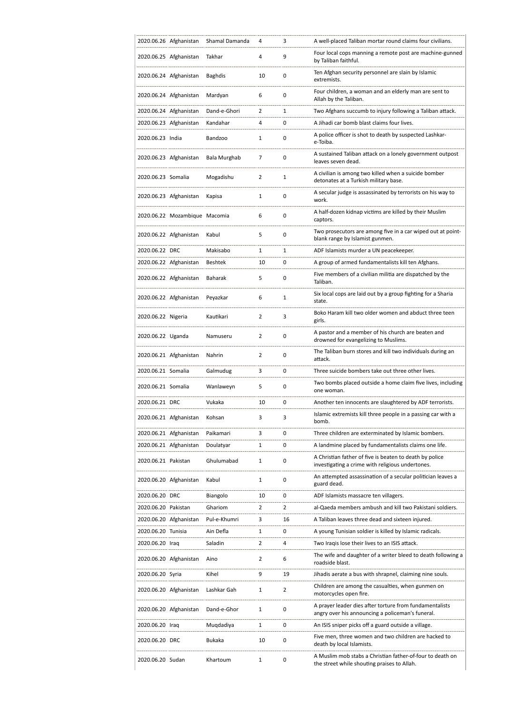|                     | 2020.06.26 Afghanistan        | Shamal Damanda | 4              | 3              | A well-placed Taliban mortar round claims four civilians.                                                   |
|---------------------|-------------------------------|----------------|----------------|----------------|-------------------------------------------------------------------------------------------------------------|
|                     | 2020.06.25 Afghanistan        | Takhar         | 4              | 9              | Four local cops manning a remote post are machine-gunned<br>by Taliban faithful.                            |
|                     | 2020.06.24 Afghanistan        | <b>Baghdis</b> | 10             | 0              | Ten Afghan security personnel are slain by Islamic<br>extremists.                                           |
|                     | 2020.06.24 Afghanistan        | Mardyan        | 6              | 0              | Four children, a woman and an elderly man are sent to<br>Allah by the Taliban.                              |
|                     | 2020.06.24 Afghanistan        | Dand-e-Ghori   | $\overline{2}$ | 1              | Two Afghans succumb to injury following a Taliban attack.                                                   |
|                     | 2020.06.23 Afghanistan        | Kandahar       | 4              | 0              | A Jihadi car bomb blast claims four lives.                                                                  |
| 2020.06.23 India    |                               | Bandzoo        | 1              | 0              | A police officer is shot to death by suspected Lashkar-<br>e-Toiba.                                         |
|                     | 2020.06.23 Afghanistan        | Bala Murghab   | 7              | 0              | A sustained Taliban attack on a lonely government outpost<br>leaves seven dead.                             |
| 2020.06.23 Somalia  |                               | Mogadishu      | $\overline{2}$ | 1              | A civilian is among two killed when a suicide bomber<br>detonates at a Turkish military base.               |
|                     | 2020.06.23 Afghanistan        | Kapisa         | 1              | 0              | A secular judge is assassinated by terrorists on his way to<br>work.                                        |
|                     | 2020.06.22 Mozambique Macomia |                | 6              | 0              | A half-dozen kidnap victims are killed by their Muslim<br>captors.                                          |
|                     | 2020.06.22 Afghanistan        | Kabul          | 5              | 0              | Two prosecutors are among five in a car wiped out at point-<br>blank range by Islamist gunmen.              |
| 2020.06.22 DRC      |                               | Makisabo       | 1              | $\mathbf{1}$   | ADF Islamists murder a UN peacekeeper.                                                                      |
|                     | 2020.06.22 Afghanistan        | <b>Beshtek</b> | 10             | 0              | A group of armed fundamentalists kill ten Afghans.                                                          |
|                     | 2020.06.22 Afghanistan        | Baharak        | 5              | 0              | Five members of a civilian militia are dispatched by the<br>Taliban.                                        |
|                     | 2020.06.22 Afghanistan        | Peyazkar       | 6              | $\mathbf 1$    | Six local cops are laid out by a group fighting for a Sharia<br>state.                                      |
| 2020.06.22 Nigeria  |                               | Kautikari      | $\overline{2}$ | 3              | Boko Haram kill two older women and abduct three teen<br>girls.                                             |
| 2020.06.22 Uganda   |                               | Namuseru       | $\overline{2}$ | 0              | A pastor and a member of his church are beaten and<br>drowned for evangelizing to Muslims.                  |
|                     | 2020.06.21 Afghanistan        | Nahrin         | 2              | 0              | The Taliban burn stores and kill two individuals during an<br>attack.                                       |
| 2020.06.21 Somalia  |                               | Galmudug       | 3              | 0              | Three suicide bombers take out three other lives.                                                           |
| 2020.06.21 Somalia  |                               | Wanlaweyn      | 5              | 0              | Two bombs placed outside a home claim five lives, including<br>one woman.                                   |
| 2020.06.21 DRC      |                               | Vukaka         | 10             | 0              | Another ten innocents are slaughtered by ADF terrorists.                                                    |
|                     | 2020.06.21 Afghanistan        | Kohsan         | 3              | 3              | Islamic extremists kill three people in a passing car with a<br>bomb.                                       |
|                     | 2020.06.21 Afghanistan        | Paikamari      | 3              | 0              | Three children are exterminated by Islamic bombers.                                                         |
|                     | 2020.06.21 Afghanistan        | Doulatyar      | 1              | 0              | A landmine placed by fundamentalists claims one life.                                                       |
| 2020.06.21 Pakistan |                               | Ghulumabad     | 1              | 0              | A Christian father of five is beaten to death by police<br>investigating a crime with religious undertones. |
|                     | 2020.06.20 Afghanistan        | Kabul          | 1              | 0              | An attempted assassination of a secular politician leaves a<br>guard dead.                                  |
| 2020.06.20 DRC      |                               | Biangolo       | 10             | 0              | ADF Islamists massacre ten villagers.                                                                       |
| 2020.06.20 Pakistan |                               | Ghariom        | $\overline{2}$ | $\overline{2}$ | al-Qaeda members ambush and kill two Pakistani soldiers.                                                    |
|                     | 2020.06.20 Afghanistan        | Pul-e-Khumri   | 3              | 16             | A Taliban leaves three dead and sixteen injured.                                                            |
| 2020.06.20 Tunisia  |                               | Ain Defla      | 1              | 0              | A young Tunisian soldier is killed by Islamic radicals.                                                     |
| 2020.06.20 Iraq     |                               | Saladin        | $\overline{2}$ | 4              | Two Iraqis lose their lives to an ISIS attack.                                                              |
|                     | 2020.06.20 Afghanistan        | Aino           | 2              | 6              | The wife and daughter of a writer bleed to death following a<br>roadside blast.                             |
| 2020.06.20 Syria    |                               | Kihel          | 9              | 19             | Jihadis aerate a bus with shrapnel, claiming nine souls.                                                    |
|                     | 2020.06.20 Afghanistan        | Lashkar Gah    | 1              | $\overline{2}$ | Children are among the casualties, when gunmen on<br>motorcycles open fire.                                 |
|                     | 2020.06.20 Afghanistan        | Dand-e-Ghor    | 1              | 0              | A prayer leader dies after torture from fundamentalists<br>angry over his announcing a policeman's funeral. |
| 2020.06.20 Iraq     |                               | Muqdadiya      | 1              | 0              | An ISIS sniper picks off a guard outside a village.                                                         |
| 2020.06.20 DRC      |                               | Bukaka         | 10             | 0              | Five men, three women and two children are hacked to<br>death by local Islamists.                           |
| 2020.06.20 Sudan    |                               | Khartoum       | 1              | 0              | A Muslim mob stabs a Christian father-of-four to death on<br>the street while shouting praises to Allah.    |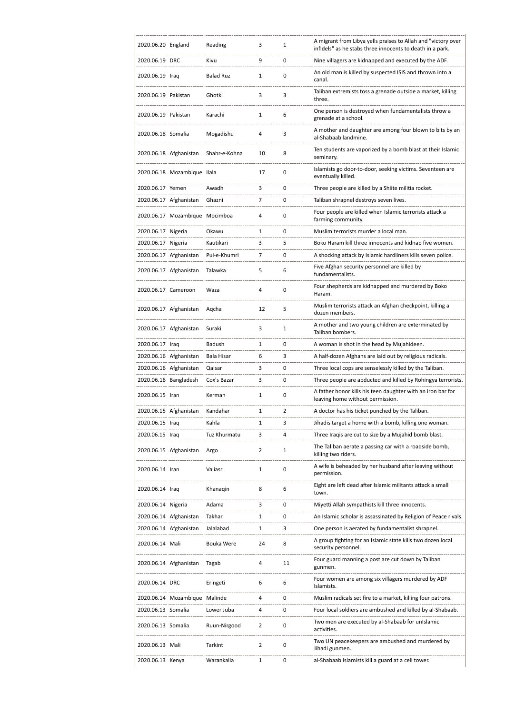| 2020.06.20 England  |                                | Reading           | 3            | 1  | A migrant from Libya yells praises to Allah and "victory over<br>infidels" as he stabs three innocents to death in a park. |
|---------------------|--------------------------------|-------------------|--------------|----|----------------------------------------------------------------------------------------------------------------------------|
| 2020.06.19 DRC      |                                | Kivu              | 9            | 0  | Nine villagers are kidnapped and executed by the ADF.                                                                      |
| 2020.06.19 Iraq     |                                | <b>Balad Ruz</b>  | 1            | 0  | An old man is killed by suspected ISIS and thrown into a<br>canal.                                                         |
| 2020.06.19 Pakistan |                                | Ghotki            | 3            | 3  | Taliban extremists toss a grenade outside a market, killing<br>three.                                                      |
| 2020.06.19 Pakistan |                                | Karachi           | 1            | 6  | One person is destroyed when fundamentalists throw a<br>grenade at a school.                                               |
| 2020.06.18 Somalia  |                                | Mogadishu         | 4            | 3  | A mother and daughter are among four blown to bits by an<br>al-Shabaab landmine.                                           |
|                     | 2020.06.18 Afghanistan         | Shahr-e-Kohna     | 10           | 8  | Ten students are vaporized by a bomb blast at their Islamic<br>seminary.                                                   |
|                     | 2020.06.18 Mozambique Ilala    |                   | 17           | 0  | Islamists go door-to-door, seeking victims. Seventeen are<br>eventually killed.                                            |
| 2020.06.17 Yemen    |                                | Awadh             | 3            | 0  | Three people are killed by a Shiite militia rocket.                                                                        |
|                     | 2020.06.17 Afghanistan         | Ghazni            | 7            | 0  | Taliban shrapnel destroys seven lives.                                                                                     |
|                     | 2020.06.17 Mozambique Mocimboa |                   | 4            | 0  | Four people are killed when Islamic terrorists attack a<br>farming community.                                              |
| 2020.06.17 Nigeria  |                                | Okawu             | 1            | 0  | Muslim terrorists murder a local man.                                                                                      |
| 2020.06.17 Nigeria  |                                | Kautikari         | 3            | 5  | Boko Haram kill three innocents and kidnap five women.                                                                     |
|                     | 2020.06.17 Afghanistan         | Pul-e-Khumri      | 7            | 0  | A shocking attack by Islamic hardliners kills seven police.                                                                |
|                     | 2020.06.17 Afghanistan         | Talawka           | 5            | 6  | Five Afghan security personnel are killed by<br>fundamentalists.                                                           |
| 2020.06.17 Cameroon |                                | Waza              | 4            | 0  | Four shepherds are kidnapped and murdered by Boko<br>Haram.                                                                |
|                     | 2020.06.17 Afghanistan         | Aqcha             | 12           | 5  | Muslim terrorists attack an Afghan checkpoint, killing a<br>dozen members.                                                 |
|                     | 2020.06.17 Afghanistan         | Suraki            | 3            | 1  | A mother and two young children are exterminated by<br>Taliban bombers.                                                    |
| 2020.06.17 Iraq     |                                | Badush            | 1            | 0  | A woman is shot in the head by Mujahideen.                                                                                 |
|                     | 2020.06.16 Afghanistan         | <b>Bala Hisar</b> | 6            | 3  | A half-dozen Afghans are laid out by religious radicals.                                                                   |
|                     | 2020.06.16 Afghanistan         | Qaisar            | 3            | 0  | Three local cops are senselessly killed by the Taliban.                                                                    |
|                     | 2020.06.16 Bangladesh          | Cox's Bazar       | 3            | 0  | Three people are abducted and killed by Rohingya terrorists.                                                               |
| 2020.06.15 Iran     |                                | Kerman            | $\mathbf{1}$ | 0  | A father honor kills his teen daughter with an iron bar for<br>leaving home without permission.                            |
|                     | 2020.06.15 Afghanistan         | Kandahar          | 1            | 2  | A doctor has his ticket punched by the Taliban.                                                                            |
| 2020.06.15 Iraq     |                                | Kahla             | $\mathbf{1}$ | 3  | Jihadis target a home with a bomb, killing one woman.                                                                      |
| 2020.06.15 Iraq     |                                | Tuz Khurmatu      | 3            | 4  | Three Iragis are cut to size by a Mujahid bomb blast.                                                                      |
|                     | 2020.06.15 Afghanistan         | Argo              | 2            | 1  | The Taliban aerate a passing car with a roadside bomb,<br>killing two riders.                                              |
| 2020.06.14 Iran     |                                | Valiasr           | 1            | 0  | A wife is beheaded by her husband after leaving without<br>permission.                                                     |
| 2020.06.14 Iraq     |                                | Khanagin          | 8            | 6  | Eight are left dead after Islamic militants attack a small<br>town.                                                        |
| 2020.06.14 Nigeria  |                                | Adama             | 3            | 0  | Miyetti Allah sympathists kill three innocents.                                                                            |
|                     | 2020.06.14 Afghanistan         | Takhar            | 1            | 0  | An Islamic scholar is assassinated by Religion of Peace rivals.                                                            |
|                     | 2020.06.14 Afghanistan         | Jalalabad         | 1            | 3  | One person is aerated by fundamentalist shrapnel.                                                                          |
| 2020.06.14 Mali     |                                | Bouka Were        | 24           | 8  | A group fighting for an Islamic state kills two dozen local<br>security personnel.                                         |
|                     | 2020.06.14 Afghanistan         | Tagab             | 4            | 11 | Four guard manning a post are cut down by Taliban<br>gunmen.                                                               |
| 2020.06.14 DRC      |                                | Eringeti          | 6            | 6  | Four women are among six villagers murdered by ADF<br>Islamists.                                                           |
|                     | 2020.06.14 Mozambique Malinde  |                   | 4            | 0  | Muslim radicals set fire to a market, killing four patrons.                                                                |
| 2020.06.13 Somalia  |                                | Lower Juba        | 4            | 0  | Four local soldiers are ambushed and killed by al-Shabaab.                                                                 |
| 2020.06.13 Somalia  |                                | Ruun-Nirgood      | 2            | 0  | Two men are executed by al-Shabaab for unIslamic<br>activities.                                                            |
| 2020.06.13 Mali     |                                | Tarkint           | 2            | 0  | Two UN peacekeepers are ambushed and murdered by<br>Jihadi gunmen.                                                         |
|                     | 2020.06.13 Kenya               | Warankalla        | 1            | 0  | al-Shabaab Islamists kill a guard at a cell tower.                                                                         |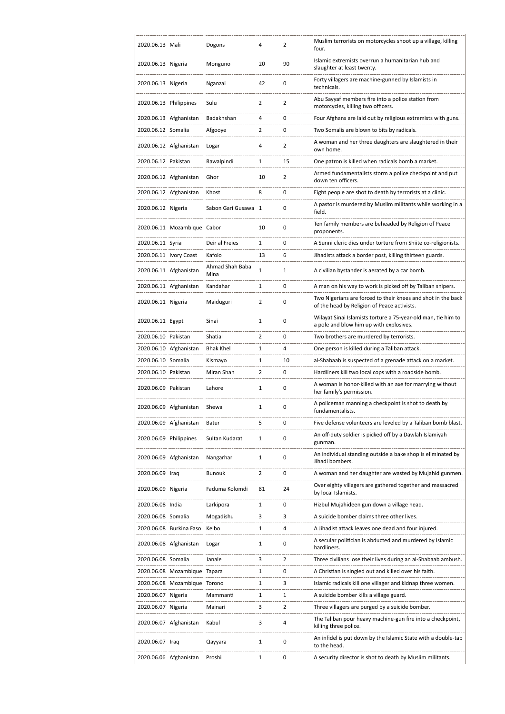| 2020.06.13 Mali        |                              | Dogons                  | 4              | 2              | Muslim terrorists on motorcycles shoot up a village, killing<br>four.                                       |
|------------------------|------------------------------|-------------------------|----------------|----------------|-------------------------------------------------------------------------------------------------------------|
| 2020.06.13 Nigeria     |                              | Monguno                 | 20             | 90             | Islamic extremists overrun a humanitarian hub and<br>slaughter at least twenty.                             |
| 2020.06.13 Nigeria     |                              | Nganzai                 | 42             | 0              | Forty villagers are machine-gunned by Islamists in<br>technicals.                                           |
| 2020.06.13 Philippines |                              | Sulu                    | 2              | $\overline{2}$ | Abu Sayyaf members fire into a police station from<br>motorcycles, killing two officers.                    |
|                        | 2020.06.13 Afghanistan       | Badakhshan              | 4              | 0              | Four Afghans are laid out by religious extremists with guns.                                                |
| 2020.06.12 Somalia     |                              | Afgooye                 | 2              | 0              | Two Somalis are blown to bits by radicals.                                                                  |
|                        | 2020.06.12 Afghanistan       | Logar                   | 4              | 2              | A woman and her three daughters are slaughtered in their<br>own home.                                       |
| 2020.06.12 Pakistan    |                              | Rawalpindi              | 1              | 15             | One patron is killed when radicals bomb a market.                                                           |
|                        | 2020.06.12 Afghanistan       | Ghor                    | 10             | $\overline{2}$ | Armed fundamentalists storm a police checkpoint and put<br>down ten officers.                               |
|                        | 2020.06.12 Afghanistan       | Khost                   | 8              | 0              | Eight people are shot to death by terrorists at a clinic.                                                   |
| 2020.06.12 Nigeria     |                              | Sabon Gari Gusawa 1     |                | 0              | A pastor is murdered by Muslim militants while working in a<br>field.                                       |
|                        | 2020.06.11 Mozambique Cabor  |                         | 10             | 0              | Ten family members are beheaded by Religion of Peace<br>proponents.                                         |
| 2020.06.11 Syria       |                              | Deir al Freies          | 1              | 0              | A Sunni cleric dies under torture from Shiite co-religionists.                                              |
|                        | 2020.06.11 Ivory Coast       | Kafolo                  | 13             | 6              | Jihadists attack a border post, killing thirteen guards.                                                    |
|                        | 2020.06.11 Afghanistan       | Ahmad Shah Baba<br>Mina | 1              | 1              | A civilian bystander is aerated by a car bomb.                                                              |
|                        | 2020.06.11 Afghanistan       | Kandahar                | 1              | 0              | A man on his way to work is picked off by Taliban snipers.                                                  |
| 2020.06.11 Nigeria     |                              | Maiduguri               | 2              | 0              | Two Nigerians are forced to their knees and shot in the back<br>of the head by Religion of Peace activists. |
| 2020.06.11 Egypt       |                              | Sinai                   | 1              | 0              | Wilayat Sinai Islamists torture a 75-year-old man, tie him to<br>a pole and blow him up with explosives.    |
| 2020.06.10 Pakistan    |                              | Shatial                 | $\overline{2}$ | 0              | Two brothers are murdered by terrorists.                                                                    |
|                        | 2020.06.10 Afghanistan       | <b>Bhak Khel</b>        | 1              | 4              | One person is killed during a Taliban attack.                                                               |
| 2020.06.10 Somalia     |                              | Kismayo                 | 1              | 10             | al-Shabaab is suspected of a grenade attack on a market.                                                    |
| 2020.06.10 Pakistan    |                              | Miran Shah              | 2              | 0              | Hardliners kill two local cops with a roadside bomb.                                                        |
| 2020.06.09 Pakistan    |                              | Lahore                  | 1              | 0              | A woman is honor-killed with an axe for marrying without<br>her family's permission.                        |
|                        | 2020.06.09 Afghanistan       | Shewa                   | 1              | 0              | A policeman manning a checkpoint is shot to death by<br>fundamentalists.                                    |
|                        | 2020.06.09 Afghanistan       | Batur                   | 5              | 0              | Five defense volunteers are leveled by a Taliban bomb blast.                                                |
| 2020.06.09 Philippines |                              | Sultan Kudarat          | 1              | 0              | An off-duty soldier is picked off by a Dawlah Islamiyah<br>gunman.                                          |
|                        | 2020.06.09 Afghanistan       | Nangarhar               | 1              | 0              | An individual standing outside a bake shop is eliminated by<br>Jihadi bombers.                              |
| 2020.06.09 Iraq        |                              | <b>Bunouk</b>           | 2              | 0              | A woman and her daughter are wasted by Mujahid gunmen.                                                      |
| 2020.06.09 Nigeria     |                              | Faduma Kolomdi          | 81             | 24             | Over eighty villagers are gathered together and massacred<br>by local Islamists.                            |
| 2020.06.08 India       |                              | Larkipora               | 1              | 0              | Hizbul Mujahideen gun down a village head.                                                                  |
| 2020.06.08 Somalia     |                              | Mogadishu               | 3              | 3              | A suicide bomber claims three other lives.                                                                  |
|                        | 2020.06.08 Burkina Faso      | Kelbo                   | 1              | 4              | A Jihadist attack leaves one dead and four injured.                                                         |
|                        | 2020.06.08 Afghanistan       | Logar                   | 1              | 0              | A secular politician is abducted and murdered by Islamic<br>hardliners.                                     |
| 2020.06.08 Somalia     |                              | Janale                  | 3              | 2              | Three civilians lose their lives during an al-Shabaab ambush.                                               |
|                        | 2020.06.08 Mozambique Tapara |                         | 1              | 0              | A Christian is singled out and killed over his faith.                                                       |
|                        | 2020.06.08 Mozambique Torono |                         | 1              | 3              | Islamic radicals kill one villager and kidnap three women.                                                  |
| 2020.06.07 Nigeria     |                              | Mammanti                | 1              | 1              | A suicide bomber kills a village guard.                                                                     |
| 2020.06.07 Nigeria     |                              | Mainari                 | 3              | 2              | Three villagers are purged by a suicide bomber.                                                             |
|                        | 2020.06.07 Afghanistan       | Kabul                   | 3              | 4              | The Taliban pour heavy machine-gun fire into a checkpoint,<br>killing three police.                         |
| 2020.06.07 Iraq        |                              | Qayyara                 | 1              | 0              | An infidel is put down by the Islamic State with a double-tap<br>to the head.                               |
|                        | 2020.06.06 Afghanistan       | Proshi                  | 1              | 0              | A security director is shot to death by Muslim militants.                                                   |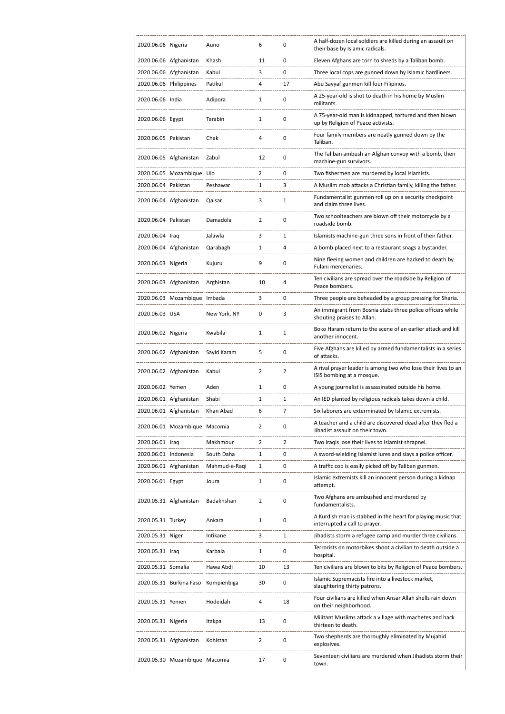| 2020.06.06 Nigeria     |                               | Auno          | 6              | 0              | A half-dozen local soldiers are killed during an assault on<br>their base by Islamic radicals. |
|------------------------|-------------------------------|---------------|----------------|----------------|------------------------------------------------------------------------------------------------|
|                        | 2020.06.06 Afghanistan        | Khash         | 11             | 0              | Eleven Afghans are torn to shreds by a Taliban bomb.                                           |
|                        | 2020.06.06 Afghanistan        | Kabul         | 3              | 0              | Three local cops are gunned down by Islamic hardliners.                                        |
| 2020.06.06 Philippines |                               | Patikul       | 4              | 17             | Abu Sayyaf gunmen kill four Filipinos.                                                         |
| 2020.06.06 India       |                               | Adipora       | 1              | 0              | A 25-year-old is shot to death in his home by Muslim<br>militants.                             |
| 2020.06.06 Egypt       |                               | Tarabin       | 1              | 0              | A 75-year-old man is kidnapped, tortured and then blown<br>up by Religion of Peace activists.  |
| 2020.06.05 Pakistan    |                               | Chak          | 4              | 0              | Four family members are neatly gunned down by the<br>Taliban.                                  |
|                        | 2020.06.05 Afghanistan        | Zabul         | 12             | 0              | The Taliban ambush an Afghan convoy with a bomb, then<br>machine-gun survivors.                |
|                        | 2020.06.05 Mozambique Ulo     |               | $\overline{2}$ | 0              | Two fishermen are murdered by local Islamists.                                                 |
| 2020.06.04 Pakistan    |                               | Peshawar      | 1              | 3              | A Muslim mob attacks a Christian family, killing the father.                                   |
|                        | 2020.06.04 Afghanistan        | Qaisar        | 3              | 1              | Fundamentalist gunmen roll up on a security checkpoint<br>and claim three lives.               |
| 2020.06.04 Pakistan    |                               | Damadola      | $\overline{2}$ | 0              | Two schoolteachers are blown off their motorcycle by a<br>roadside bomb.                       |
| 2020.06.04 Iraq        |                               | Jalawla       | 3              | 1              | Islamists machine-gun three sons in front of their father.                                     |
|                        | 2020.06.04 Afghanistan        | Qarabagh      | 1              | 4              | A bomb placed next to a restaurant snags a bystander.                                          |
| 2020.06.03 Nigeria     |                               | Kujuru        | 9              | 0              | Nine fleeing women and children are hacked to death by<br>Fulani mercenaries.                  |
|                        | 2020.06.03 Afghanistan        | Arghistan     | 10             | 4              | Ten civilians are spread over the roadside by Religion of<br>Peace bombers.                    |
|                        | 2020.06.03 Mozambique Imbada  |               | 3              | 0              | Three people are beheaded by a group pressing for Sharia.                                      |
| 2020.06.03 USA         |                               | New York, NY  | 0              | 3              | An immigrant from Bosnia stabs three police officers while<br>shouting praises to Allah.       |
| 2020.06.02 Nigeria     |                               | Kwabila       | 1              | 1              | Boko Haram return to the scene of an earlier attack and kill<br>another innocent.              |
|                        | 2020.06.02 Afghanistan        | Sayid Karam   | 5              | 0              | Five Afghans are killed by armed fundamentalists in a series<br>of attacks.                    |
|                        | 2020.06.02 Afghanistan        | Kabul         | 2              | $\overline{2}$ | A rival prayer leader is among two who lose their lives to an<br>ISIS bombing at a mosque.     |
| 2020.06.02 Yemen       |                               | Aden          | 1              | 0              | A young journalist is assassinated outside his home.                                           |
|                        | 2020.06.01 Afghanistan        | Shabi         | 1              | 1              | An IED planted by religious radicals takes down a child.                                       |
|                        | 2020.06.01 Afghanistan        | Khan Abad     | 6              | 7              | Six laborers are exterminated by Islamic extremists.                                           |
|                        | 2020.06.01 Mozambique Macomia |               | 2              | 0              | A teacher and a child are discovered dead after they fled a<br>Jihadist assault on their town. |
| 2020.06.01 Iraq        |                               | Makhmour      | 2              | 2              | Two Iraqis lose their lives to Islamist shrapnel.                                              |
| 2020.06.01 Indonesia   |                               | South Daha    | 1              | 0              | A sword-wielding Islamist lures and slays a police officer.                                    |
|                        | 2020.06.01 Afghanistan        | Mahmud-e-Raqi | 1              | 0              | A traffic cop is easily picked off by Taliban gunmen.                                          |
| 2020.06.01 Egypt       |                               | Joura         | 1              | 0              | Islamic extremists kill an innocent person during a kidnap<br>attempt.                         |
|                        | 2020.05.31 Afghanistan        | Badakhshan    | 2              | 0              | Two Afghans are ambushed and murdered by<br>fundamentalists.                                   |
| 2020.05.31 Turkey      |                               | Ankara        | 1              | 0              | A Kurdish man is stabbed in the heart for playing music that<br>interrupted a call to prayer.  |
| 2020.05.31 Niger       |                               | Intikane      | 3              | 1              | Jihadists storm a refugee camp and murder three civilians.                                     |
| 2020.05.31 Iraq        |                               | Karbala       | 1              | 0              | Terrorists on motorbikes shoot a civilian to death outside a<br>hospital.                      |
| 2020.05.31 Somalia     |                               | Hawa Abdi     | 10             | 13             | Ten civilians are blown to bits by Religion of Peace bombers.                                  |
|                        | 2020.05.31 Burkina Faso       | Kompienbiga   | 30             | 0              | Islamic Supremacists fire into a livestock market,<br>slaughtering thirty patrons.             |
| 2020.05.31 Yemen       |                               | Hodeidah      | 4              | 18             | Four civilians are killed when Ansar Allah shells rain down<br>on their neighborhood.          |
| 2020.05.31 Nigeria     |                               | Itakpa        | 13             | 0              | Militant Muslims attack a village with machetes and hack<br>thirteen to death.                 |
|                        | 2020.05.31 Afghanistan        | Kohistan      | 2              | 0              | Two shepherds are thoroughly eliminated by Mujahid<br>explosives.                              |
|                        | 2020.05.30 Mozambique Macomia |               | 17             | 0              | Seventeen civilians are murdered when Jihadists storm their<br>town.                           |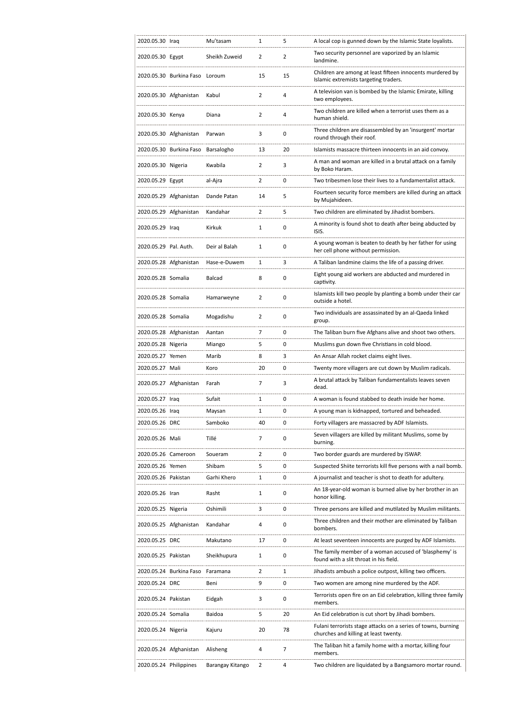| 2020.05.30 Iraq       |                                | Mu'tasam      | 1              | 5              | A local cop is gunned down by the Islamic State loyalists.                                             |
|-----------------------|--------------------------------|---------------|----------------|----------------|--------------------------------------------------------------------------------------------------------|
| 2020.05.30 Egypt      |                                | Sheikh Zuweid | $\overline{2}$ | $\overline{2}$ | Two security personnel are vaporized by an Islamic<br>landmine.                                        |
|                       | 2020.05.30 Burkina Faso Loroum |               | 15             | 15             | Children are among at least fifteen innocents murdered by<br>Islamic extremists targeting traders.     |
|                       | 2020.05.30 Afghanistan         | Kabul         | $\overline{2}$ | 4              | A television van is bombed by the Islamic Emirate, killing<br>two employees.                           |
| 2020.05.30 Kenya      |                                | Diana         | 2              | 4              | Two children are killed when a terrorist uses them as a<br>human shield.                               |
|                       | 2020.05.30 Afghanistan         | Parwan        | 3              | 0              | Three children are disassembled by an 'insurgent' mortar<br>round through their roof.                  |
|                       | 2020.05.30 Burkina Faso        | Barsalogho    | 13             | 20             | Islamists massacre thirteen innocents in an aid convoy.                                                |
| 2020.05.30 Nigeria    |                                | Kwabila       | 2              | 3              | A man and woman are killed in a brutal attack on a family<br>by Boko Haram.                            |
| 2020.05.29 Egypt      |                                | al-Ajra       | $\overline{2}$ | 0              | Two tribesmen lose their lives to a fundamentalist attack.                                             |
|                       | 2020.05.29 Afghanistan         | Dande Patan   | 14             | 5              | Fourteen security force members are killed during an attack<br>by Mujahideen.                          |
|                       | 2020.05.29 Afghanistan         | Kandahar      | $\overline{2}$ | 5              | Two children are eliminated by Jihadist bombers.                                                       |
|                       |                                |               |                |                | A minority is found shot to death after being abducted by                                              |
| 2020.05.29 Iraq       |                                | Kirkuk        | $\mathbf{1}$   | 0              | ISIS.<br>A young woman is beaten to death by her father for using                                      |
| 2020.05.29 Pal. Auth. |                                | Deir al Balah | 1              | 0              | her cell phone without permission.                                                                     |
|                       | 2020.05.28 Afghanistan         | Hase-e-Duwem  | 1              | 3              | A Taliban landmine claims the life of a passing driver.                                                |
| 2020.05.28 Somalia    |                                | Balcad        | 8              | 0              | Eight young aid workers are abducted and murdered in<br>captivity.                                     |
| 2020.05.28 Somalia    |                                | Hamarweyne    | 2              | 0              | Islamists kill two people by planting a bomb under their car<br>outside a hotel.                       |
| 2020.05.28 Somalia    |                                | Mogadishu     | 2              | 0              | Two individuals are assassinated by an al-Qaeda linked<br>group.                                       |
|                       | 2020.05.28 Afghanistan         | Aantan        | 7              | 0              | The Taliban burn five Afghans alive and shoot two others.                                              |
| 2020.05.28 Nigeria    |                                | Miango        | 5              | 0              | Muslims gun down five Christians in cold blood.                                                        |
| 2020.05.27 Yemen      |                                | Marib         | 8              | 3              | An Ansar Allah rocket claims eight lives.                                                              |
| 2020.05.27 Mali       |                                | Koro          | 20             | 0              | Twenty more villagers are cut down by Muslim radicals.                                                 |
|                       | 2020.05.27 Afghanistan         | Farah         | 7              | 3              | A brutal attack by Taliban fundamentalists leaves seven<br>dead.                                       |
| 2020.05.27 Iraq       |                                | Sufait        | 1              | 0              | A woman is found stabbed to death inside her home.                                                     |
| 2020.05.26 Iraq       |                                | Maysan        | 1              | 0              | A young man is kidnapped, tortured and beheaded.                                                       |
| 2020.05.26 DRC        |                                | Samboko       | 40             | 0              | Forty villagers are massacred by ADF Islamists.                                                        |
| 2020.05.26 Mali       |                                | Tillé         | 7              | 0              | Seven villagers are killed by militant Muslims, some by<br>burning.                                    |
| 2020.05.26 Cameroon   |                                | Soueram       | 2              | 0              | Two border guards are murdered by ISWAP.                                                               |
| 2020.05.26 Yemen      |                                | Shibam        | 5              | 0              | Suspected Shiite terrorists kill five persons with a nail bomb.                                        |
| 2020.05.26 Pakistan   |                                | Garhi Khero   | 1              | 0              | A journalist and teacher is shot to death for adultery.                                                |
| 2020.05.26 Iran       |                                | Rasht         | 1              | 0              | An 18-year-old woman is burned alive by her brother in an<br>honor killing.                            |
| 2020.05.25 Nigeria    |                                | Oshimili      | 3              | 0              | Three persons are killed and mutilated by Muslim militants.                                            |
|                       | 2020.05.25 Afghanistan         | Kandahar      | 4              | 0              | Three children and their mother are eliminated by Taliban<br>bombers.                                  |
| 2020.05.25 DRC        |                                |               |                |                |                                                                                                        |
| 2020.05.25 Pakistan   |                                | Makutano      | 17             | 0              | At least seventeen innocents are purged by ADF Islamists.                                              |
|                       |                                | Sheikhupura   | 1              | 0              | The family member of a woman accused of 'blasphemy' is<br>found with a slit throat in his field.       |
|                       | 2020.05.24 Burkina Faso        | Faramana      | 2              | 1              | Jihadists ambush a police outpost, killing two officers.                                               |
| 2020.05.24 DRC        |                                | Beni          | 9              | 0              | Two women are among nine murdered by the ADF.                                                          |
| 2020.05.24 Pakistan   |                                | Eidgah        | 3              | 0              | Terrorists open fire on an Eid celebration, killing three family<br>members.                           |
| 2020.05.24 Somalia    |                                | Baidoa        | 5              | 20             | An Eid celebration is cut short by Jihadi bombers.                                                     |
| 2020.05.24 Nigeria    |                                | Kajuru        | 20             | 78             | Fulani terrorists stage attacks on a series of towns, burning<br>churches and killing at least twenty. |
|                       | 2020.05.24 Afghanistan         | Alisheng      | 4              | 7              | The Taliban hit a family home with a mortar, killing four<br>members.                                  |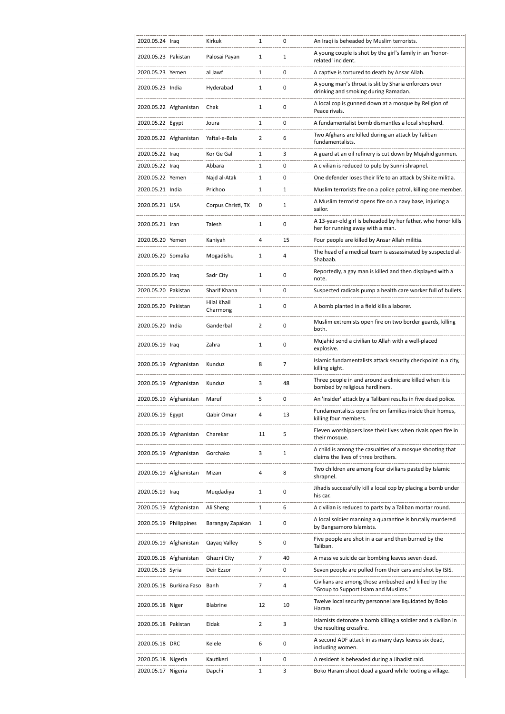| 2020.05.24 Iraq        |                         | Kirkuk                  | 1            | 0           | An Iraqi is beheaded by Muslim terrorists.                                                        |
|------------------------|-------------------------|-------------------------|--------------|-------------|---------------------------------------------------------------------------------------------------|
| 2020.05.23 Pakistan    |                         | Palosai Payan           | 1            | 1           | A young couple is shot by the girl's family in an 'honor-<br>related' incident.                   |
| 2020.05.23 Yemen       |                         | al Jawf                 | $\mathbf{1}$ | 0           | A captive is tortured to death by Ansar Allah.                                                    |
| 2020.05.23 India       |                         | Hyderabad               | 1            | 0           | A young man's throat is slit by Sharia enforcers over<br>drinking and smoking during Ramadan.     |
|                        | 2020.05.22 Afghanistan  | Chak                    | 1            | 0           | A local cop is gunned down at a mosque by Religion of<br>Peace rivals.                            |
| 2020.05.22 Egypt       |                         | Joura                   | $\mathbf{1}$ | 0           | A fundamentalist bomb dismantles a local shepherd.                                                |
|                        | 2020.05.22 Afghanistan  | Yaftal-e-Bala           | 2            | 6           | Two Afghans are killed during an attack by Taliban<br>fundamentalists.                            |
| 2020.05.22 Iraq        |                         | Kor Ge Gal              | 1            | 3           | A guard at an oil refinery is cut down by Mujahid gunmen.                                         |
| 2020.05.22 Iraq        |                         | Abbara                  | 1            | 0           | A civilian is reduced to pulp by Sunni shrapnel.                                                  |
| 2020.05.22 Yemen       |                         | Najd al-Atak            | 1            | 0           | One defender loses their life to an attack by Shiite militia.                                     |
| 2020.05.21 India       |                         | Prichoo                 | 1            | 1           | Muslim terrorists fire on a police patrol, killing one member.                                    |
| 2020.05.21 USA         |                         | Corpus Christi, TX      | 0            | 1           | A Muslim terrorist opens fire on a navy base, injuring a<br>sailor.                               |
| 2020.05.21 Iran        |                         | Talesh                  | 1            | 0           | A 13-year-old girl is beheaded by her father, who honor kills<br>her for running away with a man. |
| 2020.05.20 Yemen       |                         | Kaniyah                 | 4            | 15          | Four people are killed by Ansar Allah militia.                                                    |
| 2020.05.20 Somalia     |                         | Mogadishu               | 1            | 4           | The head of a medical team is assassinated by suspected al-<br>Shabaab.                           |
| 2020.05.20 Iraq        |                         | Sadr City               | 1            | 0           | Reportedly, a gay man is killed and then displayed with a<br>note.                                |
| 2020.05.20 Pakistan    |                         | Sharif Khana            | $\mathbf{1}$ | 0           | Suspected radicals pump a health care worker full of bullets.                                     |
| 2020.05.20 Pakistan    |                         | Hilal Khail<br>Charmong | 1            | 0           | A bomb planted in a field kills a laborer.                                                        |
| 2020.05.20 India       |                         | Ganderbal               | 2            | 0           | Muslim extremists open fire on two border guards, killing<br>both.                                |
| 2020.05.19 Iraq        |                         | Zahra                   | 1            | 0           | Mujahid send a civilian to Allah with a well-placed<br>explosive.                                 |
|                        | 2020.05.19 Afghanistan  | Kunduz                  | 8            | 7           | Islamic fundamentalists attack security checkpoint in a city,<br>killing eight.                   |
|                        | 2020.05.19 Afghanistan  | Kunduz                  | 3            | 48          | Three people in and around a clinic are killed when it is<br>bombed by religious hardliners.      |
|                        | 2020.05.19 Afghanistan  | Maruf                   | 5            | 0           | An 'insider' attack by a Talibani results in five dead police.                                    |
| 2020.05.19 Egypt       |                         | Qabir Omair             | 4            | 13          | Fundamentalists open fire on families inside their homes,<br>killing four members.                |
|                        | 2020.05.19 Afghanistan  | Charekar                | 11           | 5           | Eleven worshippers lose their lives when rivals open fire in<br>their mosque.                     |
|                        | 2020.05.19 Afghanistan  | Gorchako                | 3            | $\mathbf 1$ | A child is among the casualties of a mosque shooting that<br>claims the lives of three brothers.  |
|                        | 2020.05.19 Afghanistan  | Mizan                   | 4            | 8           | Two children are among four civilians pasted by Islamic<br>shrapnel.                              |
| 2020.05.19 Iraq        |                         | Muqdadiya               | 1            | 0           | Jihadis successfully kill a local cop by placing a bomb under<br>his car.                         |
|                        | 2020.05.19 Afghanistan  | Ali Sheng               | 1            | 6           | A civilian is reduced to parts by a Taliban mortar round.                                         |
| 2020.05.19 Philippines |                         | Barangay Zapakan        | 1            | 0           | A local soldier manning a quarantine is brutally murdered<br>by Bangsamoro Islamists.             |
|                        | 2020.05.19 Afghanistan  | Qayaq Valley            | 5            | 0           | Five people are shot in a car and then burned by the<br>Taliban.                                  |
|                        | 2020.05.18 Afghanistan  | Ghazni City             | 7            | 40          | A massive suicide car bombing leaves seven dead.                                                  |
| 2020.05.18 Syria       |                         | Deir Ezzor              | 7            | 0           | Seven people are pulled from their cars and shot by ISIS.                                         |
|                        | 2020.05.18 Burkina Faso | Banh                    | 7            | 4           | Civilians are among those ambushed and killed by the<br>"Group to Support Islam and Muslims."     |
| 2020.05.18 Niger       |                         | Blabrine                | 12           | 10          | Twelve local security personnel are liquidated by Boko<br>Haram.                                  |
| 2020.05.18 Pakistan    |                         | Eidak                   | 2            | 3           | Islamists detonate a bomb killing a soldier and a civilian in<br>the resulting crossfire.         |
| 2020.05.18 DRC         |                         | Kelele                  | 6            | 0           | A second ADF attack in as many days leaves six dead,<br>including women.                          |
| 2020.05.18 Nigeria     |                         | Kautikeri               | 1            | 0           | A resident is beheaded during a Jihadist raid.                                                    |
| 2020.05.17 Nigeria     |                         | Dapchi                  | 1            | 3           | Boko Haram shoot dead a guard while looting a village.                                            |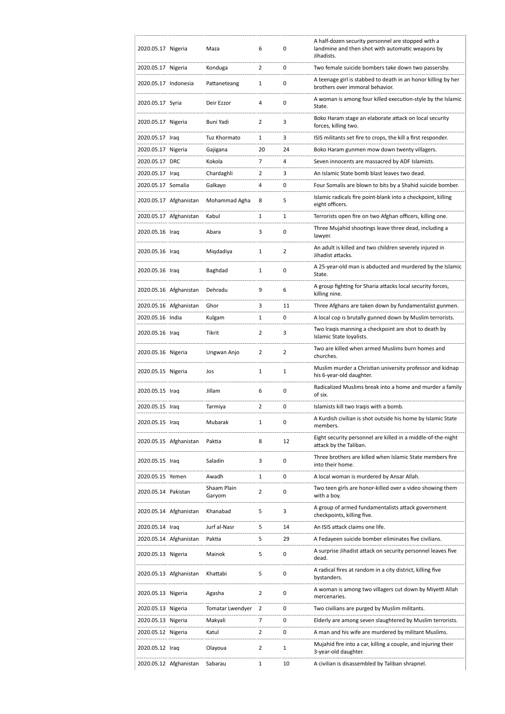| 2020.05.17 Nigeria   |                        | Maza                  | 6              | 0              | A half-dozen security personnel are stopped with a<br>landmine and then shot with automatic weapons by<br>Jihadists. |
|----------------------|------------------------|-----------------------|----------------|----------------|----------------------------------------------------------------------------------------------------------------------|
| 2020.05.17 Nigeria   |                        | Konduga               | $\overline{2}$ | 0              | Two female suicide bombers take down two passersby.                                                                  |
| 2020.05.17 Indonesia |                        | Pattaneteang          | 1              | 0              | A teenage girl is stabbed to death in an honor killing by her<br>brothers over immoral behavior.                     |
| 2020.05.17 Syria     |                        | Deir Ezzor            | 4              | 0              | A woman is among four killed execution-style by the Islamic<br>State.                                                |
| 2020.05.17 Nigeria   |                        | Buni Yadi             | 2              | 3              | Boko Haram stage an elaborate attack on local security<br>forces, killing two.                                       |
| 2020.05.17 Iraq      |                        | Tuz Khormato          | 1              | 3              | ISIS militants set fire to crops, the kill a first responder.                                                        |
| 2020.05.17 Nigeria   |                        | Gajigana              | 20             | 24             | Boko Haram gunmen mow down twenty villagers.                                                                         |
| 2020.05.17 DRC       |                        | Kokola                | 7              | 4              | Seven innocents are massacred by ADF Islamists.                                                                      |
| 2020.05.17 Iraq      |                        | Chardaghli            | $\overline{2}$ | 3              | An Islamic State bomb blast leaves two dead.                                                                         |
| 2020.05.17 Somalia   |                        | Galkayo               | 4              | 0              | Four Somalis are blown to bits by a Shahid suicide bomber.                                                           |
|                      | 2020.05.17 Afghanistan | Mohammad Agha         | 8              | 5              | Islamic radicals fire point-blank into a checkpoint, killing<br>eight officers.                                      |
|                      | 2020.05.17 Afghanistan | Kabul                 | 1              | 1              | Terrorists open fire on two Afghan officers, killing one.                                                            |
| 2020.05.16 Iraq      |                        | Abara                 | 3              | 0              | Three Mujahid shootings leave three dead, including a<br>lawyer.                                                     |
| 2020.05.16 Iraq      |                        | Miqdadiya             | 1              | $\overline{2}$ | An adult is killed and two children severely injured in<br>Jihadist attacks.                                         |
| 2020.05.16 Iraq      |                        | Baghdad               | $\mathbf{1}$   | 0              | A 25-year-old man is abducted and murdered by the Islamic<br>State.                                                  |
|                      | 2020.05.16 Afghanistan | Dehradu               | 9              | 6              | A group fighting for Sharia attacks local security forces,<br>killing nine.                                          |
|                      | 2020.05.16 Afghanistan | Ghor                  | 3              | 11             | Three Afghans are taken down by fundamentalist gunmen.                                                               |
| 2020.05.16 India     |                        | Kulgam                | 1              | 0              | A local cop is brutally gunned down by Muslim terrorists.                                                            |
| 2020.05.16 Iraq      |                        | Tikrit                | 2              | 3              | Two Iraqis manning a checkpoint are shot to death by<br>Islamic State loyalists.                                     |
| 2020.05.16 Nigeria   |                        | Ungwan Anjo           | 2              | $\overline{2}$ | Two are killed when armed Muslims burn homes and<br>churches.                                                        |
| 2020.05.15 Nigeria   |                        | Jos                   | $\mathbf{1}$   | 1              | Muslim murder a Christian university professor and kidnap<br>his 6-year-old daughter.                                |
| 2020.05.15 Iraq      |                        | Jillam                | 6              | 0              | Radicalized Muslims break into a home and murder a family<br>of six.                                                 |
| 2020.05.15 Iraq      |                        | Tarmiya               | $\overline{2}$ | 0              | Islamists kill two Iragis with a bomb.                                                                               |
| 2020.05.15 Iraq      |                        | Mubarak               | $\mathbf{1}$   | 0              | A Kurdish civilian is shot outside his home by Islamic State<br>members.                                             |
|                      | 2020.05.15 Afghanistan | Paktia                | 8              | 12             | Eight security personnel are killed in a middle-of-the-night<br>attack by the Taliban.                               |
| 2020.05.15 Iraq      |                        | Saladin               | 3              | 0              | Three brothers are killed when Islamic State members fire<br>into their home.                                        |
| 2020.05.15 Yemen     |                        | Awadh                 | 1              | 0              | A local woman is murdered by Ansar Allah.                                                                            |
| 2020.05.14 Pakistan  |                        | Shaam Plain<br>Garyom | $\overline{2}$ | 0              | Two teen girls are honor-killed over a video showing them<br>with a boy.                                             |
|                      | 2020.05.14 Afghanistan | Khanabad              | 5              | 3              | A group of armed fundamentalists attack government<br>checkpoints, killing five.                                     |
| 2020.05.14 Iraq      |                        | Jurf al-Nasr          | 5              | 14             | An ISIS attack claims one life.                                                                                      |
|                      | 2020.05.14 Afghanistan | Paktia                | 5              | 29             | A Fedayeen suicide bomber eliminates five civilians.                                                                 |
| 2020.05.13 Nigeria   |                        | Mainok                | 5              | 0              | A surprise Jihadist attack on security personnel leaves five<br>dead.                                                |
|                      | 2020.05.13 Afghanistan | Khattabi              | 5              | 0              | A radical fires at random in a city district, killing five<br>bystanders.                                            |
| 2020.05.13 Nigeria   |                        | Agasha                | $\overline{2}$ | 0              | A woman is among two villagers cut down by Miyetti Allah<br>mercenaries.                                             |
| 2020.05.13 Nigeria   |                        | Tomatar Lwendyer      | 2              | 0              | Two civilians are purged by Muslim militants.                                                                        |
| 2020.05.13 Nigeria   |                        | Makyali               | 7              | 0              | Elderly are among seven slaughtered by Muslim terrorists.                                                            |
| 2020.05.12 Nigeria   |                        | Katul                 | $\overline{2}$ | 0              | A man and his wife are murdered by militant Muslims.                                                                 |
| 2020.05.12 Iraq      |                        | Olayoua               | $\overline{2}$ | 1              | Mujahid fire into a car, killing a couple, and injuring their<br>3-year-old daughter.                                |
|                      | 2020.05.12 Afghanistan | Sabarau               | 1              | 10             | A civilian is disassembled by Taliban shrapnel.                                                                      |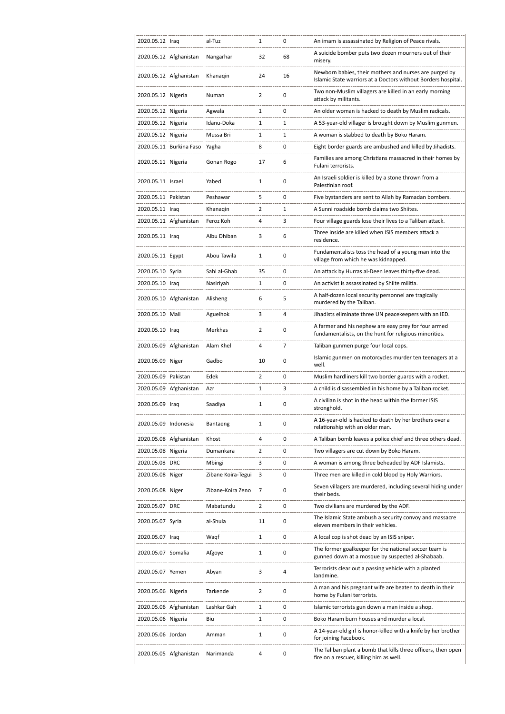| 2020.05.12 Iraq      |                         | al-Tuz             | 1              | 0              | An imam is assassinated by Religion of Peace rivals.                                                                    |
|----------------------|-------------------------|--------------------|----------------|----------------|-------------------------------------------------------------------------------------------------------------------------|
|                      | 2020.05.12 Afghanistan  | Nangarhar          | 32             | 68             | A suicide bomber puts two dozen mourners out of their<br>misery.                                                        |
|                      | 2020.05.12 Afghanistan  | Khanaqin           | 24             | 16             | Newborn babies, their mothers and nurses are purged by<br>Islamic State warriors at a Doctors without Borders hospital. |
| 2020.05.12 Nigeria   |                         | Numan              | 2              | 0              | Two non-Muslim villagers are killed in an early morning<br>attack by militants.                                         |
| 2020.05.12 Nigeria   |                         | Agwala             | 1              | $\mathbf 0$    | An older woman is hacked to death by Muslim radicals.                                                                   |
| 2020.05.12 Nigeria   |                         | Idanu-Doka         | $\mathbf{1}$   | 1              | A 53-year-old villager is brought down by Muslim gunmen.                                                                |
| 2020.05.12 Nigeria   |                         | Mussa Bri          | 1              | $\mathbf{1}$   | A woman is stabbed to death by Boko Haram.                                                                              |
|                      | 2020.05.11 Burkina Faso | Yagha              | 8              | $\mathbf 0$    | Eight border guards are ambushed and killed by Jihadists.                                                               |
| 2020.05.11 Nigeria   |                         | Gonan Rogo         | 17             | 6              | Families are among Christians massacred in their homes by<br>Fulani terrorists.                                         |
| 2020.05.11 Israel    |                         | Yabed              | $\mathbf{1}$   | 0              | An Israeli soldier is killed by a stone thrown from a<br>Palestinian roof.                                              |
| 2020.05.11 Pakistan  |                         | Peshawar           | 5              | 0              | Five bystanders are sent to Allah by Ramadan bombers.                                                                   |
| 2020.05.11 Iraq      |                         | Khanagin           | 2              | $\mathbf{1}$   | A Sunni roadside bomb claims two Shiites.                                                                               |
|                      | 2020.05.11 Afghanistan  | Feroz Koh          | 4              | 3              | Four village guards lose their lives to a Taliban attack.                                                               |
| 2020.05.11 Iraq      |                         | Albu Dhiban        | 3              | 6              | Three inside are killed when ISIS members attack a<br>residence.                                                        |
| 2020.05.11 Egypt     |                         | Abou Tawila        | 1              | 0              | Fundamentalists toss the head of a young man into the<br>village from which he was kidnapped.                           |
| 2020.05.10 Syria     |                         | Sahl al-Ghab       | 35             | 0              | An attack by Hurras al-Deen leaves thirty-five dead.                                                                    |
| 2020.05.10 Iraq      |                         | Nasiriyah          | $\mathbf{1}$   | 0              | An activist is assassinated by Shiite militia.                                                                          |
|                      | 2020.05.10 Afghanistan  | Alisheng           | 6              | 5              | A half-dozen local security personnel are tragically<br>murdered by the Taliban.                                        |
| 2020.05.10 Mali      |                         | Aguelhok           | 3              | 4              | Jihadists eliminate three UN peacekeepers with an IED.                                                                  |
| 2020.05.10 Iraq      |                         | Merkhas            | 2              | 0              | A farmer and his nephew are easy prey for four armed<br>fundamentalists, on the hunt for religious minorities.          |
|                      | 2020.05.09 Afghanistan  | Alam Khel          | 4              | $\overline{7}$ | Taliban gunmen purge four local cops.                                                                                   |
| 2020.05.09 Niger     |                         | Gadbo              | 10             | 0              | Islamic gunmen on motorcycles murder ten teenagers at a<br>well.                                                        |
| 2020.05.09 Pakistan  |                         | Edek               | $\overline{2}$ | 0              | Muslim hardliners kill two border guards with a rocket.                                                                 |
|                      | 2020.05.09 Afghanistan  | Azr                | 1              | 3              | A child is disassembled in his home by a Taliban rocket.                                                                |
| 2020.05.09 Iraq      |                         | Saadiya            | 1              | $\mathbf 0$    | A civilian is shot in the head within the former ISIS                                                                   |
|                      |                         |                    |                |                | stronghold.                                                                                                             |
| 2020.05.09 Indonesia |                         | Bantaeng           | 1              | 0              | A 16-year-old is hacked to death by her brothers over a<br>relationship with an older man.                              |
|                      | 2020.05.08 Afghanistan  | Khost              | 4              | 0              | A Taliban bomb leaves a police chief and three others dead.                                                             |
| 2020.05.08 Nigeria   |                         | Dumankara          | 2              | 0              | Two villagers are cut down by Boko Haram.                                                                               |
| 2020.05.08 DRC       |                         | Mbingi             | 3              | 0              | A woman is among three beheaded by ADF Islamists.                                                                       |
| 2020.05.08 Niger     |                         | Zibane Koira-Tegui | 3              | 0              | Three men are killed in cold blood by Holy Warriors.                                                                    |
| 2020.05.08 Niger     |                         | Zibane-Koira Zeno  | 7              | 0              | Seven villagers are murdered, including several hiding under<br>their beds.                                             |
| 2020.05.07 DRC       |                         | Mabatundu          | 2              | 0              | Two civilians are murdered by the ADF.                                                                                  |
| 2020.05.07 Syria     |                         | al-Shula           | 11             | 0              | The Islamic State ambush a security convoy and massacre<br>eleven members in their vehicles.                            |
| 2020.05.07 Iraq      |                         | Waqf               | $\mathbf{1}$   | 0              | A local cop is shot dead by an ISIS sniper.                                                                             |
| 2020.05.07 Somalia   |                         | Afgoye             | 1              | 0              | The former goalkeeper for the national soccer team is<br>gunned down at a mosque by suspected al-Shabaab.               |
| 2020.05.07 Yemen     |                         | Abyan              | 3              | 4              | Terrorists clear out a passing vehicle with a planted<br>landmine.                                                      |
| 2020.05.06 Nigeria   |                         | Tarkende           | $\overline{2}$ | $\mathbf 0$    | A man and his pregnant wife are beaten to death in their<br>home by Fulani terrorists.                                  |
|                      | 2020.05.06 Afghanistan  | Lashkar Gah        | 1              | 0              | Islamic terrorists gun down a man inside a shop.                                                                        |
| 2020.05.06 Nigeria   |                         | Biu                | 1              | 0              | Boko Haram burn houses and murder a local.                                                                              |
| 2020.05.06 Jordan    |                         | Amman              | 1              | 0              | A 14-year-old girl is honor-killed with a knife by her brother<br>for joining Facebook.                                 |
|                      | 2020.05.05 Afghanistan  | Narimanda          | 4              | 0              | The Taliban plant a bomb that kills three officers, then open<br>fire on a rescuer, killing him as well.                |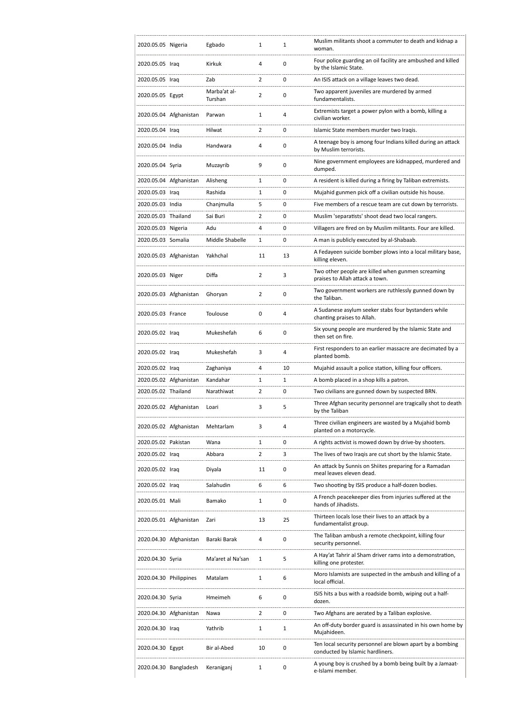| 2020.05.05 Nigeria     |                        | Egbado                  | 1              | 1  | Muslim militants shoot a commuter to death and kidnap a<br>woman.                             |
|------------------------|------------------------|-------------------------|----------------|----|-----------------------------------------------------------------------------------------------|
| 2020.05.05 Iraq        |                        | Kirkuk                  | 4              | 0  | Four police guarding an oil facility are ambushed and killed<br>by the Islamic State.         |
| 2020.05.05 Iraq        |                        | Zab                     | $\overline{2}$ | 0  | An ISIS attack on a village leaves two dead.                                                  |
| 2020.05.05 Egypt       |                        | Marba'at al-<br>Turshan | $\overline{2}$ | 0  | Two apparent juveniles are murdered by armed<br>fundamentalists.                              |
|                        | 2020.05.04 Afghanistan | Parwan                  | $\mathbf{1}$   | 4  | Extremists target a power pylon with a bomb, killing a<br>civilian worker.                    |
| 2020.05.04 Iraq        |                        | Hilwat                  | 2              | 0  | Islamic State members murder two Iraqis.                                                      |
| 2020.05.04 India       |                        | Handwara                | 4              | 0  | A teenage boy is among four Indians killed during an attack<br>by Muslim terrorists.          |
| 2020.05.04 Syria       |                        | Muzayrib                | 9              | 0  | Nine government employees are kidnapped, murdered and<br>dumped.                              |
|                        | 2020.05.04 Afghanistan | Alisheng                | $\mathbf{1}$   | 0  | A resident is killed during a firing by Taliban extremists.                                   |
| 2020.05.03 Iraq        |                        | Rashida                 | 1              | 0  | Mujahid gunmen pick off a civilian outside his house.                                         |
| 2020.05.03 India       |                        | Chanjmulla              | 5              | 0  | Five members of a rescue team are cut down by terrorists.                                     |
| 2020.05.03 Thailand    |                        | Sai Buri                | $\overline{2}$ | 0  | Muslim 'separatists' shoot dead two local rangers.                                            |
| 2020.05.03 Nigeria     |                        | Adu                     | 4              | 0  | Villagers are fired on by Muslim militants. Four are killed.                                  |
| 2020.05.03 Somalia     |                        | Middle Shabelle         | 1              | 0  | A man is publicly executed by al-Shabaab.                                                     |
|                        | 2020.05.03 Afghanistan | Yakhchal                | 11             | 13 | A Fedayeen suicide bomber plows into a local military base,<br>killing eleven.                |
| 2020.05.03 Niger       |                        | Diffa                   | $\overline{2}$ | 3  | Two other people are killed when gunmen screaming<br>praises to Allah attack a town.          |
|                        | 2020.05.03 Afghanistan | Ghoryan                 | 2              | 0  | Two government workers are ruthlessly gunned down by<br>the Taliban.                          |
| 2020.05.03 France      |                        | Toulouse                | 0              | 4  | A Sudanese asylum seeker stabs four bystanders while<br>chanting praises to Allah.            |
| 2020.05.02 Iraq        |                        | Mukeshefah              | 6              | 0  | Six young people are murdered by the Islamic State and<br>then set on fire.                   |
| 2020.05.02 Iraq        |                        | Mukeshefah              | 3              | 4  | First responders to an earlier massacre are decimated by a<br>planted bomb.                   |
| 2020.05.02 Iraq        |                        | Zaghaniya               | 4              | 10 | Mujahid assault a police station, killing four officers.                                      |
|                        | 2020.05.02 Afghanistan | Kandahar                | 1              | 1  | A bomb placed in a shop kills a patron.                                                       |
| 2020.05.02 Thailand    |                        | Narathiwat              | $\overline{2}$ | 0  | Two civilians are gunned down by suspected BRN.                                               |
|                        | 2020.05.02 Afghanistan | Loari                   | 3              | 5  | Three Afghan security personnel are tragically shot to death<br>by the Taliban                |
|                        | 2020.05.02 Afghanistan | Mehtarlam               | 3              | 4  | Three civilian engineers are wasted by a Mujahid bomb<br>planted on a motorcycle.             |
| 2020.05.02 Pakistan    |                        | Wana                    | 1              | 0  | A rights activist is mowed down by drive-by shooters.                                         |
| 2020.05.02 Iraq        |                        | Abbara                  | $\overline{2}$ | 3  | The lives of two Iraqis are cut short by the Islamic State.                                   |
| 2020.05.02 Iraq        |                        | Diyala                  | 11             | 0  | An attack by Sunnis on Shiites preparing for a Ramadan<br>meal leaves eleven dead.            |
| 2020.05.02 Iraq        |                        | Salahudin               | 6              | 6  | Two shooting by ISIS produce a half-dozen bodies.                                             |
| 2020.05.01 Mali        |                        | Bamako                  | 1              | 0  | A French peacekeeper dies from injuries suffered at the<br>hands of Jihadists.                |
|                        | 2020.05.01 Afghanistan | Zari                    | 13             | 25 | Thirteen locals lose their lives to an attack by a<br>fundamentalist group.                   |
|                        | 2020.04.30 Afghanistan | Baraki Barak            | 4              | 0  | The Taliban ambush a remote checkpoint, killing four<br>security personnel.                   |
| 2020.04.30 Syria       |                        | Ma'aret al Na'san       | 1              | 5  | A Hay'at Tahrir al Sham driver rams into a demonstration,<br>killing one protester.           |
| 2020.04.30 Philippines |                        | Matalam                 | 1              | 6  | Moro Islamists are suspected in the ambush and killing of a<br>local official.                |
| 2020.04.30 Syria       |                        | Hmeimeh                 | 6              | 0  | ISIS hits a bus with a roadside bomb, wiping out a half-<br>dozen.                            |
|                        | 2020.04.30 Afghanistan | Nawa                    | 2              | 0  | Two Afghans are aerated by a Taliban explosive.                                               |
| 2020.04.30 Iraq        |                        | Yathrib                 | 1              | 1  | An off-duty border guard is assassinated in his own home by<br>Mujahideen.                    |
| 2020.04.30 Egypt       |                        | Bir al-Abed             | 10             | 0  | Ten local security personnel are blown apart by a bombing<br>conducted by Islamic hardliners. |
|                        | 2020.04.30 Bangladesh  | Keraniganj              | 1              | 0  | A young boy is crushed by a bomb being built by a Jamaat-<br>e-Islami member.                 |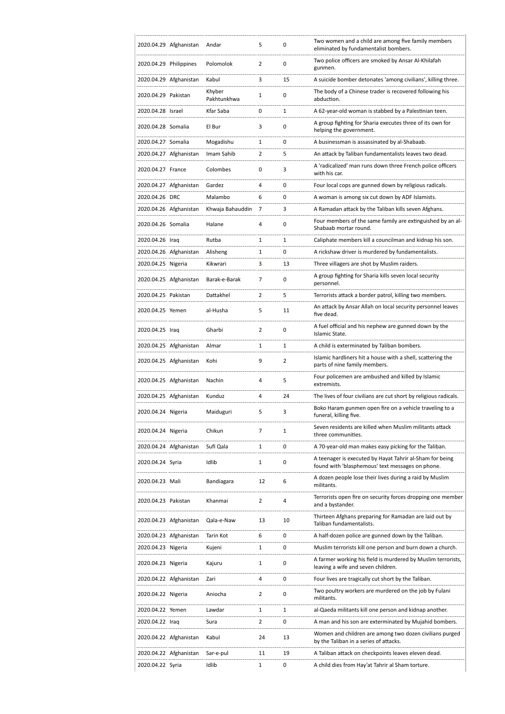|                        | 2020.04.29 Afghanistan | Andar                 | 5              | 0              | Two women and a child are among five family members<br>eliminated by fundamentalist bombers.                 |
|------------------------|------------------------|-----------------------|----------------|----------------|--------------------------------------------------------------------------------------------------------------|
| 2020.04.29 Philippines |                        | Polomolok             | $\overline{2}$ | 0              | Two police officers are smoked by Ansar Al-Khilafah<br>gunmen.                                               |
|                        | 2020.04.29 Afghanistan | Kabul                 | 3              | 15             | A suicide bomber detonates 'among civilians', killing three.                                                 |
| 2020.04.29 Pakistan    |                        | Khyber<br>Pakhtunkhwa | 1              | 0              | The body of a Chinese trader is recovered following his<br>abduction.                                        |
| 2020.04.28 Israel      |                        | Kfar Saba             | 0              | 1              | A 62-year-old woman is stabbed by a Palestinian teen.                                                        |
| 2020.04.28 Somalia     |                        | El Bur                | 3              | 0              | A group fighting for Sharia executes three of its own for<br>helping the government.                         |
| 2020.04.27 Somalia     |                        | Mogadishu             | 1              | 0              | A businessman is assassinated by al-Shabaab.                                                                 |
|                        | 2020.04.27 Afghanistan | Imam Sahib            | 2              | 5              | An attack by Taliban fundamentalists leaves two dead.                                                        |
| 2020.04.27 France      |                        | Colombes              | 0              | 3              | A 'radicalized' man runs down three French police officers<br>with his car.                                  |
|                        | 2020.04.27 Afghanistan | Gardez                | 4              | 0              | Four local cops are gunned down by religious radicals.                                                       |
| 2020.04.26 DRC         |                        | Malambo               | 6              | 0              | A woman is among six cut down by ADF Islamists.                                                              |
|                        | 2020.04.26 Afghanistan | Khwaja Bahauddin      | 7              | 3              | A Ramadan attack by the Taliban kills seven Afghans.                                                         |
| 2020.04.26 Somalia     |                        | Halane                | 4              | 0              | Four members of the same family are extinguished by an al-<br>Shabaab mortar round.                          |
| 2020.04.26 Iraq        |                        | Rutba                 | 1              | 1              | Caliphate members kill a councilman and kidnap his son.                                                      |
|                        | 2020.04.26 Afghanistan | Alisheng              | 1              | 0              | A rickshaw driver is murdered by fundamentalists.                                                            |
| 2020.04.25 Nigeria     |                        | Kikwrari              | 3              | 13             | Three villagers are shot by Muslim raiders.                                                                  |
|                        | 2020.04.25 Afghanistan | Barak-e-Barak         | 7              | 0              | A group fighting for Sharia kills seven local security<br>personnel.                                         |
| 2020.04.25 Pakistan    |                        | Dattakhel             | $\overline{2}$ | 5              | Terrorists attack a border patrol, killing two members.                                                      |
| 2020.04.25 Yemen       |                        | al-Husha              | 5              | 11             | An attack by Ansar Allah on local security personnel leaves<br>five dead.                                    |
| 2020.04.25 Iraq        |                        | Gharbi                | $\overline{2}$ | 0              | A fuel official and his nephew are gunned down by the<br>Islamic State.                                      |
|                        | 2020.04.25 Afghanistan | Almar                 | $\mathbf{1}$   | 1              | A child is exterminated by Taliban bombers.                                                                  |
|                        | 2020.04.25 Afghanistan | Kohi                  | 9              | $\overline{2}$ | Islamic hardliners hit a house with a shell, scattering the<br>parts of nine family members.                 |
|                        | 2020.04.25 Afghanistan | Nachin                | 4              | 5              | Four policemen are ambushed and killed by Islamic<br>extremists.                                             |
|                        | 2020.04.25 Afghanistan | Kunduz                | 4              | 24             | The lives of four civilians are cut short by religious radicals.                                             |
| 2020.04.24 Nigeria     |                        | Maiduguri             | 5              | 3              | Boko Haram gunmen open fire on a vehicle traveling to a<br>funeral, killing five.                            |
| 2020.04.24 Nigeria     |                        | Chikun                | 7              | 1              | Seven residents are killed when Muslim militants attack<br>three communities.                                |
|                        | 2020.04.24 Afghanistan | Sufi Qala             | $\mathbf{1}$   | 0              | A 70-year-old man makes easy picking for the Taliban.                                                        |
| 2020.04.24 Syria       |                        | Idlib                 | 1              | 0              | A teenager is executed by Hayat Tahrir al-Sham for being<br>found with 'blasphemous' text messages on phone. |
| 2020.04.23 Mali        |                        | Bandiagara            | 12             | 6              | A dozen people lose their lives during a raid by Muslim<br>militants.                                        |
| 2020.04.23 Pakistan    |                        | Khanmai               | $\overline{2}$ | 4              | Terrorists open fire on security forces dropping one member<br>and a bystander.                              |
|                        | 2020.04.23 Afghanistan | Qala-e-Naw            | 13             | 10             | Thirteen Afghans preparing for Ramadan are laid out by<br>Taliban fundamentalists.                           |
|                        | 2020.04.23 Afghanistan | Tarin Kot             | 6              | 0              | A half-dozen police are gunned down by the Taliban.                                                          |
| 2020.04.23 Nigeria     |                        | Kujeni                | 1              | 0              | Muslim terrorists kill one person and burn down a church.                                                    |
| 2020.04.23 Nigeria     |                        | Kajuru                | 1              | 0              | A farmer working his field is murdered by Muslim terrorists,<br>leaving a wife and seven children.           |
|                        | 2020.04.22 Afghanistan | Zari                  | 4              | 0              | Four lives are tragically cut short by the Taliban.                                                          |
| 2020.04.22 Nigeria     |                        | Aniocha               | 2              | 0              | Two poultry workers are murdered on the job by Fulani<br>militants.                                          |
| 2020.04.22 Yemen       |                        | Lawdar                | $\mathbf{1}$   | 1              | al-Qaeda militants kill one person and kidnap another.                                                       |
| 2020.04.22 Iraq        |                        | Sura                  | $\overline{2}$ | 0              | A man and his son are exterminated by Mujahid bombers.                                                       |
|                        | 2020.04.22 Afghanistan | Kabul                 | 24             | 13             | Women and children are among two dozen civilians purged<br>by the Taliban in a series of attacks.            |
|                        | 2020.04.22 Afghanistan | Sar-e-pul             | 11             | 19             | A Taliban attack on checkpoints leaves eleven dead.                                                          |
| 2020.04.22 Syria       |                        | Idlib                 | 1              | 0              | A child dies from Hay'at Tahrir al Sham torture.                                                             |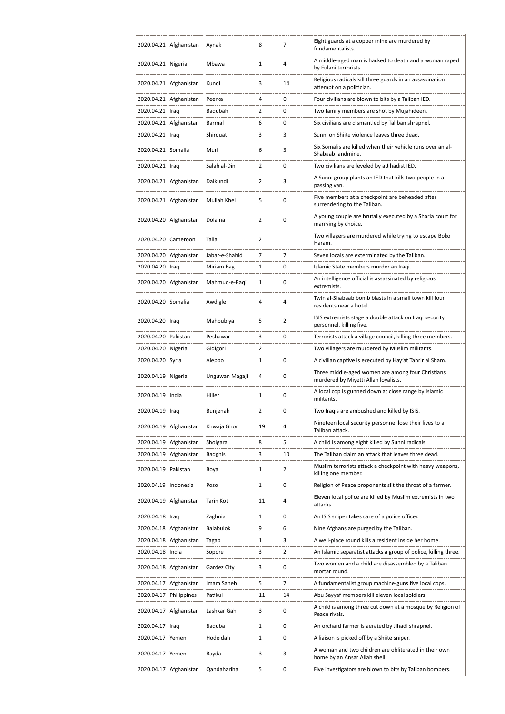|                      | 2020.04.21 Afghanistan | Aynak          | 8              | 7              | Eight guards at a copper mine are murdered by<br>fundamentalists.                      |
|----------------------|------------------------|----------------|----------------|----------------|----------------------------------------------------------------------------------------|
| 2020.04.21 Nigeria   |                        | Mbawa          | 1              | 4              | A middle-aged man is hacked to death and a woman raped<br>by Fulani terrorists.        |
|                      | 2020.04.21 Afghanistan | Kundi          | 3              | 14             | Religious radicals kill three guards in an assassination<br>attempt on a politician.   |
|                      | 2020.04.21 Afghanistan | Peerka         | 4              | 0              | Four civilians are blown to bits by a Taliban IED.                                     |
| 2020.04.21 Iraq      |                        | Baqubah        | 2              | 0              | Two family members are shot by Mujahideen.                                             |
|                      | 2020.04.21 Afghanistan | Barmal         | 6              | 0              | Six civilians are dismantled by Taliban shrapnel.                                      |
| 2020.04.21 Iraq      |                        | Shirquat       | 3              | 3              | Sunni on Shiite violence leaves three dead.                                            |
|                      |                        |                |                |                | Six Somalis are killed when their vehicle runs over an al-                             |
| 2020.04.21 Somalia   |                        | Muri           | 6              | 3              | Shabaab landmine.                                                                      |
| 2020.04.21 Iraq      |                        | Salah al-Din   | 2              | 0              | Two civilians are leveled by a Jihadist IED.                                           |
|                      | 2020.04.21 Afghanistan | Daikundi       | 2              | 3              | A Sunni group plants an IED that kills two people in a<br>passing van.                 |
|                      | 2020.04.21 Afghanistan | Mullah Khel    | 5              | 0              | Five members at a checkpoint are beheaded after<br>surrendering to the Taliban.        |
|                      | 2020.04.20 Afghanistan | Dolaina        | $\overline{2}$ | 0              | A young couple are brutally executed by a Sharia court for<br>marrying by choice.      |
| 2020.04.20 Cameroon  |                        | Talla          | $\overline{2}$ |                | Two villagers are murdered while trying to escape Boko<br>Haram.                       |
|                      | 2020.04.20 Afghanistan | Jabar-e-Shahid | 7              | 7              | Seven locals are exterminated by the Taliban.                                          |
| 2020.04.20 Iraq      |                        | Miriam Bag     | 1              | 0              | Islamic State members murder an Iragi.                                                 |
|                      | 2020.04.20 Afghanistan | Mahmud-e-Raqi  | 1              | 0              | An intelligence official is assassinated by religious<br>extremists.                   |
| 2020.04.20 Somalia   |                        | Awdigle        | 4              | 4              | Twin al-Shabaab bomb blasts in a small town kill four<br>residents near a hotel.       |
| 2020.04.20 Iraq      |                        | Mahbubiya      | 5              | $\overline{2}$ | ISIS extremists stage a double attack on Iraqi security<br>personnel, killing five.    |
| 2020.04.20 Pakistan  |                        | Peshawar       | 3              | 0              | Terrorists attack a village council, killing three members.                            |
| 2020.04.20 Nigeria   |                        | Gidigori       | 2              |                | Two villagers are murdered by Muslim militants.                                        |
| 2020.04.20 Syria     |                        | Aleppo         | 1              | 0              | A civilian captive is executed by Hay'at Tahrir al Sham.                               |
|                      |                        |                |                |                | Three middle-aged women are among four Christians                                      |
| 2020.04.19 Nigeria   |                        | Unguwan Magaji | 4              | 0              | murdered by Miyetti Allah loyalists.                                                   |
| 2020.04.19 India     |                        | Hiller         | 1              | 0              | A local cop is gunned down at close range by Islamic<br>militants.                     |
| 2020.04.19 Iraq      |                        | Bunjenah       | $\overline{2}$ | 0              | Two Iraqis are ambushed and killed by ISIS.                                            |
|                      | 2020.04.19 Afghanistan | Khwaja Ghor    | 19             | 4              | Nineteen local security personnel lose their lives to a<br>Taliban attack.             |
|                      | 2020.04.19 Afghanistan | Sholgara       | 8              | 5              | A child is among eight killed by Sunni radicals.                                       |
|                      | 2020.04.19 Afghanistan | <b>Badghis</b> | 3              | 10             | The Taliban claim an attack that leaves three dead.                                    |
| 2020.04.19 Pakistan  |                        | Boya           | 1              | $\overline{2}$ | Muslim terrorists attack a checkpoint with heavy weapons,<br>killing one member.       |
| 2020.04.19 Indonesia |                        | Poso           | 1              | 0              | Religion of Peace proponents slit the throat of a farmer.                              |
|                      | 2020.04.19 Afghanistan | Tarin Kot      | 11             | 4              | Eleven local police are killed by Muslim extremists in two<br>attacks.                 |
| 2020.04.18 Iraq      |                        | Zaghnia        | 1              | 0              | An ISIS sniper takes care of a police officer.                                         |
|                      | 2020.04.18 Afghanistan | Balabulok      |                |                |                                                                                        |
|                      |                        |                |                |                |                                                                                        |
| 2020.04.18 India     |                        |                | 9              | 6              | Nine Afghans are purged by the Taliban.                                                |
|                      | 2020.04.18 Afghanistan | Tagab          | 1              | 3              | A well-place round kills a resident inside her home.                                   |
|                      |                        | Sopore         | 3              | 2              | An Islamic separatist attacks a group of police, killing three.                        |
|                      | 2020.04.18 Afghanistan | Gardez City    | 3              | $\pmb{0}$      | Two women and a child are disassembled by a Taliban<br>mortar round.                   |
|                      | 2020.04.17 Afghanistan | Imam Saheb     | 5              | 7              | A fundamentalist group machine-guns five local cops.                                   |
|                      | 2020.04.17 Philippines | Patikul        | 11             | 14             | Abu Sayyaf members kill eleven local soldiers.                                         |
|                      | 2020.04.17 Afghanistan | Lashkar Gah    | 3              | 0              | A child is among three cut down at a mosque by Religion of<br>Peace rivals.            |
| 2020.04.17 Iraq      |                        | Baquba         | 1              | 0              | An orchard farmer is aerated by Jihadi shrapnel.                                       |
| 2020.04.17 Yemen     |                        | Hodeidah       | 1              | 0              | A liaison is picked off by a Shiite sniper.                                            |
| 2020.04.17 Yemen     |                        | Bayda          | 3              | 3              | A woman and two children are obliterated in their own<br>home by an Ansar Allah shell. |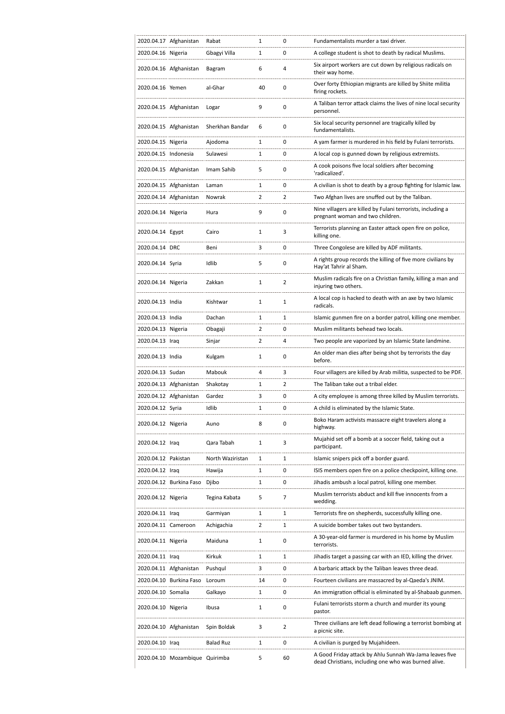|                      | 2020.04.17 Afghanistan         | Rabat            | 1              | 0              | Fundamentalists murder a taxi driver.                                                                           |
|----------------------|--------------------------------|------------------|----------------|----------------|-----------------------------------------------------------------------------------------------------------------|
| 2020.04.16 Nigeria   |                                | Gbagyi Villa     | 1              | 0              | A college student is shot to death by radical Muslims.                                                          |
|                      | 2020.04.16 Afghanistan         | Bagram           | 6              | 4              | Six airport workers are cut down by religious radicals on<br>their way home.                                    |
| 2020.04.16 Yemen     |                                | al-Ghar          | 40             | 0              | Over forty Ethiopian migrants are killed by Shiite militia<br>firing rockets.                                   |
|                      | 2020.04.15 Afghanistan         | Logar            | 9              | 0              | A Taliban terror attack claims the lives of nine local security<br>personnel.                                   |
|                      | 2020.04.15 Afghanistan         | Sherkhan Bandar  | 6              | 0              | Six local security personnel are tragically killed by<br>fundamentalists.                                       |
| 2020.04.15 Nigeria   |                                | Ajodoma          | 1              | 0              | A yam farmer is murdered in his field by Fulani terrorists.                                                     |
| 2020.04.15 Indonesia |                                | Sulawesi         | 1              | 0              | A local cop is gunned down by religious extremists.                                                             |
|                      | 2020.04.15 Afghanistan         | Imam Sahib       | 5              | 0              | A cook poisons five local soldiers after becoming<br>'radicalized'.                                             |
|                      | 2020.04.15 Afghanistan         | Laman            | 1              | 0              | A civilian is shot to death by a group fighting for Islamic law.                                                |
|                      | 2020.04.14 Afghanistan         | Nowrak           | $\overline{2}$ | 2              | Two Afghan lives are snuffed out by the Taliban.                                                                |
| 2020.04.14 Nigeria   |                                | Hura             | 9              | 0              | Nine villagers are killed by Fulani terrorists, including a<br>pregnant woman and two children.                 |
| 2020.04.14 Egypt     |                                | Cairo            | 1              | 3              | Terrorists planning an Easter attack open fire on police,<br>killing one.                                       |
| 2020.04.14 DRC       |                                | Beni             | 3              | 0              | Three Congolese are killed by ADF militants.                                                                    |
| 2020.04.14 Syria     |                                | Idlib            | 5              | 0              | A rights group records the killing of five more civilians by<br>Hay'at Tahrir al Sham.                          |
| 2020.04.14 Nigeria   |                                | Zakkan           | 1              | $\overline{2}$ | Muslim radicals fire on a Christian family, killing a man and<br>injuring two others.                           |
| 2020.04.13 India     |                                | Kishtwar         | 1              | 1              | A local cop is hacked to death with an axe by two Islamic<br>radicals.                                          |
| 2020.04.13 India     |                                | Dachan           | 1              | 1              | Islamic gunmen fire on a border patrol, killing one member.                                                     |
| 2020.04.13 Nigeria   |                                | Obagaji          | 2              | 0              | Muslim militants behead two locals.                                                                             |
| 2020.04.13 Iraq      |                                | Sinjar           | $\overline{2}$ | 4              | Two people are vaporized by an Islamic State landmine.                                                          |
| 2020.04.13 India     |                                | Kulgam           | 1              | 0              | An older man dies after being shot by terrorists the day<br>before.                                             |
| 2020.04.13 Sudan     |                                | Mabouk           | 4              | 3              | Four villagers are killed by Arab militia, suspected to be PDF.                                                 |
|                      | 2020.04.13 Afghanistan         | Shakotay         | 1              | 2              | The Taliban take out a tribal elder.                                                                            |
|                      | 2020.04.12 Afghanistan         | Gardez           | 3              | 0              | A city employee is among three killed by Muslim terrorists.                                                     |
| 2020.04.12 Syria     |                                | Idlib            | 1              | 0              | A child is eliminated by the Islamic State.                                                                     |
| 2020.04.12 Nigeria   |                                | Auno             | 8              | 0              | Boko Haram activists massacre eight travelers along a<br>highway.                                               |
| 2020.04.12 Iraq      |                                | Qara Tabah       | 1              | 3              | Mujahid set off a bomb at a soccer field, taking out a<br>participant.                                          |
| 2020.04.12 Pakistan  |                                | North Waziristan | 1              | 1              | Islamic snipers pick off a border guard.                                                                        |
| 2020.04.12 Iraq      |                                | Hawija           | 1              | 0              | ISIS members open fire on a police checkpoint, killing one.                                                     |
|                      | 2020.04.12 Burkina Faso        | Djibo            | 1              | 0              | Jihadis ambush a local patrol, killing one member.                                                              |
| 2020.04.12 Nigeria   |                                | Tegina Kabata    | 5              | 7              | Muslim terrorists abduct and kill five innocents from a<br>wedding.                                             |
| 2020.04.11 Iraq      |                                | Garmiyan         | 1              | 1              | Terrorists fire on shepherds, successfully killing one.                                                         |
| 2020.04.11 Cameroon  |                                | Achigachia       | $\overline{2}$ | 1              | A suicide bomber takes out two bystanders.                                                                      |
| 2020.04.11 Nigeria   |                                | Maiduna          | 1              | 0              | A 30-year-old farmer is murdered in his home by Muslim<br>terrorists.                                           |
| 2020.04.11 Iraq      |                                | Kirkuk           | 1              | 1              | Jihadis target a passing car with an IED, killing the driver.                                                   |
|                      | 2020.04.11 Afghanistan         | Pushqul          | 3              | 0              | A barbaric attack by the Taliban leaves three dead.                                                             |
|                      | 2020.04.10 Burkina Faso        | Loroum           | 14             | 0              | Fourteen civilians are massacred by al-Qaeda's JNIM.                                                            |
| 2020.04.10 Somalia   |                                | Galkayo          | 1              | 0              | An immigration official is eliminated by al-Shabaab gunmen.                                                     |
| 2020.04.10 Nigeria   |                                | Ibusa            | 1              | 0              | Fulani terrorists storm a church and murder its young<br>pastor.                                                |
|                      | 2020.04.10 Afghanistan         | Spin Boldak      | 3              | $\overline{2}$ | Three civilians are left dead following a terrorist bombing at<br>a picnic site.                                |
| 2020.04.10 Iraq      |                                | <b>Balad Ruz</b> | 1              | 0              | A civilian is purged by Mujahideen.                                                                             |
|                      | 2020.04.10 Mozambique Quirimba |                  | 5              | 60             | A Good Friday attack by Ahlu Sunnah Wa-Jama leaves five<br>dead Christians, including one who was burned alive. |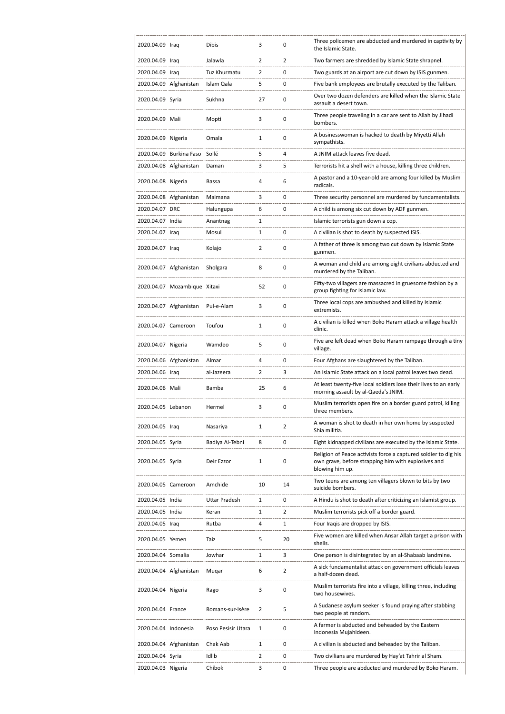| 2020.04.09 Iraq      |                              | Dibis                | 3              | 0              | Three policemen are abducted and murdered in captivity by<br>the Islamic State.                                                           |
|----------------------|------------------------------|----------------------|----------------|----------------|-------------------------------------------------------------------------------------------------------------------------------------------|
| 2020.04.09 Iraq      |                              | Jalawla              | $\overline{2}$ | 2              | Two farmers are shredded by Islamic State shrapnel.                                                                                       |
| 2020.04.09 Iraq      |                              | Tuz Khurmatu         | 2              | 0              | Two guards at an airport are cut down by ISIS gunmen.                                                                                     |
|                      | 2020.04.09 Afghanistan       | Islam Qala           | 5              | 0              | Five bank employees are brutally executed by the Taliban.                                                                                 |
| 2020.04.09 Syria     |                              | Sukhna               | 27             | 0              | Over two dozen defenders are killed when the Islamic State<br>assault a desert town.                                                      |
| 2020.04.09 Mali      |                              | Mopti                | 3              | 0              | Three people traveling in a car are sent to Allah by Jihadi<br>bombers.                                                                   |
| 2020.04.09 Nigeria   |                              | Omala                | $\mathbf{1}$   | 0              | A businesswoman is hacked to death by Miyetti Allah<br>sympathists.                                                                       |
|                      | 2020.04.09 Burkina Faso      | Sollé                | 5              | 4              | A JNIM attack leaves five dead.                                                                                                           |
|                      | 2020.04.08 Afghanistan       | Daman                | 3              | 5              | Terrorists hit a shell with a house, killing three children.                                                                              |
| 2020.04.08 Nigeria   |                              | Bassa                | 4              | 6              | A pastor and a 10-year-old are among four killed by Muslim<br>radicals.                                                                   |
|                      | 2020.04.08 Afghanistan       | Maimana              | 3              | 0              | Three security personnel are murdered by fundamentalists.                                                                                 |
| 2020.04.07 DRC       |                              | Halungupa            | 6              | $\mathbf 0$    | A child is among six cut down by ADF gunmen.                                                                                              |
| 2020.04.07 India     |                              | Anantnag             | 1              |                | Islamic terrorists gun down a cop.                                                                                                        |
| 2020.04.07 Iraq      |                              | Mosul                | 1              | 0              | A civilian is shot to death by suspected ISIS.                                                                                            |
| 2020.04.07 Iraq      |                              | Kolajo               | 2              | 0              | A father of three is among two cut down by Islamic State<br>gunmen.                                                                       |
|                      | 2020.04.07 Afghanistan       | Sholgara             | 8              | 0              | A woman and child are among eight civilians abducted and<br>murdered by the Taliban.                                                      |
|                      | 2020.04.07 Mozambique Xitaxi |                      | 52             | 0              | Fifty-two villagers are massacred in gruesome fashion by a<br>group fighting for Islamic law.                                             |
|                      | 2020.04.07 Afghanistan       | Pul-e-Alam           | 3              | $\mathbf 0$    | Three local cops are ambushed and killed by Islamic<br>extremists.                                                                        |
| 2020.04.07 Cameroon  |                              | Toufou               | 1              | 0              | A civilian is killed when Boko Haram attack a village health<br>clinic.                                                                   |
| 2020.04.07 Nigeria   |                              | Wamdeo               | 5              | 0              | Five are left dead when Boko Haram rampage through a tiny<br>village.                                                                     |
|                      |                              |                      |                |                |                                                                                                                                           |
|                      | 2020.04.06 Afghanistan       | Almar                | 4              | 0              | Four Afghans are slaughtered by the Taliban.                                                                                              |
| 2020.04.06 Iraq      |                              | al-Jazeera           | $\overline{2}$ | 3              | An Islamic State attack on a local patrol leaves two dead.                                                                                |
| 2020.04.06 Mali      |                              | Bamba                | 25             | 6              | At least twenty-five local soldiers lose their lives to an early<br>morning assault by al-Qaeda's JNIM.                                   |
| 2020.04.05 Lebanon   |                              | Hermel               | 3              | 0              | Muslim terrorists open fire on a border guard patrol, killing<br>three members.                                                           |
| 2020.04.05 Iraq      |                              | Nasariya             | 1              | 2              | A woman is shot to death in her own home by suspected<br>Shia militia.                                                                    |
| 2020.04.05 Syria     |                              | Badiya Al-Tebni      | 8              | 0              | Eight kidnapped civilians are executed by the Islamic State.                                                                              |
| 2020.04.05 Syria     |                              | Deir Ezzor           | 1              | 0              | Religion of Peace activists force a captured soldier to dig his<br>own grave, before strapping him with explosives and<br>blowing him up. |
| 2020.04.05 Cameroon  |                              | Amchide              | 10             | 14             | Two teens are among ten villagers blown to bits by two<br>suicide bombers.                                                                |
| 2020.04.05 India     |                              | <b>Uttar Pradesh</b> | 1              | 0              | A Hindu is shot to death after criticizing an Islamist group.                                                                             |
| 2020.04.05 India     |                              | Keran                | 1              | $\overline{2}$ | Muslim terrorists pick off a border guard.                                                                                                |
| 2020.04.05 Iraq      |                              | Rutba                | 4              | $\mathbf{1}$   | Four Iraqis are dropped by ISIS.                                                                                                          |
| 2020.04.05 Yemen     |                              | Taiz                 | 5              | 20             | Five women are killed when Ansar Allah target a prison with<br>shells.                                                                    |
| 2020.04.04 Somalia   |                              | Jowhar               | 1              | 3              | One person is disintegrated by an al-Shabaab landmine.                                                                                    |
|                      | 2020.04.04 Afghanistan       | Muqar                | 6              | $\overline{2}$ | A sick fundamentalist attack on government officials leaves<br>a half-dozen dead.                                                         |
| 2020.04.04 Nigeria   |                              | Rago                 | 3              | 0              | Muslim terrorists fire into a village, killing three, including<br>two housewives.                                                        |
| 2020.04.04 France    |                              | Romans-sur-Isère     | 2              | 5              | A Sudanese asylum seeker is found praying after stabbing<br>two people at random.                                                         |
| 2020.04.04 Indonesia |                              | Poso Pesisir Utara   | 1              | 0              | A farmer is abducted and beheaded by the Eastern<br>Indonesia Mujahideen.                                                                 |
|                      | 2020.04.04 Afghanistan       | Chak Aab             | 1              | 0              | A civilian is abducted and beheaded by the Taliban.                                                                                       |
| 2020.04.04 Syria     |                              | Idlib                | 2              | 0              | Two civilians are murdered by Hay'at Tahrir al Sham.                                                                                      |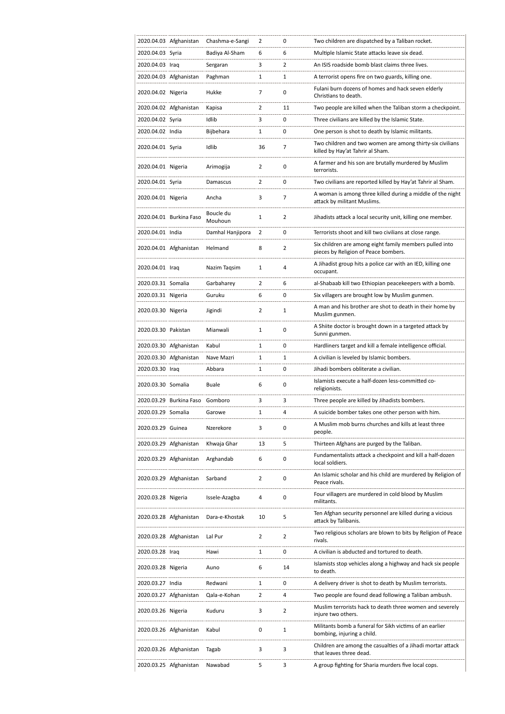|                     | 2020.04.03 Afghanistan  | Chashma-e-Sangi      | 2              | 0              | Two children are dispatched by a Taliban rocket.                                                |
|---------------------|-------------------------|----------------------|----------------|----------------|-------------------------------------------------------------------------------------------------|
| 2020.04.03 Syria    |                         | Badiya Al-Sham       | 6              | 6              | Multiple Islamic State attacks leave six dead.                                                  |
| 2020.04.03 Iraq     |                         | Sergaran             | 3              | 2              | An ISIS roadside bomb blast claims three lives.                                                 |
|                     | 2020.04.03 Afghanistan  | Paghman              | 1              | 1              | A terrorist opens fire on two guards, killing one.                                              |
| 2020.04.02 Nigeria  |                         | Hukke                | 7              | 0              | Fulani burn dozens of homes and hack seven elderly<br>Christians to death.                      |
|                     | 2020.04.02 Afghanistan  | Kapisa               | $\overline{2}$ | 11             | Two people are killed when the Taliban storm a checkpoint.                                      |
| 2020.04.02 Syria    |                         | Idlib                | 3              | 0              | Three civilians are killed by the Islamic State.                                                |
| 2020.04.02 India    |                         | Bijbehara            | 1              | 0              | One person is shot to death by Islamic militants.                                               |
| 2020.04.01 Syria    |                         | Idlib                | 36             | 7              | Two children and two women are among thirty-six civilians<br>killed by Hay'at Tahrir al Sham.   |
| 2020.04.01 Nigeria  |                         | Arimogija            | 2              | 0              | A farmer and his son are brutally murdered by Muslim<br>terrorists.                             |
| 2020.04.01 Syria    |                         | Damascus             | 2              | 0              | Two civilians are reported killed by Hay'at Tahrir al Sham.                                     |
| 2020.04.01 Nigeria  |                         | Ancha                | 3              | 7              | A woman is among three killed during a middle of the night<br>attack by militant Muslims.       |
|                     | 2020.04.01 Burkina Faso | Boucle du<br>Mouhoun | 1              | $\overline{2}$ | Jihadists attack a local security unit, killing one member.                                     |
| 2020.04.01 India    |                         | Damhal Hanjipora     | $\overline{2}$ | 0              | Terrorists shoot and kill two civilians at close range.                                         |
|                     | 2020.04.01 Afghanistan  | Helmand              | 8              | 2              | Six children are among eight family members pulled into<br>pieces by Religion of Peace bombers. |
| 2020.04.01 Iraq     |                         | Nazim Tagsim         | 1              | 4              | A Jihadist group hits a police car with an IED, killing one<br>occupant.                        |
| 2020.03.31 Somalia  |                         | Garbaharey           | $\overline{2}$ | 6              | al-Shabaab kill two Ethiopian peacekeepers with a bomb.                                         |
| 2020.03.31 Nigeria  |                         | Guruku               | 6              | 0              | Six villagers are brought low by Muslim gunmen.                                                 |
| 2020.03.30 Nigeria  |                         | Jigindi              | 2              | 1              | A man and his brother are shot to death in their home by<br>Muslim gunmen.                      |
| 2020.03.30 Pakistan |                         | Mianwali             | $\mathbf{1}$   | 0              | A Shiite doctor is brought down in a targeted attack by<br>Sunni gunmen.                        |
|                     | 2020.03.30 Afghanistan  | Kabul                | $\mathbf{1}$   | 0              | Hardliners target and kill a female intelligence official.                                      |
|                     | 2020.03.30 Afghanistan  | Nave Mazri           | 1              | 1              | A civilian is leveled by Islamic bombers.                                                       |
| 2020.03.30 Iraq     |                         | Abbara               | 1              | 0              | Jihadi bombers obliterate a civilian.                                                           |
| 2020.03.30 Somalia  |                         | <b>Buale</b>         | 6              | 0              | Islamists execute a half-dozen less-committed co-<br>religionists.                              |
|                     | 2020.03.29 Burkina Faso | Gomboro              | 3              | 3              | Three people are killed by Jihadists bombers.                                                   |
| 2020.03.29 Somalia  |                         | Garowe               | 1              | 4              | A suicide bomber takes one other person with him.                                               |
| 2020.03.29 Guinea   |                         | Nzerekore            | 3              | 0              | A Muslim mob burns churches and kills at least three<br>people.                                 |
|                     | 2020.03.29 Afghanistan  | Khwaja Ghar          | 13             | 5              | Thirteen Afghans are purged by the Taliban.                                                     |
|                     | 2020.03.29 Afghanistan  | Arghandab            | 6              | 0              | Fundamentalists attack a checkpoint and kill a half-dozen<br>local soldiers.                    |
|                     | 2020.03.29 Afghanistan  | Sarband              | 2              | 0              | An Islamic scholar and his child are murdered by Religion of<br>Peace rivals.                   |
| 2020.03.28 Nigeria  |                         | Issele-Azagba        | 4              | 0              | Four villagers are murdered in cold blood by Muslim<br>militants.                               |
|                     | 2020.03.28 Afghanistan  | Dara-e-Khostak       | 10             | 5              | Ten Afghan security personnel are killed during a vicious<br>attack by Talibanis.               |
|                     | 2020.03.28 Afghanistan  | Lal Pur              | $\overline{2}$ | $\overline{2}$ | Two religious scholars are blown to bits by Religion of Peace<br>rivals.                        |
| 2020.03.28 Iraq     |                         | Hawi                 | 1              | 0              | A civilian is abducted and tortured to death.                                                   |
| 2020.03.28 Nigeria  |                         | Auno                 | 6              | 14             | Islamists stop vehicles along a highway and hack six people<br>to death.                        |
| 2020.03.27 India    |                         | Redwani              | 1              | 0              | A delivery driver is shot to death by Muslim terrorists.                                        |
|                     | 2020.03.27 Afghanistan  | Qala-e-Kohan         | $\overline{2}$ | 4              | Two people are found dead following a Taliban ambush.                                           |
| 2020.03.26 Nigeria  |                         | Kuduru               | 3              | 2              | Muslim terrorists hack to death three women and severely<br>injure two others.                  |
|                     | 2020.03.26 Afghanistan  | Kabul                | 0              | 1              | Militants bomb a funeral for Sikh victims of an earlier<br>bombing, injuring a child.           |
|                     | 2020.03.26 Afghanistan  | Tagab                | 3              | 3              | Children are among the casualties of a Jihadi mortar attack<br>that leaves three dead.          |
|                     | 2020.03.25 Afghanistan  | Nawabad              | 5              | 3              | A group fighting for Sharia murders five local cops.                                            |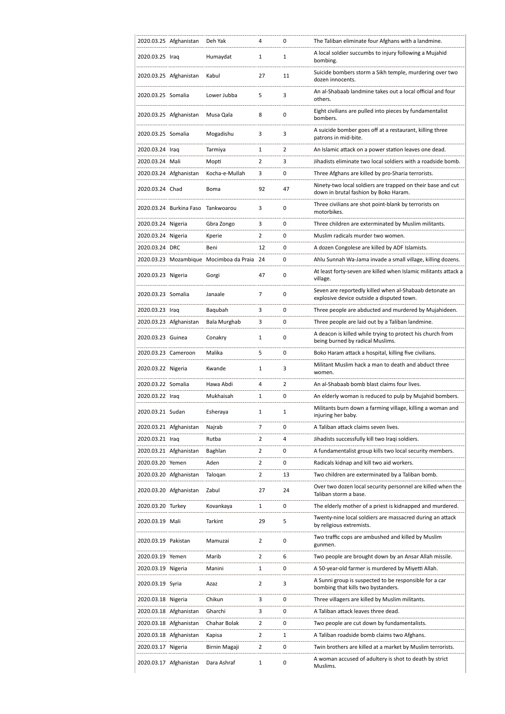|                     | 2020.03.25 Afghanistan             | Deh Yak                                 | 4              | 0  | The Taliban eliminate four Afghans with a landmine.                                                  |
|---------------------|------------------------------------|-----------------------------------------|----------------|----|------------------------------------------------------------------------------------------------------|
| 2020.03.25 Iraq     |                                    | Humaydat                                | 1              | 1  | A local soldier succumbs to injury following a Mujahid<br>bombing.                                   |
|                     | 2020.03.25 Afghanistan             | Kabul                                   | 27             | 11 | Suicide bombers storm a Sikh temple, murdering over two<br>dozen innocents.                          |
| 2020.03.25 Somalia  |                                    | Lower Jubba                             | 5              | 3  | An al-Shabaab landmine takes out a local official and four<br>others.                                |
|                     | 2020.03.25 Afghanistan             | Musa Qala                               | 8              | 0  | Eight civilians are pulled into pieces by fundamentalist<br>bombers.                                 |
| 2020.03.25 Somalia  |                                    | Mogadishu                               | 3              | 3  | A suicide bomber goes off at a restaurant, killing three<br>patrons in mid-bite.                     |
| 2020.03.24 Iraq     |                                    | Tarmiya                                 | 1              | 2  | An Islamic attack on a power station leaves one dead.                                                |
| 2020.03.24 Mali     |                                    | Mopti                                   | $\overline{2}$ | 3  | Jihadists eliminate two local soldiers with a roadside bomb.                                         |
|                     | 2020.03.24 Afghanistan             | Kocha-e-Mullah                          | 3              | 0  | Three Afghans are killed by pro-Sharia terrorists.                                                   |
| 2020.03.24 Chad     |                                    | Boma                                    | 92             | 47 | Ninety-two local soldiers are trapped on their base and cut<br>down in brutal fashion by Boko Haram. |
|                     | 2020.03.24 Burkina Faso Tankwoarou |                                         | 3              | 0  | Three civilians are shot point-blank by terrorists on<br>motorbikes.                                 |
| 2020.03.24 Nigeria  |                                    | Gbra Zongo                              | 3              | 0  | Three children are exterminated by Muslim militants.                                                 |
| 2020.03.24 Nigeria  |                                    | Kperie                                  | $\overline{2}$ | 0  | Muslim radicals murder two women.                                                                    |
| 2020.03.24 DRC      |                                    | Beni                                    | 12             | 0  | A dozen Congolese are killed by ADF Islamists.                                                       |
|                     |                                    | 2020.03.23 Mozambique Mocimboa da Praia | 24             | 0  | Ahlu Sunnah Wa-Jama invade a small village, killing dozens.                                          |
| 2020.03.23 Nigeria  |                                    | Gorgi                                   | 47             | 0  | At least forty-seven are killed when Islamic militants attack a<br>village.                          |
| 2020.03.23 Somalia  |                                    | Janaale                                 | 7              | 0  | Seven are reportedly killed when al-Shabaab detonate an<br>explosive device outside a disputed town. |
| 2020.03.23 Iraq     |                                    | Baqubah                                 | 3              | 0  | Three people are abducted and murdered by Mujahideen.                                                |
|                     | 2020.03.23 Afghanistan             | Bala Murghab                            | 3              | 0  | Three people are laid out by a Taliban landmine.                                                     |
| 2020.03.23 Guinea   |                                    | Conakry                                 | 1              | 0  | A deacon is killed while trying to protect his church from<br>being burned by radical Muslims.       |
| 2020.03.23 Cameroon |                                    | Malika                                  | 5              | 0  | Boko Haram attack a hospital, killing five civilians.                                                |
| 2020.03.22 Nigeria  |                                    | Kwande                                  | 1              | 3  | Militant Muslim hack a man to death and abduct three<br>women.                                       |
| 2020.03.22 Somalia  |                                    | Hawa Abdi                               | 4              | 2  | An al-Shabaab bomb blast claims four lives.                                                          |
| 2020.03.22 Iraq     |                                    | Mukhaisah                               | 1              | 0  | An elderly woman is reduced to pulp by Mujahid bombers.                                              |
| 2020.03.21 Sudan    |                                    | Esheraya                                | 1              | 1  | Militants burn down a farming village, killing a woman and<br>injuring her baby.                     |
|                     | 2020.03.21 Afghanistan             | Najrab                                  | 7              | 0  | A Taliban attack claims seven lives.                                                                 |
| 2020.03.21 Iraq     |                                    | Rutba                                   | 2              | 4  | Jihadists successfully kill two Iraqi soldiers.                                                      |
|                     | 2020.03.21 Afghanistan             | Baghlan                                 | $\overline{2}$ | 0  | A fundamentalist group kills two local security members.                                             |
| 2020.03.20 Yemen    |                                    | Aden                                    | $\overline{2}$ | 0  | Radicals kidnap and kill two aid workers.                                                            |
|                     | 2020.03.20 Afghanistan             | Talogan                                 | 2              | 13 | Two children are exterminated by a Taliban bomb.                                                     |
|                     | 2020.03.20 Afghanistan             | Zabul                                   | 27             | 24 | Over two dozen local security personnel are killed when the<br>Taliban storm a base.                 |
| 2020.03.20 Turkey   |                                    | Kovankaya                               | 1              | 0  | The elderly mother of a priest is kidnapped and murdered.                                            |
| 2020.03.19 Mali     |                                    | Tarkint                                 | 29             | 5  | Twenty-nine local soldiers are massacred during an attack<br>by religious extremists.                |
| 2020.03.19 Pakistan |                                    | Mamuzai                                 | $\overline{2}$ | 0  | Two traffic cops are ambushed and killed by Muslim<br>gunmen.                                        |
| 2020.03.19 Yemen    |                                    | Marib                                   | $\overline{2}$ | 6  | Two people are brought down by an Ansar Allah missile.                                               |
| 2020.03.19 Nigeria  |                                    | Manini                                  | 1              | 0  | A 50-year-old farmer is murdered by Miyetti Allah.                                                   |
| 2020.03.19 Syria    |                                    | Azaz                                    | 2              | 3  | A Sunni group is suspected to be responsible for a car<br>bombing that kills two bystanders.         |
| 2020.03.18 Nigeria  |                                    | Chikun                                  | 3              | 0  | Three villagers are killed by Muslim militants.                                                      |
|                     | 2020.03.18 Afghanistan             | Gharchi                                 | 3              | 0  | A Taliban attack leaves three dead.                                                                  |
|                     | 2020.03.18 Afghanistan             | Chahar Bolak                            | $\overline{2}$ | 0  | Two people are cut down by fundamentalists.                                                          |
|                     | 2020.03.18 Afghanistan             | Kapisa                                  | $\overline{2}$ | 1  | A Taliban roadside bomb claims two Afghans.                                                          |
| 2020.03.17 Nigeria  |                                    | Birnin Magaji                           | 2              | 0  | Twin brothers are killed at a market by Muslim terrorists.                                           |
|                     | 2020.03.17 Afghanistan             | Dara Ashraf                             | 1              | 0  | A woman accused of adultery is shot to death by strict<br>Muslims.                                   |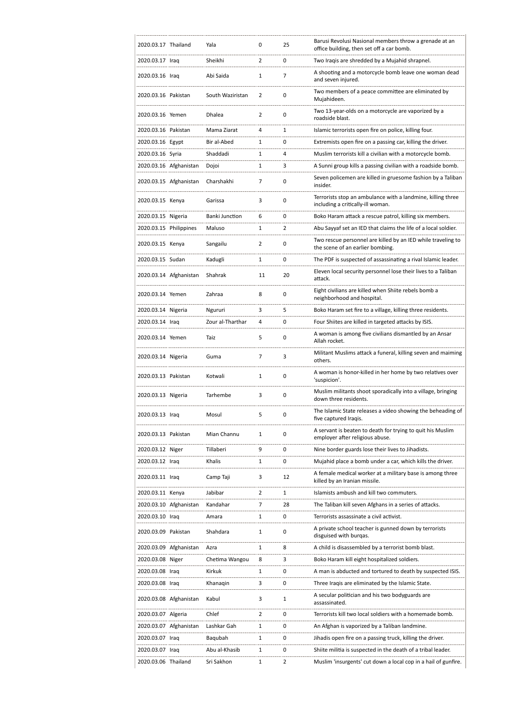| 2020.03.17 Thailand    |                        | Yala             | 0              | 25 | Barusi Revolusi Nasional members throw a grenade at an<br>office building, then set off a car bomb. |
|------------------------|------------------------|------------------|----------------|----|-----------------------------------------------------------------------------------------------------|
| 2020.03.17 Iraq        |                        | Sheikhi          | 2              | 0  | Two Iraqis are shredded by a Mujahid shrapnel.                                                      |
| 2020.03.16 Iraq        |                        | Abi Saida        | 1              | 7  | A shooting and a motorcycle bomb leave one woman dead<br>and seven injured.                         |
| 2020.03.16 Pakistan    |                        | South Waziristan | 2              | 0  | Two members of a peace committee are eliminated by<br>Mujahideen.                                   |
| 2020.03.16 Yemen       |                        | Dhalea           | $\overline{2}$ | 0  | Two 13-year-olds on a motorcycle are vaporized by a<br>roadside blast.                              |
| 2020.03.16 Pakistan    |                        | Mama Ziarat      | 4              | 1  | Islamic terrorists open fire on police, killing four.                                               |
| 2020.03.16 Egypt       |                        | Bir al-Abed      | 1              | 0  | Extremists open fire on a passing car, killing the driver.                                          |
| 2020.03.16 Syria       |                        | Shaddadi         | 1              | 4  | Muslim terrorists kill a civilian with a motorcycle bomb.                                           |
|                        | 2020.03.16 Afghanistan | Dojoi            | 1              | 3  | A Sunni group kills a passing civilian with a roadside bomb.                                        |
|                        | 2020.03.15 Afghanistan | Charshakhi       | 7              | 0  | Seven policemen are killed in gruesome fashion by a Taliban<br>insider.                             |
| 2020.03.15 Kenya       |                        | Garissa          | 3              | 0  | Terrorists stop an ambulance with a landmine, killing three<br>including a critically-ill woman.    |
| 2020.03.15 Nigeria     |                        | Banki Junction   | 6              | 0  | Boko Haram attack a rescue patrol, killing six members.                                             |
| 2020.03.15 Philippines |                        | Maluso           | 1              | 2  | Abu Sayyaf set an IED that claims the life of a local soldier.                                      |
| 2020.03.15 Kenya       |                        | Sangailu         | 2              | 0  | Two rescue personnel are killed by an IED while traveling to<br>the scene of an earlier bombing.    |
| 2020.03.15 Sudan       |                        | Kadugli          | 1              | 0  | The PDF is suspected of assassinating a rival Islamic leader.                                       |
|                        | 2020.03.14 Afghanistan | Shahrak          | 11             | 20 | Eleven local security personnel lose their lives to a Taliban<br>attack.                            |
| 2020.03.14 Yemen       |                        | Zahraa           | 8              | 0  | Eight civilians are killed when Shiite rebels bomb a<br>neighborhood and hospital.                  |
| 2020.03.14 Nigeria     |                        | Ngururi          | 3              | 5  | Boko Haram set fire to a village, killing three residents.                                          |
| 2020.03.14 Iraq        |                        | Zour al-Tharthar | 4              | 0  | Four Shiites are killed in targeted attacks by ISIS.                                                |
| 2020.03.14 Yemen       |                        | Taiz             | 5              | 0  | A woman is among five civilians dismantled by an Ansar<br>Allah rocket.                             |
| 2020.03.14 Nigeria     |                        | Guma             | 7              | 3  | Militant Muslims attack a funeral, killing seven and maiming<br>others.                             |
| 2020.03.13 Pakistan    |                        | Kotwali          | 1              | 0  | A woman is honor-killed in her home by two relatives over<br>'suspicion'.                           |
| 2020.03.13 Nigeria     |                        | Tarhembe         | 3              | 0  | Muslim militants shoot sporadically into a village, bringing<br>down three residents.               |
| 2020.03.13 Iraq        |                        | Mosul            | 5              | 0  | The Islamic State releases a video showing the beheading of<br>five captured Iraqis.                |
| 2020.03.13 Pakistan    |                        | Mian Channu      | 1              | 0  | A servant is beaten to death for trying to quit his Muslim<br>employer after religious abuse.       |
| 2020.03.12 Niger       |                        | Tillaberi        | 9              | 0  | Nine border guards lose their lives to Jihadists.                                                   |
| 2020.03.12 Iraq        |                        | Khalis           | 1              | 0  | Mujahid place a bomb under a car, which kills the driver.                                           |
| 2020.03.11 Iraq        |                        | Camp Taji        | 3              | 12 | A female medical worker at a military base is among three<br>killed by an Iranian missile.          |
| 2020.03.11 Kenya       |                        | Jabibar          | $\overline{2}$ | 1  | Islamists ambush and kill two commuters.                                                            |
|                        | 2020.03.10 Afghanistan | Kandahar         | 7              | 28 | The Taliban kill seven Afghans in a series of attacks.                                              |
| 2020.03.10 Iraq        |                        | Amara            | 1              | 0  | Terrorists assassinate a civil activist.                                                            |
| 2020.03.09 Pakistan    |                        | Shahdara         | 1              | 0  | A private school teacher is gunned down by terrorists<br>disguised with burgas.                     |
|                        | 2020.03.09 Afghanistan | Azra             | 1              | 8  | A child is disassembled by a terrorist bomb blast.                                                  |
| 2020.03.08 Niger       |                        | Chetima Wangou   | 8              | 3  | Boko Haram kill eight hospitalized soldiers.                                                        |
| 2020.03.08 Iraq        |                        | Kirkuk           | 1              | 0  | A man is abducted and tortured to death by suspected ISIS.                                          |
| 2020.03.08 Iraq        |                        | Khanagin         | 3              | 0  | Three Iraqis are eliminated by the Islamic State.                                                   |
|                        | 2020.03.08 Afghanistan | Kabul            | 3              | 1  | A secular politician and his two bodyguards are<br>assassinated.                                    |
| 2020.03.07 Algeria     |                        | Chlef            | 2              | 0  | Terrorists kill two local soldiers with a homemade bomb.                                            |
|                        | 2020.03.07 Afghanistan | Lashkar Gah      | 1              | 0  | An Afghan is vaporized by a Taliban landmine.                                                       |
| 2020.03.07 Iraq        |                        | Bagubah          | 1              | 0  | Jihadis open fire on a passing truck, killing the driver.                                           |
| 2020.03.07 Iraq        |                        | Abu al-Khasib    | 1              | 0  | Shiite militia is suspected in the death of a tribal leader.                                        |
| 2020.03.06 Thailand    |                        | Sri Sakhon       | 1              | 2  | Muslim 'insurgents' cut down a local cop in a hail of gunfire.                                      |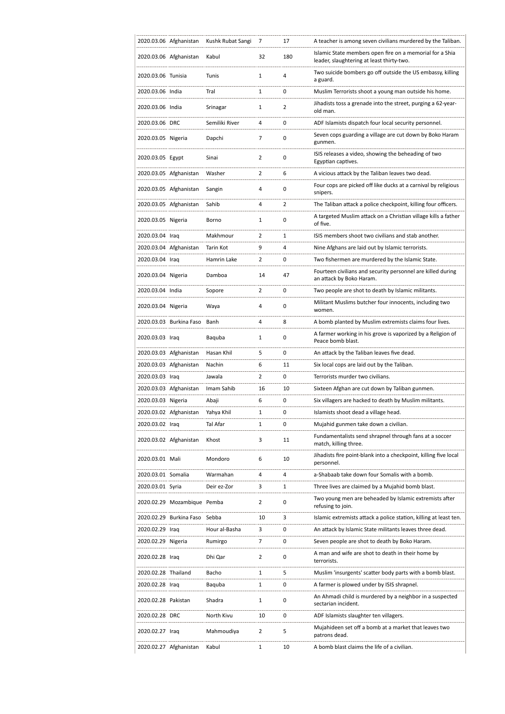|                     | 2020.03.06 Afghanistan      | Kushk Rubat Sangi | 7              | 17             | A teacher is among seven civilians murdered by the Taliban.                                           |
|---------------------|-----------------------------|-------------------|----------------|----------------|-------------------------------------------------------------------------------------------------------|
|                     | 2020.03.06 Afghanistan      | Kabul             | 32             | 180            | Islamic State members open fire on a memorial for a Shia<br>leader, slaughtering at least thirty-two. |
| 2020.03.06 Tunisia  |                             | Tunis             | $\mathbf{1}$   | 4              | Two suicide bombers go off outside the US embassy, killing<br>a guard.                                |
| 2020.03.06 India    |                             | Tral              | $\mathbf{1}$   | 0              | Muslim Terrorists shoot a young man outside his home.                                                 |
| 2020.03.06 India    |                             | Srinagar          | $\mathbf{1}$   | $\overline{2}$ | Jihadists toss a grenade into the street, purging a 62-year-<br>old man.                              |
| 2020.03.06 DRC      |                             | Semiliki River    | 4              | 0              | ADF Islamists dispatch four local security personnel.                                                 |
| 2020.03.05 Nigeria  |                             | Dapchi            | 7              | 0              | Seven cops guarding a village are cut down by Boko Haram<br>gunmen.                                   |
| 2020.03.05 Egypt    |                             | Sinai             | $\overline{2}$ | 0              | ISIS releases a video, showing the beheading of two<br>Egyptian captives.                             |
|                     | 2020.03.05 Afghanistan      | Washer            | 2              | 6              | A vicious attack by the Taliban leaves two dead.                                                      |
|                     | 2020.03.05 Afghanistan      | Sangin            | 4              | 0              | Four cops are picked off like ducks at a carnival by religious<br>snipers.                            |
|                     | 2020.03.05 Afghanistan      | Sahib             | 4              | 2              | The Taliban attack a police checkpoint, killing four officers.                                        |
| 2020.03.05 Nigeria  |                             | Borno             | $\mathbf{1}$   | 0              | A targeted Muslim attack on a Christian village kills a father<br>of five.                            |
| 2020.03.04 Iraq     |                             | Makhmour          | 2              | 1              | ISIS members shoot two civilians and stab another.                                                    |
|                     | 2020.03.04 Afghanistan      | Tarin Kot         | 9              | 4              | Nine Afghans are laid out by Islamic terrorists.                                                      |
| 2020.03.04 Iraq     |                             | Hamrin Lake       | $\overline{2}$ | 0              | Two fishermen are murdered by the Islamic State.                                                      |
| 2020.03.04 Nigeria  |                             | Damboa            | 14             | 47             | Fourteen civilians and security personnel are killed during<br>an attack by Boko Haram.               |
| 2020.03.04 India    |                             | Sopore            | $\overline{2}$ | 0              | Two people are shot to death by Islamic militants.                                                    |
| 2020.03.04 Nigeria  |                             | Waya              | 4              | 0              | Militant Muslims butcher four innocents, including two<br>women.                                      |
|                     | 2020.03.03 Burkina Faso     | Banh              | 4              | 8              | A bomb planted by Muslim extremists claims four lives.                                                |
| 2020.03.03 Iraq     |                             | Baquba            | 1              | 0              | A farmer working in his grove is vaporized by a Religion of<br>Peace bomb blast.                      |
|                     | 2020.03.03 Afghanistan      | Hasan Khil        | 5              | 0              | An attack by the Taliban leaves five dead.                                                            |
|                     | 2020.03.03 Afghanistan      | Nachin            | 6              | 11             | Six local cops are laid out by the Taliban.                                                           |
| 2020.03.03 Iraq     |                             | Jawala            | $\overline{2}$ | 0              | Terrorists murder two civilians.                                                                      |
|                     | 2020.03.03 Afghanistan      | Imam Sahib        | 16             | 10             | Sixteen Afghan are cut down by Taliban gunmen.                                                        |
| 2020.03.03 Nigeria  |                             | Abaji             | 6              | 0              | Six villagers are hacked to death by Muslim militants.                                                |
|                     | 2020.03.02 Afghanistan      | Yahya Khil        | 1              | 0              | Islamists shoot dead a village head.                                                                  |
| 2020.03.02 Iraq     |                             | Tal Afar          | 1              | 0              | Mujahid gunmen take down a civilian.                                                                  |
|                     | 2020.03.02 Afghanistan      | Khost             | 3              | 11             | Fundamentalists send shrapnel through fans at a soccer<br>match, killing three.                       |
| 2020.03.01 Mali     |                             | Mondoro           | 6              | 10             | Jihadists fire point-blank into a checkpoint, killing five local<br>personnel.                        |
| 2020.03.01 Somalia  |                             | Warmahan          | 4              | 4              | a-Shabaab take down four Somalis with a bomb.                                                         |
| 2020.03.01 Syria    |                             | Deir ez-Zor       | 3              | 1              | Three lives are claimed by a Mujahid bomb blast.                                                      |
|                     | 2020.02.29 Mozambique Pemba |                   | $\overline{2}$ | 0              | Two young men are beheaded by Islamic extremists after<br>refusing to join.                           |
|                     | 2020.02.29 Burkina Faso     | Sebba             | 10             | 3              | Islamic extremists attack a police station, killing at least ten.                                     |
| 2020.02.29 Iraq     |                             | Hour al-Basha     | 3              | 0              | An attack by Islamic State militants leaves three dead.                                               |
| 2020.02.29 Nigeria  |                             | Rumirgo           | 7              | 0              | Seven people are shot to death by Boko Haram.                                                         |
| 2020.02.28 Iraq     |                             | Dhi Qar           | 2              | 0              | A man and wife are shot to death in their home by<br>terrorists.                                      |
| 2020.02.28 Thailand |                             | Bacho             | 1              | 5              | Muslim 'insurgents' scatter body parts with a bomb blast.                                             |
| 2020.02.28 Iraq     |                             | Baquba            | 1              | 0              | A farmer is plowed under by ISIS shrapnel.                                                            |
| 2020.02.28 Pakistan |                             | Shadra            | $\mathbf{1}$   | 0              | An Ahmadi child is murdered by a neighbor in a suspected<br>sectarian incident.                       |
| 2020.02.28 DRC      |                             | North Kivu        | 10             | 0              | ADF Islamists slaughter ten villagers.                                                                |
| 2020.02.27 Iraq     |                             | Mahmoudiya        | $\overline{2}$ | 5              | Mujahideen set off a bomb at a market that leaves two<br>patrons dead.                                |
|                     | 2020.02.27 Afghanistan      | Kabul             | 1              | 10             | A bomb blast claims the life of a civilian.                                                           |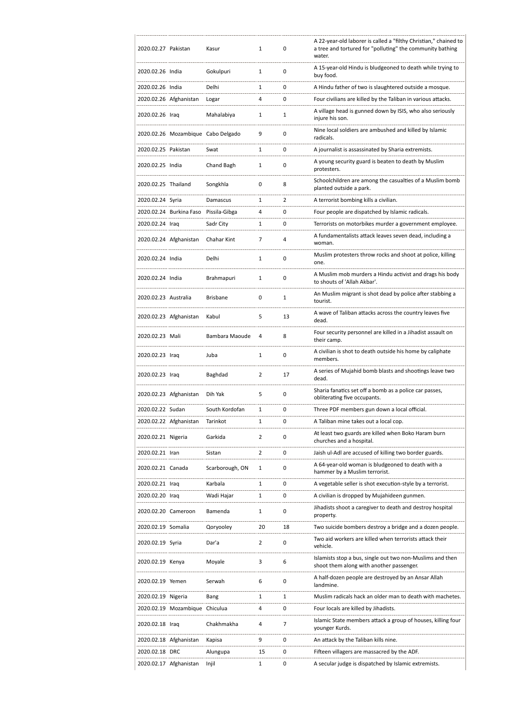| 2020.02.27 Pakistan  |                                | Kasur                              | 1              | 0  | A 22-year-old laborer is called a "filthy Christian," chained to<br>a tree and tortured for "polluting" the community bathing<br>water. |
|----------------------|--------------------------------|------------------------------------|----------------|----|-----------------------------------------------------------------------------------------------------------------------------------------|
| 2020.02.26 India     |                                | Gokulpuri                          | $\mathbf{1}$   | 0  | A 15-year-old Hindu is bludgeoned to death while trying to<br>buy food.                                                                 |
| 2020.02.26 India     |                                | Delhi                              | 1              | 0  | A Hindu father of two is slaughtered outside a mosque.                                                                                  |
|                      | 2020.02.26 Afghanistan         | Logar                              | 4              | 0  | Four civilians are killed by the Taliban in various attacks.                                                                            |
| 2020.02.26 Iraq      |                                | Mahalabiya                         | 1              | 1  | A village head is gunned down by ISIS, who also seriously<br>injure his son.                                                            |
|                      |                                | 2020.02.26 Mozambique Cabo Delgado | 9              | 0  | Nine local soldiers are ambushed and killed by Islamic<br>radicals.                                                                     |
| 2020.02.25 Pakistan  |                                | Swat                               | 1              | 0  | A journalist is assassinated by Sharia extremists.                                                                                      |
| 2020.02.25 India     |                                | Chand Bagh                         | 1              | 0  | A young security guard is beaten to death by Muslim<br>protesters.                                                                      |
| 2020.02.25 Thailand  |                                | Songkhla                           | 0              | 8  | Schoolchildren are among the casualties of a Muslim bomb<br>planted outside a park.                                                     |
| 2020.02.24 Syria     |                                | Damascus                           | 1              | 2  | A terrorist bombing kills a civilian.                                                                                                   |
|                      | 2020.02.24 Burkina Faso        | Pissila-Gibga                      | 4              | 0  | Four people are dispatched by Islamic radicals.                                                                                         |
| 2020.02.24 Iraq      |                                | Sadr City                          | 1              | 0  | Terrorists on motorbikes murder a government employee.                                                                                  |
|                      | 2020.02.24 Afghanistan         | Chahar Kint                        | 7              | 4  | A fundamentalists attack leaves seven dead, including a<br>woman.                                                                       |
| 2020.02.24 India     |                                | Delhi                              | 1              | 0  | Muslim protesters throw rocks and shoot at police, killing<br>one.                                                                      |
| 2020.02.24 India     |                                | Brahmapuri                         | $\mathbf{1}$   | 0  | A Muslim mob murders a Hindu activist and drags his body<br>to shouts of 'Allah Akbar'.                                                 |
| 2020.02.23 Australia |                                | <b>Brisbane</b>                    | 0              | 1  | An Muslim migrant is shot dead by police after stabbing a<br>tourist.                                                                   |
|                      | 2020.02.23 Afghanistan         | Kabul                              | 5              | 13 | A wave of Taliban attacks across the country leaves five<br>dead.                                                                       |
| 2020.02.23 Mali      |                                | Bambara Maoude                     | 4              | 8  | Four security personnel are killed in a Jihadist assault on<br>their camp.                                                              |
| 2020.02.23 Iraq      |                                | Juba                               | 1              | 0  | A civilian is shot to death outside his home by caliphate<br>members.                                                                   |
| 2020.02.23 Iraq      |                                | Baghdad                            | 2              | 17 | A series of Mujahid bomb blasts and shootings leave two<br>dead.                                                                        |
|                      | 2020.02.23 Afghanistan         | Dih Yak                            | 5              | 0  | Sharia fanatics set off a bomb as a police car passes,<br>obliterating five occupants.                                                  |
| 2020.02.22 Sudan     |                                | South Kordofan                     | 1              | 0  | Three PDF members gun down a local official.                                                                                            |
|                      | 2020.02.22 Afghanistan         | Tarinkot                           | 1              | 0  | A Taliban mine takes out a local cop.                                                                                                   |
| 2020.02.21 Nigeria   |                                | Garkida                            | 2              | 0  | At least two guards are killed when Boko Haram burn<br>churches and a hospital.                                                         |
| 2020.02.21 Iran      |                                | Sistan                             | $\overline{2}$ | 0  | Jaish ul-Adl are accused of killing two border guards.                                                                                  |
| 2020.02.21 Canada    |                                | Scarborough, ON                    | 1              | 0  | A 64-year-old woman is bludgeoned to death with a<br>hammer by a Muslim terrorist.                                                      |
| 2020.02.21 Iraq      |                                | Karbala                            | 1              | 0  | A vegetable seller is shot execution-style by a terrorist.                                                                              |
| 2020.02.20 Iraq      |                                | Wadi Hajar                         | 1              | 0  | A civilian is dropped by Mujahideen gunmen.                                                                                             |
| 2020.02.20 Cameroon  |                                | Bamenda                            | 1              | 0  | Jihadists shoot a caregiver to death and destroy hospital<br>property.                                                                  |
| 2020.02.19 Somalia   |                                | Qoryooley                          | 20             | 18 | Two suicide bombers destroy a bridge and a dozen people.                                                                                |
| 2020.02.19 Syria     |                                | Dar'a                              | $\overline{2}$ | 0  | Two aid workers are killed when terrorists attack their<br>vehicle.                                                                     |
| 2020.02.19 Kenya     |                                | Moyale                             | 3              | 6  | Islamists stop a bus, single out two non-Muslims and then<br>shoot them along with another passenger.                                   |
| 2020.02.19 Yemen     |                                | Serwah                             | 6              | 0  | A half-dozen people are destroyed by an Ansar Allah<br>landmine.                                                                        |
| 2020.02.19 Nigeria   |                                | Bang                               | 1              | 1  | Muslim radicals hack an older man to death with machetes.                                                                               |
|                      | 2020.02.19 Mozambique Chiculua |                                    | 4              | 0  | Four locals are killed by Jihadists.                                                                                                    |
| 2020.02.18 Iraq      |                                | Chakhmakha                         | 4              | 7  | Islamic State members attack a group of houses, killing four<br>younger Kurds.                                                          |
|                      | 2020.02.18 Afghanistan         | Kapisa                             | 9              | 0  | An attack by the Taliban kills nine.                                                                                                    |
| 2020.02.18 DRC       |                                | Alungupa                           | 15             | 0  | Fifteen villagers are massacred by the ADF.                                                                                             |
|                      | 2020.02.17 Afghanistan         | Injil                              | 1              | 0  | A secular judge is dispatched by Islamic extremists.                                                                                    |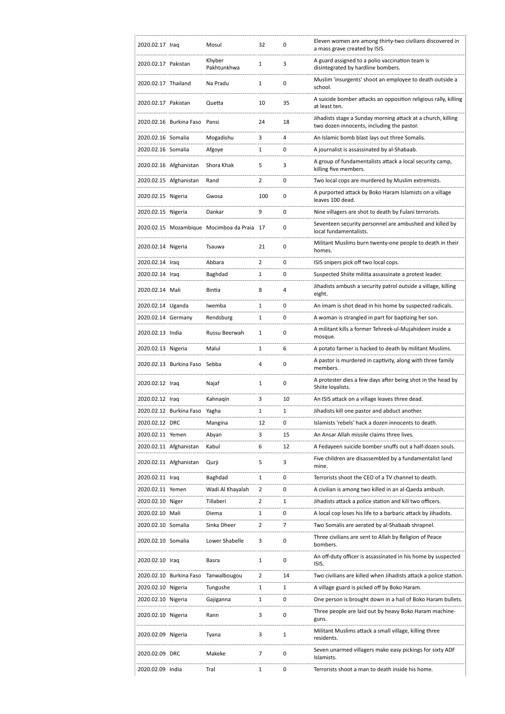| 2020.02.17 Iraq     |                               | Mosul                                      | 32             | 0  | Eleven women are among thirty-two civilians discovered in<br>a mass grave created by ISIS.                 |
|---------------------|-------------------------------|--------------------------------------------|----------------|----|------------------------------------------------------------------------------------------------------------|
| 2020.02.17 Pakistan |                               | Khyber<br>Pakhtunkhwa                      | 1              | 3  | A guard assigned to a polio vaccination team is<br>disintegrated by hardline bombers.                      |
| 2020.02.17 Thailand |                               | Na Pradu                                   | 1              | 0  | Muslim 'insurgents' shoot an employee to death outside a<br>school.                                        |
| 2020.02.17 Pakistan |                               | Quetta                                     | 10             | 35 | A suicide bomber attacks an opposition religious rally, killing<br>at least ten.                           |
|                     | 2020.02.16 Burkina Faso Pansi |                                            | 24             | 18 | Jihadists stage a Sunday morning attack at a church, killing<br>two dozen innocents, including the pastor. |
| 2020.02.16 Somalia  |                               | Mogadishu                                  | 3              | 4  | An Islamic bomb blast lays out three Somalis.                                                              |
| 2020.02.16 Somalia  |                               | Afgoye                                     | 1              | 0  | A journalist is assassinated by al-Shabaab.                                                                |
|                     | 2020.02.16 Afghanistan        | Shora Khak                                 | 5              | 3  | A group of fundamentalists attack a local security camp,<br>killing five members.                          |
|                     | 2020.02.15 Afghanistan        | Rand                                       | 2              | 0  | Two local cops are murdered by Muslim extremists.                                                          |
| 2020.02.15 Nigeria  |                               | Gwosa                                      | 100            | 0  | A purported attack by Boko Haram Islamists on a village<br>leaves 100 dead.                                |
| 2020.02.15 Nigeria  |                               | Dankar                                     | 9              | 0  | Nine villagers are shot to death by Fulani terrorists.                                                     |
|                     |                               | 2020.02.15 Mozambique Mocimboa da Praia 17 |                | 0  | Seventeen security personnel are ambushed and killed by<br>local fundamentalists.                          |
| 2020.02.14 Nigeria  |                               | Tsauwa                                     | 21             | 0  | Militant Muslims burn twenty-one people to death in their<br>homes.                                        |
| 2020.02.14 Iraq     |                               | Abbara                                     | 2              | 0  | ISIS snipers pick off two local cops.                                                                      |
| 2020.02.14 Iraq     |                               | Baghdad                                    | 1              | 0  | Suspected Shiite militia assassinate a protest leader.                                                     |
| 2020.02.14 Mali     |                               | Bintia                                     | 8              | 4  | Jihadists ambush a security patrol outside a village, killing<br>eight.                                    |
| 2020.02.14 Uganda   |                               | Iwemba                                     | 1              | 0  | An imam is shot dead in his home by suspected radicals.                                                    |
| 2020.02.14 Germany  |                               | Rendsburg                                  | 1              | 0  | A woman is strangled in part for baptizing her son.                                                        |
| 2020.02.13 India    |                               | Russu Beerwah                              | 1              | 0  | A militant kills a former Tehreek-ul-Mujahideen inside a<br>mosque.                                        |
| 2020.02.13 Nigeria  |                               | Malul                                      | 1              | 6  | A potato farmer is hacked to death by militant Muslims.                                                    |
|                     |                               |                                            |                |    |                                                                                                            |
|                     | 2020.02.13 Burkina Faso Sebba |                                            | 4              | 0  | A pastor is murdered in captivity, along with three family<br>members.                                     |
| 2020.02.12 Iraq     |                               | Najaf                                      | 1              | 0  | A protester dies a few days after being shot in the head by<br>Shiite loyalists.                           |
| 2020.02.12 Iraq     |                               | Kahnagin                                   | 3              | 10 | An ISIS attack on a village leaves three dead.                                                             |
|                     | 2020.02.12 Burkina Faso       | Yagha                                      | 1              | 1  | Jihadists kill one pastor and abduct another.                                                              |
| 2020.02.12 DRC      |                               | Mangina                                    | 12             | 0  | Islamists 'rebels' hack a dozen innocents to death.                                                        |
| 2020.02.11 Yemen    |                               | Abyan                                      | 3              | 15 | An Ansar Allah missile claims three lives.                                                                 |
|                     | 2020.02.11 Afghanistan        | Kabul                                      | 6              | 12 | A Fedayeen suicide bomber snuffs out a half-dozen souls.                                                   |
|                     | 2020.02.11 Afghanistan        | Qurji                                      | 5              | 3  | Five children are disassembled by a fundamentalist land<br>mine.                                           |
| 2020.02.11 Iraq     |                               | Baghdad                                    | 1              | 0  | Terrorists shoot the CEO of a TV channel to death.                                                         |
| 2020.02.11 Yemen    |                               | Wadi Al Khayalah                           | 2              | 0  | A civilian is among two killed in an al-Qaeda ambush.                                                      |
| 2020.02.10 Niger    |                               | Tillaberi                                  | 2              | 1  | Jihadists attack a police station and kill two officers.                                                   |
| 2020.02.10 Mali     |                               | Diema                                      | 1              | 0  | A local cop loses his life to a barbaric attack by Jihadists.                                              |
| 2020.02.10 Somalia  |                               | Sinka Dheer                                | $\overline{2}$ | 7  | Two Somalis are aerated by al-Shabaab shrapnel.                                                            |
| 2020.02.10 Somalia  |                               | Lower Shabelle                             | 3              | 0  | Three civilians are sent to Allah by Religion of Peace<br>bombers.                                         |
| 2020.02.10 Iraq     |                               | Basra                                      | 1              | 0  | An off-duty officer is assassinated in his home by suspected<br>ISIS.                                      |
|                     | 2020.02.10 Burkina Faso       | Tanwalbougou                               | 2              | 14 | Two civilians are killed when Jihadists attack a police station.                                           |
| 2020.02.10 Nigeria  |                               | Tungushe                                   | 1              | 1  | A village guard is picked off by Boko Haram.                                                               |
| 2020.02.10 Nigeria  |                               | Gajiganna                                  | 1              | 0  | One person is brought down in a hail of Boko Haram bullets.                                                |
| 2020.02.10 Nigeria  |                               | Rann                                       | 3              | 0  | Three people are laid out by heavy Boko Haram machine-<br>guns.                                            |
| 2020.02.09 Nigeria  |                               | Tyana                                      | 3              | 1  | Militant Muslims attack a small village, killing three<br>residents.                                       |
| 2020.02.09 DRC      |                               | Makeke                                     | 7              | 0  | Seven unarmed villagers make easy pickings for sixty ADF<br>Islamists.                                     |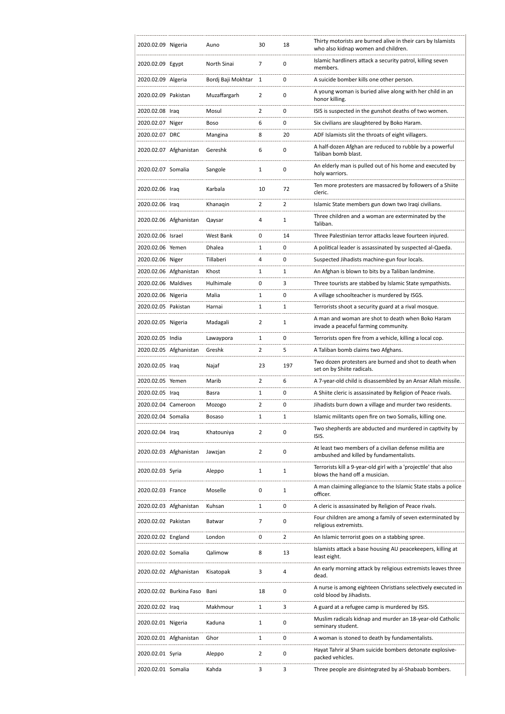| 2020.02.09 Nigeria  |                         | Auno               | 30             | 18             | Thirty motorists are burned alive in their cars by Islamists<br>who also kidnap women and children. |
|---------------------|-------------------------|--------------------|----------------|----------------|-----------------------------------------------------------------------------------------------------|
| 2020.02.09 Egypt    |                         | North Sinai        | 7              | 0              | Islamic hardliners attack a security patrol, killing seven<br>members.                              |
| 2020.02.09 Algeria  |                         | Bordi Baji Mokhtar | 1              | 0              | A suicide bomber kills one other person.                                                            |
| 2020.02.09 Pakistan |                         | Muzaffargarh       | 2              | 0              | A young woman is buried alive along with her child in an<br>honor killing.                          |
| 2020.02.08 Iraq     |                         | Mosul              | $\overline{2}$ | 0              | ISIS is suspected in the gunshot deaths of two women.                                               |
| 2020.02.07 Niger    |                         | Boso               | 6              | 0              | Six civilians are slaughtered by Boko Haram.                                                        |
| 2020.02.07 DRC      |                         | Mangina            | 8              | 20             | ADF Islamists slit the throats of eight villagers.                                                  |
|                     | 2020.02.07 Afghanistan  | Gereshk            | 6              | 0              | A half-dozen Afghan are reduced to rubble by a powerful<br>Taliban bomb blast.                      |
| 2020.02.07 Somalia  |                         | Sangole            | 1              | 0              | An elderly man is pulled out of his home and executed by<br>holy warriors.                          |
| 2020.02.06 Iraq     |                         | Karbala            | 10             | 72             | Ten more protesters are massacred by followers of a Shiite<br>cleric.                               |
| 2020.02.06 Iraq     |                         | Khanagin           | $\overline{2}$ | $\overline{2}$ | Islamic State members gun down two Iraqi civilians.                                                 |
|                     | 2020.02.06 Afghanistan  | Qaysar             | 4              | 1              | Three children and a woman are exterminated by the<br>Taliban.                                      |
| 2020.02.06 Israel   |                         | West Bank          | 0              | 14             | Three Palestinian terror attacks leave fourteen injured.                                            |
| 2020.02.06 Yemen    |                         | Dhalea             | $\mathbf{1}$   | 0              | A political leader is assassinated by suspected al-Qaeda.                                           |
| 2020.02.06 Niger    |                         | Tillaberi          | 4              | 0              | Suspected Jihadists machine-gun four locals.                                                        |
|                     | 2020.02.06 Afghanistan  | Khost              | 1              | 1              | An Afghan is blown to bits by a Taliban landmine.                                                   |
| 2020.02.06 Maldives |                         | Hulhimale          | 0              | 3              | Three tourists are stabbed by Islamic State sympathists.                                            |
| 2020.02.06 Nigeria  |                         | Malia              | $\mathbf{1}$   | 0              | A village schoolteacher is murdered by ISGS.                                                        |
| 2020.02.05 Pakistan |                         | Harnai             | 1              | 1              | Terrorists shoot a security guard at a rival mosque.                                                |
| 2020.02.05 Nigeria  |                         | Madagali           | 2              | 1              | A man and woman are shot to death when Boko Haram<br>invade a peaceful farming community.           |
| 2020.02.05 India    |                         | Lawaypora          | $\mathbf{1}$   | 0              | Terrorists open fire from a vehicle, killing a local cop.                                           |
|                     | 2020.02.05 Afghanistan  | Greshk             | $\overline{2}$ | 5              | A Taliban bomb claims two Afghans.                                                                  |
| 2020.02.05 Iraq     |                         | Najaf              | 23             | 197            | Two dozen protesters are burned and shot to death when<br>set on by Shiite radicals.                |
| 2020.02.05 Yemen    |                         | Marib              | $\overline{2}$ | 6              | A 7-year-old child is disassembled by an Ansar Allah missile.                                       |
| 2020.02.05 Iraq     |                         | Basra              | 1              | 0              | A Shiite cleric is assassinated by Religion of Peace rivals.                                        |
| 2020.02.04 Cameroon |                         | Mozogo             | 2              | 0              | Jihadists burn down a village and murder two residents.                                             |
| 2020.02.04 Somalia  |                         | Bosaso             | 1              | 1              | Islamic militants open fire on two Somalis, killing one.                                            |
| 2020.02.04 Iraq     |                         | Khatouniya         | $\overline{2}$ | 0              | Two shepherds are abducted and murdered in captivity by<br>ISIS.                                    |
|                     | 2020.02.03 Afghanistan  | Jawzjan            | $\overline{2}$ | 0              | At least two members of a civilian defense militia are<br>ambushed and killed by fundamentalists.   |
| 2020.02.03 Syria    |                         | Aleppo             | 1              | 1              | Terrorists kill a 9-year-old girl with a 'projectile' that also<br>blows the hand off a musician.   |
| 2020.02.03 France   |                         | Moselle            | 0              | 1              | A man claiming allegiance to the Islamic State stabs a police<br>officer.                           |
|                     | 2020.02.03 Afghanistan  | Kuhsan             | 1              | 0              | A cleric is assassinated by Religion of Peace rivals.                                               |
| 2020.02.02 Pakistan |                         | Batwar             | 7              | 0              | Four children are among a family of seven exterminated by<br>religious extremists.                  |
| 2020.02.02 England  |                         | London             | 0              | 2              | An Islamic terrorist goes on a stabbing spree.                                                      |
| 2020.02.02 Somalia  |                         | Qalimow            | 8              | 13             | Islamists attack a base housing AU peacekeepers, killing at<br>least eight.                         |
|                     | 2020.02.02 Afghanistan  | Kisatopak          | 3              | 4              | An early morning attack by religious extremists leaves three<br>dead.                               |
|                     | 2020.02.02 Burkina Faso | Bani               | 18             | 0              | A nurse is among eighteen Christians selectively executed in<br>cold blood by Jihadists.            |
| 2020.02.02 Iraq     |                         | Makhmour           | 1              | 3              | A guard at a refugee camp is murdered by ISIS.                                                      |
| 2020.02.01 Nigeria  |                         | Kaduna             | 1              | 0              | Muslim radicals kidnap and murder an 18-year-old Catholic<br>seminary student.                      |
|                     | 2020.02.01 Afghanistan  | Ghor               | 1              | 0              | A woman is stoned to death by fundamentalists.                                                      |
| 2020.02.01 Syria    |                         | Aleppo             | $\overline{2}$ | 0              | Hayat Tahrir al Sham suicide bombers detonate explosive-<br>packed vehicles.                        |
| 2020.02.01 Somalia  |                         | Kahda              | 3              | 3              | Three people are disintegrated by al-Shabaab bombers.                                               |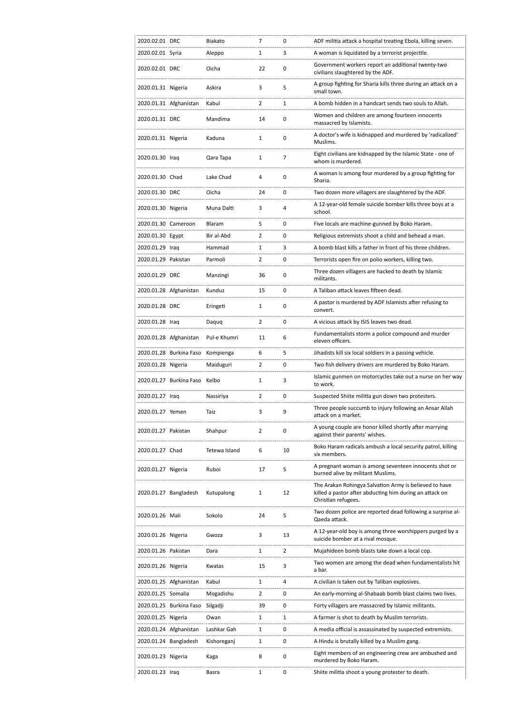| 2020.02.01 DRC      |                               | Biakato       | 7              | 0              | ADF militia attack a hospital treating Ebola, killing seven.                                                                             |
|---------------------|-------------------------------|---------------|----------------|----------------|------------------------------------------------------------------------------------------------------------------------------------------|
| 2020.02.01 Syria    |                               | Aleppo        | 1              | 3              | A woman is liquidated by a terrorist projectile.                                                                                         |
| 2020.02.01 DRC      |                               | Oicha         | 22             | 0              | Government workers report an additional twenty-two<br>civilians slaughtered by the ADF.                                                  |
| 2020.01.31 Nigeria  |                               | Askira        | 3              | 5              | A group fighting for Sharia kills three during an attack on a<br>small town.                                                             |
|                     | 2020.01.31 Afghanistan        | Kabul         | 2              | 1              | A bomb hidden in a handcart sends two souls to Allah.                                                                                    |
| 2020.01.31 DRC      |                               | Mandima       | 14             | 0              | Women and children are among fourteen innocents<br>massacred by Islamists.                                                               |
| 2020.01.31 Nigeria  |                               | Kaduna        | $\mathbf{1}$   | 0              | A doctor's wife is kidnapped and murdered by 'radicalized'<br>Muslims.                                                                   |
| 2020.01.30 Iraq     |                               | Qara Tapa     | 1              | 7              | Eight civilians are kidnapped by the Islamic State - one of<br>whom is murdered.                                                         |
| 2020.01.30 Chad     |                               | Lake Chad     | 4              | 0              | A woman is among four murdered by a group fighting for<br>Sharia.                                                                        |
| 2020.01.30 DRC      |                               | Oicha         | 24             | 0              | Two dozen more villagers are slaughtered by the ADF.                                                                                     |
| 2020.01.30 Nigeria  |                               | Muna Dalti    | 3              | 4              | A 12-year-old female suicide bomber kills three boys at a<br>school.                                                                     |
| 2020.01.30 Cameroon |                               | Blaram        | 5              | 0              | Five locals are machine-gunned by Boko Haram.                                                                                            |
| 2020.01.30 Egypt    |                               | Bir al-Abd    | 2              | 0              | Religious extremists shoot a child and behead a man.                                                                                     |
| 2020.01.29 Iraq     |                               | Hammad        | 1              | 3              | A bomb blast kills a father in front of his three children.                                                                              |
| 2020.01.29 Pakistan |                               | Parmoli       | $\overline{2}$ | 0              | Terrorists open fire on polio workers, killing two.                                                                                      |
| 2020.01.29 DRC      |                               | Manzingi      | 36             | 0              | Three dozen villagers are hacked to death by Islamic<br>militants.                                                                       |
|                     | 2020.01.28 Afghanistan        | Kunduz        | 15             | 0              | A Taliban attack leaves fifteen dead.                                                                                                    |
| 2020.01.28 DRC      |                               | Eringeti      | 1              | 0              | A pastor is murdered by ADF Islamists after refusing to<br>convert.                                                                      |
| 2020.01.28 Iraq     |                               | Daquq         | 2              | 0              | A vicious attack by ISIS leaves two dead.                                                                                                |
|                     | 2020.01.28 Afghanistan        | Pul-e Khumri  | 11             | 6              | Fundamentalists storm a police compound and murder<br>eleven officers.                                                                   |
|                     | 2020.01.28 Burkina Faso       | Kompienga     | 6              | 5              | Jihadists kill six local soldiers in a passing vehicle.                                                                                  |
| 2020.01.28 Nigeria  |                               | Maiduguri     | 2              | 0              | Two fish delivery drivers are murdered by Boko Haram.                                                                                    |
|                     | 2020.01.27 Burkina Faso Kelbo |               | 1              | 3              | Islamic gunmen on motorcycles take out a nurse on her way<br>to work.                                                                    |
| 2020.01.27 Iraq     |                               | Nassiriya     | $\overline{2}$ | 0              | Suspected Shiite militia gun down two protesters.                                                                                        |
| 2020.01.27 Yemen    |                               | Taiz          | 3              | 9              | Three people succumb to injury following an Ansar Allah<br>attack on a market.                                                           |
| 2020.01.27 Pakistan |                               | Shahpur       | $\overline{2}$ | 0              | A young couple are honor killed shortly after marrying<br>against their parents' wishes.                                                 |
| 2020.01.27 Chad     |                               | Tetewa Island | 6              | 10             | Boko Haram radicals ambush a local security patrol, killing<br>six members.                                                              |
| 2020.01.27 Nigeria  |                               | Ruboi         | 17             | 5              | A pregnant woman is among seventeen innocents shot or<br>burned alive by militant Muslims.                                               |
|                     | 2020.01.27 Bangladesh         | Kutupalong    | 1              | 12             | The Arakan Rohingya Salvation Army is believed to have<br>killed a pastor after abducting him during an attack on<br>Christian refugees. |
| 2020.01.26 Mali     |                               | Sokolo        | 24             | 5              | Two dozen police are reported dead following a surprise al-<br>Qaeda attack.                                                             |
| 2020.01.26 Nigeria  |                               | Gwoza         | 3              | 13             | A 12-year-old boy is among three worshippers purged by a<br>suicide bomber at a rival mosque.                                            |
| 2020.01.26 Pakistan |                               | Dara          | 1              | $\overline{2}$ | Mujahideen bomb blasts take down a local cop.                                                                                            |
| 2020.01.26 Nigeria  |                               | Kwatas        | 15             | 3              | Two women are among the dead when fundamentalists hit<br>a bar.                                                                          |
|                     | 2020.01.25 Afghanistan        | Kabul         | 1              | 4              | A civilian is taken out by Taliban explosives.                                                                                           |
| 2020.01.25 Somalia  |                               | Mogadishu     | 2              | 0              | An early-morning al-Shabaab bomb blast claims two lives.                                                                                 |
|                     | 2020.01.25 Burkina Faso       | Silgadji      | 39             | 0              | Forty villagers are massacred by Islamic militants.                                                                                      |
| 2020.01.25 Nigeria  |                               | Owan          | 1              | 1              | A farmer is shot to death by Muslim terrorists.                                                                                          |
|                     | 2020.01.24 Afghanistan        | Lashkar Gah   | 1              | 0              | A media official is assassinated by suspected extremists.                                                                                |
|                     | 2020.01.24 Bangladesh         | Kishoreganj   | 1              | 0              | A Hindu is brutally killed by a Muslim gang.                                                                                             |
| 2020.01.23 Nigeria  |                               | Kaga          | 8              | 0              | Eight members of an engineering crew are ambushed and<br>murdered by Boko Haram.                                                         |
| 2020.01.23 Iraq     |                               | Basra         | 1              | 0              | Shiite militia shoot a young protester to death.                                                                                         |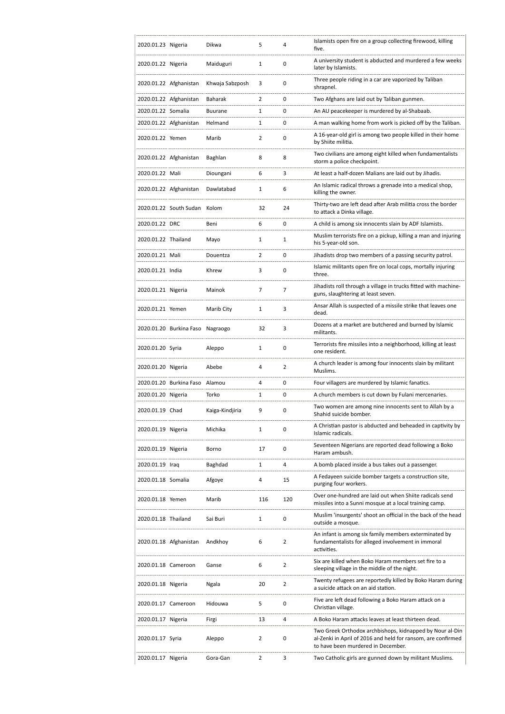| 2020.01.23 Nigeria  |                         | Dikwa           | 5              | 4              | Islamists open fire on a group collecting firewood, killing<br>five.                                                                                           |
|---------------------|-------------------------|-----------------|----------------|----------------|----------------------------------------------------------------------------------------------------------------------------------------------------------------|
| 2020.01.22 Nigeria  |                         | Maiduguri       | $\mathbf{1}$   | 0              | A university student is abducted and murdered a few weeks<br>later by Islamists.                                                                               |
|                     | 2020.01.22 Afghanistan  | Khwaja Sabzposh | 3              | 0              | Three people riding in a car are vaporized by Taliban<br>shrapnel.                                                                                             |
|                     | 2020.01.22 Afghanistan  | Baharak         | $\overline{2}$ | 0              | Two Afghans are laid out by Taliban gunmen.                                                                                                                    |
| 2020.01.22 Somalia  |                         | <b>Buurane</b>  | 1              | 0              | An AU peacekeeper is murdered by al-Shabaab.                                                                                                                   |
|                     | 2020.01.22 Afghanistan  | Helmand         | 1              | 0              | A man walking home from work is picked off by the Taliban.                                                                                                     |
| 2020.01.22 Yemen    |                         | Marib           | $\overline{2}$ | 0              | A 16-year-old girl is among two people killed in their home<br>by Shiite militia.                                                                              |
|                     | 2020.01.22 Afghanistan  | Baghlan         | 8              | 8              | Two civilians are among eight killed when fundamentalists<br>storm a police checkpoint.                                                                        |
| 2020.01.22 Mali     |                         | Dioungani       | 6              | 3              | At least a half-dozen Malians are laid out by Jihadis.                                                                                                         |
|                     | 2020.01.22 Afghanistan  | Dawlatabad      | 1              | 6              | An Islamic radical throws a grenade into a medical shop,<br>killing the owner.                                                                                 |
|                     | 2020.01.22 South Sudan  | Kolom           | 32             | 24             | Thirty-two are left dead after Arab militia cross the border<br>to attack a Dinka village.                                                                     |
| 2020.01.22 DRC      |                         | Beni            | 6              | 0              | A child is among six innocents slain by ADF Islamists.                                                                                                         |
| 2020.01.22 Thailand |                         | Mayo            | $\mathbf{1}$   | 1              | Muslim terrorists fire on a pickup, killing a man and injuring<br>his 5-year-old son.                                                                          |
| 2020.01.21 Mali     |                         | Douentza        | 2              | 0              | Jihadists drop two members of a passing security patrol.                                                                                                       |
| 2020.01.21 India    |                         | Khrew           | 3              | 0              | Islamic militants open fire on local cops, mortally injuring<br>three.                                                                                         |
| 2020.01.21 Nigeria  |                         | Mainok          | $\overline{7}$ | $\overline{7}$ | Jihadists roll through a village in trucks fitted with machine-<br>guns, slaughtering at least seven.                                                          |
| 2020.01.21 Yemen    |                         | Marib City      | 1              | 3              | Ansar Allah is suspected of a missile strike that leaves one<br>dead.                                                                                          |
|                     | 2020.01.20 Burkina Faso | Nagraogo        | 32             | 3              | Dozens at a market are butchered and burned by Islamic<br>militants.                                                                                           |
| 2020.01.20 Syria    |                         | Aleppo          | 1              | 0              | Terrorists fire missiles into a neighborhood, killing at least<br>one resident.                                                                                |
| 2020.01.20 Nigeria  |                         | Abebe           | 4              | $\overline{2}$ | A church leader is among four innocents slain by militant<br>Muslims.                                                                                          |
|                     | 2020.01.20 Burkina Faso | Alamou          | 4              | 0              | Four villagers are murdered by Islamic fanatics.                                                                                                               |
| 2020.01.20 Nigeria  |                         | Torko           | 1              | 0              | A church members is cut down by Fulani mercenaries.                                                                                                            |
| 2020.01.19 Chad     |                         | Kaiga-Kindjiria | 9              | 0              | Two women are among nine innocents sent to Allah by a<br>Shahid suicide bomber.                                                                                |
| 2020.01.19 Nigeria  |                         | Michika         | $\mathbf{1}$   | 0              | A Christian pastor is abducted and beheaded in captivity by<br>Islamic radicals.                                                                               |
| 2020.01.19 Nigeria  |                         | Borno           | 17             | 0              | Seventeen Nigerians are reported dead following a Boko<br>Haram ambush.                                                                                        |
| 2020.01.19 Iraq     |                         | Baghdad         | 1              | 4              | A bomb placed inside a bus takes out a passenger.                                                                                                              |
| 2020.01.18 Somalia  |                         | Afgoye          | 4              | 15             | A Fedayeen suicide bomber targets a construction site,<br>purging four workers.                                                                                |
| 2020.01.18 Yemen    |                         | Marib           | 116            | 120            | Over one-hundred are laid out when Shiite radicals send<br>missiles into a Sunni mosque at a local training camp.                                              |
| 2020.01.18 Thailand |                         | Sai Buri        | $\mathbf{1}$   | 0              | Muslim 'insurgents' shoot an official in the back of the head<br>outside a mosque.                                                                             |
|                     | 2020.01.18 Afghanistan  | Andkhoy         | 6              | $\overline{2}$ | An infant is among six family members exterminated by<br>fundamentalists for alleged involvement in immoral<br>activities.                                     |
| 2020.01.18 Cameroon |                         | Ganse           | 6              | $\overline{2}$ | Six are killed when Boko Haram members set fire to a<br>sleeping village in the middle of the night.                                                           |
| 2020.01.18 Nigeria  |                         | Ngala           | 20             | $\overline{2}$ | Twenty refugees are reportedly killed by Boko Haram during<br>a suicide attack on an aid station.                                                              |
| 2020.01.17 Cameroon |                         | Hidouwa         | 5              | 0              | Five are left dead following a Boko Haram attack on a<br>Christian village.                                                                                    |
| 2020.01.17 Nigeria  |                         | Firgi           | 13             | 4              | A Boko Haram attacks leaves at least thirteen dead.                                                                                                            |
| 2020.01.17 Syria    |                         | Aleppo          | 2              | 0              | Two Greek Orthodox archbishops, kidnapped by Nour al-Din<br>al-Zenki in April of 2016 and held for ransom, are confirmed<br>to have been murdered in December. |
| 2020.01.17 Nigeria  |                         | Gora-Gan        | 2              | 3              | Two Catholic girls are gunned down by militant Muslims.                                                                                                        |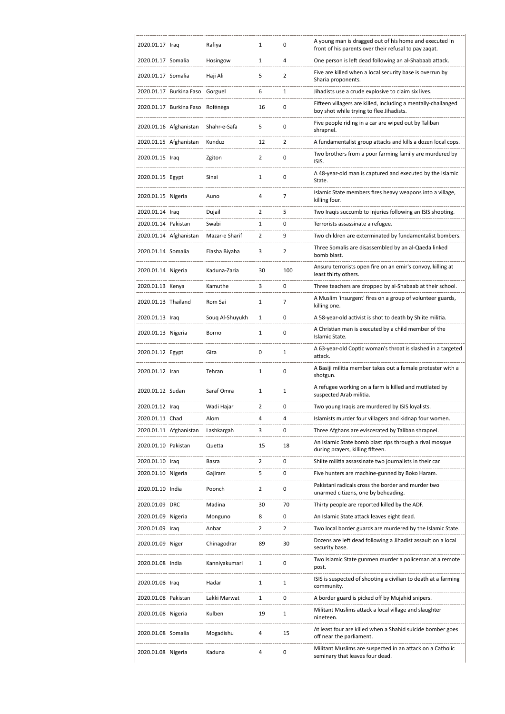| 2020.01.17 Iraq     |                         | Rafiya          | 1              | 0            | A young man is dragged out of his home and executed in<br>front of his parents over their refusal to pay zagat. |
|---------------------|-------------------------|-----------------|----------------|--------------|-----------------------------------------------------------------------------------------------------------------|
| 2020.01.17 Somalia  |                         | Hosingow        | 1              | 4            | One person is left dead following an al-Shabaab attack.                                                         |
| 2020.01.17 Somalia  |                         | Haji Ali        | 5              | 2            | Five are killed when a local security base is overrun by<br>Sharia proponents.                                  |
|                     | 2020.01.17 Burkina Faso | Gorguel         | 6              | 1            | Jihadists use a crude explosive to claim six lives.                                                             |
|                     | 2020.01.17 Burkina Faso | Rofénèga        | 16             | 0            | Fifteen villagers are killed, including a mentally-challanged<br>boy shot while trying to flee Jihadists.       |
|                     | 2020.01.16 Afghanistan  | Shahr-e-Safa    | 5              | 0            | Five people riding in a car are wiped out by Taliban<br>shrapnel.                                               |
|                     | 2020.01.15 Afghanistan  | Kunduz          | 12             | 2            | A fundamentalist group attacks and kills a dozen local cops.                                                    |
| 2020.01.15 Iraq     |                         | Zgiton          | $\overline{2}$ | 0            | Two brothers from a poor farming family are murdered by<br>ISIS.                                                |
| 2020.01.15 Egypt    |                         | Sinai           | 1              | 0            | A 48-year-old man is captured and executed by the Islamic<br>State.                                             |
| 2020.01.15 Nigeria  |                         | Auno            | 4              | 7            | Islamic State members fires heavy weapons into a village,<br>killing four.                                      |
| 2020.01.14 Iraq     |                         | Dujail          | 2              | 5            | Two Iraqis succumb to injuries following an ISIS shooting.                                                      |
| 2020.01.14 Pakistan |                         | Swabi           | 1              | 0            | Terrorists assassinate a refugee.                                                                               |
|                     | 2020.01.14 Afghanistan  | Mazar-e Sharif  | 2              | 9            | Two children are exterminated by fundamentalist bombers.                                                        |
| 2020.01.14 Somalia  |                         | Elasha Biyaha   | 3              | 2            | Three Somalis are disassembled by an al-Qaeda linked<br>bomb blast.                                             |
| 2020.01.14 Nigeria  |                         | Kaduna-Zaria    | 30             | 100          | Ansuru terrorists open fire on an emir's convoy, killing at<br>least thirty others.                             |
| 2020.01.13 Kenya    |                         | Kamuthe         | 3              | 0            | Three teachers are dropped by al-Shabaab at their school.                                                       |
| 2020.01.13 Thailand |                         | Rom Sai         | 1              | 7            | A Muslim 'insurgent' fires on a group of volunteer guards,<br>killing one.                                      |
| 2020.01.13 Iraq     |                         | Soug Al-Shuyukh | 1              | 0            | A 58-year-old activist is shot to death by Shiite militia.                                                      |
| 2020.01.13 Nigeria  |                         | Borno           | 1              | 0            | A Christian man is executed by a child member of the<br>Islamic State.                                          |
| 2020.01.12 Egypt    |                         | Giza            | $\mathbf 0$    | $\mathbf{1}$ | A 63-year-old Coptic woman's throat is slashed in a targeted<br>attack.                                         |
| 2020.01.12 Iran     |                         | Tehran          | $\mathbf{1}$   | 0            | A Basiji militia member takes out a female protester with a<br>shotgun.                                         |
| 2020.01.12 Sudan    |                         | Saraf Omra      | 1              | 1            | A refugee working on a farm is killed and mutilated by<br>suspected Arab militia.                               |
| 2020.01.12 Iraq     |                         | Wadi Hajar      | 2              | 0            | Two young Iraqis are murdered by ISIS loyalists.                                                                |
| 2020.01.11 Chad     |                         | Alom            | 4              | 4            | Islamists murder four villagers and kidnap four women.                                                          |
|                     | 2020.01.11 Afghanistan  | Lashkargah      | 3              | 0            | Three Afghans are eviscerated by Taliban shrapnel.                                                              |
| 2020.01.10 Pakistan |                         | Quetta          | 15             | 18           | An Islamic State bomb blast rips through a rival mosque<br>during prayers, killing fifteen.                     |
| 2020.01.10 Iraq     |                         | Basra           | 2              | 0            | Shiite militia assassinate two journalists in their car.                                                        |
| 2020.01.10 Nigeria  |                         | Gajiram         | 5              | 0            | Five hunters are machine-gunned by Boko Haram.                                                                  |
| 2020.01.10 India    |                         | Poonch          | $\overline{2}$ | 0            | Pakistani radicals cross the border and murder two<br>unarmed citizens, one by beheading.                       |
| 2020.01.09 DRC      |                         | Madina          | 30             | 70           | Thirty people are reported killed by the ADF.                                                                   |
| 2020.01.09 Nigeria  |                         | Monguno         | 8              | 0            | An Islamic State attack leaves eight dead.                                                                      |
| 2020.01.09 Iraq     |                         | Anbar           | 2              | 2            | Two local border guards are murdered by the Islamic State.                                                      |
| 2020.01.09 Niger    |                         | Chinagodrar     | 89             | 30           | Dozens are left dead following a Jihadist assault on a local<br>security base.                                  |
| 2020.01.08 India    |                         | Kanniyakumari   | 1              | 0            | Two Islamic State gunmen murder a policeman at a remote<br>post.                                                |
| 2020.01.08 Iraq     |                         | Hadar           | 1              | 1            | ISIS is suspected of shooting a civilian to death at a farming<br>community.                                    |
| 2020.01.08 Pakistan |                         | Lakki Marwat    | 1              | 0            | A border guard is picked off by Mujahid snipers.                                                                |
| 2020.01.08 Nigeria  |                         | Kulben          | 19             | 1            | Militant Muslims attack a local village and slaughter<br>nineteen.                                              |
| 2020.01.08 Somalia  |                         | Mogadishu       | 4              | 15           | At least four are killed when a Shahid suicide bomber goes<br>off near the parliament.                          |
| 2020.01.08 Nigeria  |                         | Kaduna          | 4              | 0            | Militant Muslims are suspected in an attack on a Catholic<br>seminary that leaves four dead.                    |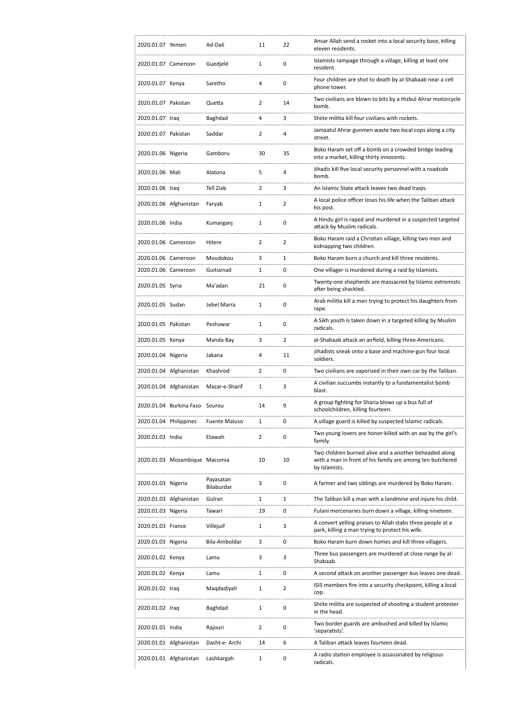| 2020.01.07 Yemen       |                                | Ad-Dali                 | 11             | 22             | Ansar Allah send a rocket into a local security base, killing<br>eleven residents.                                                   |
|------------------------|--------------------------------|-------------------------|----------------|----------------|--------------------------------------------------------------------------------------------------------------------------------------|
| 2020.01.07 Cameroon    |                                | Guedielé                | $\mathbf{1}$   | 0              | Islamists rampage through a village, killing at least one<br>resident.                                                               |
| 2020.01.07 Kenya       |                                | Saretho                 | 4              | $\mathbf 0$    | Four children are shot to death by al-Shabaab near a cell<br>phone tower.                                                            |
| 2020.01.07 Pakistan    |                                | Quetta                  | 2              | 14             | Two civilians are blown to bits by a Hizbul Ahrar motorcycle<br>bomb.                                                                |
| 2020.01.07 Iraq        |                                | Baghdad                 | 4              | 3              | Shiite militia kill four civilians with rockets.                                                                                     |
| 2020.01.07 Pakistan    |                                | Saddar                  | 2              | 4              | Jamaatul Ahrar gunmen waste two local cops along a city<br>street.                                                                   |
| 2020.01.06 Nigeria     |                                | Gamboru                 | 30             | 35             | Boko Haram set off a bomb on a crowded bridge leading<br>into a market, killing thirty innocents.                                    |
| 2020.01.06 Mali        |                                | Alatona                 | 5              | 4              | Jihadis kill five local security personnel with a roadside<br>bomb.                                                                  |
| 2020.01.06 Iraq        |                                | Tell Ziab               | $\overline{2}$ | 3              | An Islamic State attack leaves two dead Iraqis.                                                                                      |
|                        | 2020.01.06 Afghanistan         | Faryab                  | $\mathbf{1}$   | $\overline{2}$ | A local police officer loses his life when the Taliban attack<br>his post.                                                           |
| 2020.01.06 India       |                                | Kumarganj               | 1              | 0              | A Hindu girl is raped and murdered in a suspected targeted<br>attack by Muslim radicals.                                             |
| 2020.01.06 Cameroon    |                                | Hitere                  | 2              | $\overline{2}$ | Boko Haram raid a Christian village, killing two men and<br>kidnapping two children.                                                 |
| 2020.01.06 Cameroon    |                                | Moudokou                | 3              | $\mathbf{1}$   | Boko Haram burn a church and kill three residents.                                                                                   |
| 2020.01.06 Cameroon    |                                | Guitsenad               | 1              | 0              | One villager is murdered during a raid by Islamists.                                                                                 |
| 2020.01.05 Syria       |                                | Ma'adan                 | 21             | 0              | Twenty-one shepherds are massacred by Islamic extremists<br>after being shackled.                                                    |
| 2020.01.05 Sudan       |                                | Jebel Marra             | 1              | $\mathbf 0$    | Arab militia kill a man trying to protect his daughters from<br>rape.                                                                |
| 2020.01.05 Pakistan    |                                | Peshawar                | 1              | $\mathbf 0$    | A Sikh youth is taken down in a targeted killing by Muslim<br>radicals.                                                              |
| 2020.01.05 Kenya       |                                | Manda Bay               | 3              | $\overline{2}$ | al-Shabaab attack an airfield, killing three Americans.                                                                              |
| 2020.01.04 Nigeria     |                                | Jakana                  | 4              | 11             | Jihadists sneak onto a base and machine-gun four local<br>soldiers.                                                                  |
|                        | 2020.01.04 Afghanistan         | Khashrod                | 2              | 0              | Two civilians are vaporized in their own car by the Taliban.                                                                         |
|                        | 2020.01.04 Afghanistan         | Mazar-e-Sharif          | 1              | 3              | A civilian succumbs instantly to a fundamentalist bomb<br>blast.                                                                     |
|                        | 2020.01.04 Burkina Faso Sourou |                         | 14             | 9              | A group fighting for Sharia blows up a bus full of<br>schoolchildren, killing fourteen.                                              |
| 2020.01.04 Philippines |                                | <b>Fuente Maluso</b>    | 1              | 0              | A village guard is killed by suspected Islamic radicals.                                                                             |
| 2020.01.03 India       |                                | Etawah                  | $\overline{2}$ | 0              | Two young lovers are honor-killed with an axe by the girl's<br>family.                                                               |
|                        | 2020.01.03 Mozambique Macomia  |                         | 10             | 10             | Two children burned alive and a another beheaded along<br>with a man in front of his family are among ten butchered<br>by Islamists. |
| 2020.01.03 Nigeria     |                                | Payasatan<br>Bilaburdar | 3              | 0              | A farmer and two siblings are murdered by Boko Haram.                                                                                |
|                        | 2020.01.03 Afghanistan         | Gulran                  | 1              | 1              | The Taliban kill a man with a landmine and injure his child.                                                                         |
| 2020.01.03 Nigeria     |                                | Tawari                  | 19             | 0              | Fulani mercenaries burn down a village, killing nineteen.                                                                            |
| 2020.01.03 France      |                                | Villejuif               | 1              | 3              | A convert yelling praises to Allah stabs three people at a<br>park, killing a man trying to protect his wife.                        |
| 2020.01.03 Nigeria     |                                | Bila-Amboldar           | 3              | 0              | Boko Haram burn down homes and kill three villagers.                                                                                 |
| 2020.01.02 Kenya       |                                | Lamu                    | 3              | 3              | Three bus passengers are murdered at close range by al-<br>Shabaab.                                                                  |
| 2020.01.02 Kenya       |                                | Lamu                    | 1              | 0              | A second attack on another passenger bus leaves one dead.                                                                            |
| 2020.01.02 Iraq        |                                | Maqdadiyah              | 1              | 2              | ISIS members fire into a security checkpoint, killing a local<br>cop.                                                                |
| 2020.01.02 Iraq        |                                | Baghdad                 | 1              | 0              | Shiite militia are suspected of shooting a student protester<br>in the head.                                                         |
| 2020.01.01 India       |                                | Rajouri                 | 2              | 0              | Two border guards are ambushed and killed by Islamic<br>'separatists'.                                                               |
|                        | 2020.01.01 Afghanistan         | Dasht-e- Archi          | 14             | 6              | A Taliban attack leaves fourteen dead.                                                                                               |
|                        | 2020.01.01 Afghanistan         | Lashkargah              | 1              | 0              | A radio station employee is assassinated by religious<br>radicals.                                                                   |